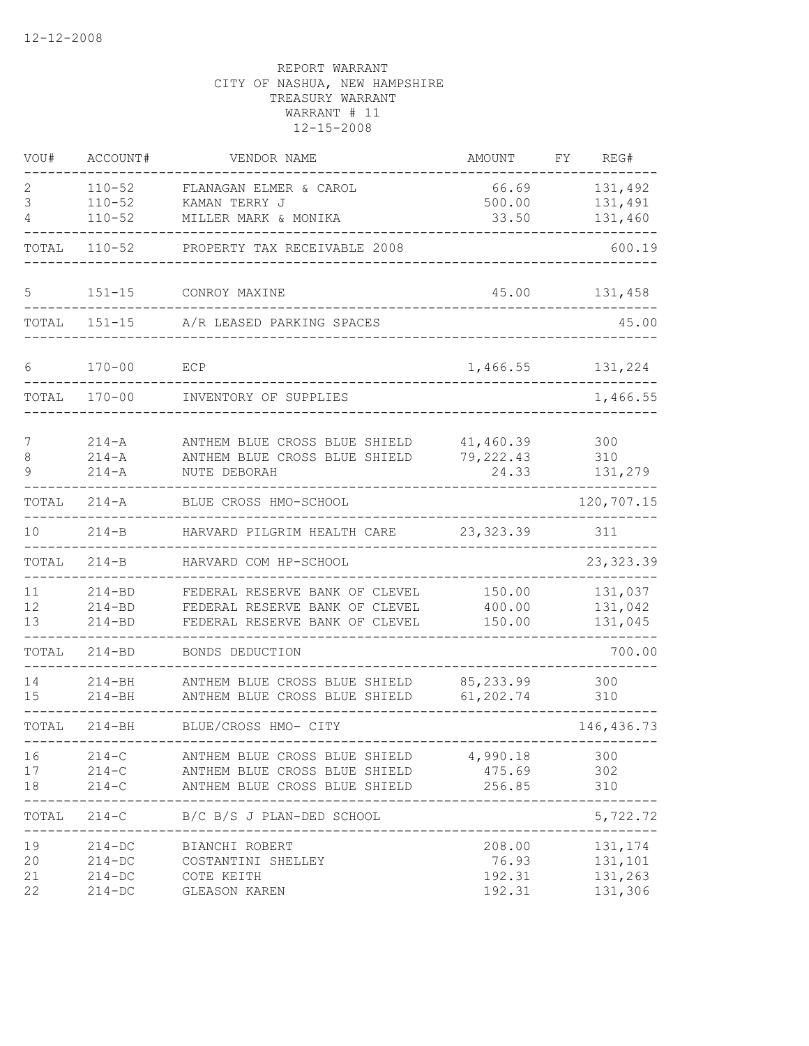| VOU#                 | ACCOUNT#                               | VENDOR NAME                                                                                        | AMOUNT                              | FΥ | REG#                                      |
|----------------------|----------------------------------------|----------------------------------------------------------------------------------------------------|-------------------------------------|----|-------------------------------------------|
| 2<br>3<br>4          | $110 - 52$<br>$110 - 52$<br>$110 - 52$ | FLANAGAN ELMER & CAROL<br>KAMAN TERRY J<br>MILLER MARK & MONIKA                                    | 66.69<br>500.00<br>33.50            |    | 131,492<br>131,491<br>131,460             |
| TOTAL                | $110 - 52$                             | PROPERTY TAX RECEIVABLE 2008                                                                       |                                     |    | 600.19                                    |
| 5                    | $151 - 15$                             | CONROY MAXINE                                                                                      | 45.00                               |    | 131,458                                   |
| TOTAL                | $151 - 15$                             | A/R LEASED PARKING SPACES                                                                          |                                     |    | 45.00                                     |
| 6                    | $170 - 00$                             | ECP                                                                                                | 1,466.55                            |    | 131,224                                   |
| TOTAL                | $170 - 00$                             | INVENTORY OF SUPPLIES                                                                              |                                     |    | 1,466.55                                  |
| 7<br>8<br>9          | $214 - A$<br>$214 - A$<br>$214 - A$    | ANTHEM BLUE CROSS BLUE SHIELD<br>ANTHEM BLUE CROSS BLUE SHIELD<br>NUTE DEBORAH                     | 41,460.39<br>79,222.43<br>24.33     |    | 300<br>310<br>131,279                     |
| TOTAL                | $214 - A$                              | BLUE CROSS HMO-SCHOOL                                                                              |                                     |    | 120,707.15                                |
| 10                   | $214 - B$                              | HARVARD PILGRIM HEALTH CARE                                                                        | 23,323.39                           |    | 311                                       |
| TOTAL                | $214 - B$                              | HARVARD COM HP-SCHOOL                                                                              |                                     |    | 23, 323.39                                |
| 11<br>12<br>13       | $214 - BD$<br>$214 - BD$<br>$214 - BD$ | FEDERAL RESERVE BANK OF CLEVEL<br>FEDERAL RESERVE BANK OF CLEVEL<br>FEDERAL RESERVE BANK OF CLEVEL | 150.00<br>400.00<br>150.00          |    | 131,037<br>131,042<br>131,045             |
| TOTAL                | $214 - BD$                             | BONDS DEDUCTION                                                                                    |                                     |    | 700.00                                    |
| 14<br>15             | $214 - BH$<br>$214 - BH$               | ANTHEM BLUE CROSS BLUE SHIELD<br>ANTHEM BLUE CROSS BLUE SHIELD                                     | 85, 233.99<br>61,202.74             |    | 300<br>310                                |
| TOTAL                | $214 - BH$                             | BLUE/CROSS HMO- CITY                                                                               |                                     |    | 146, 436.73                               |
| 16<br>17<br>18       | $214 - C$<br>$214-C$<br>$214-C$        | ANTHEM BLUE CROSS BLUE SHIELD<br>ANTHEM BLUE CROSS BLUE SHIELD<br>ANTHEM BLUE CROSS BLUE SHIELD    | 4,990.18<br>475.69<br>256.85        |    | 300<br>302<br>310                         |
| TOTAL                |                                        | 214-C B/C B/S J PLAN-DED SCHOOL                                                                    | -----------------                   |    | $---$<br>5,722.72                         |
| 19<br>20<br>21<br>22 | $214 - DC$<br>$214 - DC$<br>$214 - DC$ | 214-DC BIANCHI ROBERT<br>COSTANTINI SHELLEY<br>COTE KEITH<br>GLEASON KAREN                         | 208.00<br>76.93<br>192.31<br>192.31 |    | 131, 174<br>131,101<br>131,263<br>131,306 |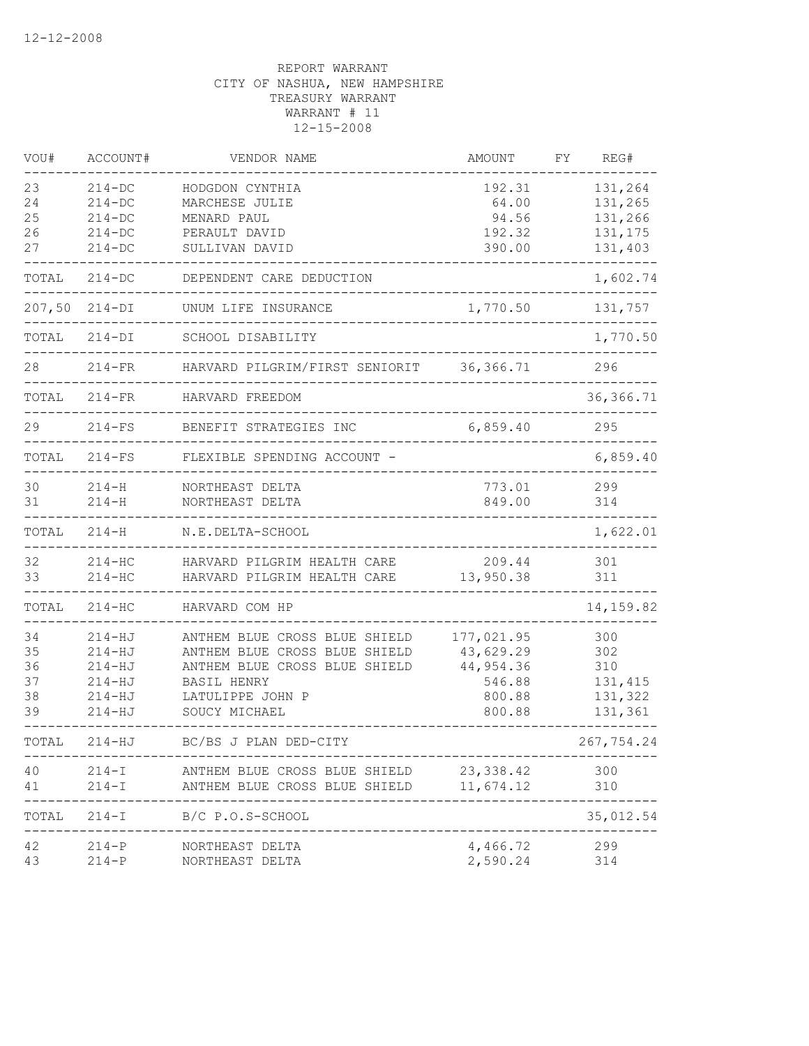| VOU#   | ACCOUNT#   | VENDOR NAME                                   | AMOUNT     | FΥ | REG#        |
|--------|------------|-----------------------------------------------|------------|----|-------------|
| 23     | $214 - DC$ | HODGDON CYNTHIA                               | 192.31     |    | 131,264     |
| 24     | $214 - DC$ | MARCHESE JULIE                                | 64.00      |    | 131,265     |
| 25     | $214 - DC$ | MENARD PAUL                                   | 94.56      |    | 131,266     |
| 26     | $214 - DC$ | PERAULT DAVID                                 | 192.32     |    | 131,175     |
| 27     | $214 - DC$ | SULLIVAN DAVID                                | 390.00     |    | 131,403     |
| TOTAL  | $214 - DC$ | DEPENDENT CARE DEDUCTION                      |            |    | 1,602.74    |
| 207,50 | $214-DI$   | UNUM LIFE INSURANCE                           | 1,770.50   |    | 131,757     |
| TOTAL  | $214-DI$   | SCHOOL DISABILITY                             |            |    | 1,770.50    |
| 28     | $214-FR$   | HARVARD PILGRIM/FIRST SENIORIT                | 36, 366.71 |    | 296         |
| TOTAL  | $214-FR$   | HARVARD FREEDOM                               |            |    | 36, 366.71  |
| 29     | $214-FS$   | BENEFIT STRATEGIES INC                        | 6,859.40   |    | 295         |
| TOTAL  | $214-FS$   | FLEXIBLE SPENDING ACCOUNT -                   |            |    | 6,859.40    |
| 30     | $214 - H$  | NORTHEAST DELTA                               | 773.01     |    | 299         |
| 31     | $214 - H$  | NORTHEAST DELTA                               | 849.00     |    | 314         |
| TOTAL  | $214 - H$  | N.E.DELTA-SCHOOL                              |            |    | 1,622.01    |
| 32     | $214 - HC$ | HARVARD PILGRIM HEALTH CARE                   | 209.44     |    | 301         |
| 33     | $214 - HC$ | HARVARD PILGRIM HEALTH CARE                   | 13,950.38  |    | 311         |
| TOTAL  | $214 - HC$ | HARVARD COM HP                                |            |    | 14,159.82   |
| 34     | $214 - HJ$ | ANTHEM BLUE CROSS BLUE SHIELD                 | 177,021.95 |    | 300         |
| 35     | $214 - HJ$ | ANTHEM BLUE CROSS BLUE SHIELD                 | 43,629.29  |    | 302         |
| 36     | $214 - HJ$ | ANTHEM BLUE CROSS BLUE SHIELD                 | 44,954.36  |    | 310         |
| 37     | $214 - HJ$ | BASIL HENRY                                   | 546.88     |    | 131,415     |
| 38     | $214 - HJ$ | LATULIPPE JOHN P                              | 800.88     |    | 131,322     |
| 39     | $214 - HJ$ | SOUCY MICHAEL                                 | 800.88     |    | 131,361     |
| TOTAL  | $214 - HJ$ | BC/BS J PLAN DED-CITY                         |            |    | 267,754.24  |
| 40     |            | 214-I ANTHEM BLUE CROSS BLUE SHIELD 23,338.42 |            |    | 300         |
| 41     |            | 214-I ANTHEM BLUE CROSS BLUE SHIELD 11,674.12 |            |    | 310<br>---- |
| TOTAL  |            | $214-I$ B/C P.O.S-SCHOOL                      |            |    | 35,012.54   |
| 42     | $214-P$    | NORTHEAST DELTA                               | 4,466.72   |    | 299         |
| 43     |            | 214-P NORTHEAST DELTA                         | 2,590.24   |    | 314         |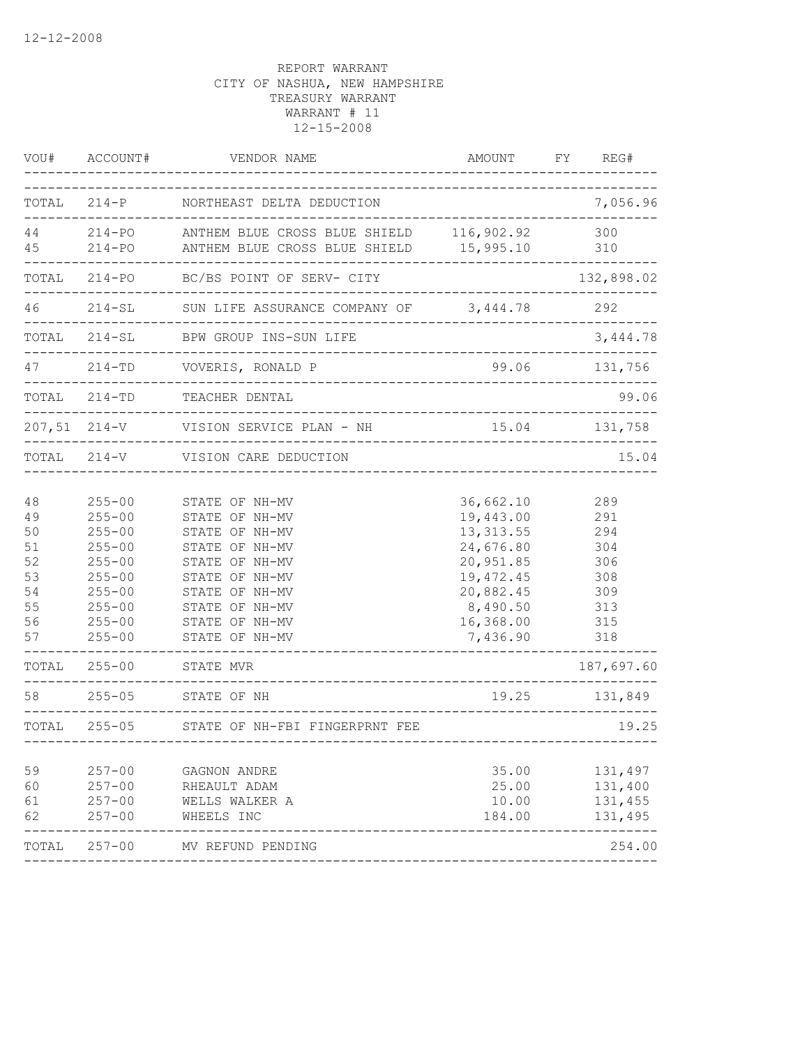| ACCOUNT#                                                                                                                                                                           | VENDOR NAME                                                                                                                                                                                                  | AMOUNT                                                                                                                                  | FY.                                                                                                                                                                                                                   | REG#                                                                                                 |
|------------------------------------------------------------------------------------------------------------------------------------------------------------------------------------|--------------------------------------------------------------------------------------------------------------------------------------------------------------------------------------------------------------|-----------------------------------------------------------------------------------------------------------------------------------------|-----------------------------------------------------------------------------------------------------------------------------------------------------------------------------------------------------------------------|------------------------------------------------------------------------------------------------------|
| TOTAL                                                                                                                                                                              |                                                                                                                                                                                                              |                                                                                                                                         |                                                                                                                                                                                                                       | 7,056.96                                                                                             |
|                                                                                                                                                                                    |                                                                                                                                                                                                              |                                                                                                                                         |                                                                                                                                                                                                                       | 300<br>310                                                                                           |
| TOTAL<br>$214 - PQ$                                                                                                                                                                | BC/BS POINT OF SERV- CITY                                                                                                                                                                                    |                                                                                                                                         |                                                                                                                                                                                                                       | 132,898.02                                                                                           |
| $214 - SL$                                                                                                                                                                         |                                                                                                                                                                                                              | 3,444.78                                                                                                                                |                                                                                                                                                                                                                       | 292                                                                                                  |
| TOTAL<br>$214 - SL$                                                                                                                                                                | BPW GROUP INS-SUN LIFE                                                                                                                                                                                       |                                                                                                                                         |                                                                                                                                                                                                                       | 3,444.78                                                                                             |
| $214 - TD$                                                                                                                                                                         | VOVERIS, RONALD P                                                                                                                                                                                            | 99.06                                                                                                                                   |                                                                                                                                                                                                                       | 131,756                                                                                              |
| $214 - TD$                                                                                                                                                                         | TEACHER DENTAL                                                                                                                                                                                               |                                                                                                                                         |                                                                                                                                                                                                                       | 99.06                                                                                                |
| $207,51$ $214-V$                                                                                                                                                                   | VISION SERVICE PLAN - NH                                                                                                                                                                                     |                                                                                                                                         |                                                                                                                                                                                                                       | 131,758                                                                                              |
| TOTAL 214-V                                                                                                                                                                        | VISION CARE DEDUCTION                                                                                                                                                                                        |                                                                                                                                         |                                                                                                                                                                                                                       | 15.04                                                                                                |
| $255 - 00$<br>$255 - 00$<br>$255 - 00$<br>$255 - 00$<br>$255 - 00$<br>$255 - 00$<br>$255 - 00$<br>$255 - 00$<br>$255 - 00$<br>$255 - 00$<br>$255 - 00$<br>$255 - 05$<br>$255 - 05$ | STATE OF NH-MV<br>STATE OF NH-MV<br>STATE OF NH-MV<br>STATE OF NH-MV<br>STATE OF NH-MV<br>STATE OF NH-MV<br>STATE OF NH-MV<br>STATE OF NH-MV<br>STATE OF NH-MV<br>STATE OF NH-MV<br>STATE MVR<br>STATE OF NH | 36,662.10<br>19,443.00<br>13, 313.55<br>24,676.80<br>20,951.85<br>19, 472.45<br>20,882.45<br>8,490.50<br>16,368.00<br>7,436.90<br>19.25 |                                                                                                                                                                                                                       | 289<br>291<br>294<br>304<br>306<br>308<br>309<br>313<br>315<br>318<br>187,697.60<br>131,849<br>19.25 |
| $257 - 00$<br>$257 - 00$<br>$257 - 00$<br>$257 - 00$<br>$257 - 00$                                                                                                                 | GAGNON ANDRE<br>RHEAULT ADAM<br>WELLS WALKER A<br>WHEELS INC<br>MV REFUND PENDING                                                                                                                            | 35.00<br>25.00<br>10.00<br>184.00                                                                                                       |                                                                                                                                                                                                                       | 131,497<br>131,400<br>131,455<br>131,495<br>254.00                                                   |
|                                                                                                                                                                                    |                                                                                                                                                                                                              | 214-P NORTHEAST DELTA DEDUCTION<br>214-PO ANTHEM BLUE CROSS BLUE SHIELD<br>STATE OF NH-FBI FINGERPRNT FEE                               | ______________________________<br>214-PO ANTHEM BLUE CROSS BLUE SHIELD 116,902.92<br>15,995.10<br>SUN LIFE ASSURANCE COMPANY OF<br>____________________________<br>________________________<br>---------------------- | 15.04                                                                                                |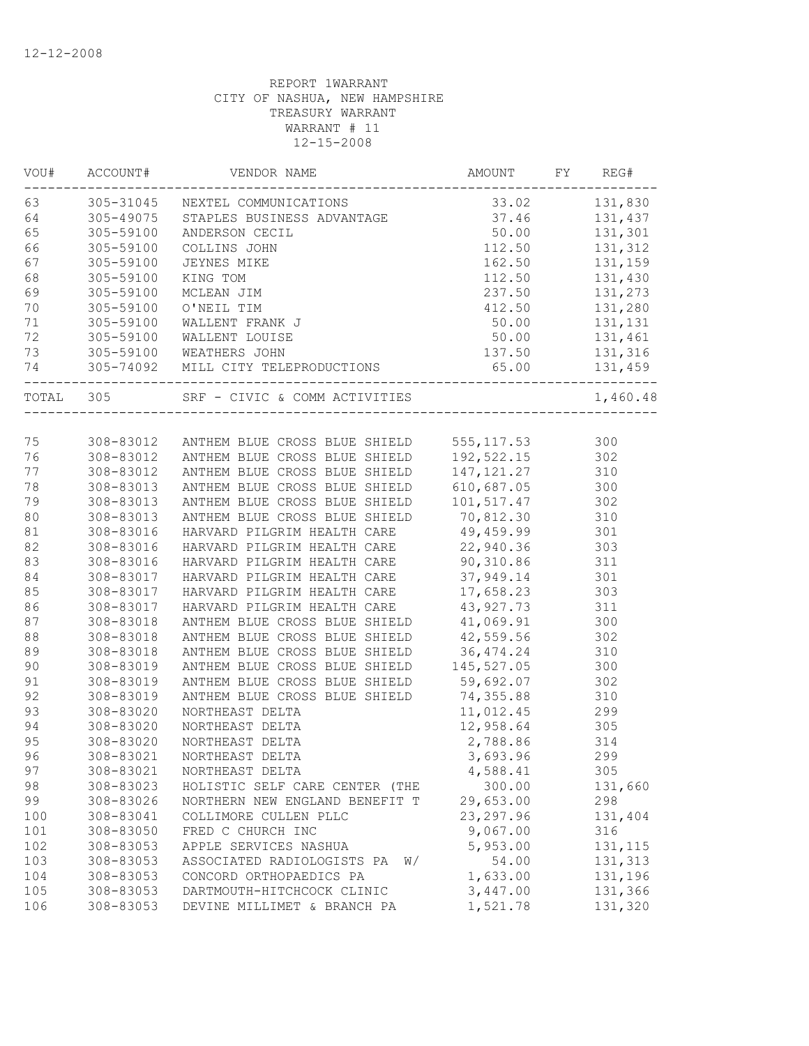| VOU#   | ACCOUNT#  | VENDOR NAME                                                                                         | AMOUNT                                                                                                                   | FY | REG#     |
|--------|-----------|-----------------------------------------------------------------------------------------------------|--------------------------------------------------------------------------------------------------------------------------|----|----------|
| 63     |           | 305-31045 NEXTEL COMMUNICATIONS 33.02 131,830<br>305-49075 STAPLES BUSINESS ADVANTAGE 37.46 131,437 |                                                                                                                          |    |          |
| 64     |           |                                                                                                     |                                                                                                                          |    |          |
| 65     | 305-59100 | ANDERSON CECIL                                                                                      | $\begin{array}{r} \\ 50.00 \\ 112.50 \\ 162.50 \\ 112.50 \\ 237.50 \\ 412.50 \\ 50.00 \\ 50.00 \\ 137.50 \\ \end{array}$ |    | 131,301  |
| 66     | 305-59100 | COLLINS JOHN                                                                                        |                                                                                                                          |    | 131,312  |
| 67     | 305-59100 | JEYNES MIKE                                                                                         |                                                                                                                          |    | 131,159  |
| 68     | 305-59100 | KING TOM                                                                                            |                                                                                                                          |    | 131,430  |
| 69     | 305-59100 | MCLEAN JIM                                                                                          |                                                                                                                          |    | 131,273  |
| 70     | 305-59100 | O'NEIL TIM                                                                                          |                                                                                                                          |    | 131,280  |
| 71     | 305-59100 | WALLENT FRANK J                                                                                     |                                                                                                                          |    | 131,131  |
| 72     | 305-59100 | WALLENT LOUISE                                                                                      |                                                                                                                          |    | 131,461  |
| 73     |           | 305-59100 WEATHERS JOHN                                                                             | 137.50                                                                                                                   |    | 131,316  |
| 74     |           | 305-74092 MILL CITY TELEPRODUCTIONS 65.00 131,459                                                   |                                                                                                                          |    |          |
|        | TOTAL 305 | SRF - CIVIC & COMM ACTIVITIES                                                                       |                                                                                                                          |    | 1,460.48 |
|        |           |                                                                                                     |                                                                                                                          |    |          |
| 75     |           | 308-83012 ANTHEM BLUE CROSS BLUE SHIELD                                                             | 555, 117.53                                                                                                              |    | 300      |
| 76     |           | 308-83012 ANTHEM BLUE CROSS BLUE SHIELD                                                             | 192,522.15 302                                                                                                           |    |          |
| 77     | 308-83012 | ANTHEM BLUE CROSS BLUE SHIELD                                                                       | 147, 121.27                                                                                                              |    | 310      |
| 78     | 308-83013 | ANTHEM BLUE CROSS BLUE SHIELD                                                                       | 610,687.05                                                                                                               |    | 300      |
| 79     | 308-83013 | ANTHEM BLUE CROSS BLUE SHIELD                                                                       | 101,517.47                                                                                                               |    | 302      |
| 80     | 308-83013 | ANTHEM BLUE CROSS BLUE SHIELD                                                                       | 70,812.30                                                                                                                |    | 310      |
| 81     | 308-83016 | HARVARD PILGRIM HEALTH CARE                                                                         | 49,459.99                                                                                                                |    | 301      |
| 82     | 308-83016 | HARVARD PILGRIM HEALTH CARE                                                                         | 22,940.36                                                                                                                |    | 303      |
| 83     | 308-83016 | HARVARD PILGRIM HEALTH CARE                                                                         | 90,310.86                                                                                                                |    | 311      |
| $8\,4$ | 308-83017 | HARVARD PILGRIM HEALTH CARE                                                                         | 37,949.14                                                                                                                |    | 301      |
| 85     | 308-83017 | HARVARD PILGRIM HEALTH CARE                                                                         | 17,658.23                                                                                                                |    | 303      |
| 86     | 308-83017 | HARVARD PILGRIM HEALTH CARE                                                                         | 43, 927. 73                                                                                                              |    | 311      |
| 87     | 308-83018 | ANTHEM BLUE CROSS BLUE SHIELD                                                                       | 41,069.91                                                                                                                |    | 300      |
| 88     | 308-83018 | ANTHEM BLUE CROSS BLUE SHIELD                                                                       | 42,559.56                                                                                                                |    | 302      |
| 89     | 308-83018 | ANTHEM BLUE CROSS BLUE SHIELD                                                                       | 36,474.24                                                                                                                |    | 310      |
| 90     | 308-83019 | ANTHEM BLUE CROSS BLUE SHIELD                                                                       | 145,527.05                                                                                                               |    | 300      |
| 91     | 308-83019 | ANTHEM BLUE CROSS BLUE SHIELD                                                                       | 59,692.07                                                                                                                |    | 302      |
| 92     | 308-83019 | ANTHEM BLUE CROSS BLUE SHIELD                                                                       | 74,355.88                                                                                                                |    | 310      |
| 93     | 308-83020 | NORTHEAST DELTA                                                                                     | 11,012.45                                                                                                                |    | 299      |
| 94     | 308-83020 | NORTHEAST DELTA                                                                                     | 12,958.64                                                                                                                |    | 305      |
| 95     | 308-83020 | NORTHEAST DELTA                                                                                     | 2,788.86                                                                                                                 |    | 314      |
| 96     | 308-83021 | NORTHEAST DELTA                                                                                     | 3,693.96                                                                                                                 |    | 299      |
| 97     | 308-83021 | NORTHEAST DELTA                                                                                     | 4,588.41                                                                                                                 |    | 305      |
| 98     | 308-83023 | HOLISTIC SELF CARE CENTER (THE                                                                      | 300.00                                                                                                                   |    | 131,660  |
| 99     | 308-83026 | NORTHERN NEW ENGLAND BENEFIT T                                                                      | 29,653.00                                                                                                                |    | 298      |
| 100    | 308-83041 | COLLIMORE CULLEN PLLC                                                                               | 23, 297.96                                                                                                               |    | 131,404  |
| 101    | 308-83050 | FRED C CHURCH INC                                                                                   | 9,067.00                                                                                                                 |    | 316      |
| 102    | 308-83053 | APPLE SERVICES NASHUA                                                                               | 5,953.00                                                                                                                 |    | 131, 115 |
| 103    | 308-83053 | ASSOCIATED RADIOLOGISTS PA<br>W/                                                                    | 54.00                                                                                                                    |    | 131,313  |
| 104    | 308-83053 | CONCORD ORTHOPAEDICS PA                                                                             | 1,633.00                                                                                                                 |    | 131,196  |
| 105    | 308-83053 | DARTMOUTH-HITCHCOCK CLINIC                                                                          | 3,447.00                                                                                                                 |    | 131,366  |
| 106    | 308-83053 | DEVINE MILLIMET & BRANCH PA                                                                         | 1,521.78                                                                                                                 |    | 131,320  |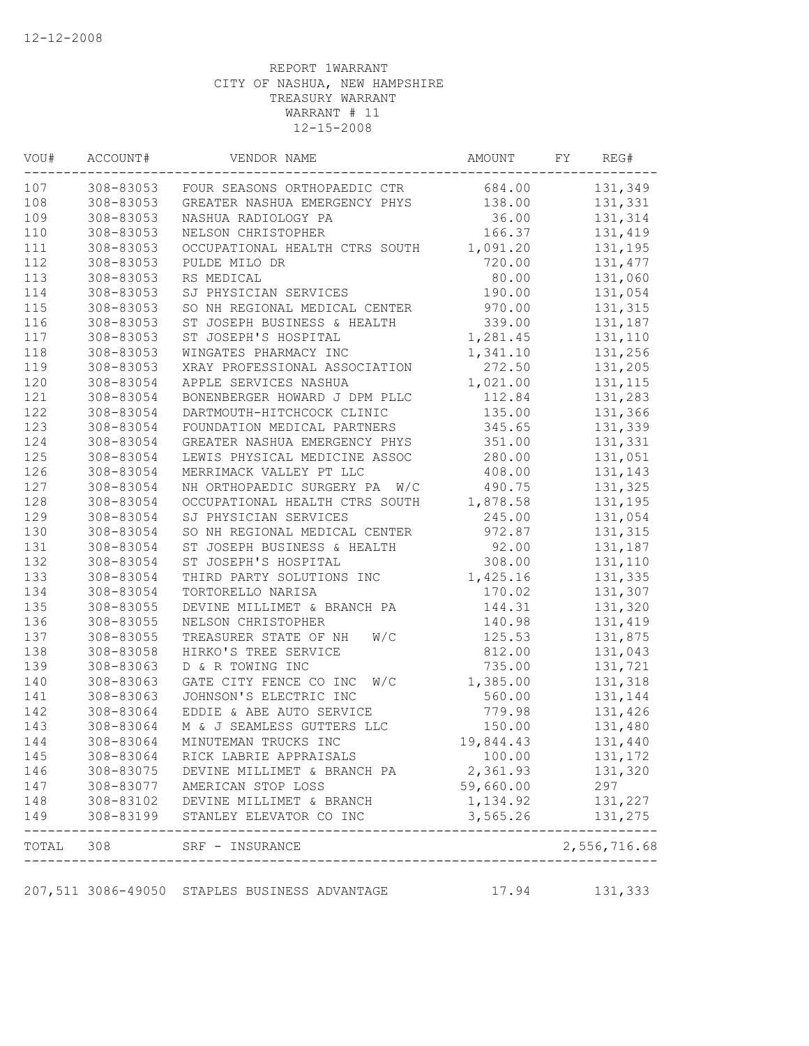| VOU# | ACCOUNT#  | VENDOR NAME                                                                                             | AMOUNT               | FY | REG#               |
|------|-----------|---------------------------------------------------------------------------------------------------------|----------------------|----|--------------------|
| 107  |           | 308-83053 FOUR SEASONS ORTHOPAEDIC CTR                                                                  | 684.00               |    | 131,349            |
| 108  | 308-83053 | GREATER NASHUA EMERGENCY PHYS                                                                           | 138.00               |    | 131,331            |
| 109  | 308-83053 | NASHUA RADIOLOGY PA                                                                                     | 36.00                |    | 131,314            |
| 110  | 308-83053 | NELSON CHRISTOPHER                                                                                      | 166.37               |    | 131,419            |
| 111  | 308-83053 | OCCUPATIONAL HEALTH CTRS SOUTH 1,091.20                                                                 |                      |    | 131,195            |
| 112  | 308-83053 | PULDE MILO DR                                                                                           | 720.00               |    | 131, 477           |
| 113  | 308-83053 | RS MEDICAL                                                                                              | 80.00                |    | 131,060            |
| 114  | 308-83053 | SJ PHYSICIAN SERVICES                                                                                   | 190.00               |    | 131,054            |
| 115  | 308-83053 | SO NH REGIONAL MEDICAL CENTER                                                                           | 970.00               |    | 131,315            |
| 116  | 308-83053 | ST JOSEPH BUSINESS & HEALTH                                                                             | 339.00               |    | 131,187            |
| 117  | 308-83053 | ST JOSEPH'S HOSPITAL                                                                                    | 1,281.45             |    | 131,110            |
| 118  | 308-83053 | WINGATES PHARMACY INC                                                                                   | 1,341.10             |    | 131,256            |
| 119  | 308-83053 | XRAY PROFESSIONAL ASSOCIATION                                                                           | 272.50               |    | 131,205            |
| 120  | 308-83054 | APPLE SERVICES NASHUA                                                                                   | 1,021.00             |    | 131, 115           |
| 121  | 308-83054 | BONENBERGER HOWARD J DPM PLLC                                                                           | 112.84               |    | 131,283            |
| 122  | 308-83054 | DARTMOUTH-HITCHCOCK CLINIC                                                                              | 135.00               |    | 131,366            |
| 123  | 308-83054 | FOUNDATION MEDICAL PARTNERS                                                                             | 345.65               |    | 131,339            |
| 124  | 308-83054 | GREATER NASHUA EMERGENCY PHYS                                                                           | 351.00               |    | 131,331            |
| 125  | 308-83054 | LEWIS PHYSICAL MEDICINE ASSOC                                                                           | 280.00               |    | 131,051            |
| 126  | 308-83054 | MERRIMACK VALLEY PT LLC                                                                                 | 408.00               |    | 131,143            |
| 127  | 308-83054 | NH ORTHOPAEDIC SURGERY PA W/C                                                                           | 490.75               |    | 131,325            |
| 128  | 308-83054 | OCCUPATIONAL HEALTH CTRS SOUTH                                                                          | 1,878.58             |    | 131,195            |
| 129  | 308-83054 | SJ PHYSICIAN SERVICES                                                                                   | 245.00               |    | 131,054            |
| 130  | 308-83054 | SO NH REGIONAL MEDICAL CENTER                                                                           | 972.87               |    | 131,315            |
| 131  | 308-83054 | ST JOSEPH BUSINESS & HEALTH                                                                             | 92.00                |    | 131,187            |
| 132  | 308-83054 | ST JOSEPH'S HOSPITAL                                                                                    | 308.00               |    | 131,110            |
| 133  | 308-83054 | THIRD PARTY SOLUTIONS INC                                                                               | 1,425.16             |    | 131,335            |
| 134  | 308-83054 | TORTORELLO NARISA                                                                                       | 170.02               |    | 131,307            |
| 135  | 308-83055 | DEVINE MILLIMET & BRANCH PA                                                                             | 144.31               |    | 131,320            |
| 136  | 308-83055 | NELSON CHRISTOPHER                                                                                      | 140.98               |    | 131,419            |
| 137  | 308-83055 | W/C<br>TREASURER STATE OF NH                                                                            | 125.53               |    | 131,875            |
| 138  | 308-83058 | HIRKO'S TREE SERVICE                                                                                    | 812.00               |    | 131,043            |
| 139  | 308-83063 | D & R TOWING INC                                                                                        | 735.00               |    | 131,721            |
| 140  | 308-83063 | GATE CITY FENCE CO INC<br>W/C                                                                           | 1,385.00             |    | 131,318            |
| 141  | 308-83063 | JOHNSON'S ELECTRIC INC                                                                                  | 560.00               |    | 131,144            |
| 142  | 308-83064 | EDDIE & ABE AUTO SERVICE                                                                                | 779.98               |    | 131,426            |
| 143  | 308-83064 | M & J SEAMLESS GUTTERS LLC                                                                              | 150.00               |    | 131,480            |
| 144  | 308-83064 | MINUTEMAN TRUCKS INC                                                                                    | 19,844.43            |    | 131,440            |
| 145  | 308-83064 | RICK LABRIE APPRAISALS                                                                                  | 100.00               |    | 131,172            |
| 146  | 308-83075 | DEVINE MILLIMET & BRANCH PA                                                                             | 2,361.93             |    | 131,320            |
| 147  |           | AMERICAN STOP LOSS                                                                                      | 59,660.00            |    | 297                |
| 148  |           |                                                                                                         |                      |    |                    |
| 149  |           | 308-83077 AMERICAN STOP LOSS<br>308-83102 DEVINE MILLIMET & BRANCH<br>308-83199 STANLEY ELEVATOR CO INC | 1,134.92<br>3,565.26 |    | 131,227<br>131,275 |
|      |           | TOTAL 308 SRF - INSURANCE                                                                               |                      |    | 2,556,716.68       |
|      |           | ------------------------------------                                                                    |                      |    |                    |
|      |           | 207,511 3086-49050 STAPLES BUSINESS ADVANTAGE                                                           | 17.94    131,333     |    |                    |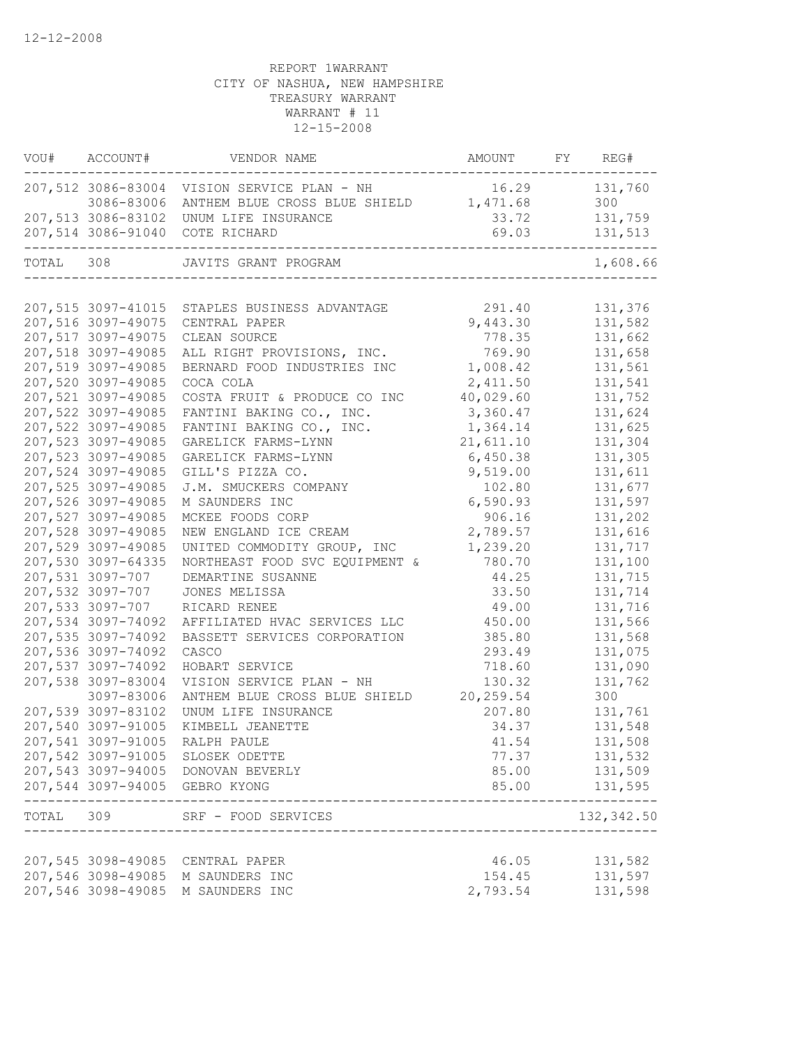|           | VOU# ACCOUNT#      | VENDOR NAME                                       | AMOUNT FY REG# |              |
|-----------|--------------------|---------------------------------------------------|----------------|--------------|
|           |                    | 207,512 3086-83004 VISION SERVICE PLAN - NH       | 16.29          | 131,760      |
|           |                    | 3086-83006 ANTHEM BLUE CROSS BLUE SHIELD 1,471.68 |                | 300          |
|           |                    | 207,513 3086-83102 UNUM LIFE INSURANCE            | 33.72          | 131,759      |
|           |                    | 207,514 3086-91040 COTE RICHARD                   | 69.03          | 131,513      |
| TOTAL 308 |                    | JAVITS GRANT PROGRAM                              |                | 1,608.66     |
|           |                    |                                                   |                |              |
|           |                    | 207,515 3097-41015 STAPLES BUSINESS ADVANTAGE     | 291.40         | 131,376      |
|           | 207,516 3097-49075 | CENTRAL PAPER                                     | 9,443.30       | 131,582      |
|           | 207,517 3097-49075 | CLEAN SOURCE                                      | 778.35         | 131,662      |
|           | 207,518 3097-49085 | ALL RIGHT PROVISIONS, INC.                        | 769.90         | 131,658      |
|           | 207,519 3097-49085 | BERNARD FOOD INDUSTRIES INC                       | 1,008.42       | 131,561      |
|           | 207,520 3097-49085 | COCA COLA                                         | 2,411.50       | 131,541      |
|           | 207,521 3097-49085 | COSTA FRUIT & PRODUCE CO INC                      | 40,029.60      | 131,752      |
|           | 207,522 3097-49085 | FANTINI BAKING CO., INC.                          | 3,360.47       | 131,624      |
|           | 207,522 3097-49085 | FANTINI BAKING CO., INC.                          | 1,364.14       | 131,625      |
|           | 207,523 3097-49085 | GARELICK FARMS-LYNN                               | 21,611.10      | 131,304      |
|           | 207,523 3097-49085 | GARELICK FARMS-LYNN                               | 6,450.38       | 131,305      |
|           | 207,524 3097-49085 | GILL'S PIZZA CO.                                  | 9,519.00       | 131,611      |
|           | 207,525 3097-49085 | J.M. SMUCKERS COMPANY                             | 102.80         | 131,677      |
|           | 207,526 3097-49085 | M SAUNDERS INC                                    | 6,590.93       | 131,597      |
|           | 207,527 3097-49085 | MCKEE FOODS CORP                                  | 906.16         | 131,202      |
|           | 207,528 3097-49085 | NEW ENGLAND ICE CREAM                             | 2,789.57       | 131,616      |
|           | 207,529 3097-49085 | UNITED COMMODITY GROUP, INC                       | 1,239.20       | 131,717      |
|           | 207,530 3097-64335 | NORTHEAST FOOD SVC EQUIPMENT &                    | 780.70         | 131,100      |
|           | 207,531 3097-707   | DEMARTINE SUSANNE                                 | 44.25          | 131,715      |
|           | 207,532 3097-707   | JONES MELISSA                                     | 33.50          | 131,714      |
|           | 207,533 3097-707   | RICARD RENEE                                      | 49.00          | 131,716      |
|           | 207,534 3097-74092 | AFFILIATED HVAC SERVICES LLC                      | 450.00         | 131,566      |
|           | 207,535 3097-74092 | BASSETT SERVICES CORPORATION                      | 385.80         | 131,568      |
|           | 207,536 3097-74092 | CASCO                                             | 293.49         | 131,075      |
|           | 207,537 3097-74092 | HOBART SERVICE                                    | 718.60         | 131,090      |
|           | 207,538 3097-83004 | VISION SERVICE PLAN - NH                          | 130.32         | 131,762      |
|           | 3097-83006         | ANTHEM BLUE CROSS BLUE SHIELD                     | 20,259.54      | 300          |
|           | 207,539 3097-83102 | UNUM LIFE INSURANCE                               | 207.80         | 131,761      |
|           | 207,540 3097-91005 | KIMBELL JEANETTE                                  | 34.37          | 131,548      |
|           |                    | 207,541 3097-91005 RALPH PAULE                    | 41.54          | 131,508      |
|           |                    | 207,542 3097-91005 SLOSEK ODETTE                  | 77.37          | 131,532      |
|           |                    | 207,543 3097-94005 DONOVAN BEVERLY                | 85.00          | 131,509      |
|           |                    | 207,544 3097-94005 GEBRO KYONG                    | 85.00          | 131,595      |
|           |                    | TOTAL 309 SRF - FOOD SERVICES                     |                | 132,342.50   |
|           |                    | ______________________                            |                | ____________ |
|           |                    | 207,545 3098-49085 CENTRAL PAPER                  | 46.05          | 131,582      |
|           |                    | 207,546 3098-49085 M SAUNDERS INC                 | 154.45         | 131,597      |
|           |                    | 207,546 3098-49085 M SAUNDERS INC                 | 2,793.54       | 131,598      |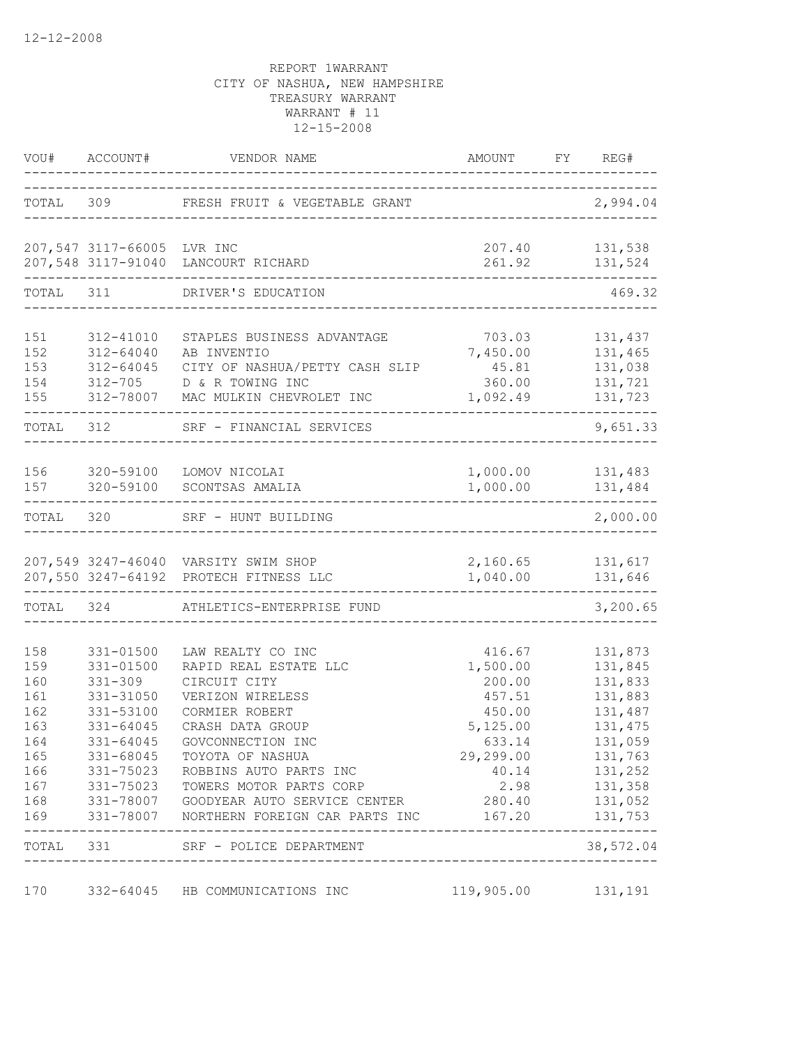|                                                                                           | VOU# ACCOUNT#                                                                                                                               | VENDOR NAME                                                                                                                                                                                                                                                                                                                         | AMOUNT FY REG#                                                                                                           |                                                                                                                                                |
|-------------------------------------------------------------------------------------------|---------------------------------------------------------------------------------------------------------------------------------------------|-------------------------------------------------------------------------------------------------------------------------------------------------------------------------------------------------------------------------------------------------------------------------------------------------------------------------------------|--------------------------------------------------------------------------------------------------------------------------|------------------------------------------------------------------------------------------------------------------------------------------------|
| TOTAL 309                                                                                 |                                                                                                                                             | FRESH FRUIT & VEGETABLE GRANT                                                                                                                                                                                                                                                                                                       |                                                                                                                          | 2,994.04                                                                                                                                       |
|                                                                                           | 207,547 3117-66005 LVR INC                                                                                                                  | 207,548 3117-91040 LANCOURT RICHARD                                                                                                                                                                                                                                                                                                 | 261.92                                                                                                                   | 207.40    131,538<br>131,524                                                                                                                   |
| TOTAL                                                                                     | 311                                                                                                                                         | DRIVER'S EDUCATION                                                                                                                                                                                                                                                                                                                  |                                                                                                                          | 469.32                                                                                                                                         |
| 151<br>152<br>153<br>154<br>155                                                           | 312-41010<br>312-64040<br>312-64045<br>312-705<br>312-78007                                                                                 | STAPLES BUSINESS ADVANTAGE<br>AB INVENTIO<br>CITY OF NASHUA/PETTY CASH SLIP<br>D & R TOWING INC<br>MAC MULKIN CHEVROLET INC                                                                                                                                                                                                         | 703.03<br>7,450.00<br>45.81<br>360.00<br>1,092.49                                                                        | 131,437<br>131,465<br>131,038<br>131,721<br>131,723                                                                                            |
| TOTAL                                                                                     | 312                                                                                                                                         | SRF - FINANCIAL SERVICES                                                                                                                                                                                                                                                                                                            |                                                                                                                          | 9,651.33                                                                                                                                       |
| 156<br>157                                                                                | 320-59100<br>320-59100                                                                                                                      | LOMOV NICOLAI<br>SCONTSAS AMALIA                                                                                                                                                                                                                                                                                                    | 1,000.00<br>1,000.00                                                                                                     | 131,483<br>131,484                                                                                                                             |
| TOTAL                                                                                     | 320                                                                                                                                         | SRF - HUNT BUILDING                                                                                                                                                                                                                                                                                                                 |                                                                                                                          | 2,000.00                                                                                                                                       |
|                                                                                           |                                                                                                                                             | 207,549 3247-46040 VARSITY SWIM SHOP<br>207,550 3247-64192 PROTECH FITNESS LLC                                                                                                                                                                                                                                                      | 2,160.65<br>1,040.00                                                                                                     | 131,617<br>131,646                                                                                                                             |
| TOTAL                                                                                     | 324                                                                                                                                         | ATHLETICS-ENTERPRISE FUND                                                                                                                                                                                                                                                                                                           |                                                                                                                          | 3,200.65                                                                                                                                       |
| 158<br>159<br>160<br>161<br>162<br>163<br>164<br>165<br>166<br>167<br>168<br>169<br>TOTAL | 331-01500<br>$331 - 01500$<br>$331 - 309$<br>331-31050<br>331-53100<br>331-64045<br>331-64045<br>331-68045<br>331-75023<br>331-75023<br>331 | LAW REALTY CO INC<br>RAPID REAL ESTATE LLC<br>CIRCUIT CITY<br>VERIZON WIRELESS<br>CORMIER ROBERT<br>CRASH DATA GROUP<br>GOVCONNECTION INC<br>TOYOTA OF NASHUA<br>ROBBINS AUTO PARTS INC<br>TOWERS MOTOR PARTS CORP<br>331-78007 GOODYEAR AUTO SERVICE CENTER<br>331-78007 NORTHERN FOREIGN CAR PARTS INC<br>SRF - POLICE DEPARTMENT | 416.67<br>1,500.00<br>200.00<br>457.51<br>450.00<br>5,125.00<br>633.14<br>29,299.00<br>40.14<br>2.98<br>280.40<br>167.20 | 131,873<br>131,845<br>131,833<br>131,883<br>131,487<br>131, 475<br>131,059<br>131,763<br>131,252<br>131,358<br>131,052<br>131,753<br>38,572.04 |
|                                                                                           |                                                                                                                                             |                                                                                                                                                                                                                                                                                                                                     |                                                                                                                          |                                                                                                                                                |
| 170                                                                                       |                                                                                                                                             | 332-64045 HB COMMUNICATIONS INC                                                                                                                                                                                                                                                                                                     | 119,905.00                                                                                                               | 131,191                                                                                                                                        |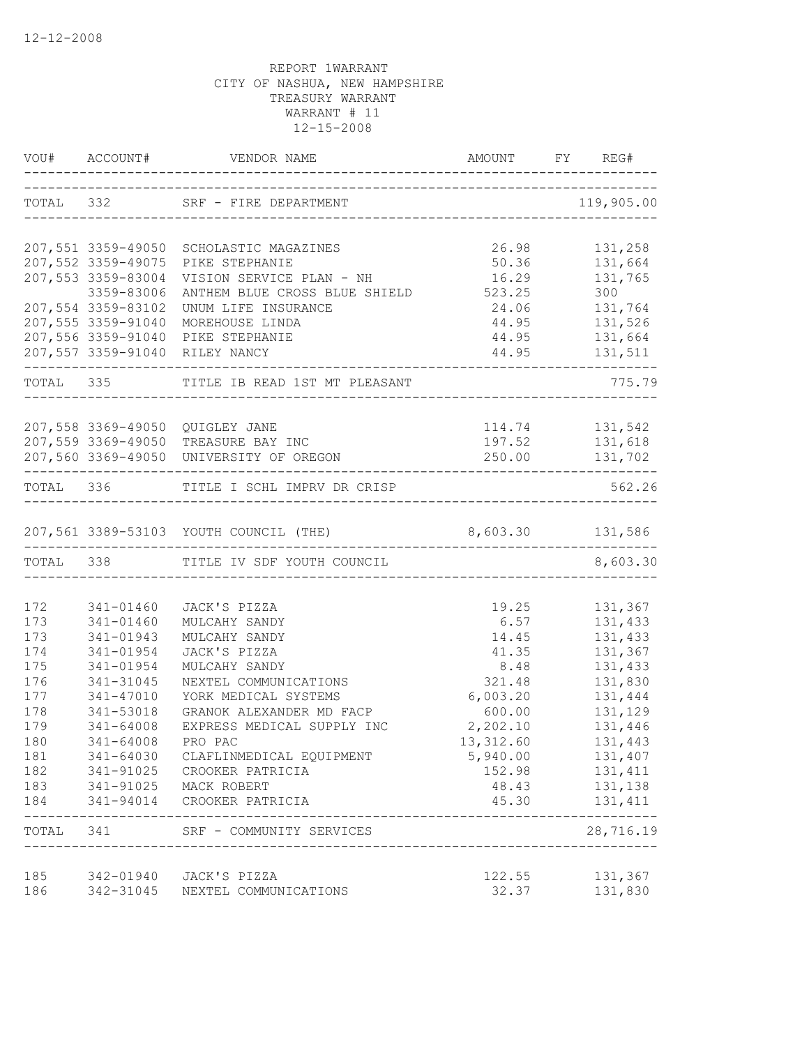|            | VOU# ACCOUNT#          |                                                         |                                    |                    |
|------------|------------------------|---------------------------------------------------------|------------------------------------|--------------------|
|            |                        |                                                         |                                    | 119,905.00         |
|            |                        | 207,551 3359-49050 SCHOLASTIC MAGAZINES                 | 26.98                              | 131,258            |
|            | 207,552 3359-49075     | PIKE STEPHANIE                                          | 50.36                              | 131,664            |
|            | 207,553 3359-83004     | VISION SERVICE PLAN - NH                                | 16.29                              | 131,765            |
|            | 3359-83006             | ANTHEM BLUE CROSS BLUE SHIELD 523.25                    |                                    | 300                |
|            | 207,554 3359-83102     | UNUM LIFE INSURANCE                                     |                                    | 24.06 131,764      |
|            | 207,555 3359-91040     | MOREHOUSE LINDA                                         |                                    | 44.95 131,526      |
|            |                        | 207,556 3359-91040 PIKE STEPHANIE                       |                                    | 44.95 131,664      |
|            |                        | 207,557 3359-91040 RILEY NANCY<br>_____________         |                                    | 44.95 131,511      |
|            |                        | TOTAL 335 TITLE IB READ 1ST MT PLEASANT                 |                                    | 775.79<br>________ |
|            |                        | 207,558 3369-49050 QUIGLEY JANE                         |                                    |                    |
|            |                        | 207,559 3369-49050 TREASURE BAY INC                     |                                    | 197.52 131,618     |
|            |                        | 207,560 3369-49050 UNIVERSITY OF OREGON                 |                                    | 250.00 131,702     |
|            |                        |                                                         |                                    |                    |
|            |                        | TOTAL 336 TITLE I SCHL IMPRV DR CRISP                   |                                    | 562.26             |
|            |                        | 207,561 3389-53103 YOUTH COUNCIL (THE) 8,603.30 131,586 |                                    |                    |
|            |                        | TOTAL 338 TITLE IV SDF YOUTH COUNCIL                    |                                    | 8,603.30           |
|            |                        |                                                         |                                    |                    |
| 172        | 341-01460              | JACK'S PIZZA                                            | 19.25                              | 131,367            |
| 173        | 341-01460              | MULCAHY SANDY                                           | 6.57                               | 131,433            |
| 173        | 341-01943              | MULCAHY SANDY                                           | 14.45                              | 131,433            |
| 174        | 341-01954              | JACK'S PIZZA                                            | 41.35                              | 131,367            |
| 175        | 341-01954              | MULCAHY SANDY                                           | 8.48                               | 131,433            |
| 176        | 341-31045              | NEXTEL COMMUNICATIONS<br>YORK MEDICAL SYSTEMS           | 321.48                             | 131,830<br>131,444 |
| 177<br>178 | 341-47010              |                                                         | 6,003.20<br>600.00                 | 131,129            |
| 179        | 341-53018<br>341-64008 | GRANOK ALEXANDER MD FACP<br>EXPRESS MEDICAL SUPPLY INC  | 2,202.10                           | 131,446            |
| 180        | 341-64008              | PRO PAC                                                 | 13,312.60                          | 131,443            |
| 181        | 341-64030              |                                                         |                                    | 131,407            |
| 182        | 341-91025              | CLAFLINMEDICAL EQUIPMENT<br>CROOKER PATRICIA            | 5,940.00<br>152.98                 | 131,411            |
| 183        | 341-91025              | MACK ROBERT                                             | 48.43                              | 131,138            |
| 184        | 341-94014              | CROOKER PATRICIA                                        | 45.30                              | 131,411            |
| TOTAL 341  |                        | SRF - COMMUNITY SERVICES                                | __________________________________ | 28,716.19          |
| 185        |                        | 342-01940 JACK'S PIZZA                                  | 122.55                             | 131,367            |
| 186        | 342-31045              | NEXTEL COMMUNICATIONS                                   | 32.37                              | 131,830            |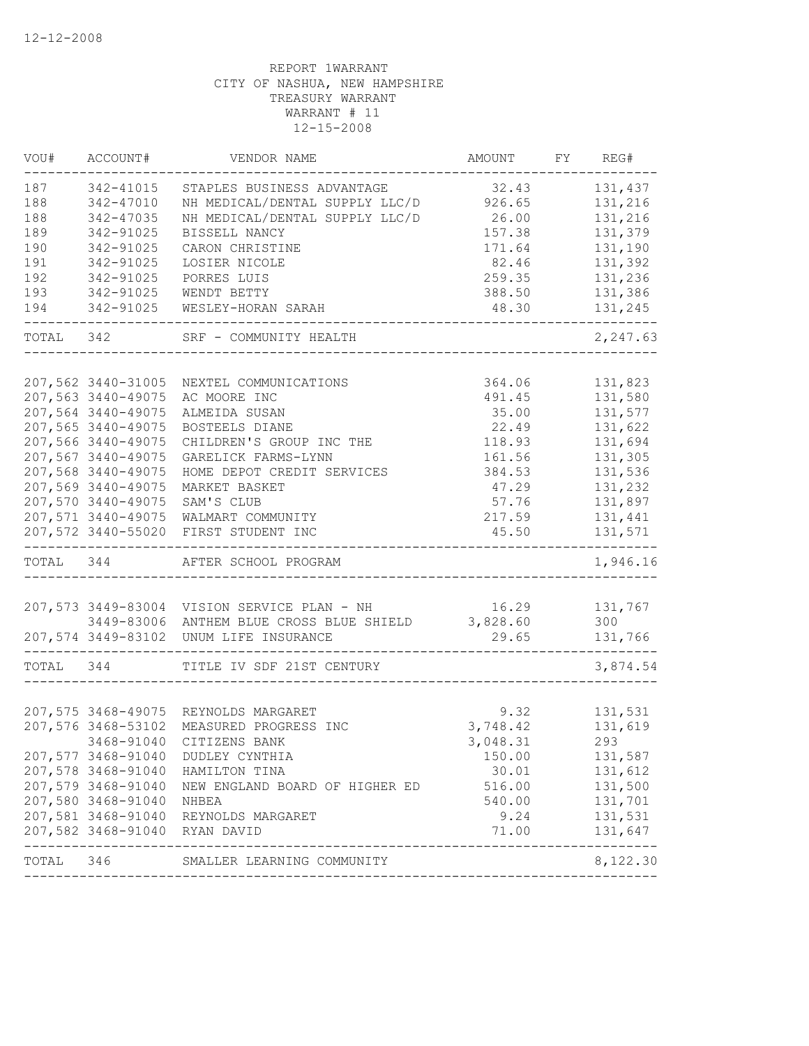| 187       | 342-41015                     |                                             |          |          |
|-----------|-------------------------------|---------------------------------------------|----------|----------|
| 188       |                               | STAPLES BUSINESS ADVANTAGE                  | 32.43    | 131,437  |
|           | 342-47010                     | NH MEDICAL/DENTAL SUPPLY LLC/D              | 926.65   | 131,216  |
| 188       | 342-47035                     | NH MEDICAL/DENTAL SUPPLY LLC/D              | 26.00    | 131,216  |
| 189       | 342-91025                     | BISSELL NANCY                               | 157.38   | 131,379  |
| 190       | 342-91025                     | CARON CHRISTINE                             | 171.64   | 131,190  |
| 191       | 342-91025                     | LOSIER NICOLE                               | 82.46    | 131,392  |
| 192       | 342-91025                     | PORRES LUIS                                 | 259.35   | 131,236  |
| 193       | 342-91025                     | WENDT BETTY                                 | 388.50   | 131,386  |
| 194       | 342-91025                     | WESLEY-HORAN SARAH                          | 48.30    | 131,245  |
| TOTAL 342 |                               | SRF - COMMUNITY HEALTH                      |          | 2,247.63 |
|           |                               |                                             |          |          |
|           | 207,562 3440-31005            | NEXTEL COMMUNICATIONS                       | 364.06   | 131,823  |
|           | 207,563 3440-49075            | AC MOORE INC                                | 491.45   | 131,580  |
|           | 207,564 3440-49075            | ALMEIDA SUSAN                               | 35.00    | 131,577  |
|           | 207,565 3440-49075            | BOSTEELS DIANE                              | 22.49    | 131,622  |
|           | 207,566 3440-49075            | CHILDREN'S GROUP INC THE                    | 118.93   | 131,694  |
|           | 207,567 3440-49075            | GARELICK FARMS-LYNN                         | 161.56   | 131,305  |
|           | 207,568 3440-49075            | HOME DEPOT CREDIT SERVICES                  | 384.53   | 131,536  |
|           | 207,569 3440-49075            | MARKET BASKET                               | 47.29    | 131,232  |
|           | 207,570 3440-49075            | SAM'S CLUB                                  | 57.76    | 131,897  |
|           | 207,571 3440-49075            | WALMART COMMUNITY                           | 217.59   | 131,441  |
|           | 207,572 3440-55020            | FIRST STUDENT INC                           | 45.50    | 131,571  |
| TOTAL 344 |                               | AFTER SCHOOL PROGRAM                        |          | 1,946.16 |
|           |                               |                                             |          |          |
|           |                               | 207,573 3449-83004 VISION SERVICE PLAN - NH | 16.29    | 131,767  |
|           | 3449-83006                    | ANTHEM BLUE CROSS BLUE SHIELD               | 3,828.60 | 300      |
|           | 207,574 3449-83102            | UNUM LIFE INSURANCE                         | 29.65    | 131,766  |
| TOTAL     | 344                           | TITLE IV SDF 21ST CENTURY                   |          | 3,874.54 |
|           |                               |                                             |          |          |
|           |                               | 207,575 3468-49075 REYNOLDS MARGARET        | 9.32     | 131,531  |
|           | 207,576 3468-53102            | MEASURED PROGRESS INC                       | 3,748.42 | 131,619  |
|           |                               | 3468-91040 CITIZENS BANK                    | 3,048.31 | 293      |
|           |                               | 207,577 3468-91040 DUDLEY CYNTHIA           | 150.00   | 131,587  |
|           | 207,578 3468-91040            | HAMILTON TINA                               | 30.01    | 131,612  |
|           | 207,579 3468-91040            | NEW ENGLAND BOARD OF HIGHER ED              | 516.00   | 131,500  |
|           | 207,580 3468-91040            | NHBEA                                       | 540.00   | 131,701  |
|           |                               | 207,581 3468-91040 REYNOLDS MARGARET        | 9.24     | 131,531  |
|           | 207,582 3468-91040 RYAN DAVID |                                             | 71.00    | 131,647  |
| TOTAL 346 |                               | SMALLER LEARNING COMMUNITY                  |          | 8,122.30 |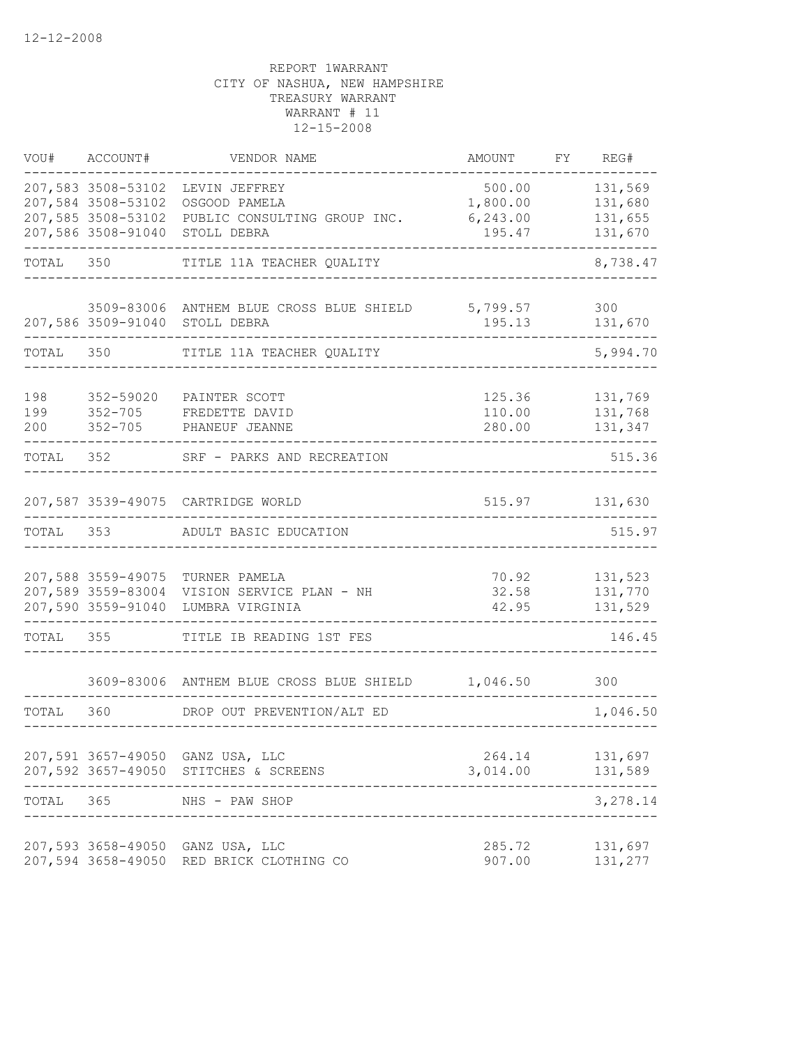| VOU#              | ACCOUNT#                                                                             | VENDOR NAME                                                                   | AMOUNT                                    | FY | REG#                                     |
|-------------------|--------------------------------------------------------------------------------------|-------------------------------------------------------------------------------|-------------------------------------------|----|------------------------------------------|
|                   | 207,583 3508-53102<br>207,584 3508-53102<br>207,585 3508-53102<br>207,586 3508-91040 | LEVIN JEFFREY<br>OSGOOD PAMELA<br>PUBLIC CONSULTING GROUP INC.<br>STOLL DEBRA | 500.00<br>1,800.00<br>6, 243.00<br>195.47 |    | 131,569<br>131,680<br>131,655<br>131,670 |
| TOTAL             | 350                                                                                  | TITLE 11A TEACHER QUALITY                                                     |                                           |    | 8,738.47                                 |
|                   |                                                                                      | 3509-83006 ANTHEM BLUE CROSS BLUE SHIELD<br>207,586 3509-91040 STOLL DEBRA    | 5,799.57<br>195.13                        |    | 300<br>131,670                           |
| TOTAL             | 350                                                                                  | TITLE 11A TEACHER QUALITY                                                     |                                           |    | 5,994.70                                 |
| 198<br>199<br>200 | 352-59020<br>$352 - 705$<br>$352 - 705$                                              | PAINTER SCOTT<br>FREDETTE DAVID<br>PHANEUF JEANNE                             | 125.36<br>110.00<br>280.00                |    | 131,769<br>131,768<br>131,347            |
| TOTAL             | 352                                                                                  | SRF - PARKS AND RECREATION                                                    |                                           |    | 515.36                                   |
|                   |                                                                                      | 207,587 3539-49075 CARTRIDGE WORLD                                            | 515.97                                    |    | 131,630                                  |
| TOTAL             | 353                                                                                  | ADULT BASIC EDUCATION                                                         |                                           |    | 515.97                                   |
|                   | 207,588 3559-49075<br>207,589 3559-83004<br>207,590 3559-91040                       | TURNER PAMELA<br>VISION SERVICE PLAN - NH<br>LUMBRA VIRGINIA                  | 70.92<br>32.58<br>42.95                   |    | 131,523<br>131,770<br>131,529            |
| TOTAL             | 355                                                                                  | TITLE IB READING 1ST FES                                                      |                                           |    | 146.45                                   |
|                   |                                                                                      | 3609-83006 ANTHEM BLUE CROSS BLUE SHIELD                                      | 1,046.50                                  |    | 300                                      |
| TOTAL             | 360                                                                                  | DROP OUT PREVENTION/ALT ED                                                    |                                           |    | 1,046.50                                 |
|                   |                                                                                      | 207,591 3657-49050 GANZ USA, LLC<br>207,592 3657-49050 STITCHES & SCREENS     | 264.14<br>3,014.00                        |    | 131,697<br>131,589                       |
| TOTAL             | 365                                                                                  | NHS - PAW SHOP                                                                |                                           |    | 3,278.14                                 |
|                   | 207,593 3658-49050<br>207,594 3658-49050                                             | GANZ USA, LLC<br>RED BRICK CLOTHING CO                                        | 285.72<br>907.00                          |    | 131,697<br>131,277                       |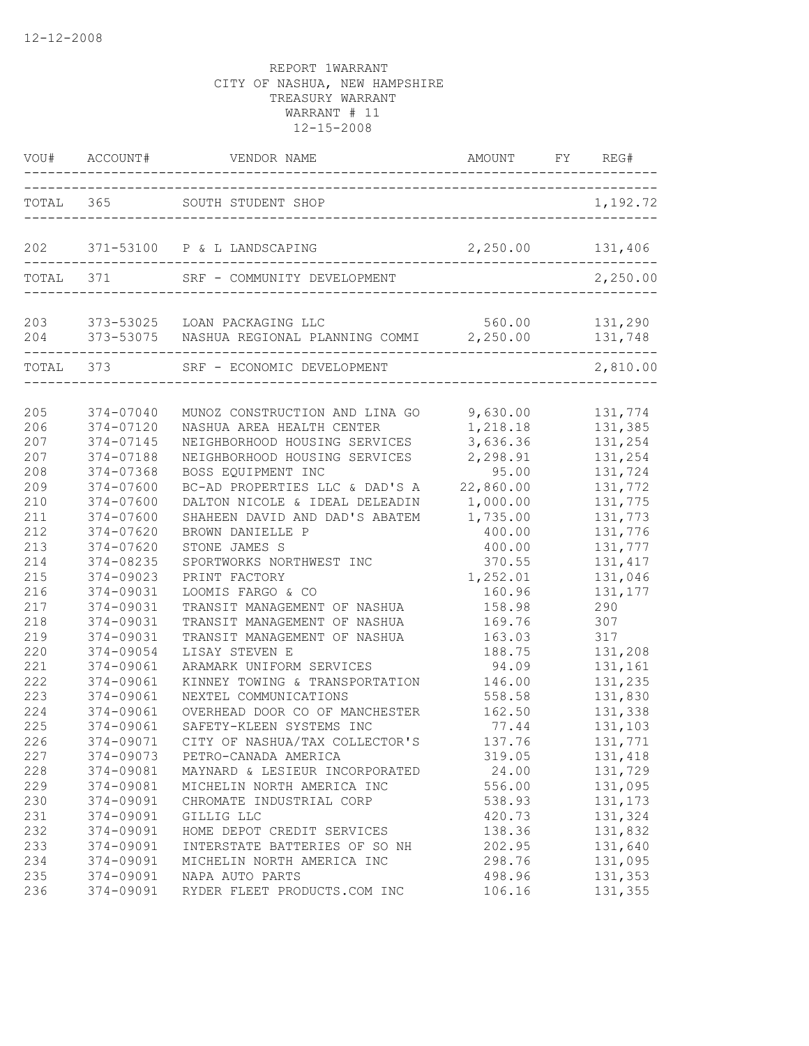|     |                     | VOU# ACCOUNT# VENDOR NAME AMOUNT FY RI                                                    | AMOUNT FY REG#   |                           |
|-----|---------------------|-------------------------------------------------------------------------------------------|------------------|---------------------------|
|     |                     | TOTAL 365 SOUTH STUDENT SHOP                                                              |                  | 1,192.72                  |
|     |                     | 202 371-53100 P & L LANDSCAPING                                                           | 2,250.00 131,406 |                           |
|     | TOTAL 371           | SRF - COMMUNITY DEVELOPMENT                                                               |                  | 2,250.00                  |
|     | ___________________ | 203 373-53025 LOAN PACKAGING LLC<br>204 373-53075 NASHUA REGIONAL PLANNING COMMI 2,250.00 |                  | 560.00 131,290<br>131,748 |
|     | TOTAL 373           | SRF - ECONOMIC DEVELOPMENT                                                                |                  | 2,810.00                  |
| 205 | 374-07040           | MUNOZ CONSTRUCTION AND LINA GO                                                            | 9,630.00         | 131,774                   |
| 206 | 374-07120           | NASHUA AREA HEALTH CENTER                                                                 | 1,218.18         | 131,385                   |
| 207 | 374-07145           | NEIGHBORHOOD HOUSING SERVICES                                                             | 3,636.36         | 131,254                   |
| 207 | 374-07188           | NEIGHBORHOOD HOUSING SERVICES                                                             | 2,298.91         | 131,254                   |
| 208 | 374-07368           | BOSS EQUIPMENT INC                                                                        | 95.00            | 131,724                   |
| 209 | 374-07600           | BC-AD PROPERTIES LLC & DAD'S A                                                            | 22,860.00        | 131,772                   |
| 210 | 374-07600           | DALTON NICOLE & IDEAL DELEADIN                                                            | 1,000.00         | 131,775                   |
| 211 | 374-07600           | SHAHEEN DAVID AND DAD'S ABATEM                                                            | 1,735.00         | 131,773                   |
| 212 | 374-07620           | BROWN DANIELLE P                                                                          | 400.00           | 131,776                   |
| 213 | 374-07620           | STONE JAMES S                                                                             | 400.00           | 131,777                   |
| 214 | 374-08235           | SPORTWORKS NORTHWEST INC                                                                  | 370.55           | 131, 417                  |
| 215 | 374-09023           | PRINT FACTORY                                                                             | 1,252.01         | 131,046                   |
| 216 | 374-09031           | LOOMIS FARGO & CO                                                                         | 160.96           | 131,177                   |
| 217 | 374-09031           | TRANSIT MANAGEMENT OF NASHUA                                                              | 158.98           | 290                       |
| 218 | 374-09031           | TRANSIT MANAGEMENT OF NASHUA                                                              | 169.76           | 307                       |
| 219 | 374-09031           | TRANSIT MANAGEMENT OF NASHUA                                                              | 163.03           | 317                       |
| 220 | 374-09054           | LISAY STEVEN E                                                                            | 188.75           | 131,208                   |
| 221 | 374-09061           | ARAMARK UNIFORM SERVICES                                                                  | 94.09            | 131,161                   |
| 222 | 374-09061           | KINNEY TOWING & TRANSPORTATION                                                            | 146.00           | 131,235                   |
| 223 | 374-09061           | NEXTEL COMMUNICATIONS                                                                     | 558.58           | 131,830                   |
| 224 | 374-09061           | OVERHEAD DOOR CO OF MANCHESTER                                                            | 162.50           | 131,338                   |
| 225 | 374-09061           | SAFETY-KLEEN SYSTEMS INC                                                                  | 77.44            | 131,103                   |
| 226 | 374-09071           | CITY OF NASHUA/TAX COLLECTOR'S                                                            | 137.76           | 131,771                   |
| 227 | 374-09073           | PETRO-CANADA AMERICA                                                                      | 319.05           | 131,418                   |
| 228 | 374-09081           | MAYNARD & LESIEUR INCORPORATED                                                            | 24.00            | 131,729                   |
| 229 | 374-09081           | MICHELIN NORTH AMERICA INC                                                                | 556.00           | 131,095                   |
| 230 | 374-09091           | CHROMATE INDUSTRIAL CORP                                                                  | 538.93           | 131,173                   |
| 231 | 374-09091           | GILLIG LLC                                                                                | 420.73           | 131,324                   |
| 232 | 374-09091           | HOME DEPOT CREDIT SERVICES                                                                | 138.36           | 131,832                   |
| 233 | 374-09091           | INTERSTATE BATTERIES OF SO NH                                                             | 202.95           | 131,640                   |
| 234 | 374-09091           | MICHELIN NORTH AMERICA INC                                                                | 298.76           | 131,095                   |
| 235 | 374-09091           | NAPA AUTO PARTS                                                                           | 498.96           | 131,353                   |
| 236 | 374-09091           | RYDER FLEET PRODUCTS.COM INC                                                              | 106.16           | 131,355                   |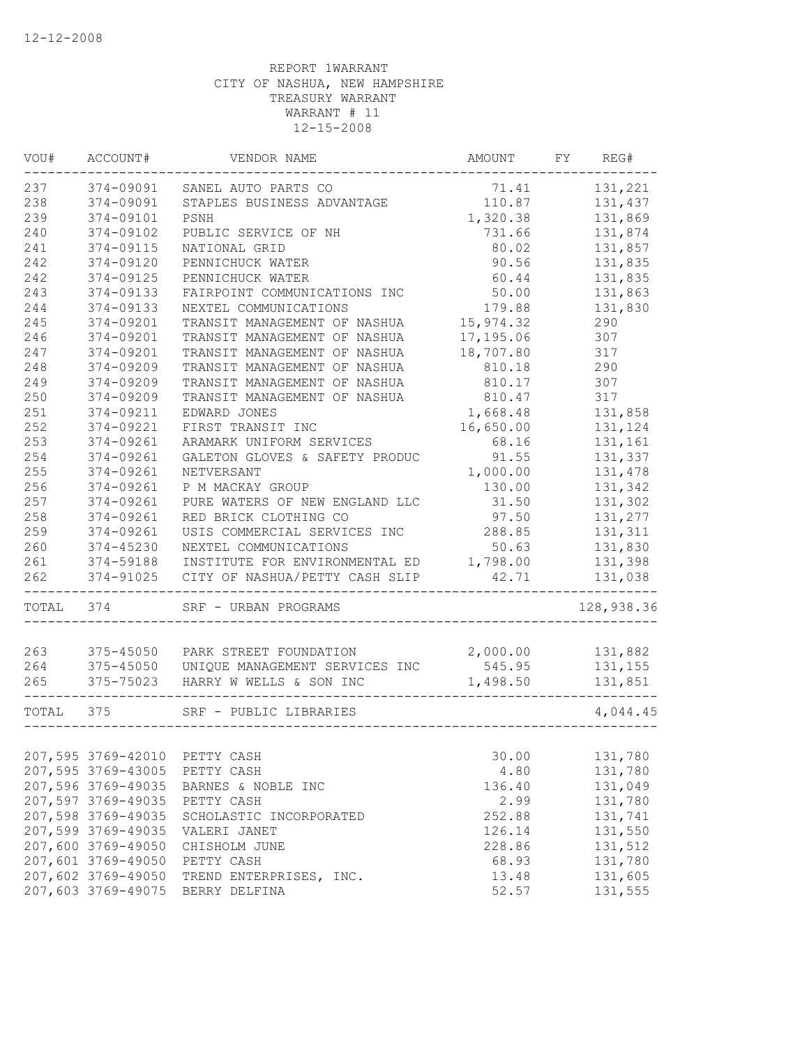| VOU#  | ACCOUNT#               | VENDOR NAME                      | AMOUNT    | FY | REG#       |
|-------|------------------------|----------------------------------|-----------|----|------------|
| 237   | 374-09091              | SANEL AUTO PARTS CO              | 71.41     |    | 131,221    |
| 238   | 374-09091              | STAPLES BUSINESS ADVANTAGE       | 110.87    |    | 131,437    |
| 239   | 374-09101              | PSNH                             | 1,320.38  |    | 131,869    |
| 240   | 374-09102              | PUBLIC SERVICE OF NH             | 731.66    |    | 131,874    |
| 241   | 374-09115              | NATIONAL GRID                    | 80.02     |    | 131,857    |
| 242   | 374-09120              | PENNICHUCK WATER                 | 90.56     |    | 131,835    |
| 242   | 374-09125              | PENNICHUCK WATER                 | 60.44     |    | 131,835    |
| 243   | 374-09133              | FAIRPOINT COMMUNICATIONS INC     | 50.00     |    | 131,863    |
| 244   | 374-09133              | NEXTEL COMMUNICATIONS            | 179.88    |    | 131,830    |
| 245   | 374-09201              | TRANSIT MANAGEMENT OF NASHUA     | 15,974.32 |    | 290        |
| 246   | 374-09201              | TRANSIT MANAGEMENT OF NASHUA     | 17,195.06 |    | 307        |
| 247   | 374-09201              | TRANSIT MANAGEMENT OF NASHUA     | 18,707.80 |    | 317        |
| 248   | 374-09209              | TRANSIT MANAGEMENT OF NASHUA     | 810.18    |    | 290        |
| 249   | 374-09209              | TRANSIT MANAGEMENT OF NASHUA     | 810.17    |    | 307        |
| 250   | 374-09209              | TRANSIT MANAGEMENT OF NASHUA     | 810.47    |    | 317        |
| 251   | 374-09211              | EDWARD JONES                     | 1,668.48  |    | 131,858    |
| 252   | 374-09221              | FIRST TRANSIT INC                | 16,650.00 |    | 131,124    |
| 253   | 374-09261              | ARAMARK UNIFORM SERVICES         | 68.16     |    | 131,161    |
| 254   | 374-09261              | GALETON GLOVES & SAFETY PRODUC   | 91.55     |    | 131,337    |
| 255   | 374-09261              | NETVERSANT                       | 1,000.00  |    | 131,478    |
| 256   | 374-09261              | P M MACKAY GROUP                 | 130.00    |    | 131,342    |
| 257   | 374-09261              | PURE WATERS OF NEW ENGLAND LLC   | 31.50     |    | 131,302    |
| 258   | 374-09261              | RED BRICK CLOTHING CO            | 97.50     |    | 131,277    |
| 259   | 374-09261              | USIS COMMERCIAL SERVICES INC     | 288.85    |    | 131,311    |
| 260   | 374-45230              | NEXTEL COMMUNICATIONS            | 50.63     |    | 131,830    |
| 261   |                        | INSTITUTE FOR ENVIRONMENTAL ED   | 1,798.00  |    | 131,398    |
| 262   | 374-59188<br>374-91025 |                                  | 42.71     |    |            |
|       |                        | CITY OF NASHUA/PETTY CASH SLIP   |           |    | 131,038    |
| TOTAL | 374                    | SRF - URBAN PROGRAMS             |           |    | 128,938.36 |
|       |                        |                                  |           |    |            |
| 263   |                        | 375-45050 PARK STREET FOUNDATION | 2,000.00  |    | 131,882    |
| 264   | 375-45050              | UNIQUE MANAGEMENT SERVICES INC   | 545.95    |    | 131,155    |
| 265   | 375-75023              | HARRY W WELLS & SON INC          | 1,498.50  |    | 131,851    |
| TOTAL | 375                    | SRF - PUBLIC LIBRARIES           |           |    | 4,044.45   |
|       |                        |                                  |           |    |            |
|       | 207,595 3769-42010     | PETTY CASH                       | 30.00     |    | 131,780    |
|       | 207,595 3769-43005     | PETTY CASH                       | 4.80      |    | 131,780    |
|       | 207,596 3769-49035     | BARNES & NOBLE INC               | 136.40    |    | 131,049    |
|       | 207,597 3769-49035     | PETTY CASH                       | 2.99      |    | 131,780    |
|       | 207,598 3769-49035     | SCHOLASTIC INCORPORATED          | 252.88    |    | 131,741    |
|       | 207,599 3769-49035     | VALERI JANET                     | 126.14    |    | 131,550    |
|       | 207,600 3769-49050     | CHISHOLM JUNE                    | 228.86    |    | 131,512    |
|       | 207,601 3769-49050     | PETTY CASH                       | 68.93     |    | 131,780    |
|       | 207,602 3769-49050     | TREND ENTERPRISES, INC.          | 13.48     |    | 131,605    |
|       | 207,603 3769-49075     | BERRY DELFINA                    | 52.57     |    | 131,555    |
|       |                        |                                  |           |    |            |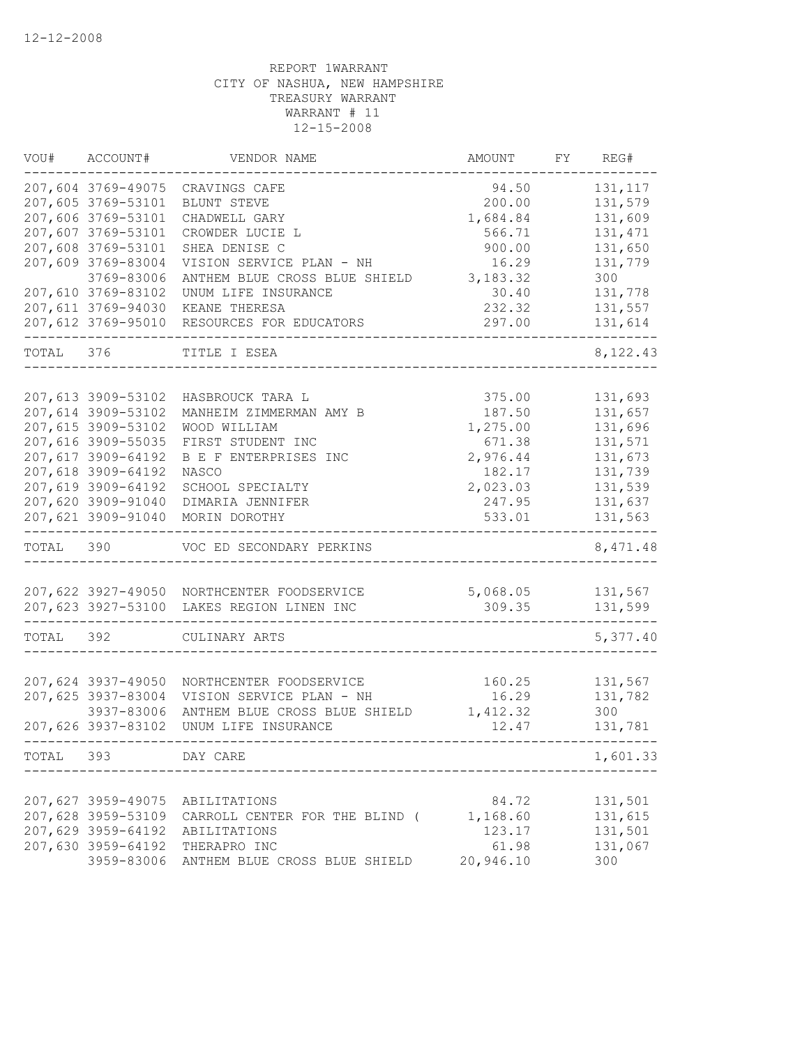| 207,604 3769-49075<br>94.50<br>131, 117<br>CRAVINGS CAFE<br>207,605 3769-53101<br>200.00<br>131,579<br>BLUNT STEVE<br>207,606 3769-53101<br>131,609<br>CHADWELL GARY<br>1,684.84<br>207,607 3769-53101<br>CROWDER LUCIE L<br>566.71<br>131, 471<br>131,650<br>207,608 3769-53101<br>SHEA DENISE C<br>900.00<br>207,609 3769-83004<br>16.29<br>131,779<br>VISION SERVICE PLAN - NH<br>3769-83006<br>3,183.32<br>300<br>ANTHEM BLUE CROSS BLUE SHIELD<br>207,610 3769-83102<br>30.40<br>131,778<br>UNUM LIFE INSURANCE<br>207,611 3769-94030<br>232.32<br>131,557<br>KEANE THERESA<br>207,612 3769-95010<br>RESOURCES FOR EDUCATORS<br>297.00<br>131,614<br>TOTAL<br>376<br>TITLE I ESEA<br>207,613 3909-53102<br>375.00<br>131,693<br>HASBROUCK TARA L<br>207,614 3909-53102<br>187.50<br>131,657<br>MANHEIM ZIMMERMAN AMY B<br>207,615 3909-53102<br>1,275.00<br>131,696<br>WOOD WILLIAM<br>207,616 3909-55035<br>131,571<br>FIRST STUDENT INC<br>671.38<br>207,617 3909-64192<br>B E F ENTERPRISES INC<br>2,976.44<br>131,673<br>207,618 3909-64192<br>NASCO<br>182.17<br>131,739<br>207,619 3909-64192<br>131,539<br>SCHOOL SPECIALTY<br>2,023.03<br>207,620 3909-91040<br>DIMARIA JENNIFER<br>247.95<br>131,637<br>207,621 3909-91040<br>131,563<br>MORIN DOROTHY<br>533.01<br>TOTAL<br>390<br>VOC ED SECONDARY PERKINS<br>207,622 3927-49050<br>5,068.05<br>131,567<br>NORTHCENTER FOODSERVICE<br>207,623 3927-53100<br>309.35<br>131,599<br>LAKES REGION LINEN INC<br>5,377.40<br>TOTAL<br>392<br>CULINARY ARTS<br>207,624 3937-49050<br>131,567<br>NORTHCENTER FOODSERVICE<br>160.25<br>207,625 3937-83004<br>16.29<br>131,782<br>VISION SERVICE PLAN - NH<br>3937-83006<br>ANTHEM BLUE CROSS BLUE SHIELD<br>1,412.32<br>300<br>207,626 3937-83102<br>UNUM LIFE INSURANCE<br>12.47<br>131,781<br>393<br>1,601.33<br>TOTAL<br>DAY CARE<br>131,501<br>207,627 3959-49075<br>84.72<br>ABILITATIONS<br>1,168.60<br>131,615<br>207,628 3959-53109<br>CARROLL CENTER FOR THE BLIND (<br>207,629 3959-64192<br>131,501<br>123.17<br>ABILITATIONS<br>207,630 3959-64192<br>61.98<br>131,067<br>THERAPRO INC<br>3959-83006<br>20,946.10<br>300<br>ANTHEM BLUE CROSS BLUE SHIELD | VOU# | ACCOUNT# | VENDOR NAME | AMOUNT | FΥ | REG#     |
|------------------------------------------------------------------------------------------------------------------------------------------------------------------------------------------------------------------------------------------------------------------------------------------------------------------------------------------------------------------------------------------------------------------------------------------------------------------------------------------------------------------------------------------------------------------------------------------------------------------------------------------------------------------------------------------------------------------------------------------------------------------------------------------------------------------------------------------------------------------------------------------------------------------------------------------------------------------------------------------------------------------------------------------------------------------------------------------------------------------------------------------------------------------------------------------------------------------------------------------------------------------------------------------------------------------------------------------------------------------------------------------------------------------------------------------------------------------------------------------------------------------------------------------------------------------------------------------------------------------------------------------------------------------------------------------------------------------------------------------------------------------------------------------------------------------------------------------------------------------------------------------------------------------------------------------------------------------------------------------------------------------------------------------------------------------------------------------------------------------------------------------------------------------------------|------|----------|-------------|--------|----|----------|
|                                                                                                                                                                                                                                                                                                                                                                                                                                                                                                                                                                                                                                                                                                                                                                                                                                                                                                                                                                                                                                                                                                                                                                                                                                                                                                                                                                                                                                                                                                                                                                                                                                                                                                                                                                                                                                                                                                                                                                                                                                                                                                                                                                              |      |          |             |        |    |          |
|                                                                                                                                                                                                                                                                                                                                                                                                                                                                                                                                                                                                                                                                                                                                                                                                                                                                                                                                                                                                                                                                                                                                                                                                                                                                                                                                                                                                                                                                                                                                                                                                                                                                                                                                                                                                                                                                                                                                                                                                                                                                                                                                                                              |      |          |             |        |    |          |
|                                                                                                                                                                                                                                                                                                                                                                                                                                                                                                                                                                                                                                                                                                                                                                                                                                                                                                                                                                                                                                                                                                                                                                                                                                                                                                                                                                                                                                                                                                                                                                                                                                                                                                                                                                                                                                                                                                                                                                                                                                                                                                                                                                              |      |          |             |        |    |          |
|                                                                                                                                                                                                                                                                                                                                                                                                                                                                                                                                                                                                                                                                                                                                                                                                                                                                                                                                                                                                                                                                                                                                                                                                                                                                                                                                                                                                                                                                                                                                                                                                                                                                                                                                                                                                                                                                                                                                                                                                                                                                                                                                                                              |      |          |             |        |    |          |
|                                                                                                                                                                                                                                                                                                                                                                                                                                                                                                                                                                                                                                                                                                                                                                                                                                                                                                                                                                                                                                                                                                                                                                                                                                                                                                                                                                                                                                                                                                                                                                                                                                                                                                                                                                                                                                                                                                                                                                                                                                                                                                                                                                              |      |          |             |        |    |          |
|                                                                                                                                                                                                                                                                                                                                                                                                                                                                                                                                                                                                                                                                                                                                                                                                                                                                                                                                                                                                                                                                                                                                                                                                                                                                                                                                                                                                                                                                                                                                                                                                                                                                                                                                                                                                                                                                                                                                                                                                                                                                                                                                                                              |      |          |             |        |    |          |
|                                                                                                                                                                                                                                                                                                                                                                                                                                                                                                                                                                                                                                                                                                                                                                                                                                                                                                                                                                                                                                                                                                                                                                                                                                                                                                                                                                                                                                                                                                                                                                                                                                                                                                                                                                                                                                                                                                                                                                                                                                                                                                                                                                              |      |          |             |        |    |          |
|                                                                                                                                                                                                                                                                                                                                                                                                                                                                                                                                                                                                                                                                                                                                                                                                                                                                                                                                                                                                                                                                                                                                                                                                                                                                                                                                                                                                                                                                                                                                                                                                                                                                                                                                                                                                                                                                                                                                                                                                                                                                                                                                                                              |      |          |             |        |    |          |
|                                                                                                                                                                                                                                                                                                                                                                                                                                                                                                                                                                                                                                                                                                                                                                                                                                                                                                                                                                                                                                                                                                                                                                                                                                                                                                                                                                                                                                                                                                                                                                                                                                                                                                                                                                                                                                                                                                                                                                                                                                                                                                                                                                              |      |          |             |        |    |          |
|                                                                                                                                                                                                                                                                                                                                                                                                                                                                                                                                                                                                                                                                                                                                                                                                                                                                                                                                                                                                                                                                                                                                                                                                                                                                                                                                                                                                                                                                                                                                                                                                                                                                                                                                                                                                                                                                                                                                                                                                                                                                                                                                                                              |      |          |             |        |    |          |
|                                                                                                                                                                                                                                                                                                                                                                                                                                                                                                                                                                                                                                                                                                                                                                                                                                                                                                                                                                                                                                                                                                                                                                                                                                                                                                                                                                                                                                                                                                                                                                                                                                                                                                                                                                                                                                                                                                                                                                                                                                                                                                                                                                              |      |          |             |        |    | 8,122.43 |
|                                                                                                                                                                                                                                                                                                                                                                                                                                                                                                                                                                                                                                                                                                                                                                                                                                                                                                                                                                                                                                                                                                                                                                                                                                                                                                                                                                                                                                                                                                                                                                                                                                                                                                                                                                                                                                                                                                                                                                                                                                                                                                                                                                              |      |          |             |        |    |          |
|                                                                                                                                                                                                                                                                                                                                                                                                                                                                                                                                                                                                                                                                                                                                                                                                                                                                                                                                                                                                                                                                                                                                                                                                                                                                                                                                                                                                                                                                                                                                                                                                                                                                                                                                                                                                                                                                                                                                                                                                                                                                                                                                                                              |      |          |             |        |    |          |
|                                                                                                                                                                                                                                                                                                                                                                                                                                                                                                                                                                                                                                                                                                                                                                                                                                                                                                                                                                                                                                                                                                                                                                                                                                                                                                                                                                                                                                                                                                                                                                                                                                                                                                                                                                                                                                                                                                                                                                                                                                                                                                                                                                              |      |          |             |        |    |          |
|                                                                                                                                                                                                                                                                                                                                                                                                                                                                                                                                                                                                                                                                                                                                                                                                                                                                                                                                                                                                                                                                                                                                                                                                                                                                                                                                                                                                                                                                                                                                                                                                                                                                                                                                                                                                                                                                                                                                                                                                                                                                                                                                                                              |      |          |             |        |    |          |
|                                                                                                                                                                                                                                                                                                                                                                                                                                                                                                                                                                                                                                                                                                                                                                                                                                                                                                                                                                                                                                                                                                                                                                                                                                                                                                                                                                                                                                                                                                                                                                                                                                                                                                                                                                                                                                                                                                                                                                                                                                                                                                                                                                              |      |          |             |        |    |          |
|                                                                                                                                                                                                                                                                                                                                                                                                                                                                                                                                                                                                                                                                                                                                                                                                                                                                                                                                                                                                                                                                                                                                                                                                                                                                                                                                                                                                                                                                                                                                                                                                                                                                                                                                                                                                                                                                                                                                                                                                                                                                                                                                                                              |      |          |             |        |    |          |
|                                                                                                                                                                                                                                                                                                                                                                                                                                                                                                                                                                                                                                                                                                                                                                                                                                                                                                                                                                                                                                                                                                                                                                                                                                                                                                                                                                                                                                                                                                                                                                                                                                                                                                                                                                                                                                                                                                                                                                                                                                                                                                                                                                              |      |          |             |        |    |          |
|                                                                                                                                                                                                                                                                                                                                                                                                                                                                                                                                                                                                                                                                                                                                                                                                                                                                                                                                                                                                                                                                                                                                                                                                                                                                                                                                                                                                                                                                                                                                                                                                                                                                                                                                                                                                                                                                                                                                                                                                                                                                                                                                                                              |      |          |             |        |    |          |
|                                                                                                                                                                                                                                                                                                                                                                                                                                                                                                                                                                                                                                                                                                                                                                                                                                                                                                                                                                                                                                                                                                                                                                                                                                                                                                                                                                                                                                                                                                                                                                                                                                                                                                                                                                                                                                                                                                                                                                                                                                                                                                                                                                              |      |          |             |        |    |          |
|                                                                                                                                                                                                                                                                                                                                                                                                                                                                                                                                                                                                                                                                                                                                                                                                                                                                                                                                                                                                                                                                                                                                                                                                                                                                                                                                                                                                                                                                                                                                                                                                                                                                                                                                                                                                                                                                                                                                                                                                                                                                                                                                                                              |      |          |             |        |    |          |
|                                                                                                                                                                                                                                                                                                                                                                                                                                                                                                                                                                                                                                                                                                                                                                                                                                                                                                                                                                                                                                                                                                                                                                                                                                                                                                                                                                                                                                                                                                                                                                                                                                                                                                                                                                                                                                                                                                                                                                                                                                                                                                                                                                              |      |          |             |        |    | 8,471.48 |
|                                                                                                                                                                                                                                                                                                                                                                                                                                                                                                                                                                                                                                                                                                                                                                                                                                                                                                                                                                                                                                                                                                                                                                                                                                                                                                                                                                                                                                                                                                                                                                                                                                                                                                                                                                                                                                                                                                                                                                                                                                                                                                                                                                              |      |          |             |        |    |          |
|                                                                                                                                                                                                                                                                                                                                                                                                                                                                                                                                                                                                                                                                                                                                                                                                                                                                                                                                                                                                                                                                                                                                                                                                                                                                                                                                                                                                                                                                                                                                                                                                                                                                                                                                                                                                                                                                                                                                                                                                                                                                                                                                                                              |      |          |             |        |    |          |
|                                                                                                                                                                                                                                                                                                                                                                                                                                                                                                                                                                                                                                                                                                                                                                                                                                                                                                                                                                                                                                                                                                                                                                                                                                                                                                                                                                                                                                                                                                                                                                                                                                                                                                                                                                                                                                                                                                                                                                                                                                                                                                                                                                              |      |          |             |        |    |          |
|                                                                                                                                                                                                                                                                                                                                                                                                                                                                                                                                                                                                                                                                                                                                                                                                                                                                                                                                                                                                                                                                                                                                                                                                                                                                                                                                                                                                                                                                                                                                                                                                                                                                                                                                                                                                                                                                                                                                                                                                                                                                                                                                                                              |      |          |             |        |    |          |
|                                                                                                                                                                                                                                                                                                                                                                                                                                                                                                                                                                                                                                                                                                                                                                                                                                                                                                                                                                                                                                                                                                                                                                                                                                                                                                                                                                                                                                                                                                                                                                                                                                                                                                                                                                                                                                                                                                                                                                                                                                                                                                                                                                              |      |          |             |        |    |          |
|                                                                                                                                                                                                                                                                                                                                                                                                                                                                                                                                                                                                                                                                                                                                                                                                                                                                                                                                                                                                                                                                                                                                                                                                                                                                                                                                                                                                                                                                                                                                                                                                                                                                                                                                                                                                                                                                                                                                                                                                                                                                                                                                                                              |      |          |             |        |    |          |
|                                                                                                                                                                                                                                                                                                                                                                                                                                                                                                                                                                                                                                                                                                                                                                                                                                                                                                                                                                                                                                                                                                                                                                                                                                                                                                                                                                                                                                                                                                                                                                                                                                                                                                                                                                                                                                                                                                                                                                                                                                                                                                                                                                              |      |          |             |        |    |          |
|                                                                                                                                                                                                                                                                                                                                                                                                                                                                                                                                                                                                                                                                                                                                                                                                                                                                                                                                                                                                                                                                                                                                                                                                                                                                                                                                                                                                                                                                                                                                                                                                                                                                                                                                                                                                                                                                                                                                                                                                                                                                                                                                                                              |      |          |             |        |    |          |
|                                                                                                                                                                                                                                                                                                                                                                                                                                                                                                                                                                                                                                                                                                                                                                                                                                                                                                                                                                                                                                                                                                                                                                                                                                                                                                                                                                                                                                                                                                                                                                                                                                                                                                                                                                                                                                                                                                                                                                                                                                                                                                                                                                              |      |          |             |        |    |          |
|                                                                                                                                                                                                                                                                                                                                                                                                                                                                                                                                                                                                                                                                                                                                                                                                                                                                                                                                                                                                                                                                                                                                                                                                                                                                                                                                                                                                                                                                                                                                                                                                                                                                                                                                                                                                                                                                                                                                                                                                                                                                                                                                                                              |      |          |             |        |    |          |
|                                                                                                                                                                                                                                                                                                                                                                                                                                                                                                                                                                                                                                                                                                                                                                                                                                                                                                                                                                                                                                                                                                                                                                                                                                                                                                                                                                                                                                                                                                                                                                                                                                                                                                                                                                                                                                                                                                                                                                                                                                                                                                                                                                              |      |          |             |        |    |          |
|                                                                                                                                                                                                                                                                                                                                                                                                                                                                                                                                                                                                                                                                                                                                                                                                                                                                                                                                                                                                                                                                                                                                                                                                                                                                                                                                                                                                                                                                                                                                                                                                                                                                                                                                                                                                                                                                                                                                                                                                                                                                                                                                                                              |      |          |             |        |    |          |
|                                                                                                                                                                                                                                                                                                                                                                                                                                                                                                                                                                                                                                                                                                                                                                                                                                                                                                                                                                                                                                                                                                                                                                                                                                                                                                                                                                                                                                                                                                                                                                                                                                                                                                                                                                                                                                                                                                                                                                                                                                                                                                                                                                              |      |          |             |        |    |          |
|                                                                                                                                                                                                                                                                                                                                                                                                                                                                                                                                                                                                                                                                                                                                                                                                                                                                                                                                                                                                                                                                                                                                                                                                                                                                                                                                                                                                                                                                                                                                                                                                                                                                                                                                                                                                                                                                                                                                                                                                                                                                                                                                                                              |      |          |             |        |    |          |
|                                                                                                                                                                                                                                                                                                                                                                                                                                                                                                                                                                                                                                                                                                                                                                                                                                                                                                                                                                                                                                                                                                                                                                                                                                                                                                                                                                                                                                                                                                                                                                                                                                                                                                                                                                                                                                                                                                                                                                                                                                                                                                                                                                              |      |          |             |        |    |          |
|                                                                                                                                                                                                                                                                                                                                                                                                                                                                                                                                                                                                                                                                                                                                                                                                                                                                                                                                                                                                                                                                                                                                                                                                                                                                                                                                                                                                                                                                                                                                                                                                                                                                                                                                                                                                                                                                                                                                                                                                                                                                                                                                                                              |      |          |             |        |    |          |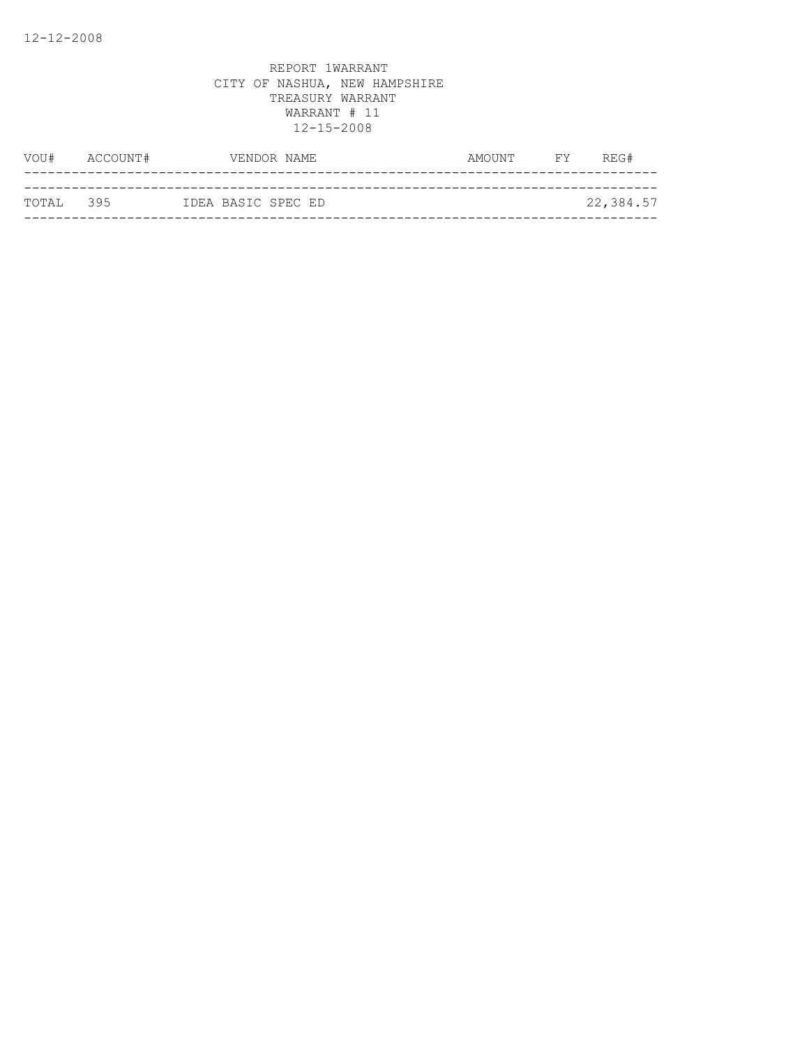| VOU#      | ACCOUNT# | VENDOR NAME        |  | AMOUNT | <b>EXECUTE</b> | REG#      |
|-----------|----------|--------------------|--|--------|----------------|-----------|
|           |          |                    |  |        |                |           |
| TOTAL 395 |          | IDEA BASIC SPEC ED |  |        |                | 22,384.57 |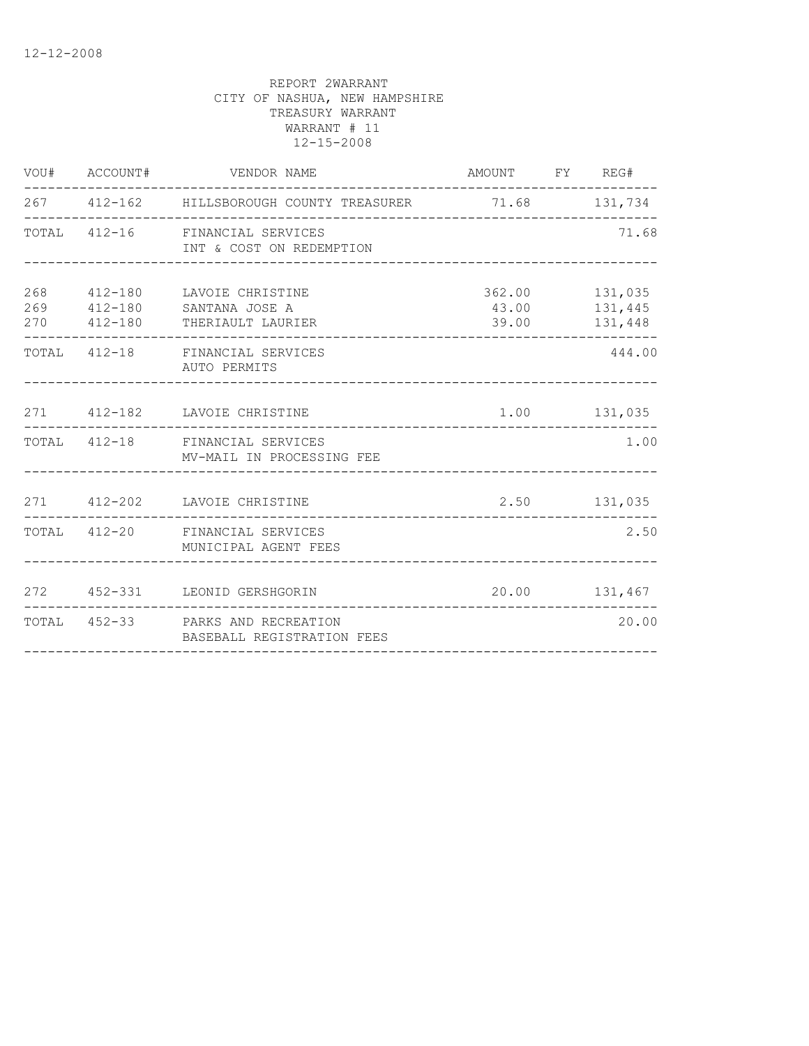|     | VOU# ACCOUNT# | VENDOR NAME                                                                                                        | AMOUNT FY REG# |                                            |
|-----|---------------|--------------------------------------------------------------------------------------------------------------------|----------------|--------------------------------------------|
|     |               | 267 412-162 HILLSBOROUGH COUNTY TREASURER 71.68 131,734                                                            |                |                                            |
|     |               | TOTAL 412-16 FINANCIAL SERVICES<br>INT & COST ON REDEMPTION                                                        |                | 71.68                                      |
| 268 |               | 412-180 LAVOIE CHRISTINE<br>269   412-180   SANTANA JOSE A<br>270   412-180   THERIAULT LAURIER<br>--------------- | 39.00          | 362.00 131,035<br>43.00 131,445<br>131,448 |
|     |               | TOTAL 412-18 FINANCIAL SERVICES<br>AUTO PERMITS                                                                    |                | 444.00                                     |
|     |               | 271 412-182 LAVOIE CHRISTINE<br>---------------------------------                                                  |                | 1.00 131,035                               |
|     |               | TOTAL 412-18 FINANCIAL SERVICES<br>MV-MAIL IN PROCESSING FEE                                                       |                | 1.00                                       |
|     |               | 271 412-202 LAVOIE CHRISTINE                                                                                       |                | 2.50 131,035                               |
|     |               | TOTAL 412-20 FINANCIAL SERVICES<br>MUNICIPAL AGENT FEES                                                            |                | 2.50                                       |
|     |               | 272 452-331 LEONID GERSHGORIN                                                                                      |                | 20.00   131,467                            |
|     |               | TOTAL 452-33 PARKS AND RECREATION<br>BASEBALL REGISTRATION FEES                                                    |                | 20.00                                      |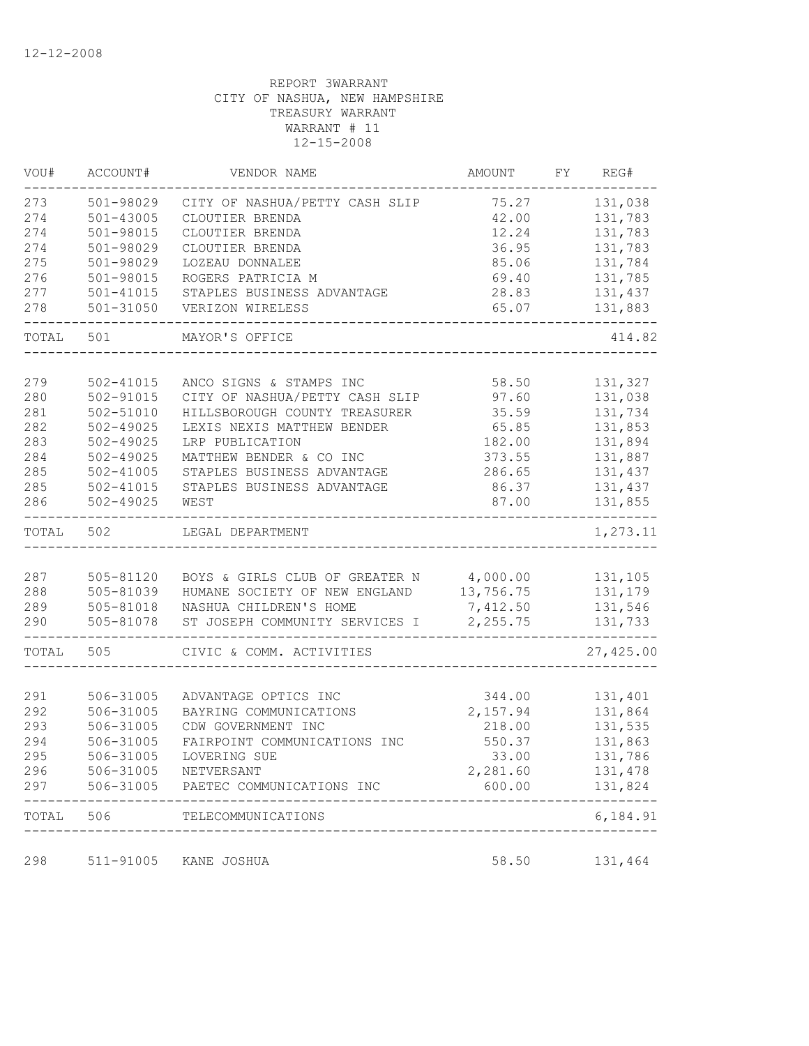| VOU#  | ACCOUNT#      | VENDOR NAME                             | AMOUNT    | FY REG#              |
|-------|---------------|-----------------------------------------|-----------|----------------------|
| 273   | 501-98029     | CITY OF NASHUA/PETTY CASH SLIP          | 75.27     | 131,038              |
| 274   | $501 - 43005$ | CLOUTIER BRENDA                         | 42.00     | 131,783              |
| 274   | 501-98015     | CLOUTIER BRENDA                         | 12.24     | 131,783              |
| 274   | 501-98029     | CLOUTIER BRENDA                         | 36.95     | 131,783              |
| 275   | 501-98029     | LOZEAU DONNALEE                         | 85.06     | 131,784              |
| 276   | 501-98015     | ROGERS PATRICIA M                       | 69.40     | 131,785              |
| 277   | 501-41015     | STAPLES BUSINESS ADVANTAGE              | 28.83     | 131,437              |
| 278   | 501-31050     | VERIZON WIRELESS                        | 65.07     | 131,883              |
| TOTAL | 501           | MAYOR'S OFFICE                          |           | 414.82               |
|       |               |                                         |           |                      |
| 279   | 502-41015     | ANCO SIGNS & STAMPS INC                 | 58.50     | 131,327              |
| 280   | 502-91015     | CITY OF NASHUA/PETTY CASH SLIP          | 97.60     | 131,038              |
| 281   | 502-51010     | HILLSBOROUGH COUNTY TREASURER           | 35.59     | 131,734              |
| 282   | $502 - 49025$ | LEXIS NEXIS MATTHEW BENDER              | 65.85     | 131,853              |
| 283   | 502-49025     | LRP PUBLICATION                         | 182.00    | 131,894              |
| 284   | 502-49025     | MATTHEW BENDER & CO INC                 | 373.55    | 131,887              |
| 285   | $502 - 41005$ | STAPLES BUSINESS ADVANTAGE              | 286.65    | 131,437              |
| 285   | 502-41015     | STAPLES BUSINESS ADVANTAGE              | 86.37     | 131,437              |
| 286   | $502 - 49025$ | WEST                                    | 87.00     | 131,855<br>$- - - -$ |
| TOTAL | 502           | LEGAL DEPARTMENT                        |           | 1,273.11             |
|       |               |                                         |           |                      |
| 287   | 505-81120     | BOYS & GIRLS CLUB OF GREATER N 4,000.00 |           | 131,105              |
| 288   | 505-81039     | HUMANE SOCIETY OF NEW ENGLAND           | 13,756.75 | 131,179              |
| 289   | 505-81018     | NASHUA CHILDREN'S HOME                  | 7,412.50  | 131,546              |
| 290   | 505-81078     | ST JOSEPH COMMUNITY SERVICES I          | 2,255.75  | 131,733              |
| TOTAL | 505           | CIVIC & COMM. ACTIVITIES                |           | 27, 425.00           |
|       |               |                                         |           |                      |
| 291   | 506-31005     | ADVANTAGE OPTICS INC                    | 344.00    | 131,401              |
| 292   | 506-31005     | BAYRING COMMUNICATIONS                  | 2,157.94  | 131,864              |
| 293   | 506-31005     | CDW GOVERNMENT INC                      | 218.00    | 131,535              |
| 294   | 506-31005     | FAIRPOINT COMMUNICATIONS INC            | 550.37    | 131,863              |
| 295   | 506-31005     | LOVERING SUE                            | 33.00     | 131,786              |
| 296   | 506-31005     | NETVERSANT                              | 2,281.60  | 131,478              |
| 297   | 506-31005     | PAETEC COMMUNICATIONS INC               | 600.00    | 131,824              |
| TOTAL | 506           | TELECOMMUNICATIONS                      |           | 6,184.91             |
|       |               |                                         |           |                      |
| 298   | 511-91005     | KANE JOSHUA                             | 58.50     | 131,464              |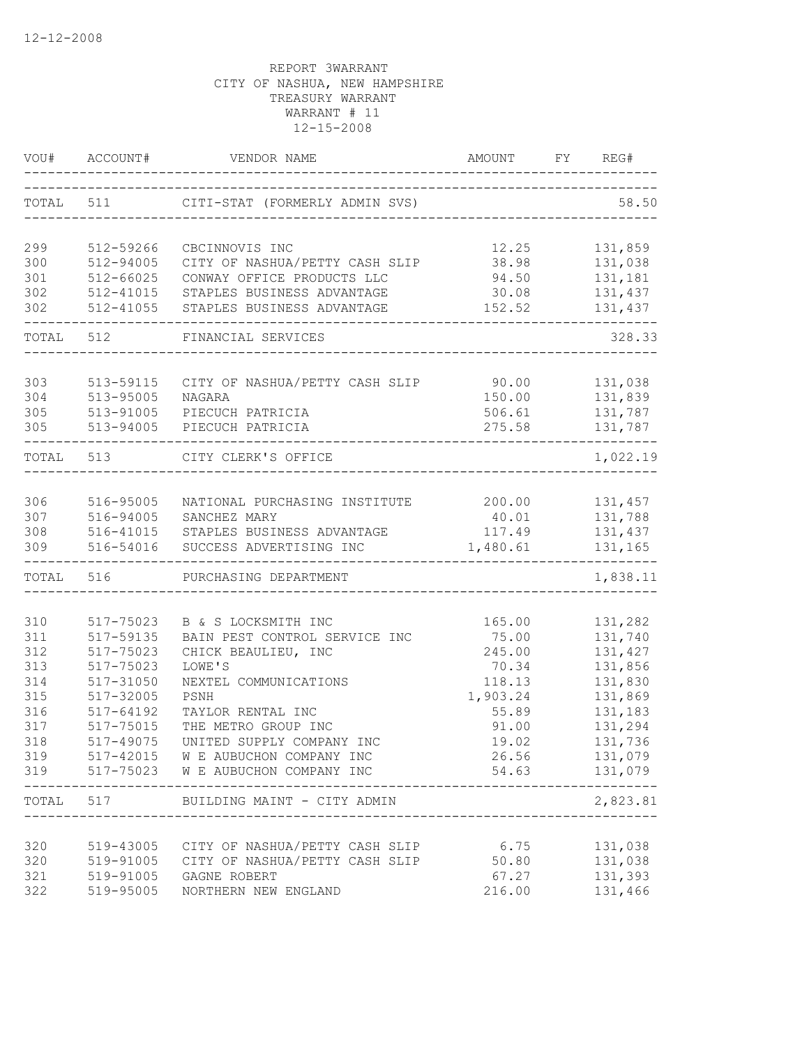|            |                        | VOU# ACCOUNT# VENDOR NAME                             | AMOUNT             | FY REG#                        |
|------------|------------------------|-------------------------------------------------------|--------------------|--------------------------------|
|            |                        | TOTAL 511 CITI-STAT (FORMERLY ADMIN SVS)              |                    | 58.50                          |
| 299        | 512-59266              | CBCINNOVIS INC                                        | 12.25              | 131,859                        |
| 300        | 512-94005              | CITY OF NASHUA/PETTY CASH SLIP                        | 38.98              | 131,038                        |
| 301        | 512-66025              | CONWAY OFFICE PRODUCTS LLC                            | 94.50              | 131,181                        |
| 302        | 512-41015              | STAPLES BUSINESS ADVANTAGE                            | 30.08              | 131,437                        |
| 302        | 512-41055              | STAPLES BUSINESS ADVANTAGE                            | 152.52             | 131,437                        |
|            | TOTAL 512              | FINANCIAL SERVICES                                    |                    | 328.33                         |
|            |                        | CITY OF NASHUA/PETTY CASH SLIP 90.00                  |                    |                                |
| 303<br>304 | 513-59115<br>513-95005 | NAGARA                                                | 150.00             | 131,038<br>131,839             |
| 305        | 513-91005              | PIECUCH PATRICIA                                      | 506.61             | 131,787                        |
| 305        | 513-94005              | PIECUCH PATRICIA                                      | 275.58             | 131,787                        |
| TOTAL 513  |                        | CITY CLERK'S OFFICE                                   |                    | 1,022.19                       |
|            |                        |                                                       |                    |                                |
| 306        | 516-95005              | NATIONAL PURCHASING INSTITUTE                         | 200.00             | 131,457                        |
| 307        | 516-94005              | SANCHEZ MARY                                          | 40.01              | 131,788                        |
| 308<br>309 | 516-41015<br>516-54016 | STAPLES BUSINESS ADVANTAGE<br>SUCCESS ADVERTISING INC | 117.49<br>1,480.61 | 131,437<br>131,165             |
|            |                        |                                                       |                    |                                |
| TOTAL      | 516                    | PURCHASING DEPARTMENT                                 |                    | 1,838.11                       |
| 310        | 517-75023              | B & S LOCKSMITH INC                                   | 165.00             | 131,282                        |
| 311        | 517-59135              | BAIN PEST CONTROL SERVICE INC                         | 75.00              | 131,740                        |
| 312        | 517-75023              | CHICK BEAULIEU, INC                                   | 245.00             | 131,427                        |
| 313        | 517-75023              | LOWE'S                                                | 70.34              | 131,856                        |
| 314        | 517-31050              | NEXTEL COMMUNICATIONS                                 | 118.13             | 131,830                        |
| 315        | 517-32005              | PSNH                                                  | 1,903.24           | 131,869                        |
| 316        | 517-64192              | TAYLOR RENTAL INC                                     | 55.89              | 131,183                        |
| 317        | 517-75015              | THE METRO GROUP INC                                   | 91.00              | 131,294                        |
| 318        | 517-49075              | UNITED SUPPLY COMPANY INC                             | 19.02              | 131,736                        |
| 319        |                        | 517-42015 W E AUBUCHON COMPANY INC                    | 26.56              | 131,079                        |
|            | ----------             | 319 517-75023 W E AUBUCHON COMPANY INC                |                    | 54.63 131,079<br>------------- |
|            |                        | TOTAL 517 BUILDING MAINT - CITY ADMIN                 |                    | 2,823.81                       |
| 320        |                        | 519-43005 CITY OF NASHUA/PETTY CASH SLIP              | 6.75               | 131,038                        |
| 320        |                        | 519-91005 CITY OF NASHUA/PETTY CASH SLIP              | 50.80              | 131,038                        |
| 321        |                        | 519-91005 GAGNE ROBERT                                | 67.27              | 131,393                        |
| 322        |                        | 519-95005 NORTHERN NEW ENGLAND                        | 216.00             | 131,466                        |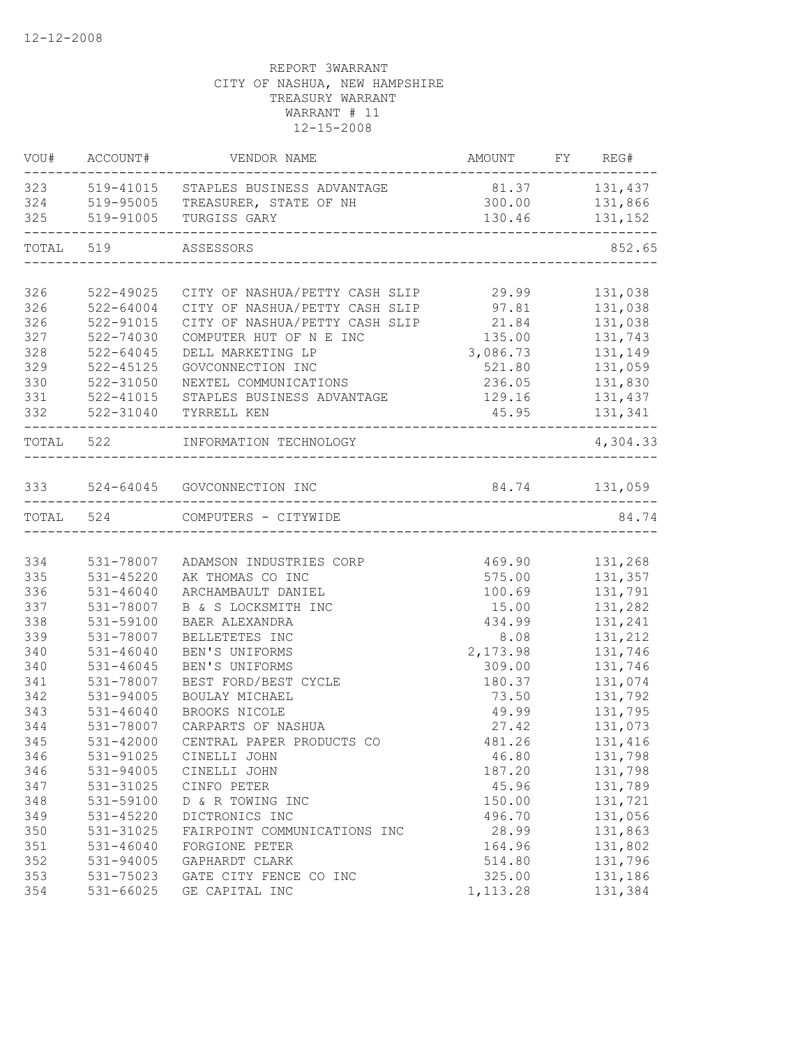|           | VOU# ACCOUNT# | VENDOR NAME                                                    | AMOUNT FY REG# | $- - - -$      |
|-----------|---------------|----------------------------------------------------------------|----------------|----------------|
|           |               | 323 519-41015 STAPLES BUSINESS ADVANTAGE                       | 81.37 131,437  |                |
|           |               | 324 519-95005 TREASURER, STATE OF NH                           | 300.00         | 131,866        |
| 325       | 519-91005     | TURGISS GARY<br>-------------------------------                | 130.46         | 131,152        |
| TOTAL 519 |               | ASSESSORS                                                      |                | 852.65         |
|           |               |                                                                |                |                |
| 326       | 522-49025     | CITY OF NASHUA/PETTY CASH SLIP                                 | 29.99          | 131,038        |
| 326       | 522-64004     | CITY OF NASHUA/PETTY CASH SLIP                                 | 97.81<br>21.84 | 131,038        |
| 326       | 522-91015     | CITY OF NASHUA/PETTY CASH SLIP                                 |                | 131,038        |
| 327       | 522-74030     | COMPUTER HUT OF N E INC                                        | 135.00         | 131,743        |
| 328       | $522 - 64045$ | DELL MARKETING LP                                              | 3,086.73       | 131,149        |
| 329       | 522-45125     | GOVCONNECTION INC                                              | 521.80         | 131,059        |
| 330       | 522-31050     | NEXTEL COMMUNICATIONS                                          |                | 236.05 131,830 |
| 331       | 522-41015     | STAPLES BUSINESS ADVANTAGE                                     | 129.16 131,437 |                |
| 332       | 522-31040     | TYRRELL KEN                                                    |                | 45.95 131,341  |
|           | TOTAL 522     | INFORMATION TECHNOLOGY<br>--------------------                 |                | 4,304.33       |
|           |               | 333 524-64045 GOVCONNECTION INC                                | 84.74 131,059  |                |
|           |               | . _ _ _ _ _ _ _ _ _ _ _ _ _ _ _ _<br>------------------------- |                |                |
|           |               | TOTAL 524 COMPUTERS - CITYWIDE                                 |                | 84.74          |
|           |               |                                                                |                |                |
| 334       | 531-78007     | ADAMSON INDUSTRIES CORP                                        | 469.90         | 131,268        |
| 335       | 531-45220     | AK THOMAS CO INC                                               | 575.00         | 131,357        |
| 336       | $531 - 46040$ | ARCHAMBAULT DANIEL                                             | 100.69         | 131,791        |
| 337       | 531-78007     | B & S LOCKSMITH INC                                            | 15.00          | 131,282        |
| 338       | 531-59100     | BAER ALEXANDRA                                                 | 434.99         | 131,241        |
| 339       | 531-78007     | BELLETETES INC                                                 | 8.08           | 131,212        |
| 340       | 531-46040     | BEN'S UNIFORMS                                                 | 2,173.98       | 131,746        |
| 340       | $531 - 46045$ | BEN'S UNIFORMS                                                 | 309.00         | 131,746        |
| 341       | 531-78007     | BEST FORD/BEST CYCLE                                           | 180.37         | 131,074        |
| 342       | 531-94005     | BOULAY MICHAEL                                                 | 73.50          | 131,792        |
| 343       | 531-46040     | BROOKS NICOLE                                                  | 49.99          | 131,795        |
| 344       | 531-78007     | CARPARTS OF NASHUA                                             | 27.42          | 131,073        |
| 345       | 531-42000     | CENTRAL PAPER PRODUCTS CO                                      | 481.26         | 131,416        |
| 346       | 531-91025     | CINELLI JOHN                                                   | 46.80          | 131,798        |
| 346       | $531 - 94005$ | CINELLI JOHN                                                   | 187.20         | 131,798        |
| 347       | 531-31025     | CINFO PETER                                                    | 45.96          | 131,789        |
| 348       | 531-59100     | D & R TOWING INC                                               | 150.00         | 131,721        |
| 349       | 531-45220     | DICTRONICS INC                                                 | 496.70         | 131,056        |
| 350       | 531-31025     | FAIRPOINT COMMUNICATIONS INC                                   | 28.99          | 131,863        |
| 351       | $531 - 46040$ | FORGIONE PETER                                                 | 164.96         | 131,802        |
| 352       | 531-94005     | GAPHARDT CLARK                                                 | 514.80         | 131,796        |
| 353       | 531-75023     | GATE CITY FENCE CO INC                                         | 325.00         | 131,186        |
| 354       | 531-66025     | GE CAPITAL INC                                                 | 1,113.28       | 131,384        |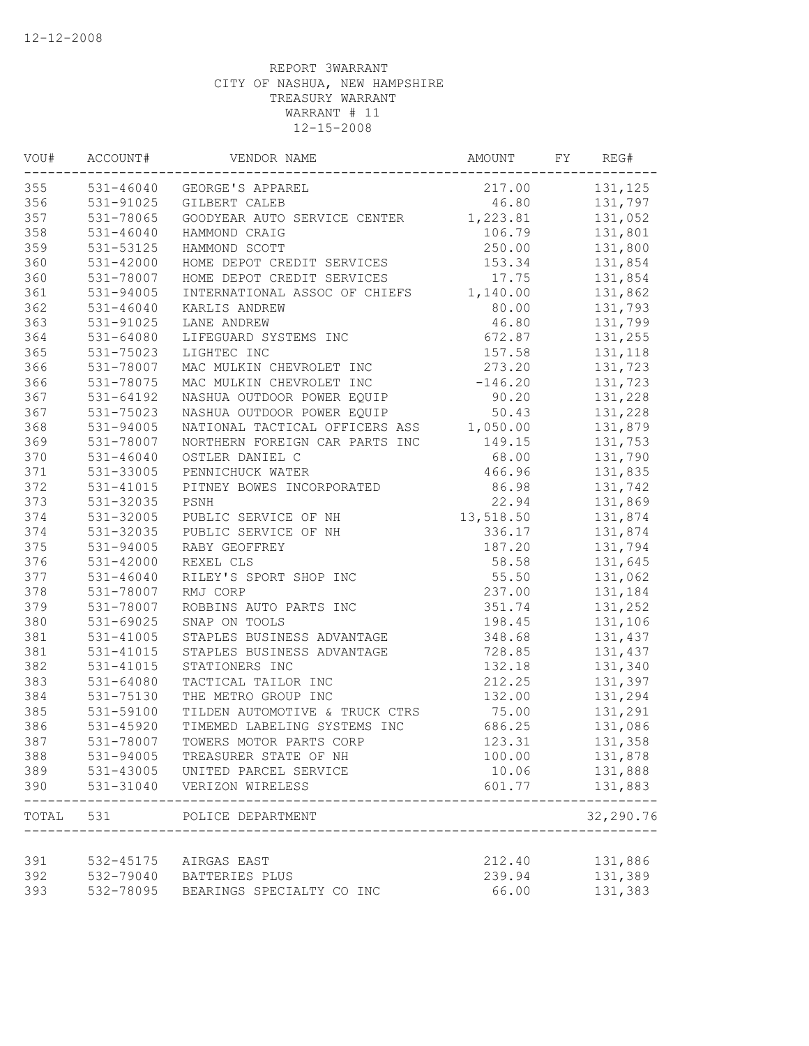| VOU#  | ACCOUNT#      | VENDOR NAME                                            | AMOUNT    | FY | REG#      |
|-------|---------------|--------------------------------------------------------|-----------|----|-----------|
| 355   |               | 531-46040 GEORGE'S APPAREL                             | 217.00    |    | 131,125   |
| 356   | 531-91025     | GILBERT CALEB                                          | 46.80     |    | 131,797   |
| 357   | 531-78065     | GOODYEAR AUTO SERVICE CENTER                           | 1,223.81  |    | 131,052   |
| 358   | $531 - 46040$ | HAMMOND CRAIG                                          | 106.79    |    | 131,801   |
| 359   | 531-53125     | HAMMOND SCOTT                                          | 250.00    |    | 131,800   |
| 360   | 531-42000     | HOME DEPOT CREDIT SERVICES                             | 153.34    |    | 131,854   |
| 360   | 531-78007     | HOME DEPOT CREDIT SERVICES                             | 17.75     |    | 131,854   |
| 361   | 531-94005     | INTERNATIONAL ASSOC OF CHIEFS                          | 1,140.00  |    | 131,862   |
| 362   | $531 - 46040$ | KARLIS ANDREW                                          | 80.00     |    | 131,793   |
| 363   | 531-91025     | LANE ANDREW                                            | 46.80     |    | 131,799   |
| 364   | 531-64080     | LIFEGUARD SYSTEMS INC                                  | 672.87    |    | 131,255   |
| 365   | 531-75023     | LIGHTEC INC                                            | 157.58    |    | 131,118   |
| 366   | 531-78007     | MAC MULKIN CHEVROLET INC                               | 273.20    |    | 131,723   |
| 366   | 531-78075     | MAC MULKIN CHEVROLET INC                               | $-146.20$ |    | 131,723   |
| 367   | $531 - 64192$ | MAC MULKIN CHERALE EQUIP<br>NASHUA OUTDOOR POWER EQUIP | 90.20     |    | 131,228   |
| 367   | 531-75023     | NASHUA OUTDOOR POWER EQUIP                             | 50.43     |    | 131,228   |
| 368   | 531-94005     | NATIONAL TACTICAL OFFICERS ASS                         | 1,050.00  |    | 131,879   |
| 369   | 531-78007     | NORTHERN FOREIGN CAR PARTS INC                         | 149.15    |    | 131,753   |
| 370   | $531 - 46040$ | OSTLER DANIEL C                                        | 68.00     |    | 131,790   |
| 371   | 531-33005     | PENNICHUCK WATER                                       | 466.96    |    | 131,835   |
| 372   | 531-41015     | PITNEY BOWES INCORPORATED                              | 86.98     |    | 131,742   |
| 373   | 531-32035     | PSNH                                                   | 22.94     |    | 131,869   |
| 374   | 531-32005     | PUBLIC SERVICE OF NH                                   | 13,518.50 |    | 131,874   |
| 374   | 531-32035     | PUBLIC SERVICE OF NH                                   | 336.17    |    | 131,874   |
| 375   | 531-94005     | RABY GEOFFREY                                          | 187.20    |    | 131,794   |
| 376   | 531-42000     | REXEL CLS                                              | 58.58     |    | 131,645   |
| 377   | 531-46040     | RILEY'S SPORT SHOP INC                                 | 55.50     |    | 131,062   |
| 378   | 531-78007     | RMJ CORP                                               | 237.00    |    | 131,184   |
| 379   | 531-78007     | ROBBINS AUTO PARTS INC                                 | 351.74    |    | 131,252   |
| 380   | 531-69025     | SNAP ON TOOLS                                          | 198.45    |    | 131,106   |
| 381   | 531-41005     | STAPLES BUSINESS ADVANTAGE                             | 348.68    |    | 131,437   |
| 381   | 531-41015     | STAPLES BUSINESS ADVANTAGE                             | 728.85    |    | 131,437   |
| 382   | 531-41015     | STATIONERS INC                                         | 132.18    |    | 131,340   |
| 383   | 531-64080     | TACTICAL TAILOR INC                                    | 212.25    |    | 131,397   |
| 384   | 531-75130     | THE METRO GROUP INC                                    | 132.00    |    | 131,294   |
| 385   | 531-59100     | TILDEN AUTOMOTIVE & TRUCK CTRS                         | 75.00     |    | 131,291   |
| 386   | 531-45920     | TIMEMED LABELING SYSTEMS INC                           | 686.25    |    | 131,086   |
| 387   | 531-78007     | TOWERS MOTOR PARTS CORP                                | 123.31    |    | 131,358   |
| 388   | 531-94005     | TREASURER STATE OF NH                                  | 100.00    |    | 131,878   |
| 389   | 531-43005     | UNITED PARCEL SERVICE                                  | 10.06     |    | 131,888   |
| 390   | 531-31040     | VERIZON WIRELESS                                       | 601.77    |    | 131,883   |
| TOTAL | 531           | POLICE DEPARTMENT                                      |           |    | 32,290.76 |
| 391   | 532-45175     | AIRGAS EAST                                            | 212.40    |    | 131,886   |
| 392   | 532-79040     | BATTERIES PLUS                                         | 239.94    |    | 131,389   |
| 393   | 532-78095     | BEARINGS SPECIALTY CO INC                              | 66.00     |    | 131,383   |
|       |               |                                                        |           |    |           |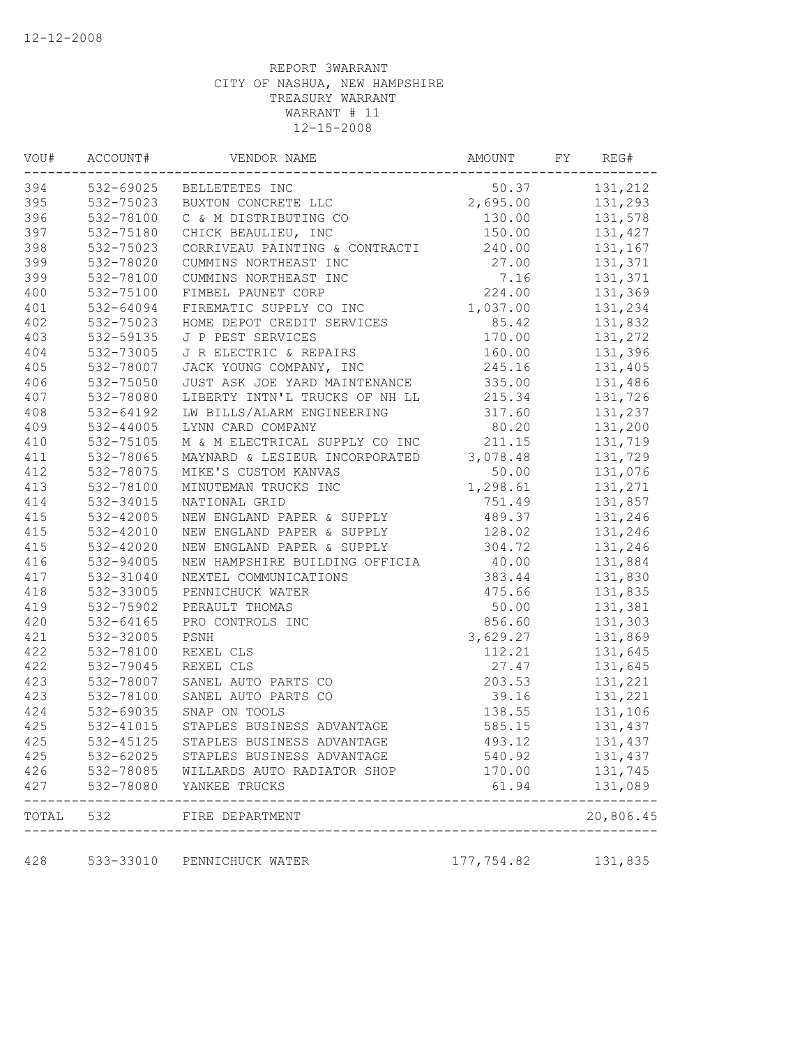| 394<br>532-69025 BELLETETES INC<br>50.37<br>395<br>532-75023<br>2,695.00<br>BUXTON CONCRETE LLC<br>396<br>532-78100<br>C & M DISTRIBUTING CO<br>130.00<br>397<br>532-75180<br>CHICK BEAULIEU, INC<br>150.00<br>398<br>240.00<br>532-75023<br>CORRIVEAU PAINTING & CONTRACTI<br>399<br>532-78020<br>27.00<br>CUMMINS NORTHEAST INC<br>399<br>532-78100<br>CUMMINS NORTHEAST INC<br>7.16<br>400<br>532-75100<br>224.00<br>FIMBEL PAUNET CORP<br>FIREMATIC SUPPLY CO INC<br>401<br>1,037.00<br>532-64094<br>402<br>532-75023<br>85.42<br>HOME DEPOT CREDIT SERVICES<br>403<br>532-59135<br>J P PEST SERVICES<br>170.00<br>404<br>532-73005<br>J R ELECTRIC & REPAIRS<br>160.00<br>405<br>532-78007<br>JACK YOUNG COMPANY, INC<br>245.16<br>406<br>532-75050<br>JUST ASK JOE YARD MAINTENANCE<br>335.00<br>407<br>532-78080<br>LIBERTY INTN'L TRUCKS OF NH LL<br>215.34<br>408<br>532-64192<br>LW BILLS/ALARM ENGINEERING<br>317.60<br>409<br>532-44005<br>80.20<br>LYNN CARD COMPANY<br>410<br>211.15<br>532-75105<br>M & M ELECTRICAL SUPPLY CO INC<br>411<br>532-78065<br>3,078.48<br>MAYNARD & LESIEUR INCORPORATED<br>412<br>532-78075<br>MIKE'S CUSTOM KANVAS<br>50.00<br>413<br>532-78100<br>MINUTEMAN TRUCKS INC<br>1,298.61<br>414<br>532-34015<br>NATIONAL GRID<br>751.49<br>415<br>532-42005<br>NEW ENGLAND PAPER & SUPPLY<br>489.37<br>415<br>128.02<br>532-42010<br>NEW ENGLAND PAPER & SUPPLY<br>415<br>532-42020<br>NEW ENGLAND PAPER & SUPPLY<br>304.72<br>416<br>532-94005<br>40.00<br>NEW HAMPSHIRE BUILDING OFFICIA<br>417<br>383.44<br>532-31040<br>NEXTEL COMMUNICATIONS | 131,212<br>131,293<br>131,578<br>131,427<br>131,167<br>131,371<br>131,371 |
|-------------------------------------------------------------------------------------------------------------------------------------------------------------------------------------------------------------------------------------------------------------------------------------------------------------------------------------------------------------------------------------------------------------------------------------------------------------------------------------------------------------------------------------------------------------------------------------------------------------------------------------------------------------------------------------------------------------------------------------------------------------------------------------------------------------------------------------------------------------------------------------------------------------------------------------------------------------------------------------------------------------------------------------------------------------------------------------------------------------------------------------------------------------------------------------------------------------------------------------------------------------------------------------------------------------------------------------------------------------------------------------------------------------------------------------------------------------------------------------------------------------------------------------------------------------------------------------------|---------------------------------------------------------------------------|
|                                                                                                                                                                                                                                                                                                                                                                                                                                                                                                                                                                                                                                                                                                                                                                                                                                                                                                                                                                                                                                                                                                                                                                                                                                                                                                                                                                                                                                                                                                                                                                                           |                                                                           |
|                                                                                                                                                                                                                                                                                                                                                                                                                                                                                                                                                                                                                                                                                                                                                                                                                                                                                                                                                                                                                                                                                                                                                                                                                                                                                                                                                                                                                                                                                                                                                                                           |                                                                           |
|                                                                                                                                                                                                                                                                                                                                                                                                                                                                                                                                                                                                                                                                                                                                                                                                                                                                                                                                                                                                                                                                                                                                                                                                                                                                                                                                                                                                                                                                                                                                                                                           |                                                                           |
|                                                                                                                                                                                                                                                                                                                                                                                                                                                                                                                                                                                                                                                                                                                                                                                                                                                                                                                                                                                                                                                                                                                                                                                                                                                                                                                                                                                                                                                                                                                                                                                           |                                                                           |
|                                                                                                                                                                                                                                                                                                                                                                                                                                                                                                                                                                                                                                                                                                                                                                                                                                                                                                                                                                                                                                                                                                                                                                                                                                                                                                                                                                                                                                                                                                                                                                                           |                                                                           |
|                                                                                                                                                                                                                                                                                                                                                                                                                                                                                                                                                                                                                                                                                                                                                                                                                                                                                                                                                                                                                                                                                                                                                                                                                                                                                                                                                                                                                                                                                                                                                                                           |                                                                           |
|                                                                                                                                                                                                                                                                                                                                                                                                                                                                                                                                                                                                                                                                                                                                                                                                                                                                                                                                                                                                                                                                                                                                                                                                                                                                                                                                                                                                                                                                                                                                                                                           |                                                                           |
|                                                                                                                                                                                                                                                                                                                                                                                                                                                                                                                                                                                                                                                                                                                                                                                                                                                                                                                                                                                                                                                                                                                                                                                                                                                                                                                                                                                                                                                                                                                                                                                           | 131,369                                                                   |
|                                                                                                                                                                                                                                                                                                                                                                                                                                                                                                                                                                                                                                                                                                                                                                                                                                                                                                                                                                                                                                                                                                                                                                                                                                                                                                                                                                                                                                                                                                                                                                                           | 131,234                                                                   |
|                                                                                                                                                                                                                                                                                                                                                                                                                                                                                                                                                                                                                                                                                                                                                                                                                                                                                                                                                                                                                                                                                                                                                                                                                                                                                                                                                                                                                                                                                                                                                                                           | 131,832                                                                   |
|                                                                                                                                                                                                                                                                                                                                                                                                                                                                                                                                                                                                                                                                                                                                                                                                                                                                                                                                                                                                                                                                                                                                                                                                                                                                                                                                                                                                                                                                                                                                                                                           | 131,272                                                                   |
|                                                                                                                                                                                                                                                                                                                                                                                                                                                                                                                                                                                                                                                                                                                                                                                                                                                                                                                                                                                                                                                                                                                                                                                                                                                                                                                                                                                                                                                                                                                                                                                           | 131,396                                                                   |
|                                                                                                                                                                                                                                                                                                                                                                                                                                                                                                                                                                                                                                                                                                                                                                                                                                                                                                                                                                                                                                                                                                                                                                                                                                                                                                                                                                                                                                                                                                                                                                                           | 131,405                                                                   |
|                                                                                                                                                                                                                                                                                                                                                                                                                                                                                                                                                                                                                                                                                                                                                                                                                                                                                                                                                                                                                                                                                                                                                                                                                                                                                                                                                                                                                                                                                                                                                                                           | 131,486                                                                   |
|                                                                                                                                                                                                                                                                                                                                                                                                                                                                                                                                                                                                                                                                                                                                                                                                                                                                                                                                                                                                                                                                                                                                                                                                                                                                                                                                                                                                                                                                                                                                                                                           | 131,726                                                                   |
|                                                                                                                                                                                                                                                                                                                                                                                                                                                                                                                                                                                                                                                                                                                                                                                                                                                                                                                                                                                                                                                                                                                                                                                                                                                                                                                                                                                                                                                                                                                                                                                           | 131,237                                                                   |
|                                                                                                                                                                                                                                                                                                                                                                                                                                                                                                                                                                                                                                                                                                                                                                                                                                                                                                                                                                                                                                                                                                                                                                                                                                                                                                                                                                                                                                                                                                                                                                                           | 131,200                                                                   |
|                                                                                                                                                                                                                                                                                                                                                                                                                                                                                                                                                                                                                                                                                                                                                                                                                                                                                                                                                                                                                                                                                                                                                                                                                                                                                                                                                                                                                                                                                                                                                                                           | 131,719                                                                   |
|                                                                                                                                                                                                                                                                                                                                                                                                                                                                                                                                                                                                                                                                                                                                                                                                                                                                                                                                                                                                                                                                                                                                                                                                                                                                                                                                                                                                                                                                                                                                                                                           | 131,729                                                                   |
|                                                                                                                                                                                                                                                                                                                                                                                                                                                                                                                                                                                                                                                                                                                                                                                                                                                                                                                                                                                                                                                                                                                                                                                                                                                                                                                                                                                                                                                                                                                                                                                           | 131,076                                                                   |
|                                                                                                                                                                                                                                                                                                                                                                                                                                                                                                                                                                                                                                                                                                                                                                                                                                                                                                                                                                                                                                                                                                                                                                                                                                                                                                                                                                                                                                                                                                                                                                                           | 131,271                                                                   |
|                                                                                                                                                                                                                                                                                                                                                                                                                                                                                                                                                                                                                                                                                                                                                                                                                                                                                                                                                                                                                                                                                                                                                                                                                                                                                                                                                                                                                                                                                                                                                                                           | 131,857                                                                   |
|                                                                                                                                                                                                                                                                                                                                                                                                                                                                                                                                                                                                                                                                                                                                                                                                                                                                                                                                                                                                                                                                                                                                                                                                                                                                                                                                                                                                                                                                                                                                                                                           | 131,246                                                                   |
|                                                                                                                                                                                                                                                                                                                                                                                                                                                                                                                                                                                                                                                                                                                                                                                                                                                                                                                                                                                                                                                                                                                                                                                                                                                                                                                                                                                                                                                                                                                                                                                           | 131,246                                                                   |
|                                                                                                                                                                                                                                                                                                                                                                                                                                                                                                                                                                                                                                                                                                                                                                                                                                                                                                                                                                                                                                                                                                                                                                                                                                                                                                                                                                                                                                                                                                                                                                                           | 131,246                                                                   |
|                                                                                                                                                                                                                                                                                                                                                                                                                                                                                                                                                                                                                                                                                                                                                                                                                                                                                                                                                                                                                                                                                                                                                                                                                                                                                                                                                                                                                                                                                                                                                                                           | 131,884                                                                   |
|                                                                                                                                                                                                                                                                                                                                                                                                                                                                                                                                                                                                                                                                                                                                                                                                                                                                                                                                                                                                                                                                                                                                                                                                                                                                                                                                                                                                                                                                                                                                                                                           | 131,830                                                                   |
| 418<br>532-33005<br>475.66<br>PENNICHUCK WATER                                                                                                                                                                                                                                                                                                                                                                                                                                                                                                                                                                                                                                                                                                                                                                                                                                                                                                                                                                                                                                                                                                                                                                                                                                                                                                                                                                                                                                                                                                                                            | 131,835                                                                   |
| 419<br>532-75902<br>PERAULT THOMAS<br>50.00                                                                                                                                                                                                                                                                                                                                                                                                                                                                                                                                                                                                                                                                                                                                                                                                                                                                                                                                                                                                                                                                                                                                                                                                                                                                                                                                                                                                                                                                                                                                               | 131,381                                                                   |
| 420<br>532-64165<br>856.60<br>PRO CONTROLS INC                                                                                                                                                                                                                                                                                                                                                                                                                                                                                                                                                                                                                                                                                                                                                                                                                                                                                                                                                                                                                                                                                                                                                                                                                                                                                                                                                                                                                                                                                                                                            | 131,303                                                                   |
| 421<br>532-32005<br>PSNH<br>3,629.27                                                                                                                                                                                                                                                                                                                                                                                                                                                                                                                                                                                                                                                                                                                                                                                                                                                                                                                                                                                                                                                                                                                                                                                                                                                                                                                                                                                                                                                                                                                                                      | 131,869                                                                   |
| 422<br>532-78100<br>REXEL CLS<br>112.21                                                                                                                                                                                                                                                                                                                                                                                                                                                                                                                                                                                                                                                                                                                                                                                                                                                                                                                                                                                                                                                                                                                                                                                                                                                                                                                                                                                                                                                                                                                                                   | 131,645                                                                   |
| 422<br>532-79045<br>REXEL CLS<br>27.47                                                                                                                                                                                                                                                                                                                                                                                                                                                                                                                                                                                                                                                                                                                                                                                                                                                                                                                                                                                                                                                                                                                                                                                                                                                                                                                                                                                                                                                                                                                                                    | 131,645                                                                   |
| 423<br>532-78007<br>SANEL AUTO PARTS CO<br>203.53                                                                                                                                                                                                                                                                                                                                                                                                                                                                                                                                                                                                                                                                                                                                                                                                                                                                                                                                                                                                                                                                                                                                                                                                                                                                                                                                                                                                                                                                                                                                         | 131,221                                                                   |
| 423<br>532-78100<br>SANEL AUTO PARTS CO<br>39.16                                                                                                                                                                                                                                                                                                                                                                                                                                                                                                                                                                                                                                                                                                                                                                                                                                                                                                                                                                                                                                                                                                                                                                                                                                                                                                                                                                                                                                                                                                                                          | 131,221                                                                   |
| 424<br>532-69035<br>SNAP ON TOOLS<br>138.55                                                                                                                                                                                                                                                                                                                                                                                                                                                                                                                                                                                                                                                                                                                                                                                                                                                                                                                                                                                                                                                                                                                                                                                                                                                                                                                                                                                                                                                                                                                                               | 131,106                                                                   |
| 425<br>532-41015<br>STAPLES BUSINESS ADVANTAGE<br>585.15                                                                                                                                                                                                                                                                                                                                                                                                                                                                                                                                                                                                                                                                                                                                                                                                                                                                                                                                                                                                                                                                                                                                                                                                                                                                                                                                                                                                                                                                                                                                  | 131,437                                                                   |
| 425<br>532-45125<br>STAPLES BUSINESS ADVANTAGE<br>493.12                                                                                                                                                                                                                                                                                                                                                                                                                                                                                                                                                                                                                                                                                                                                                                                                                                                                                                                                                                                                                                                                                                                                                                                                                                                                                                                                                                                                                                                                                                                                  | 131,437                                                                   |
| 425<br>532-62025<br>540.92<br>STAPLES BUSINESS ADVANTAGE                                                                                                                                                                                                                                                                                                                                                                                                                                                                                                                                                                                                                                                                                                                                                                                                                                                                                                                                                                                                                                                                                                                                                                                                                                                                                                                                                                                                                                                                                                                                  | 131,437                                                                   |
| 426<br>532-78085<br>WILLARDS AUTO RADIATOR SHOP<br>170.00                                                                                                                                                                                                                                                                                                                                                                                                                                                                                                                                                                                                                                                                                                                                                                                                                                                                                                                                                                                                                                                                                                                                                                                                                                                                                                                                                                                                                                                                                                                                 | 131,745                                                                   |
| 427<br>532-78080<br>61.94<br>YANKEE TRUCKS                                                                                                                                                                                                                                                                                                                                                                                                                                                                                                                                                                                                                                                                                                                                                                                                                                                                                                                                                                                                                                                                                                                                                                                                                                                                                                                                                                                                                                                                                                                                                | 131,089                                                                   |
| TOTAL 532<br>FIRE DEPARTMENT<br>----------------------                                                                                                                                                                                                                                                                                                                                                                                                                                                                                                                                                                                                                                                                                                                                                                                                                                                                                                                                                                                                                                                                                                                                                                                                                                                                                                                                                                                                                                                                                                                                    | . – – – – – -<br>20,806.45                                                |
| 428<br>533-33010<br>177,754.82<br>131,835<br>PENNICHUCK WATER                                                                                                                                                                                                                                                                                                                                                                                                                                                                                                                                                                                                                                                                                                                                                                                                                                                                                                                                                                                                                                                                                                                                                                                                                                                                                                                                                                                                                                                                                                                             |                                                                           |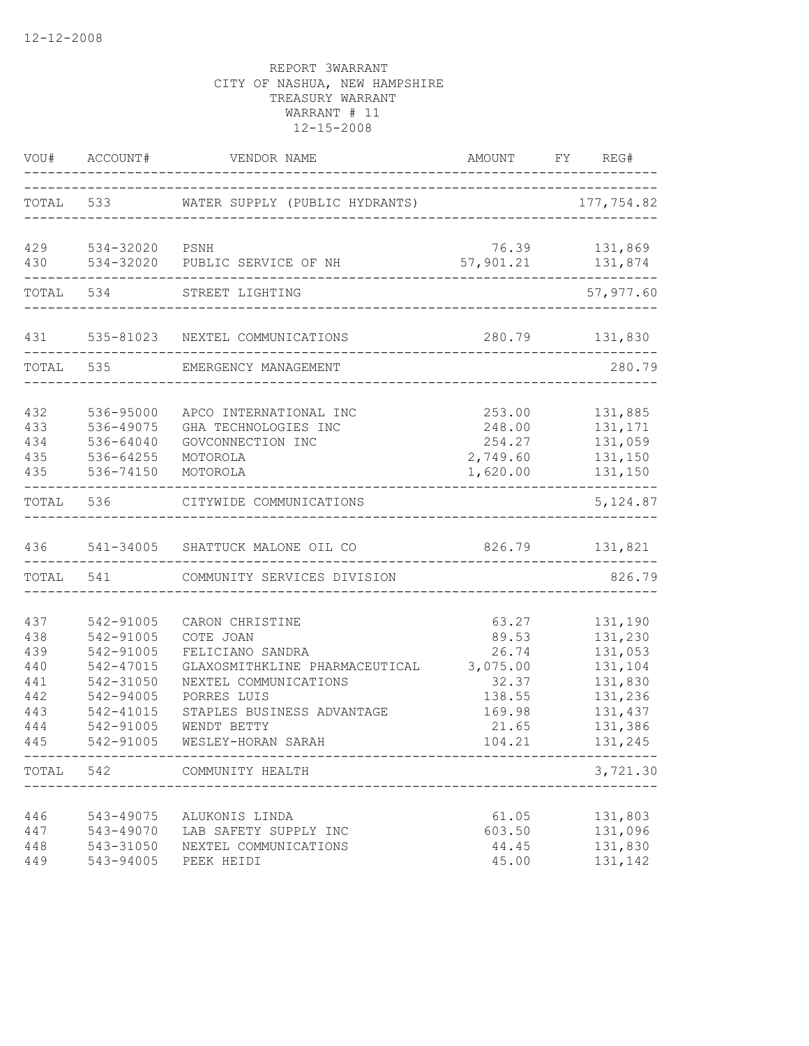|                                                             |                                                                                                                   | VOU# ACCOUNT# VENDOR NAME                                                                                                                                                                                                                    |                                                                         | AMOUNT FY REG#                                                                                  |
|-------------------------------------------------------------|-------------------------------------------------------------------------------------------------------------------|----------------------------------------------------------------------------------------------------------------------------------------------------------------------------------------------------------------------------------------------|-------------------------------------------------------------------------|-------------------------------------------------------------------------------------------------|
|                                                             |                                                                                                                   | TOTAL 533 WATER SUPPLY (PUBLIC HYDRANTS) 177,754.82                                                                                                                                                                                          |                                                                         |                                                                                                 |
| 430                                                         | 429 534-32020 PSNH                                                                                                | 534-32020 PUBLIC SERVICE OF NH                                                                                                                                                                                                               |                                                                         | 76.39 131,869<br>57, 901.21 131, 874                                                            |
|                                                             | TOTAL 534                                                                                                         | STREET LIGHTING                                                                                                                                                                                                                              |                                                                         | 57,977.60                                                                                       |
| 431                                                         |                                                                                                                   | 535-81023 NEXTEL COMMUNICATIONS                                                                                                                                                                                                              |                                                                         | 280.79 131,830                                                                                  |
|                                                             |                                                                                                                   | TOTAL 535 EMERGENCY MANAGEMENT                                                                                                                                                                                                               | _____________                                                           | 280.79                                                                                          |
| 432<br>433<br>434<br>435<br>435                             | 536-95000<br>536-49075<br>536-64040<br>536-64255<br>536-74150<br>------------------------                         | APCO INTERNATIONAL INC<br>GHA TECHNOLOGIES INC<br>GOVCONNECTION INC<br>MOTOROLA<br>MOTOROLA                                                                                                                                                  | 253.00<br>248.00<br>254.27<br>2,749.60<br>1,620.00                      | 131,885<br>131,171<br>131,059<br>131,150<br>131,150<br>---------------                          |
|                                                             |                                                                                                                   | TOTAL 536 CITYWIDE COMMUNICATIONS                                                                                                                                                                                                            |                                                                         | 5, 124.87                                                                                       |
|                                                             |                                                                                                                   | 436 541-34005 SHATTUCK MALONE OIL CO                                                                                                                                                                                                         |                                                                         | 826.79 131,821                                                                                  |
|                                                             | TOTAL 541                                                                                                         | COMMUNITY SERVICES DIVISION                                                                                                                                                                                                                  |                                                                         | 826.79                                                                                          |
| 437<br>438<br>439<br>440<br>441<br>442<br>443<br>444<br>445 | 542-91005<br>542-91005<br>542-91005<br>542-47015<br>542-31050<br>542-94005<br>542-41015<br>542-91005<br>542-91005 | CARON CHRISTINE<br>COTE JOAN<br>FELICIANO SANDRA<br>GLAXOSMITHKLINE PHARMACEUTICAL 3,075.00<br>NEXTEL COMMUNICATIONS<br>PORRES LUIS<br>STAPLES BUSINESS ADVANTAGE<br>WENDT BETTY<br>WESLEY-HORAN SARAH<br>---------------------------------- | 63.27<br>89.53<br>26.74<br>32.37<br>138.55<br>169.98<br>21.65<br>104.21 | 131,190<br>131,230<br>131,053<br>131,104<br>131,830<br>131,236<br>131,437<br>131,386<br>131,245 |
|                                                             | TOTAL 542                                                                                                         | COMMUNITY HEALTH                                                                                                                                                                                                                             |                                                                         | 3,721.30                                                                                        |
| 446<br>447<br>448<br>449                                    | 543-49075<br>543-49070<br>543-31050<br>543-94005                                                                  | ALUKONIS LINDA<br>LAB SAFETY SUPPLY INC<br>NEXTEL COMMUNICATIONS<br>PEEK HEIDI                                                                                                                                                               | 61.05<br>603.50<br>44.45<br>45.00                                       | 131,803<br>131,096<br>131,830<br>131,142                                                        |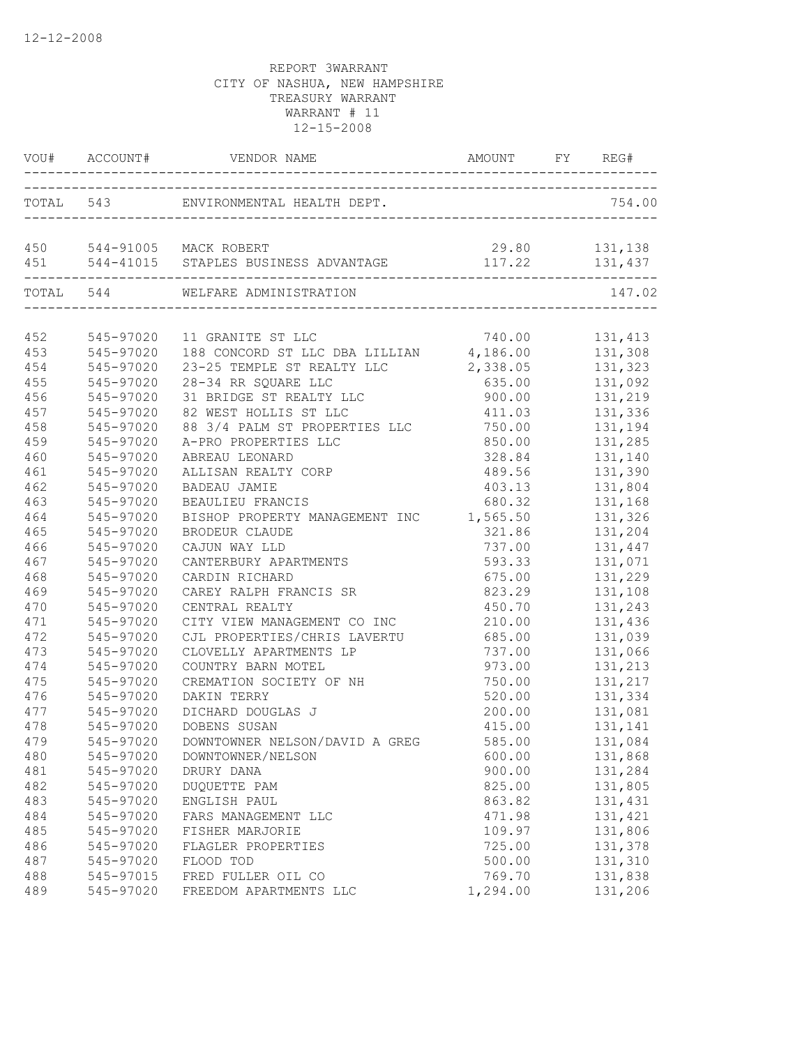|     |               | VOU# ACCOUNT# VENDOR NAME                                                            | AMOUNT FY REG# |                    |
|-----|---------------|--------------------------------------------------------------------------------------|----------------|--------------------|
|     | ------------- | TOTAL 543 ENVIRONMENTAL HEALTH DEPT.                                                 |                | 754.00             |
|     |               | 450 544-91005 MACK ROBERT<br>451 544-41015 STAPLES BUSINESS ADVANTAGE 117.22 131,437 | 29.80 131,138  |                    |
|     |               | TOTAL 544 WELFARE ADMINISTRATION<br>------------------------                         |                | 147.02             |
|     | 452 545-97020 |                                                                                      | 740.00         | 131, 413           |
| 453 | $545 - 97020$ | 11 GRANITE ST LLC 740.00<br>188 CONCORD ST LLC DBA LILLIAN 4,186.00                  |                | 131,308            |
| 454 | 545-97020     | 23-25 TEMPLE ST REALTY LLC                                                           | 2,338.05       |                    |
| 455 | 545-97020     | 28-34 RR SQUARE LLC                                                                  | 635.00         | 131,323<br>131,092 |
| 456 | 545-97020     | 31 BRIDGE ST REALTY LLC                                                              |                | 900.00 131,219     |
| 457 | 545-97020     | 82 WEST HOLLIS ST LLC                                                                |                | 411.03 131,336     |
| 458 | 545-97020     | 88 3/4 PALM ST PROPERTIES LLC 750.00 131,194                                         |                |                    |
| 459 | 545-97020     | A-PRO PROPERTIES LLC                                                                 |                | 850.00 131,285     |
| 460 | 545-97020     | ABREAU LEONARD                                                                       |                | 328.84 131,140     |
| 461 | 545-97020     | ALLISAN REALTY CORP                                                                  | 489.56         | 131,390            |
| 462 | 545-97020     | <b>BADEAU JAMIE</b>                                                                  | 403.13         | 131,804            |
| 463 | 545-97020     | BEAULIEU FRANCIS                                                                     | 680.32         | 131,168            |
| 464 | 545-97020     | BISHOP PROPERTY MANAGEMENT INC 1,565.50                                              |                | 131,326            |
| 465 | 545-97020     | BRODEUR CLAUDE                                                                       | 321.86         | 131,204            |
| 466 | 545-97020     | CAJUN WAY LLD                                                                        | 737.00         | 131,447            |
| 467 | 545-97020     | CANTERBURY APARTMENTS                                                                | 593.33         | 131,071            |
| 468 | 545-97020     | CARDIN RICHARD                                                                       | 675.00         | 131,229            |
| 469 | 545-97020     | CAREY RALPH FRANCIS SR                                                               | 823.29         | 131,108            |
| 470 | 545-97020     | CENTRAL REALTY                                                                       | 450.70         | 131,243            |
| 471 | 545-97020     | CITY VIEW MANAGEMENT CO INC                                                          | 210.00         | 131,436            |
| 472 | 545-97020     | CJL PROPERTIES/CHRIS LAVERTU                                                         | 685.00         | 131,039            |
| 473 | 545-97020     | CLOVELLY APARTMENTS LP                                                               | 737.00         | 131,066            |
| 474 | 545-97020     | COUNTRY BARN MOTEL                                                                   | 973.00         | 131,213            |
| 475 | 545-97020     | CREMATION SOCIETY OF NH                                                              |                |                    |
| 476 | 545-97020     | DAKIN TERRY                                                                          |                | 520.00 131,334     |
| 477 | 545-97020     | DICHARD DOUGLAS J                                                                    |                | 200.00   131,081   |
| 478 | 545-97020     | DOBENS SUSAN                                                                         | 415.00         | 131,141            |
| 479 |               | 545-97020 DOWNTOWNER NELSON/DAVID A GREG                                             | 585.00         | 131,084            |
| 480 | 545-97020     | DOWNTOWNER/NELSON                                                                    | 600.00         | 131,868            |
| 481 | 545-97020     | DRURY DANA                                                                           | 900.00         | 131,284            |
| 482 | 545-97020     | DUQUETTE PAM                                                                         | 825.00         | 131,805            |
| 483 | 545-97020     | ENGLISH PAUL                                                                         | 863.82         | 131,431            |
| 484 | 545-97020     | FARS MANAGEMENT LLC                                                                  | 471.98         | 131,421            |
| 485 | 545-97020     | FISHER MARJORIE                                                                      | 109.97         | 131,806            |
| 486 | 545-97020     | FLAGLER PROPERTIES                                                                   | 725.00         | 131,378            |
| 487 | 545-97020     | FLOOD TOD                                                                            | 500.00         | 131,310            |
| 488 | 545-97015     | FRED FULLER OIL CO                                                                   | 769.70         | 131,838            |
| 489 | 545-97020     | FREEDOM APARTMENTS LLC                                                               | 1,294.00       | 131,206            |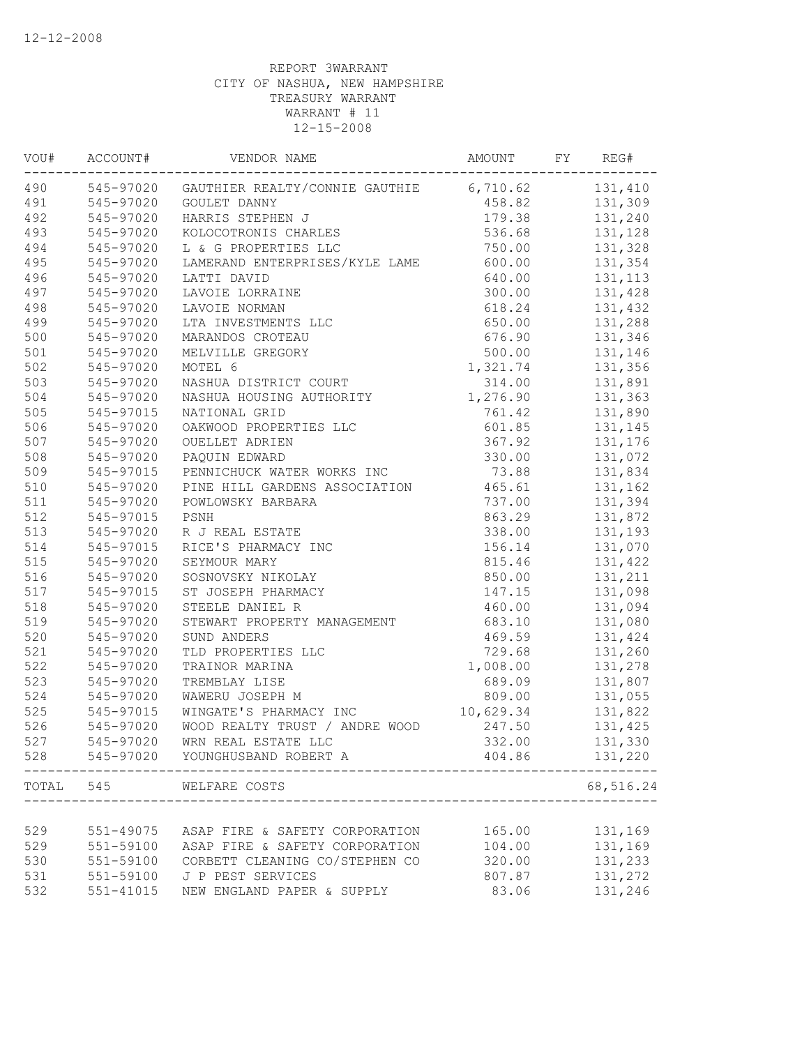| VOU# | ACCOUNT#  | VENDOR NAME                                               | AMOUNT    | FY | REG#           |
|------|-----------|-----------------------------------------------------------|-----------|----|----------------|
| 490  |           | 545-97020 GAUTHIER REALTY/CONNIE GAUTHIE 6,710.62 131,410 |           |    |                |
| 491  | 545-97020 | GOULET DANNY                                              |           |    | 458.82 131,309 |
| 492  | 545-97020 | HARRIS STEPHEN J                                          | 179.38    |    | 131,240        |
| 493  | 545-97020 | KOLOCOTRONIS CHARLES                                      | 536.68    |    | 131,128        |
| 494  | 545-97020 | L & G PROPERTIES LLC                                      | 750.00    |    | 131,328        |
| 495  | 545-97020 | LAMERAND ENTERPRISES/KYLE LAME                            | 600.00    |    | 131,354        |
| 496  | 545-97020 | LATTI DAVID                                               | 640.00    |    | 131, 113       |
| 497  | 545-97020 | LAVOIE LORRAINE                                           | 300.00    |    | 131,428        |
| 498  | 545-97020 | LAVOIE NORMAN                                             | 618.24    |    | 131,432        |
| 499  | 545-97020 | LTA INVESTMENTS LLC                                       | 650.00    |    | 131,288        |
| 500  | 545-97020 | MARANDOS CROTEAU                                          | 676.90    |    | 131,346        |
| 501  | 545-97020 | MELVILLE GREGORY                                          | 500.00    |    | 131,146        |
| 502  | 545-97020 | MOTEL 6                                                   | 1,321.74  |    | 131,356        |
| 503  | 545-97020 | NASHUA DISTRICT COURT                                     | 314.00    |    | 131,891        |
| 504  | 545-97020 | NASHUA HOUSING AUTHORITY                                  | 1,276.90  |    | 131,363        |
| 505  | 545-97015 | NATIONAL GRID                                             | 761.42    |    | 131,890        |
| 506  | 545-97020 | OAKWOOD PROPERTIES LLC                                    | 601.85    |    | 131,145        |
| 507  | 545-97020 | OUELLET ADRIEN                                            | 367.92    |    | 131,176        |
| 508  | 545-97020 | PAQUIN EDWARD                                             | 330.00    |    | 131,072        |
| 509  | 545-97015 | PENNICHUCK WATER WORKS INC                                | 73.88     |    | 131,834        |
| 510  | 545-97020 | PINE HILL GARDENS ASSOCIATION                             | 465.61    |    | 131,162        |
| 511  | 545-97020 | POWLOWSKY BARBARA                                         | 737.00    |    | 131,394        |
| 512  | 545-97015 | PSNH                                                      | 863.29    |    | 131,872        |
| 513  | 545-97020 | R J REAL ESTATE                                           | 338.00    |    | 131,193        |
| 514  | 545-97015 | RICE'S PHARMACY INC                                       | 156.14    |    | 131,070        |
|      |           |                                                           |           |    |                |
| 515  | 545-97020 | SEYMOUR MARY                                              | 815.46    |    | 131,422        |
| 516  | 545-97020 | SOSNOVSKY NIKOLAY                                         | 850.00    |    | 131,211        |
| 517  | 545-97015 | ST JOSEPH PHARMACY                                        | 147.15    |    | 131,098        |
| 518  | 545-97020 | STEELE DANIEL R                                           | 460.00    |    | 131,094        |
| 519  | 545-97020 | STEWART PROPERTY MANAGEMENT                               | 683.10    |    | 131,080        |
| 520  | 545-97020 | SUND ANDERS                                               | 469.59    |    | 131,424        |
| 521  | 545-97020 | TLD PROPERTIES LLC                                        | 729.68    |    | 131,260        |
| 522  | 545-97020 | TRAINOR MARINA                                            | 1,008.00  |    | 131,278        |
| 523  | 545-97020 | TREMBLAY LISE                                             | 689.09    |    | 131,807        |
| 524  | 545-97020 | WAWERU JOSEPH M                                           | 809.00    |    | 131,055        |
| 525  | 545-97015 | WINGATE'S PHARMACY INC                                    | 10,629.34 |    | 131,822        |
| 526  | 545-97020 | WOOD REALTY TRUST / ANDRE WOOD                            | 247.50    |    | 131,425        |
| 527  |           | 545-97020 WRN REAL ESTATE LLC                             | 332.00    |    | 131,330        |
| 528  |           | 545-97020 YOUNGHUSBAND ROBERT A                           |           |    | 404.86 131,220 |
|      | TOTAL 545 | WELFARE COSTS                                             |           |    | 68,516.24      |
|      |           |                                                           |           |    |                |
| 529  |           | 551-49075 ASAP FIRE & SAFETY CORPORATION                  | 165.00    |    | 131,169        |
| 529  | 551-59100 | ASAP FIRE & SAFETY CORPORATION                            | 104.00    |    | 131,169        |
| 530  | 551-59100 | CORBETT CLEANING CO/STEPHEN CO                            | 320.00    |    | 131,233        |
| 531  | 551-59100 | J P PEST SERVICES                                         | 807.87    |    | 131,272        |
| 532  | 551-41015 | NEW ENGLAND PAPER & SUPPLY                                | 83.06     |    | 131,246        |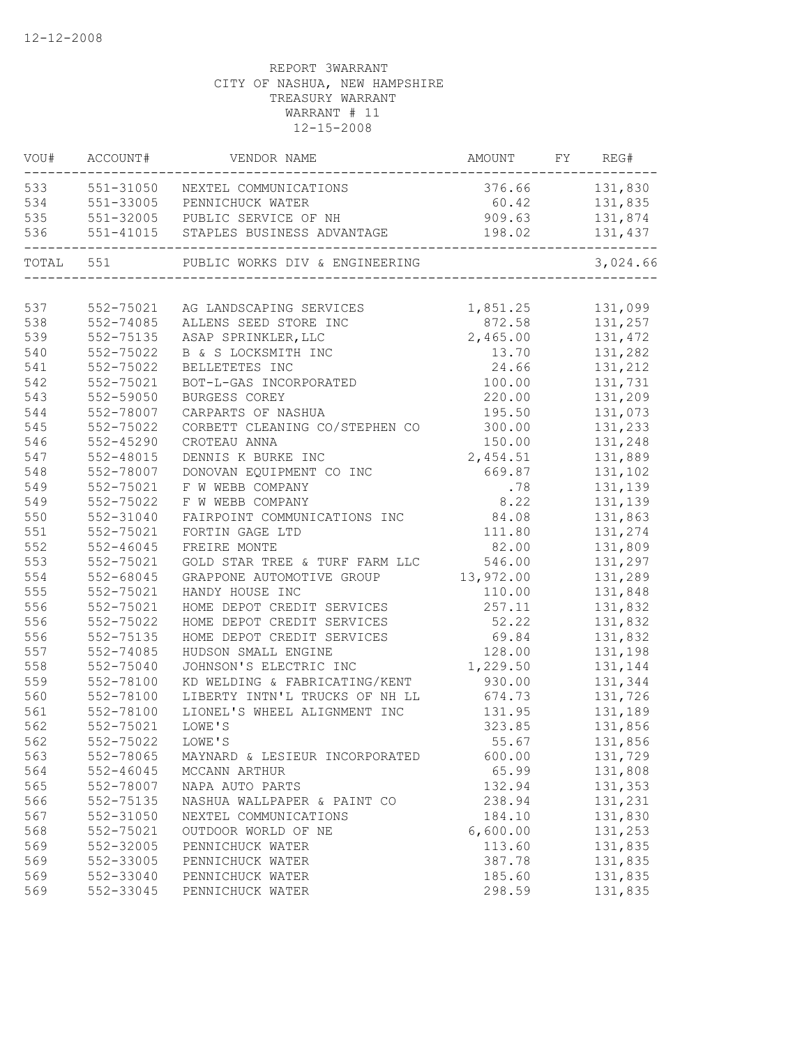|           | VOU# ACCOUNT# | VENDOR NAME                          | AMOUNT         | FY REG#       |
|-----------|---------------|--------------------------------------|----------------|---------------|
| 533       |               | 551-31050 NEXTEL COMMUNICATIONS      | 376.66 131,830 |               |
| 534       |               | 551-33005 PENNICHUCK WATER           |                | 60.42 131,835 |
| 535       |               | 551-32005 PUBLIC SERVICE OF NH       | 909.63         | 131,874       |
| 536       |               | 551-41015 STAPLES BUSINESS ADVANTAGE | 198.02         | 131,437       |
| TOTAL 551 |               | PUBLIC WORKS DIV & ENGINEERING       |                | 3,024.66      |
|           |               |                                      |                |               |
| 537       | 552-75021     | AG LANDSCAPING SERVICES              | 1,851.25       | 131,099       |
| 538       | 552-74085     | ALLENS SEED STORE INC                | 872.58         | 131,257       |
| 539       | 552-75135     | ASAP SPRINKLER, LLC                  | 2,465.00       | 131,472       |
| 540       | 552-75022     | B & S LOCKSMITH INC                  | 13.70          | 131,282       |
| 541       | 552-75022     | BELLETETES INC                       | 24.66          | 131,212       |
| 542       | 552-75021     | BOT-L-GAS INCORPORATED               | 100.00         | 131,731       |
| 543       | 552-59050     | BURGESS COREY                        | 220.00         | 131,209       |
| 544       | 552-78007     | CARPARTS OF NASHUA                   | 195.50         | 131,073       |
| 545       | 552-75022     | CORBETT CLEANING CO/STEPHEN CO       | 300.00         | 131,233       |
| 546       | 552-45290     | CROTEAU ANNA                         | 150.00         | 131,248       |
| 547       | 552-48015     | DENNIS K BURKE INC                   | 2,454.51       | 131,889       |
| 548       | 552-78007     | DONOVAN EQUIPMENT CO INC             | 669.87         | 131,102       |
| 549       | 552-75021     | F W WEBB COMPANY                     | .78            | 131,139       |
| 549       | 552-75022     | F W WEBB COMPANY                     | 8.22           | 131,139       |
| 550       | 552-31040     | FAIRPOINT COMMUNICATIONS INC         | 84.08          | 131,863       |
| 551       | 552-75021     | FORTIN GAGE LTD                      | 111.80         | 131,274       |
| 552       | $552 - 46045$ | FREIRE MONTE                         | 82.00          | 131,809       |
| 553       | 552-75021     | GOLD STAR TREE & TURF FARM LLC       | 546.00         | 131,297       |
| 554       | 552-68045     | GRAPPONE AUTOMOTIVE GROUP            | 13,972.00      | 131,289       |
| 555       | 552-75021     | HANDY HOUSE INC                      | 110.00         | 131,848       |
| 556       | 552-75021     | HOME DEPOT CREDIT SERVICES           | 257.11         | 131,832       |
| 556       | 552-75022     | HOME DEPOT CREDIT SERVICES           | 52.22          | 131,832       |
| 556       | 552-75135     | HOME DEPOT CREDIT SERVICES           | 69.84          | 131,832       |
| 557       | 552-74085     | HUDSON SMALL ENGINE                  | 128.00         | 131,198       |
| 558       | 552-75040     | JOHNSON'S ELECTRIC INC               | 1,229.50       | 131,144       |
| 559       | 552-78100     | KD WELDING & FABRICATING/KENT        | 930.00         | 131,344       |
| 560       | 552-78100     | LIBERTY INTN'L TRUCKS OF NH LL       | 674.73         | 131,726       |
| 561       | 552-78100     | LIONEL'S WHEEL ALIGNMENT INC         | 131.95         | 131,189       |
| 562       | 552-75021     | LOWE'S                               | 323.85         | 131,856       |
| 562       | 552-75022     | LOWE'S                               | 55.67          | 131,856       |
| 563       | 552-78065     | MAYNARD & LESIEUR INCORPORATED       | 600.00         | 131,729       |
| 564       | $552 - 46045$ | MCCANN ARTHUR                        | 65.99          | 131,808       |
| 565       | 552-78007     | NAPA AUTO PARTS                      | 132.94         | 131,353       |
| 566       | 552-75135     | NASHUA WALLPAPER & PAINT CO          | 238.94         | 131,231       |
| 567       | 552-31050     | NEXTEL COMMUNICATIONS                | 184.10         | 131,830       |
| 568       | 552-75021     | OUTDOOR WORLD OF NE                  | 6,600.00       | 131,253       |
| 569       | 552-32005     | PENNICHUCK WATER                     | 113.60         | 131,835       |
| 569       | 552-33005     | PENNICHUCK WATER                     | 387.78         | 131,835       |
| 569       | 552-33040     | PENNICHUCK WATER                     | 185.60         | 131,835       |
| 569       | 552-33045     | PENNICHUCK WATER                     | 298.59         | 131,835       |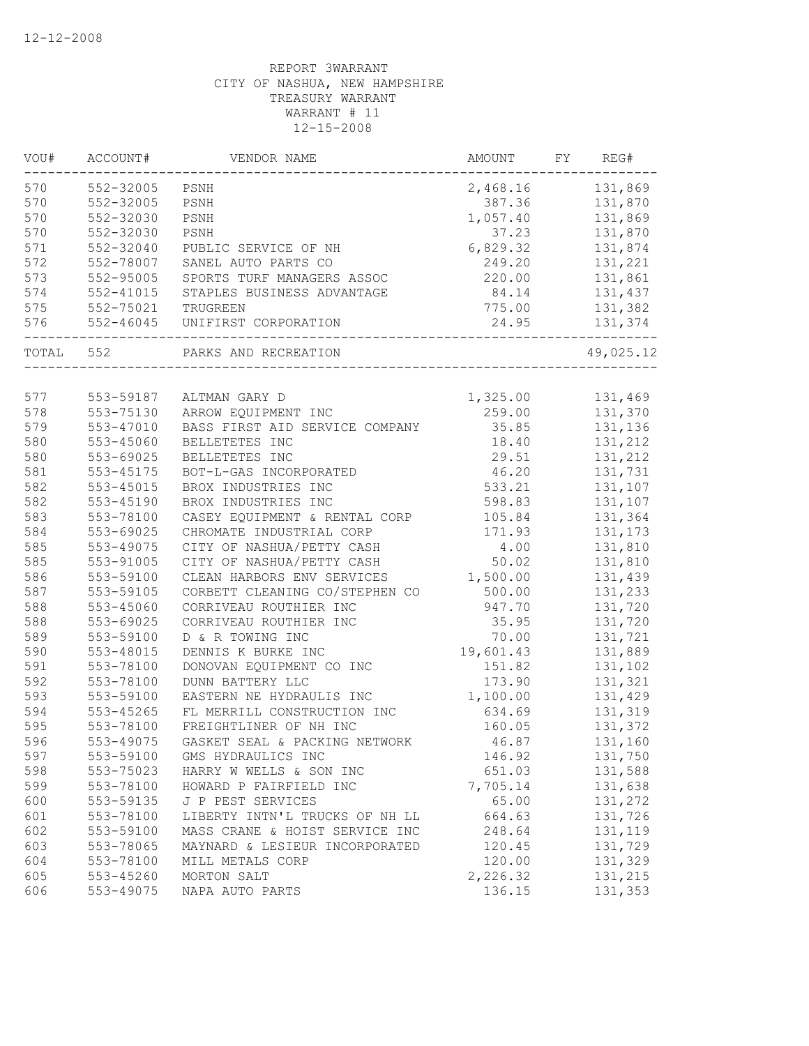| VOU#  | ACCOUNT#      | VENDOR NAME                    | AMOUNT    | FY | REG#      |
|-------|---------------|--------------------------------|-----------|----|-----------|
| 570   | 552-32005     | PSNH                           | 2,468.16  |    | 131,869   |
| 570   | 552-32005     | PSNH                           | 387.36    |    | 131,870   |
| 570   | 552-32030     | PSNH                           | 1,057.40  |    | 131,869   |
| 570   | 552-32030     | PSNH                           | 37.23     |    | 131,870   |
| 571   | 552-32040     | PUBLIC SERVICE OF NH           | 6,829.32  |    | 131,874   |
| 572   | 552-78007     | SANEL AUTO PARTS CO            | 249.20    |    | 131,221   |
| 573   | 552-95005     | SPORTS TURF MANAGERS ASSOC     | 220.00    |    | 131,861   |
| 574   | $552 - 41015$ | STAPLES BUSINESS ADVANTAGE     | 84.14     |    | 131,437   |
| 575   | 552-75021     | TRUGREEN                       | 775.00    |    | 131,382   |
| 576   | 552-46045     | UNIFIRST CORPORATION           | 24.95     |    | 131,374   |
| TOTAL | 552           | PARKS AND RECREATION           |           |    | 49,025.12 |
|       |               |                                |           |    |           |
| 577   | 553-59187     | ALTMAN GARY D                  | 1,325.00  |    | 131,469   |
| 578   | 553-75130     | ARROW EQUIPMENT INC            | 259.00    |    | 131,370   |
| 579   | 553-47010     | BASS FIRST AID SERVICE COMPANY | 35.85     |    | 131,136   |
| 580   | 553-45060     | BELLETETES INC                 | 18.40     |    | 131,212   |
| 580   | 553-69025     | BELLETETES INC                 | 29.51     |    | 131,212   |
| 581   | 553-45175     | BOT-L-GAS INCORPORATED         | 46.20     |    | 131,731   |
| 582   | 553-45015     | BROX INDUSTRIES INC            | 533.21    |    | 131,107   |
| 582   | 553-45190     | BROX INDUSTRIES INC            | 598.83    |    | 131,107   |
| 583   | 553-78100     | CASEY EQUIPMENT & RENTAL CORP  | 105.84    |    | 131,364   |
| 584   | 553-69025     | CHROMATE INDUSTRIAL CORP       | 171.93    |    | 131,173   |
| 585   | 553-49075     | CITY OF NASHUA/PETTY CASH      | 4.00      |    | 131,810   |
| 585   | 553-91005     | CITY OF NASHUA/PETTY CASH      | 50.02     |    | 131,810   |
| 586   | 553-59100     | CLEAN HARBORS ENV SERVICES     | 1,500.00  |    | 131,439   |
| 587   | 553-59105     | CORBETT CLEANING CO/STEPHEN CO | 500.00    |    | 131,233   |
| 588   | 553-45060     | CORRIVEAU ROUTHIER INC         | 947.70    |    | 131,720   |
| 588   | 553-69025     | CORRIVEAU ROUTHIER INC         | 35.95     |    | 131,720   |
| 589   | 553-59100     | D & R TOWING INC               | 70.00     |    | 131,721   |
| 590   | 553-48015     | DENNIS K BURKE INC             | 19,601.43 |    | 131,889   |
| 591   | 553-78100     | DONOVAN EQUIPMENT CO INC       | 151.82    |    | 131,102   |
| 592   | 553-78100     | DUNN BATTERY LLC               | 173.90    |    | 131,321   |
| 593   | 553-59100     | EASTERN NE HYDRAULIS INC       | 1,100.00  |    | 131,429   |
| 594   | 553-45265     | FL MERRILL CONSTRUCTION INC    | 634.69    |    | 131,319   |
| 595   | 553-78100     | FREIGHTLINER OF NH INC         | 160.05    |    | 131,372   |
| 596   | 553-49075     | GASKET SEAL & PACKING NETWORK  | 46.87     |    | 131,160   |
| 597   | 553-59100     | GMS HYDRAULICS INC             | 146.92    |    | 131,750   |
| 598   | 553-75023     | HARRY W WELLS & SON INC        | 651.03    |    | 131,588   |
| 599   | 553-78100     | HOWARD P FAIRFIELD INC         | 7,705.14  |    | 131,638   |
| 600   | 553-59135     | J P PEST SERVICES              | 65.00     |    | 131,272   |
| 601   | 553-78100     | LIBERTY INTN'L TRUCKS OF NH LL | 664.63    |    | 131,726   |
| 602   | 553-59100     | MASS CRANE & HOIST SERVICE INC | 248.64    |    | 131,119   |
| 603   | 553-78065     | MAYNARD & LESIEUR INCORPORATED | 120.45    |    | 131,729   |
| 604   | 553-78100     | MILL METALS CORP               | 120.00    |    | 131,329   |
| 605   | 553-45260     | MORTON SALT                    | 2,226.32  |    | 131,215   |
| 606   | 553-49075     | NAPA AUTO PARTS                | 136.15    |    | 131,353   |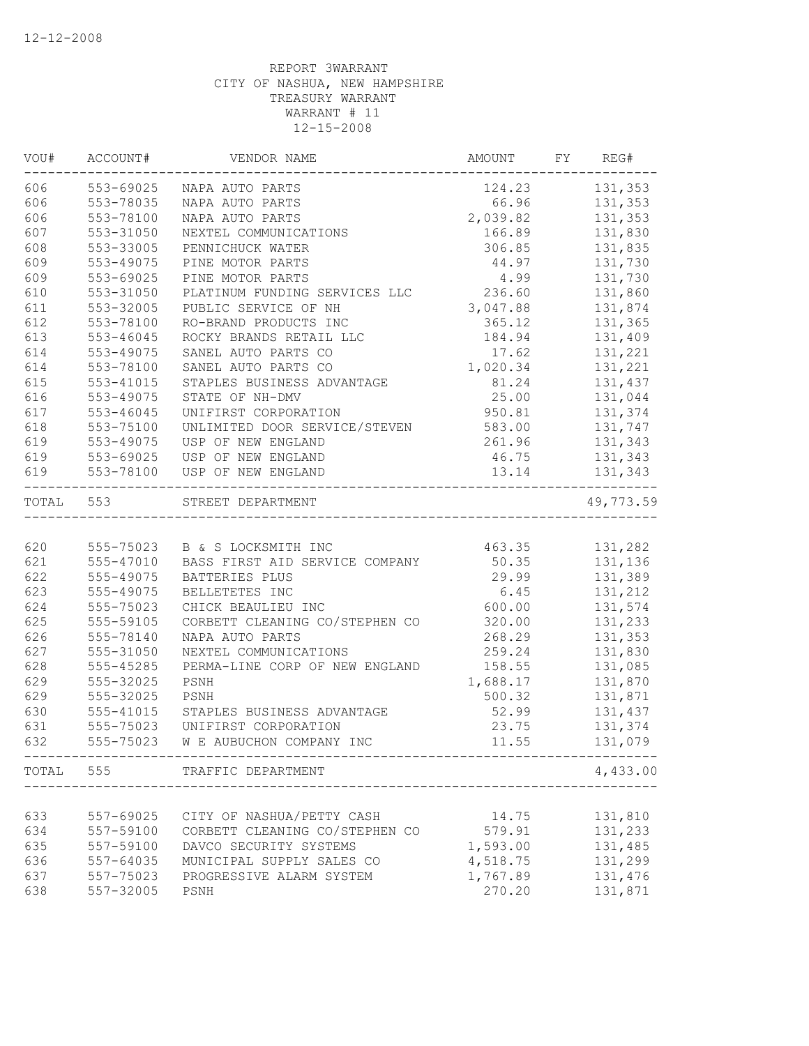| VOU#      | ACCOUNT#  | VENDOR NAME                                               | AMOUNT   | FY | REG#               |
|-----------|-----------|-----------------------------------------------------------|----------|----|--------------------|
| 606       | 553-69025 | NAPA AUTO PARTS                                           | 124.23   |    | 131,353            |
| 606       | 553-78035 | NAPA AUTO PARTS                                           | 66.96    |    | 131,353            |
| 606       | 553-78100 | NAPA AUTO PARTS                                           | 2,039.82 |    | 131,353            |
| 607       | 553-31050 | NEXTEL COMMUNICATIONS                                     | 166.89   |    | 131,830            |
| 608       | 553-33005 | PENNICHUCK WATER                                          | 306.85   |    | 131,835            |
| 609       | 553-49075 | PINE MOTOR PARTS                                          | 44.97    |    | 131,730            |
| 609       | 553-69025 | PINE MOTOR PARTS                                          | 4.99     |    | 131,730            |
| 610       | 553-31050 | PLATINUM FUNDING SERVICES LLC                             | 236.60   |    | 131,860            |
| 611       | 553-32005 | PUBLIC SERVICE OF NH                                      | 3,047.88 |    | 131,874            |
| 612       | 553-78100 | RO-BRAND PRODUCTS INC                                     | 365.12   |    | 131,365            |
| 613       | 553-46045 | ROCKY BRANDS RETAIL LLC                                   | 184.94   |    | 131,409            |
| 614       | 553-49075 | SANEL AUTO PARTS CO                                       | 17.62    |    | 131,221            |
| 614       | 553-78100 | SANEL AUTO PARTS CO                                       | 1,020.34 |    | 131,221            |
| 615       | 553-41015 | STAPLES BUSINESS ADVANTAGE                                | 81.24    |    | 131,437            |
| 616       | 553-49075 | STATE OF NH-DMV                                           | 25.00    |    | 131,044            |
| 617       | 553-46045 | UNIFIRST CORPORATION                                      | 950.81   |    | 131,374            |
| 618       | 553-75100 | UNLIMITED DOOR SERVICE/STEVEN                             | 583.00   |    | 131,747            |
| 619       | 553-49075 | USP OF NEW ENGLAND                                        | 261.96   |    | 131,343            |
| 619       | 553-69025 | USP OF NEW ENGLAND                                        | 46.75    |    | 131,343            |
| 619       | 553-78100 | USP OF NEW ENGLAND                                        | 13.14    |    | 131,343<br>------- |
| TOTAL 553 |           | STREET DEPARTMENT<br>-<br>------------------------------- |          |    | 49,773.59          |
|           |           |                                                           |          |    |                    |
| 620       |           | 555-75023 B & S LOCKSMITH INC                             | 463.35   |    | 131,282            |
| 621       | 555-47010 | BASS FIRST AID SERVICE COMPANY                            | 50.35    |    | 131,136            |
| 622       | 555-49075 | BATTERIES PLUS                                            | 29.99    |    | 131,389            |
| 623       | 555-49075 | BELLETETES INC                                            | 6.45     |    | 131,212            |
| 624       | 555-75023 | CHICK BEAULIEU INC                                        | 600.00   |    | 131,574            |
| 625       | 555-59105 | CORBETT CLEANING CO/STEPHEN CO                            | 320.00   |    | 131,233            |
| 626       | 555-78140 | NAPA AUTO PARTS                                           | 268.29   |    | 131,353            |
| 627       | 555-31050 | NEXTEL COMMUNICATIONS                                     | 259.24   |    | 131,830            |
| 628       | 555-45285 | PERMA-LINE CORP OF NEW ENGLAND                            | 158.55   |    | 131,085            |
| 629       | 555-32025 | PSNH                                                      | 1,688.17 |    | 131,870            |
| 629       | 555-32025 | PSNH                                                      | 500.32   |    | 131,871            |
| 630       | 555-41015 | STAPLES BUSINESS ADVANTAGE                                | 52.99    |    | 131,437            |
| 631       | 555-75023 | UNIFIRST CORPORATION                                      | 23.75    |    | 131,374            |
| 632       | 555-75023 | W E AUBUCHON COMPANY INC                                  | 11.55    |    | 131,079            |
|           |           | TOTAL 555 TRAFFIC DEPARTMENT                              |          |    | 4,433.00           |
|           |           |                                                           |          |    |                    |
| 633       | 557-69025 | CITY OF NASHUA/PETTY CASH                                 | 14.75    |    | 131,810            |
| 634       | 557-59100 | CORBETT CLEANING CO/STEPHEN CO                            | 579.91   |    | 131,233            |
| 635       | 557-59100 | DAVCO SECURITY SYSTEMS                                    | 1,593.00 |    | 131,485            |
| 636       | 557-64035 | MUNICIPAL SUPPLY SALES CO                                 | 4,518.75 |    | 131,299            |
| 637       | 557-75023 | PROGRESSIVE ALARM SYSTEM                                  | 1,767.89 |    | 131,476            |
| 638       | 557-32005 | PSNH                                                      | 270.20   |    | 131,871            |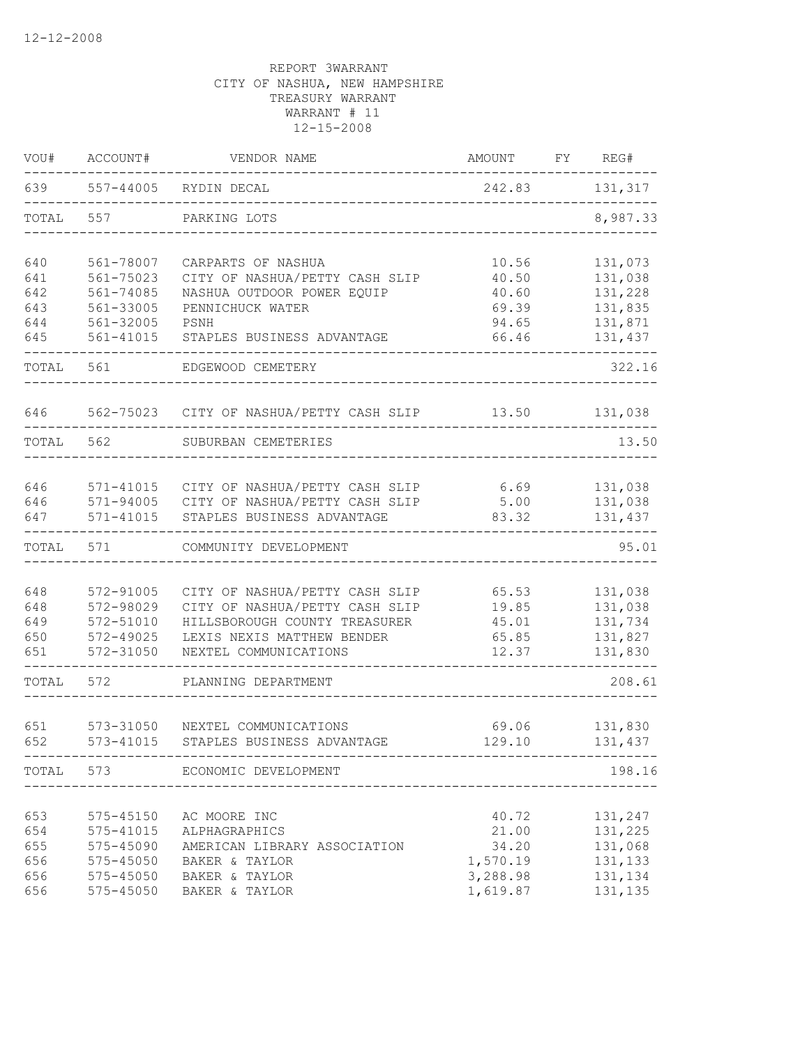| VOU#       | ACCOUNT#               | VENDOR NAME                                             | AMOUNT         | FY REG#            |
|------------|------------------------|---------------------------------------------------------|----------------|--------------------|
| 639        |                        | 557-44005 RYDIN DECAL<br>______________________________ |                | 242.83 131,317     |
| TOTAL      | 557                    | PARKING LOTS                                            |                | 8,987.33           |
| 640        | 561-78007              | CARPARTS OF NASHUA                                      | 10.56          | 131,073            |
| 641        | 561-75023              | CITY OF NASHUA/PETTY CASH SLIP                          | 40.50          | 131,038            |
| 642        | 561-74085              | NASHUA OUTDOOR POWER EQUIP                              | 40.60          | 131,228            |
| 643        | 561-33005              | PENNICHUCK WATER                                        | 69.39          | 131,835            |
| 644        | 561-32005              | PSNH                                                    | 94.65          | 131,871            |
| 645        | 561-41015              | STAPLES BUSINESS ADVANTAGE                              | 66.46          | 131,437            |
| TOTAL      | 561                    | EDGEWOOD CEMETERY                                       |                | 322.16             |
| 646        |                        | 562-75023 CITY OF NASHUA/PETTY CASH SLIP 13.50          |                | 131,038            |
| TOTAL      | 562                    | SUBURBAN CEMETERIES                                     |                | 13.50              |
|            |                        |                                                         |                |                    |
| 646        |                        | 571-41015 CITY OF NASHUA/PETTY CASH SLIP                | 6.69           | 131,038            |
| 646        |                        | 571-94005 CITY OF NASHUA/PETTY CASH SLIP                | 5.00           | 131,038            |
| 647        | 571-41015              | STAPLES BUSINESS ADVANTAGE                              | 83.32          | 131,437            |
| TOTAL      | 571                    | COMMUNITY DEVELOPMENT                                   |                | 95.01              |
|            |                        |                                                         |                |                    |
| 648        | 572-91005              | CITY OF NASHUA/PETTY CASH SLIP                          | 65.53          | 131,038            |
| 648<br>649 | 572-98029              | CITY OF NASHUA/PETTY CASH SLIP                          | 19.85          | 131,038            |
| 650        | 572-51010<br>572-49025 | HILLSBOROUGH COUNTY TREASURER                           | 45.01          | 131,734            |
| 651        | 572-31050              | LEXIS NEXIS MATTHEW BENDER<br>NEXTEL COMMUNICATIONS     | 65.85<br>12.37 | 131,827<br>131,830 |
|            |                        |                                                         |                |                    |
| TOTAL      | 572                    | PLANNING DEPARTMENT                                     |                | 208.61             |
|            |                        |                                                         |                |                    |
| 651        | 573-31050              | NEXTEL COMMUNICATIONS                                   |                | 69.06 131,830      |
| 652        | 573-41015              | STAPLES BUSINESS ADVANTAGE                              | 129.10         | 131,437            |
|            |                        | TOTAL 573 ECONOMIC DEVELOPMENT                          |                | 198.16             |
|            |                        |                                                         |                |                    |
| 653        | 575-45150              | AC MOORE INC                                            | 40.72          | 131,247            |
| 654        | 575-41015              | ALPHAGRAPHICS                                           | 21.00          | 131,225            |
| 655        | 575-45090              | AMERICAN LIBRARY ASSOCIATION                            | 34.20          | 131,068            |
| 656        | $575 - 45050$          | BAKER & TAYLOR                                          | 1,570.19       | 131,133            |
| 656        | $575 - 45050$          | BAKER & TAYLOR                                          | 3,288.98       | 131,134            |
| 656        | 575-45050              | BAKER & TAYLOR                                          | 1,619.87       | 131,135            |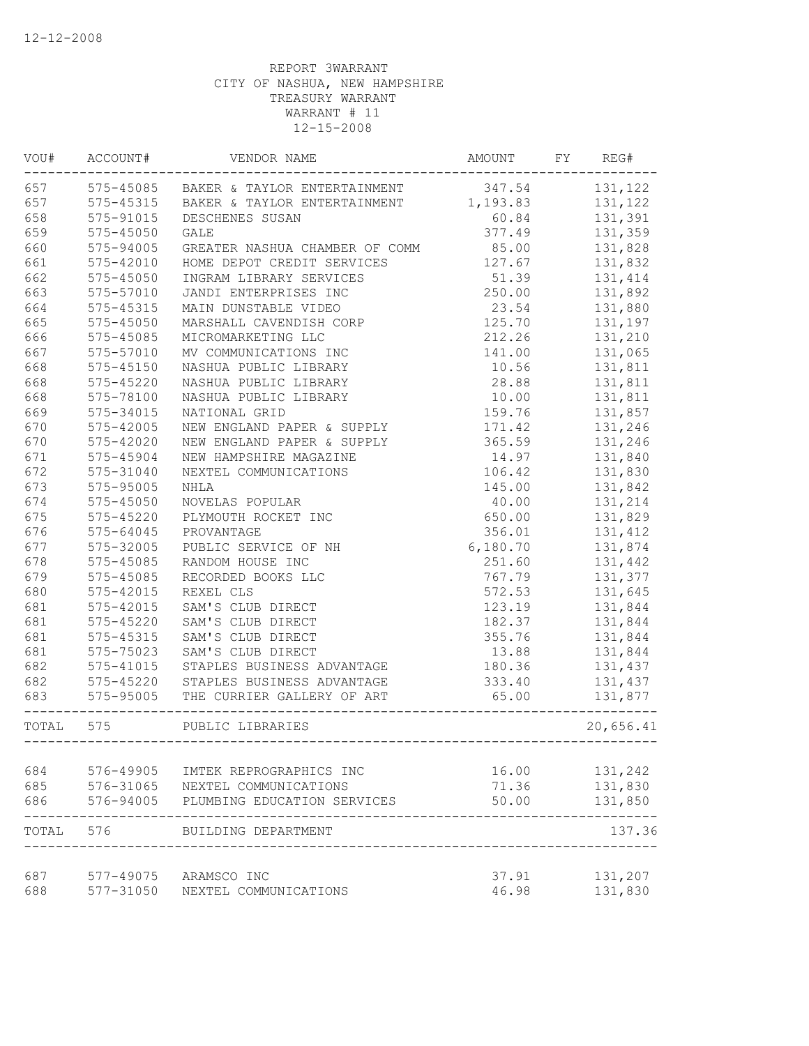| WOU#      | ACCOUNT#      | VENDOR NAME                                   | AMOUNT   | FY | REG#      |
|-----------|---------------|-----------------------------------------------|----------|----|-----------|
| 657       |               | 575-45085 BAKER & TAYLOR ENTERTAINMENT 347.54 |          |    | 131,122   |
| 657       | 575-45315     | BAKER & TAYLOR ENTERTAINMENT                  | 1,193.83 |    | 131,122   |
| 658       | 575-91015     | DESCHENES SUSAN                               | 60.84    |    | 131,391   |
| 659       | $575 - 45050$ | <b>GALE</b>                                   | 377.49   |    | 131,359   |
| 660       | 575-94005     | GREATER NASHUA CHAMBER OF COMM                | 85.00    |    | 131,828   |
| 661       | 575-42010     | HOME DEPOT CREDIT SERVICES                    | 127.67   |    | 131,832   |
| 662       | $575 - 45050$ | INGRAM LIBRARY SERVICES                       | 51.39    |    | 131,414   |
| 663       | 575-57010     | JANDI ENTERPRISES INC                         | 250.00   |    | 131,892   |
| 664       | 575-45315     | MAIN DUNSTABLE VIDEO                          | 23.54    |    | 131,880   |
| 665       | 575-45050     | MARSHALL CAVENDISH CORP                       | 125.70   |    | 131,197   |
| 666       | 575-45085     | MICROMARKETING LLC                            | 212.26   |    | 131,210   |
| 667       | 575-57010     | MV COMMUNICATIONS INC                         | 141.00   |    | 131,065   |
| 668       | 575-45150     | NASHUA PUBLIC LIBRARY                         | 10.56    |    | 131,811   |
| 668       | 575-45220     | NASHUA PUBLIC LIBRARY                         | 28.88    |    | 131,811   |
| 668       | 575-78100     | NASHUA PUBLIC LIBRARY                         | 10.00    |    | 131,811   |
| 669       | 575-34015     | NATIONAL GRID                                 | 159.76   |    | 131,857   |
| 670       | 575-42005     | NEW ENGLAND PAPER & SUPPLY                    | 171.42   |    | 131,246   |
| 670       | 575-42020     | NEW ENGLAND PAPER & SUPPLY                    | 365.59   |    | 131,246   |
| 671       | 575-45904     | NEW HAMPSHIRE MAGAZINE                        | 14.97    |    | 131,840   |
| 672       | 575-31040     | NEXTEL COMMUNICATIONS                         | 106.42   |    | 131,830   |
| 673       | 575-95005     | NHLA                                          | 145.00   |    | 131,842   |
| 674       | $575 - 45050$ | NOVELAS POPULAR                               | 40.00    |    | 131,214   |
| 675       | $575 - 45220$ | PLYMOUTH ROCKET INC                           | 650.00   |    | 131,829   |
| 676       | $575 - 64045$ | PROVANTAGE                                    | 356.01   |    | 131,412   |
| 677       |               |                                               | 6,180.70 |    |           |
|           | 575-32005     | PUBLIC SERVICE OF NH                          |          |    | 131,874   |
| 678       | 575-45085     | RANDOM HOUSE INC                              | 251.60   |    | 131,442   |
| 679       | $575 - 45085$ | RECORDED BOOKS LLC                            | 767.79   |    | 131,377   |
| 680       | 575-42015     | REXEL CLS                                     | 572.53   |    | 131,645   |
| 681       | 575-42015     | SAM'S CLUB DIRECT                             | 123.19   |    | 131,844   |
| 681       | 575-45220     | SAM'S CLUB DIRECT                             | 182.37   |    | 131,844   |
| 681       | 575-45315     | SAM'S CLUB DIRECT                             | 355.76   |    | 131,844   |
| 681       | 575-75023     | SAM'S CLUB DIRECT                             | 13.88    |    | 131,844   |
| 682       | 575-41015     | STAPLES BUSINESS ADVANTAGE                    | 180.36   |    | 131,437   |
| 682       | 575-45220     | STAPLES BUSINESS ADVANTAGE                    | 333.40   |    | 131,437   |
| 683       | 575-95005     | THE CURRIER GALLERY OF ART                    | 65.00    |    | 131,877   |
| TOTAL 575 |               | PUBLIC LIBRARIES<br>-------------             |          |    | 20,656.41 |
| 684       |               |                                               |          |    |           |
|           | 576-49905     | IMTEK REPROGRAPHICS INC                       | 16.00    |    | 131,242   |
| 685       | 576-31065     | NEXTEL COMMUNICATIONS                         | 71.36    |    | 131,830   |
| 686       | 576-94005     | PLUMBING EDUCATION SERVICES                   | 50.00    |    | 131,850   |
| TOTAL     | 576           | BUILDING DEPARTMENT                           |          |    | 137.36    |
| 687       |               | 577-49075 ARAMSCO INC                         | 37.91    |    | 131,207   |
| 688       | 577-31050     | NEXTEL COMMUNICATIONS                         | 46.98    |    | 131,830   |
|           |               |                                               |          |    |           |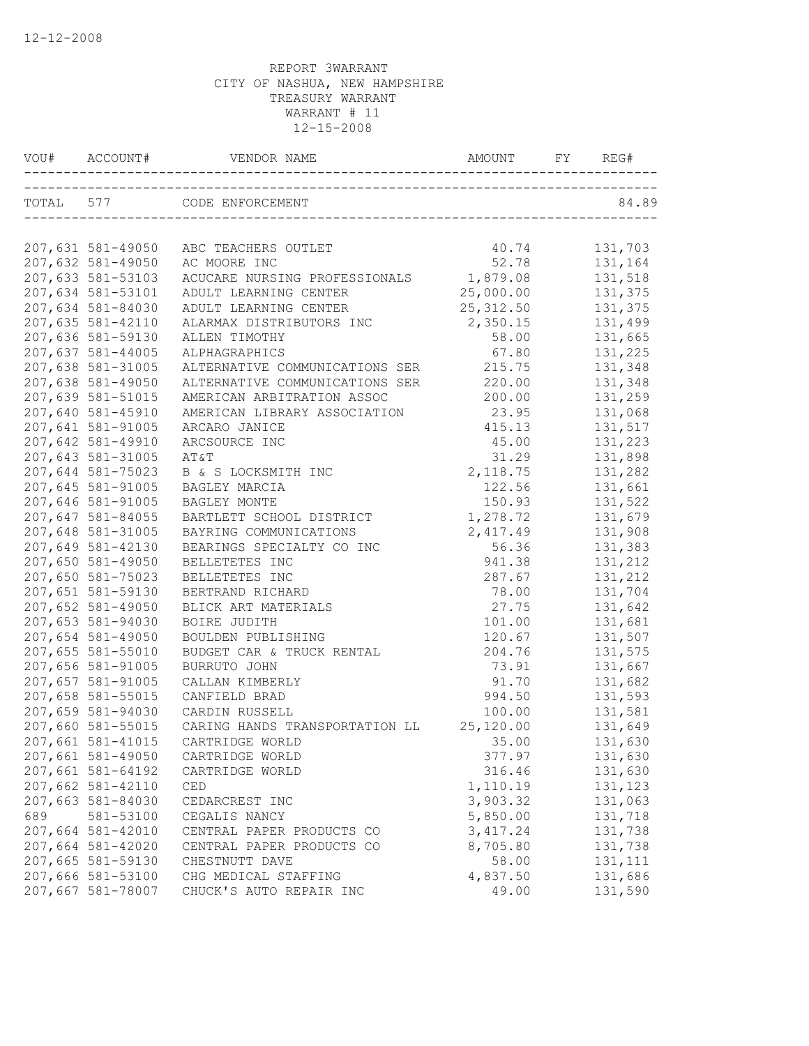| VOU# ACCOUNT#     | VENDOR NAME                    | AMOUNT     | FY | REG#     |
|-------------------|--------------------------------|------------|----|----------|
|                   | TOTAL 577 CODE ENFORCEMENT     |            |    | 84.89    |
| 207,631 581-49050 | ABC TEACHERS OUTLET            | 40.74      |    | 131,703  |
| 207,632 581-49050 | AC MOORE INC                   | 52.78      |    | 131,164  |
| 207,633 581-53103 | ACUCARE NURSING PROFESSIONALS  | 1,879.08   |    | 131,518  |
| 207,634 581-53101 | ADULT LEARNING CENTER          | 25,000.00  |    | 131,375  |
| 207,634 581-84030 | ADULT LEARNING CENTER          | 25, 312.50 |    | 131,375  |
| 207,635 581-42110 | ALARMAX DISTRIBUTORS INC       | 2,350.15   |    | 131,499  |
| 207,636 581-59130 | ALLEN TIMOTHY                  | 58.00      |    | 131,665  |
| 207,637 581-44005 | ALPHAGRAPHICS                  | 67.80      |    | 131,225  |
| 207,638 581-31005 | ALTERNATIVE COMMUNICATIONS SER | 215.75     |    | 131,348  |
| 207,638 581-49050 | ALTERNATIVE COMMUNICATIONS SER | 220.00     |    | 131,348  |
| 207,639 581-51015 | AMERICAN ARBITRATION ASSOC     | 200.00     |    | 131,259  |
| 207,640 581-45910 | AMERICAN LIBRARY ASSOCIATION   | 23.95      |    | 131,068  |
| 207,641 581-91005 | ARCARO JANICE                  | 415.13     |    | 131,517  |
| 207,642 581-49910 | ARCSOURCE INC                  | 45.00      |    | 131,223  |
| 207,643 581-31005 | AT&T                           | 31.29      |    | 131,898  |
| 207,644 581-75023 | B & S LOCKSMITH INC            | 2, 118.75  |    | 131,282  |
| 207,645 581-91005 | BAGLEY MARCIA                  | 122.56     |    | 131,661  |
| 207,646 581-91005 | BAGLEY MONTE                   | 150.93     |    | 131,522  |
| 207,647 581-84055 | BARTLETT SCHOOL DISTRICT       | 1,278.72   |    | 131,679  |
| 207,648 581-31005 | BAYRING COMMUNICATIONS         | 2, 417.49  |    | 131,908  |
| 207,649 581-42130 | BEARINGS SPECIALTY CO INC      | 56.36      |    | 131,383  |
| 207,650 581-49050 | BELLETETES INC                 | 941.38     |    | 131,212  |
| 207,650 581-75023 | BELLETETES INC                 | 287.67     |    | 131,212  |
| 207,651 581-59130 | BERTRAND RICHARD               | 78.00      |    | 131,704  |
| 207,652 581-49050 | BLICK ART MATERIALS            | 27.75      |    | 131,642  |
| 207,653 581-94030 | BOIRE JUDITH                   | 101.00     |    | 131,681  |
| 207,654 581-49050 | BOULDEN PUBLISHING             | 120.67     |    | 131,507  |
| 207,655 581-55010 | BUDGET CAR & TRUCK RENTAL      | 204.76     |    | 131,575  |
| 207,656 581-91005 | BURRUTO JOHN                   | 73.91      |    | 131,667  |
| 207,657 581-91005 | CALLAN KIMBERLY                | 91.70      |    | 131,682  |
| 207,658 581-55015 | CANFIELD BRAD                  | 994.50     |    | 131,593  |
| 207,659 581-94030 | CARDIN RUSSELL                 | 100.00     |    | 131,581  |
| 207,660 581-55015 | CARING HANDS TRANSPORTATION LL | 25,120.00  |    | 131,649  |
| 207,661 581-41015 | CARTRIDGE WORLD                | 35.00      |    | 131,630  |
| 207,661 581-49050 | CARTRIDGE WORLD                | 377.97     |    | 131,630  |
| 207,661 581-64192 | CARTRIDGE WORLD                | 316.46     |    | 131,630  |
| 207,662 581-42110 | CED                            | 1,110.19   |    | 131,123  |
| 207,663 581-84030 | CEDARCREST INC                 | 3,903.32   |    | 131,063  |
| 689 581-53100     | CEGALIS NANCY                  | 5,850.00   |    | 131,718  |
| 207,664 581-42010 | CENTRAL PAPER PRODUCTS CO      | 3, 417.24  |    | 131,738  |
| 207,664 581-42020 | CENTRAL PAPER PRODUCTS CO      | 8,705.80   |    | 131,738  |
| 207,665 581-59130 | CHESTNUTT DAVE                 | 58.00      |    | 131, 111 |
| 207,666 581-53100 | CHG MEDICAL STAFFING           | 4,837.50   |    | 131,686  |
| 207,667 581-78007 | CHUCK'S AUTO REPAIR INC        | 49.00      |    | 131,590  |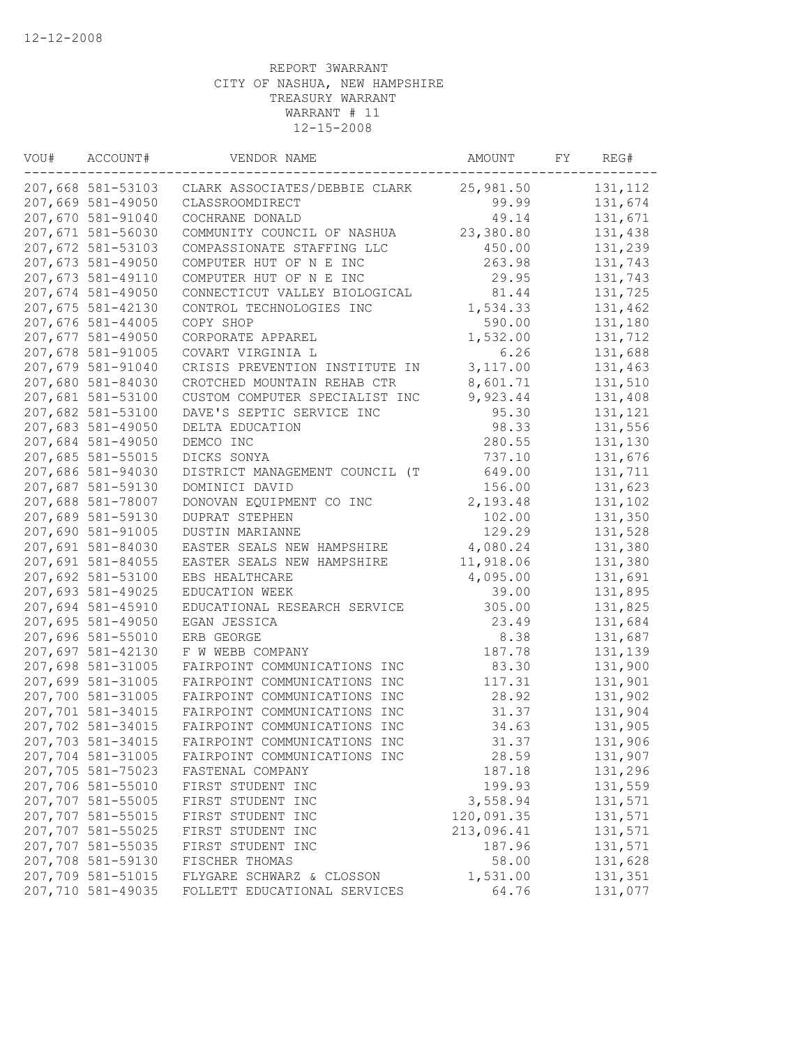| VOU# | ACCOUNT#          | VENDOR NAME                    | AMOUNT     | FY | REG#    |
|------|-------------------|--------------------------------|------------|----|---------|
|      | 207,668 581-53103 | CLARK ASSOCIATES/DEBBIE CLARK  | 25,981.50  |    | 131,112 |
|      | 207,669 581-49050 | CLASSROOMDIRECT                | 99.99      |    | 131,674 |
|      | 207,670 581-91040 | COCHRANE DONALD                | 49.14      |    | 131,671 |
|      | 207,671 581-56030 | COMMUNITY COUNCIL OF NASHUA    | 23,380.80  |    | 131,438 |
|      | 207,672 581-53103 | COMPASSIONATE STAFFING LLC     | 450.00     |    | 131,239 |
|      | 207,673 581-49050 | COMPUTER HUT OF N E INC        | 263.98     |    | 131,743 |
|      | 207,673 581-49110 | COMPUTER HUT OF N E INC        | 29.95      |    | 131,743 |
|      | 207,674 581-49050 | CONNECTICUT VALLEY BIOLOGICAL  | 81.44      |    | 131,725 |
|      | 207,675 581-42130 | CONTROL TECHNOLOGIES INC       | 1,534.33   |    | 131,462 |
|      | 207,676 581-44005 | COPY SHOP                      | 590.00     |    | 131,180 |
|      | 207,677 581-49050 | CORPORATE APPAREL              | 1,532.00   |    | 131,712 |
|      | 207,678 581-91005 | COVART VIRGINIA L              | 6.26       |    | 131,688 |
|      | 207,679 581-91040 | CRISIS PREVENTION INSTITUTE IN | 3,117.00   |    | 131,463 |
|      | 207,680 581-84030 | CROTCHED MOUNTAIN REHAB CTR    | 8,601.71   |    | 131,510 |
|      | 207,681 581-53100 | CUSTOM COMPUTER SPECIALIST INC | 9,923.44   |    | 131,408 |
|      | 207,682 581-53100 | DAVE'S SEPTIC SERVICE INC      | 95.30      |    | 131,121 |
|      | 207,683 581-49050 | DELTA EDUCATION                | 98.33      |    | 131,556 |
|      | 207,684 581-49050 | DEMCO INC                      | 280.55     |    | 131,130 |
|      | 207,685 581-55015 | DICKS SONYA                    | 737.10     |    | 131,676 |
|      | 207,686 581-94030 | DISTRICT MANAGEMENT COUNCIL (T | 649.00     |    | 131,711 |
|      | 207,687 581-59130 | DOMINICI DAVID                 | 156.00     |    | 131,623 |
|      | 207,688 581-78007 | DONOVAN EQUIPMENT CO INC       | 2,193.48   |    | 131,102 |
|      | 207,689 581-59130 | <b>DUPRAT STEPHEN</b>          | 102.00     |    | 131,350 |
|      | 207,690 581-91005 | <b>DUSTIN MARIANNE</b>         | 129.29     |    | 131,528 |
|      | 207,691 581-84030 | EASTER SEALS NEW HAMPSHIRE     | 4,080.24   |    | 131,380 |
|      | 207,691 581-84055 | EASTER SEALS NEW HAMPSHIRE     | 11,918.06  |    | 131,380 |
|      | 207,692 581-53100 | EBS HEALTHCARE                 | 4,095.00   |    | 131,691 |
|      | 207,693 581-49025 | EDUCATION WEEK                 | 39.00      |    | 131,895 |
|      | 207,694 581-45910 | EDUCATIONAL RESEARCH SERVICE   | 305.00     |    | 131,825 |
|      | 207,695 581-49050 | EGAN JESSICA                   | 23.49      |    | 131,684 |
|      | 207,696 581-55010 | ERB GEORGE                     | 8.38       |    | 131,687 |
|      | 207,697 581-42130 | F W WEBB COMPANY               | 187.78     |    | 131,139 |
|      | 207,698 581-31005 | FAIRPOINT COMMUNICATIONS INC   | 83.30      |    | 131,900 |
|      | 207,699 581-31005 | FAIRPOINT COMMUNICATIONS INC   | 117.31     |    | 131,901 |
|      | 207,700 581-31005 | FAIRPOINT COMMUNICATIONS INC   | 28.92      |    | 131,902 |
|      | 207,701 581-34015 | FAIRPOINT COMMUNICATIONS INC   | 31.37      |    | 131,904 |
|      | 207,702 581-34015 | FAIRPOINT COMMUNICATIONS INC   | 34.63      |    | 131,905 |
|      | 207,703 581-34015 | FAIRPOINT COMMUNICATIONS INC   | 31.37      |    | 131,906 |
|      | 207,704 581-31005 | FAIRPOINT COMMUNICATIONS INC   | 28.59      |    | 131,907 |
|      | 207,705 581-75023 | FASTENAL COMPANY               | 187.18     |    | 131,296 |
|      | 207,706 581-55010 | FIRST STUDENT INC              | 199.93     |    | 131,559 |
|      | 207,707 581-55005 | FIRST STUDENT INC              | 3,558.94   |    | 131,571 |
|      | 207,707 581-55015 | FIRST STUDENT INC              | 120,091.35 |    | 131,571 |
|      | 207,707 581-55025 | FIRST STUDENT INC              | 213,096.41 |    | 131,571 |
|      | 207,707 581-55035 | FIRST STUDENT INC              | 187.96     |    | 131,571 |
|      | 207,708 581-59130 | FISCHER THOMAS                 | 58.00      |    | 131,628 |
|      | 207,709 581-51015 | FLYGARE SCHWARZ & CLOSSON      | 1,531.00   |    | 131,351 |
|      | 207,710 581-49035 | FOLLETT EDUCATIONAL SERVICES   | 64.76      |    | 131,077 |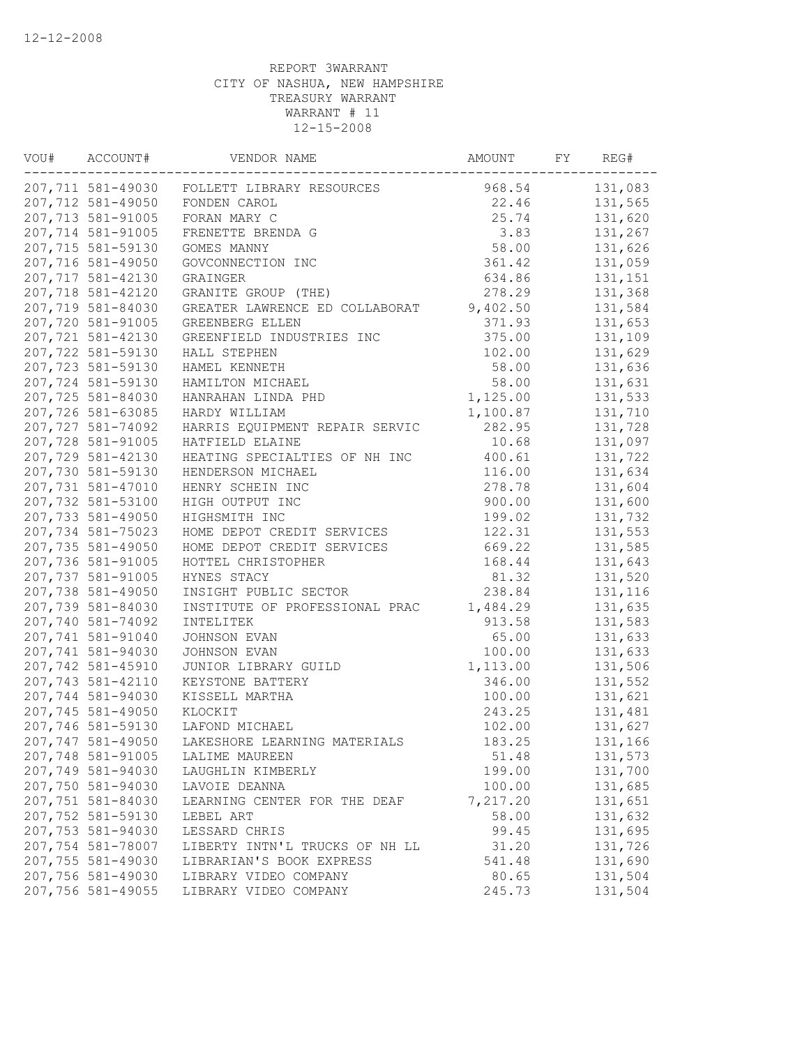| VOU# | ACCOUNT#          | VENDOR NAME                                 | AMOUNT   | FY | REG#    |
|------|-------------------|---------------------------------------------|----------|----|---------|
|      |                   | 207,711 581-49030 FOLLETT LIBRARY RESOURCES | 968.54   |    | 131,083 |
|      | 207,712 581-49050 | FONDEN CAROL                                | 22.46    |    | 131,565 |
|      | 207,713 581-91005 | FORAN MARY C                                | 25.74    |    | 131,620 |
|      | 207,714 581-91005 | FRENETTE BRENDA G                           | 3.83     |    | 131,267 |
|      | 207,715 581-59130 | GOMES MANNY                                 | 58.00    |    | 131,626 |
|      | 207,716 581-49050 | GOVCONNECTION INC                           | 361.42   |    | 131,059 |
|      | 207,717 581-42130 | GRAINGER                                    | 634.86   |    | 131,151 |
|      | 207,718 581-42120 | GRANITE GROUP (THE)                         | 278.29   |    | 131,368 |
|      | 207,719 581-84030 | GREATER LAWRENCE ED COLLABORAT              | 9,402.50 |    | 131,584 |
|      | 207,720 581-91005 | GREENBERG ELLEN                             | 371.93   |    | 131,653 |
|      | 207,721 581-42130 | GREENFIELD INDUSTRIES INC                   | 375.00   |    | 131,109 |
|      | 207,722 581-59130 | HALL STEPHEN                                | 102.00   |    | 131,629 |
|      | 207,723 581-59130 | HAMEL KENNETH                               | 58.00    |    | 131,636 |
|      | 207,724 581-59130 | HAMILTON MICHAEL                            | 58.00    |    | 131,631 |
|      | 207,725 581-84030 | HANRAHAN LINDA PHD                          | 1,125.00 |    | 131,533 |
|      | 207,726 581-63085 | HARDY WILLIAM                               | 1,100.87 |    | 131,710 |
|      | 207,727 581-74092 | HARRIS EQUIPMENT REPAIR SERVIC              | 282.95   |    | 131,728 |
|      | 207,728 581-91005 | HATFIELD ELAINE                             | 10.68    |    | 131,097 |
|      | 207,729 581-42130 | HEATING SPECIALTIES OF NH INC               | 400.61   |    | 131,722 |
|      | 207,730 581-59130 | HENDERSON MICHAEL                           | 116.00   |    | 131,634 |
|      | 207,731 581-47010 | HENRY SCHEIN INC                            | 278.78   |    | 131,604 |
|      | 207,732 581-53100 | HIGH OUTPUT INC                             | 900.00   |    | 131,600 |
|      | 207,733 581-49050 | HIGHSMITH INC                               | 199.02   |    | 131,732 |
|      | 207,734 581-75023 | HOME DEPOT CREDIT SERVICES                  | 122.31   |    | 131,553 |
|      | 207,735 581-49050 | HOME DEPOT CREDIT SERVICES                  | 669.22   |    | 131,585 |
|      | 207,736 581-91005 | HOTTEL CHRISTOPHER                          | 168.44   |    | 131,643 |
|      | 207,737 581-91005 | HYNES STACY                                 | 81.32    |    | 131,520 |
|      | 207,738 581-49050 | INSIGHT PUBLIC SECTOR                       | 238.84   |    | 131,116 |
|      | 207,739 581-84030 | INSTITUTE OF PROFESSIONAL PRAC              | 1,484.29 |    | 131,635 |
|      | 207,740 581-74092 | INTELITEK                                   | 913.58   |    | 131,583 |
|      | 207,741 581-91040 | JOHNSON EVAN                                | 65.00    |    | 131,633 |
|      | 207,741 581-94030 | JOHNSON EVAN                                | 100.00   |    | 131,633 |
|      | 207,742 581-45910 | JUNIOR LIBRARY GUILD                        | 1,113.00 |    | 131,506 |
|      | 207,743 581-42110 | KEYSTONE BATTERY                            | 346.00   |    | 131,552 |
|      | 207,744 581-94030 | KISSELL MARTHA                              | 100.00   |    | 131,621 |
|      | 207,745 581-49050 | KLOCKIT                                     | 243.25   |    | 131,481 |
|      | 207,746 581-59130 | LAFOND MICHAEL                              | 102.00   |    | 131,627 |
|      | 207,747 581-49050 | LAKESHORE LEARNING MATERIALS                | 183.25   |    | 131,166 |
|      | 207,748 581-91005 | LALIME MAUREEN                              | 51.48    |    | 131,573 |
|      | 207,749 581-94030 | LAUGHLIN KIMBERLY                           | 199.00   |    | 131,700 |
|      | 207,750 581-94030 | LAVOIE DEANNA                               | 100.00   |    | 131,685 |
|      | 207,751 581-84030 | LEARNING CENTER FOR THE DEAF                | 7,217.20 |    | 131,651 |
|      | 207,752 581-59130 | LEBEL ART                                   | 58.00    |    | 131,632 |
|      | 207,753 581-94030 | LESSARD CHRIS                               | 99.45    |    | 131,695 |
|      | 207,754 581-78007 | LIBERTY INTN'L TRUCKS OF NH LL              | 31.20    |    | 131,726 |
|      | 207,755 581-49030 | LIBRARIAN'S BOOK EXPRESS                    | 541.48   |    | 131,690 |
|      | 207,756 581-49030 | LIBRARY VIDEO COMPANY                       | 80.65    |    | 131,504 |
|      | 207,756 581-49055 | LIBRARY VIDEO COMPANY                       | 245.73   |    | 131,504 |
|      |                   |                                             |          |    |         |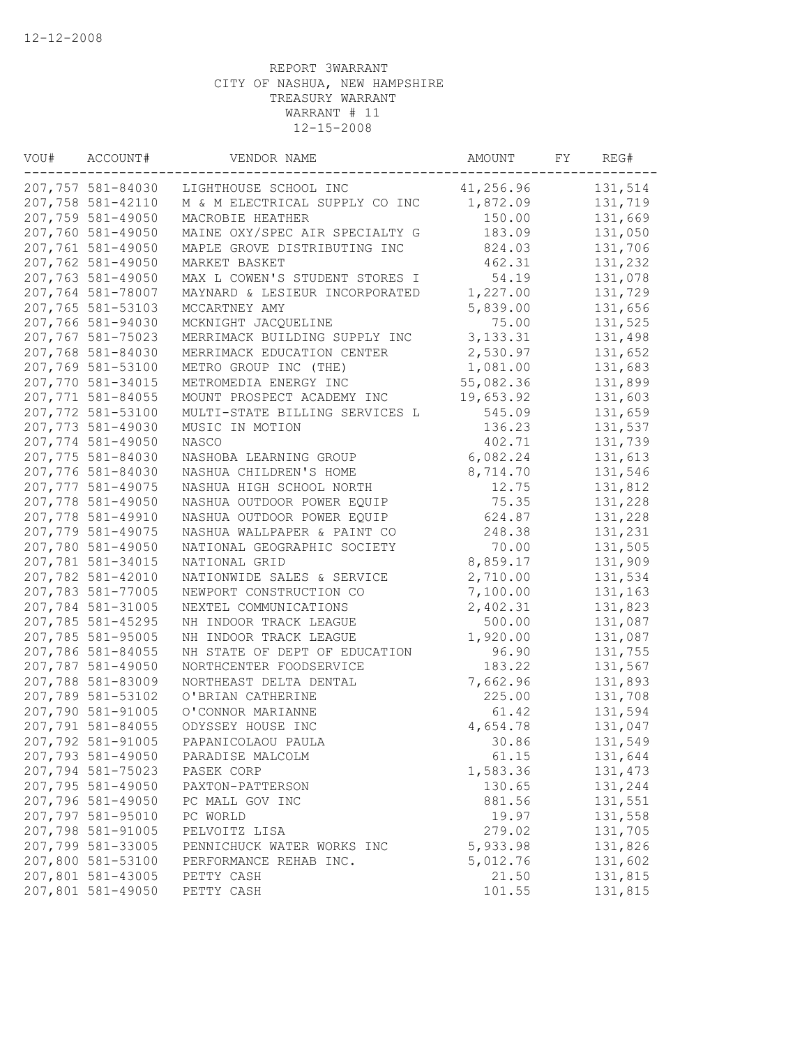| VOU# | ACCOUNT#          | VENDOR NAME                    | AMOUNT     | FY | REG#     |
|------|-------------------|--------------------------------|------------|----|----------|
|      | 207,757 581-84030 | LIGHTHOUSE SCHOOL INC          | 41,256.96  |    | 131,514  |
|      | 207,758 581-42110 | M & M ELECTRICAL SUPPLY CO INC | 1,872.09   |    | 131,719  |
|      | 207,759 581-49050 | MACROBIE HEATHER               | 150.00     |    | 131,669  |
|      | 207,760 581-49050 | MAINE OXY/SPEC AIR SPECIALTY G | 183.09     |    | 131,050  |
|      | 207,761 581-49050 | MAPLE GROVE DISTRIBUTING INC   | 824.03     |    | 131,706  |
|      | 207,762 581-49050 | MARKET BASKET                  | 462.31     |    | 131,232  |
|      | 207,763 581-49050 | MAX L COWEN'S STUDENT STORES I | 54.19      |    | 131,078  |
|      | 207,764 581-78007 | MAYNARD & LESIEUR INCORPORATED | 1,227.00   |    | 131,729  |
|      | 207,765 581-53103 | MCCARTNEY AMY                  | 5,839.00   |    | 131,656  |
|      | 207,766 581-94030 | MCKNIGHT JACQUELINE            | 75.00      |    | 131,525  |
|      | 207,767 581-75023 | MERRIMACK BUILDING SUPPLY INC  | 3, 133. 31 |    | 131,498  |
|      | 207,768 581-84030 | MERRIMACK EDUCATION CENTER     | 2,530.97   |    | 131,652  |
|      | 207,769 581-53100 | METRO GROUP INC (THE)          | 1,081.00   |    | 131,683  |
|      | 207,770 581-34015 | METROMEDIA ENERGY INC          | 55,082.36  |    | 131,899  |
|      | 207,771 581-84055 | MOUNT PROSPECT ACADEMY INC     | 19,653.92  |    | 131,603  |
|      | 207,772 581-53100 | MULTI-STATE BILLING SERVICES L | 545.09     |    | 131,659  |
|      | 207,773 581-49030 | MUSIC IN MOTION                | 136.23     |    | 131,537  |
|      | 207,774 581-49050 | NASCO                          | 402.71     |    | 131,739  |
|      | 207,775 581-84030 | NASHOBA LEARNING GROUP         | 6,082.24   |    | 131,613  |
|      | 207,776 581-84030 | NASHUA CHILDREN'S HOME         | 8,714.70   |    | 131,546  |
|      | 207,777 581-49075 | NASHUA HIGH SCHOOL NORTH       | 12.75      |    | 131,812  |
|      | 207,778 581-49050 | NASHUA OUTDOOR POWER EQUIP     | 75.35      |    | 131,228  |
|      | 207,778 581-49910 | NASHUA OUTDOOR POWER EQUIP     | 624.87     |    | 131,228  |
|      | 207,779 581-49075 | NASHUA WALLPAPER & PAINT CO    | 248.38     |    | 131,231  |
|      | 207,780 581-49050 | NATIONAL GEOGRAPHIC SOCIETY    | 70.00      |    | 131,505  |
|      | 207,781 581-34015 | NATIONAL GRID                  | 8,859.17   |    | 131,909  |
|      | 207,782 581-42010 | NATIONWIDE SALES & SERVICE     | 2,710.00   |    | 131,534  |
|      | 207,783 581-77005 | NEWPORT CONSTRUCTION CO        | 7,100.00   |    | 131,163  |
|      | 207,784 581-31005 | NEXTEL COMMUNICATIONS          | 2,402.31   |    | 131,823  |
|      | 207,785 581-45295 | NH INDOOR TRACK LEAGUE         | 500.00     |    | 131,087  |
|      | 207,785 581-95005 | NH INDOOR TRACK LEAGUE         | 1,920.00   |    | 131,087  |
|      | 207,786 581-84055 | NH STATE OF DEPT OF EDUCATION  | 96.90      |    | 131,755  |
|      | 207,787 581-49050 | NORTHCENTER FOODSERVICE        | 183.22     |    | 131,567  |
|      | 207,788 581-83009 | NORTHEAST DELTA DENTAL         | 7,662.96   |    | 131,893  |
|      | 207,789 581-53102 | O'BRIAN CATHERINE              | 225.00     |    | 131,708  |
|      | 207,790 581-91005 | O'CONNOR MARIANNE              | 61.42      |    | 131,594  |
|      | 207,791 581-84055 | ODYSSEY HOUSE INC              | 4,654.78   |    | 131,047  |
|      | 207,792 581-91005 | PAPANICOLAOU PAULA             | 30.86      |    | 131,549  |
|      | 207,793 581-49050 | PARADISE MALCOLM               | 61.15      |    | 131,644  |
|      | 207,794 581-75023 | PASEK CORP                     | 1,583.36   |    | 131, 473 |
|      | 207,795 581-49050 | PAXTON-PATTERSON               | 130.65     |    | 131,244  |
|      | 207,796 581-49050 | PC MALL GOV INC                | 881.56     |    | 131,551  |
|      | 207,797 581-95010 | PC WORLD                       | 19.97      |    | 131,558  |
|      | 207,798 581-91005 | PELVOITZ LISA                  | 279.02     |    | 131,705  |
|      | 207,799 581-33005 | PENNICHUCK WATER WORKS INC     | 5,933.98   |    | 131,826  |
|      | 207,800 581-53100 | PERFORMANCE REHAB INC.         | 5,012.76   |    | 131,602  |
|      | 207,801 581-43005 | PETTY CASH                     | 21.50      |    | 131,815  |
|      | 207,801 581-49050 | PETTY CASH                     | 101.55     |    | 131,815  |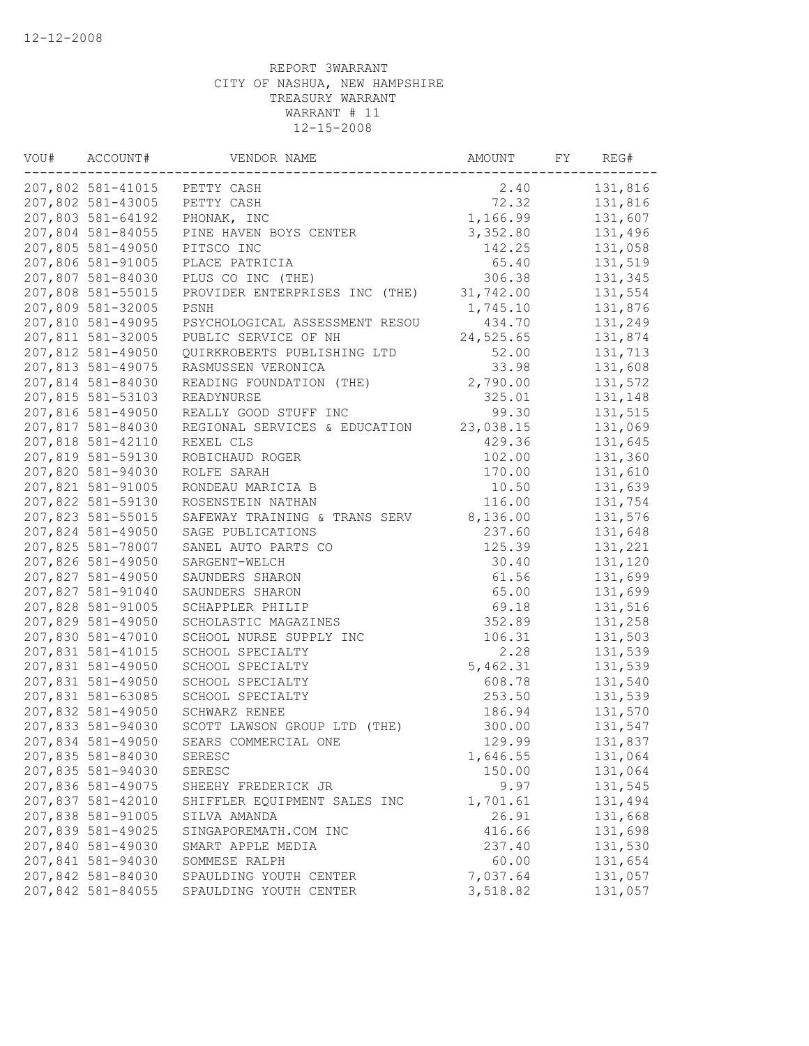| VOU# | ACCOUNT#          | VENDOR NAME                    | AMOUNT    | FY | REG#    |
|------|-------------------|--------------------------------|-----------|----|---------|
|      |                   | 207,802 581-41015 PETTY CASH   | 2.40      |    | 131,816 |
|      | 207,802 581-43005 | PETTY CASH                     | 72.32     |    | 131,816 |
|      | 207,803 581-64192 | PHONAK, INC                    | 1,166.99  |    | 131,607 |
|      | 207,804 581-84055 | PINE HAVEN BOYS CENTER         | 3,352.80  |    | 131,496 |
|      | 207,805 581-49050 | PITSCO INC                     | 142.25    |    | 131,058 |
|      | 207,806 581-91005 | PLACE PATRICIA                 | 65.40     |    | 131,519 |
|      | 207,807 581-84030 | PLUS CO INC (THE)              | 306.38    |    | 131,345 |
|      | 207,808 581-55015 | PROVIDER ENTERPRISES INC (THE) | 31,742.00 |    | 131,554 |
|      | 207,809 581-32005 | PSNH                           | 1,745.10  |    | 131,876 |
|      | 207,810 581-49095 | PSYCHOLOGICAL ASSESSMENT RESOU | 434.70    |    | 131,249 |
|      | 207,811 581-32005 | PUBLIC SERVICE OF NH           | 24,525.65 |    | 131,874 |
|      | 207,812 581-49050 | QUIRKROBERTS PUBLISHING LTD    | 52.00     |    | 131,713 |
|      | 207,813 581-49075 | RASMUSSEN VERONICA             | 33.98     |    | 131,608 |
|      | 207,814 581-84030 | READING FOUNDATION (THE)       | 2,790.00  |    | 131,572 |
|      | 207,815 581-53103 | READYNURSE                     | 325.01    |    | 131,148 |
|      | 207,816 581-49050 | REALLY GOOD STUFF INC          | 99.30     |    | 131,515 |
|      | 207,817 581-84030 | REGIONAL SERVICES & EDUCATION  | 23,038.15 |    | 131,069 |
|      | 207,818 581-42110 | REXEL CLS                      | 429.36    |    | 131,645 |
|      | 207,819 581-59130 | ROBICHAUD ROGER                | 102.00    |    | 131,360 |
|      | 207,820 581-94030 | ROLFE SARAH                    | 170.00    |    | 131,610 |
|      | 207,821 581-91005 | RONDEAU MARICIA B              | 10.50     |    | 131,639 |
|      | 207,822 581-59130 | ROSENSTEIN NATHAN              | 116.00    |    | 131,754 |
|      | 207,823 581-55015 | SAFEWAY TRAINING & TRANS SERV  | 8,136.00  |    | 131,576 |
|      | 207,824 581-49050 | SAGE PUBLICATIONS              | 237.60    |    | 131,648 |
|      | 207,825 581-78007 | SANEL AUTO PARTS CO            | 125.39    |    | 131,221 |
|      | 207,826 581-49050 | SARGENT-WELCH                  | 30.40     |    | 131,120 |
|      | 207,827 581-49050 | SAUNDERS SHARON                | 61.56     |    | 131,699 |
|      | 207,827 581-91040 | SAUNDERS SHARON                | 65.00     |    | 131,699 |
|      | 207,828 581-91005 | SCHAPPLER PHILIP               | 69.18     |    | 131,516 |
|      | 207,829 581-49050 | SCHOLASTIC MAGAZINES           | 352.89    |    | 131,258 |
|      | 207,830 581-47010 | SCHOOL NURSE SUPPLY INC        | 106.31    |    | 131,503 |
|      | 207,831 581-41015 | SCHOOL SPECIALTY               | 2.28      |    | 131,539 |
|      | 207,831 581-49050 | SCHOOL SPECIALTY               | 5,462.31  |    | 131,539 |
|      | 207,831 581-49050 | SCHOOL SPECIALTY               | 608.78    |    | 131,540 |
|      | 207,831 581-63085 | SCHOOL SPECIALTY               | 253.50    |    | 131,539 |
|      | 207,832 581-49050 | SCHWARZ RENEE                  | 186.94    |    | 131,570 |
|      | 207,833 581-94030 | SCOTT LAWSON GROUP LTD (THE)   | 300.00    |    | 131,547 |
|      | 207,834 581-49050 | SEARS COMMERCIAL ONE           | 129.99    |    | 131,837 |
|      | 207,835 581-84030 | SERESC                         | 1,646.55  |    | 131,064 |
|      | 207,835 581-94030 | SERESC                         | 150.00    |    | 131,064 |
|      | 207,836 581-49075 | SHEEHY FREDERICK JR            | 9.97      |    | 131,545 |
|      | 207,837 581-42010 | SHIFFLER EQUIPMENT SALES INC   | 1,701.61  |    | 131,494 |
|      | 207,838 581-91005 | SILVA AMANDA                   | 26.91     |    | 131,668 |
|      | 207,839 581-49025 | SINGAPOREMATH.COM INC          | 416.66    |    | 131,698 |
|      | 207,840 581-49030 | SMART APPLE MEDIA              | 237.40    |    | 131,530 |
|      | 207,841 581-94030 | SOMMESE RALPH                  | 60.00     |    | 131,654 |
|      | 207,842 581-84030 | SPAULDING YOUTH CENTER         | 7,037.64  |    | 131,057 |
|      | 207,842 581-84055 | SPAULDING YOUTH CENTER         | 3,518.82  |    | 131,057 |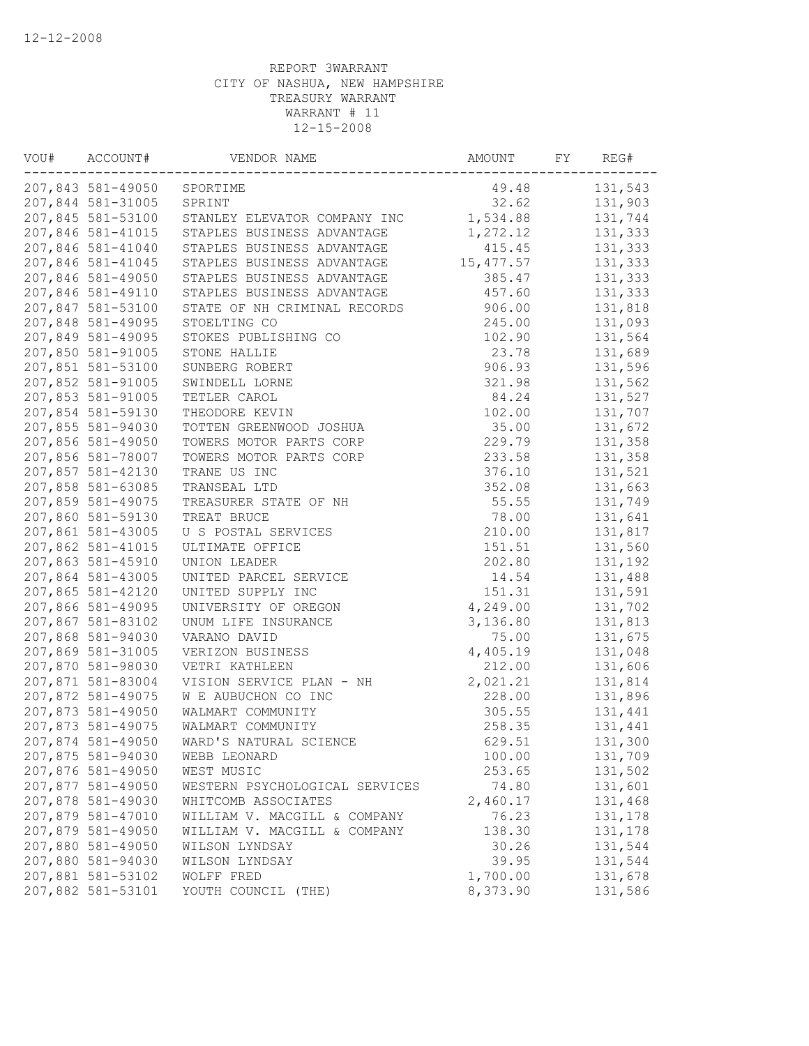| WOU# | ACCOUNT#          | VENDOR NAME                    | AMOUNT     | FY | REG#    |
|------|-------------------|--------------------------------|------------|----|---------|
|      | 207,843 581-49050 | SPORTIME                       | 49.48      |    | 131,543 |
|      | 207,844 581-31005 | SPRINT                         | 32.62      |    | 131,903 |
|      | 207,845 581-53100 | STANLEY ELEVATOR COMPANY INC   | 1,534.88   |    | 131,744 |
|      | 207,846 581-41015 | STAPLES BUSINESS ADVANTAGE     | 1,272.12   |    | 131,333 |
|      | 207,846 581-41040 | STAPLES BUSINESS ADVANTAGE     | 415.45     |    | 131,333 |
|      | 207,846 581-41045 | STAPLES BUSINESS ADVANTAGE     | 15, 477.57 |    | 131,333 |
|      | 207,846 581-49050 | STAPLES BUSINESS ADVANTAGE     | 385.47     |    | 131,333 |
|      | 207,846 581-49110 | STAPLES BUSINESS ADVANTAGE     | 457.60     |    | 131,333 |
|      | 207,847 581-53100 | STATE OF NH CRIMINAL RECORDS   | 906.00     |    | 131,818 |
|      | 207,848 581-49095 | STOELTING CO                   | 245.00     |    | 131,093 |
|      | 207,849 581-49095 | STOKES PUBLISHING CO           | 102.90     |    | 131,564 |
|      | 207,850 581-91005 | STONE HALLIE                   | 23.78      |    | 131,689 |
|      | 207,851 581-53100 | SUNBERG ROBERT                 | 906.93     |    | 131,596 |
|      | 207,852 581-91005 | SWINDELL LORNE                 | 321.98     |    | 131,562 |
|      | 207,853 581-91005 | TETLER CAROL                   | 84.24      |    | 131,527 |
|      | 207,854 581-59130 | THEODORE KEVIN                 | 102.00     |    | 131,707 |
|      | 207,855 581-94030 | TOTTEN GREENWOOD JOSHUA        | 35.00      |    | 131,672 |
|      | 207,856 581-49050 | TOWERS MOTOR PARTS CORP        | 229.79     |    | 131,358 |
|      | 207,856 581-78007 | TOWERS MOTOR PARTS CORP        | 233.58     |    | 131,358 |
|      | 207,857 581-42130 | TRANE US INC                   | 376.10     |    | 131,521 |
|      | 207,858 581-63085 | TRANSEAL LTD                   | 352.08     |    | 131,663 |
|      | 207,859 581-49075 | TREASURER STATE OF NH          | 55.55      |    | 131,749 |
|      | 207,860 581-59130 | TREAT BRUCE                    | 78.00      |    | 131,641 |
|      | 207,861 581-43005 | U S POSTAL SERVICES            | 210.00     |    | 131,817 |
|      | 207,862 581-41015 | ULTIMATE OFFICE                | 151.51     |    | 131,560 |
|      | 207,863 581-45910 | UNION LEADER                   | 202.80     |    | 131,192 |
|      | 207,864 581-43005 | UNITED PARCEL SERVICE          | 14.54      |    | 131,488 |
|      | 207,865 581-42120 | UNITED SUPPLY INC              | 151.31     |    | 131,591 |
|      | 207,866 581-49095 | UNIVERSITY OF OREGON           | 4,249.00   |    | 131,702 |
|      | 207,867 581-83102 | UNUM LIFE INSURANCE            | 3,136.80   |    | 131,813 |
|      | 207,868 581-94030 | VARANO DAVID                   | 75.00      |    | 131,675 |
|      | 207,869 581-31005 | VERIZON BUSINESS               | 4,405.19   |    | 131,048 |
|      | 207,870 581-98030 | VETRI KATHLEEN                 | 212.00     |    | 131,606 |
|      | 207,871 581-83004 | VISION SERVICE PLAN - NH       | 2,021.21   |    | 131,814 |
|      | 207,872 581-49075 | W E AUBUCHON CO INC            | 228.00     |    | 131,896 |
|      | 207,873 581-49050 | WALMART COMMUNITY              | 305.55     |    | 131,441 |
|      | 207,873 581-49075 | WALMART COMMUNITY              | 258.35     |    | 131,441 |
|      | 207,874 581-49050 | WARD'S NATURAL SCIENCE         | 629.51     |    | 131,300 |
|      | 207,875 581-94030 | WEBB LEONARD                   | 100.00     |    | 131,709 |
|      | 207,876 581-49050 | WEST MUSIC                     | 253.65     |    | 131,502 |
|      | 207,877 581-49050 | WESTERN PSYCHOLOGICAL SERVICES | 74.80      |    | 131,601 |
|      | 207,878 581-49030 | WHITCOMB ASSOCIATES            | 2,460.17   |    | 131,468 |
|      | 207,879 581-47010 | WILLIAM V. MACGILL & COMPANY   | 76.23      |    | 131,178 |
|      | 207,879 581-49050 | WILLIAM V. MACGILL & COMPANY   | 138.30     |    | 131,178 |
|      | 207,880 581-49050 | WILSON LYNDSAY                 | 30.26      |    | 131,544 |
|      | 207,880 581-94030 | WILSON LYNDSAY                 | 39.95      |    | 131,544 |
|      | 207,881 581-53102 | WOLFF FRED                     | 1,700.00   |    | 131,678 |
|      | 207,882 581-53101 | YOUTH COUNCIL (THE)            | 8,373.90   |    | 131,586 |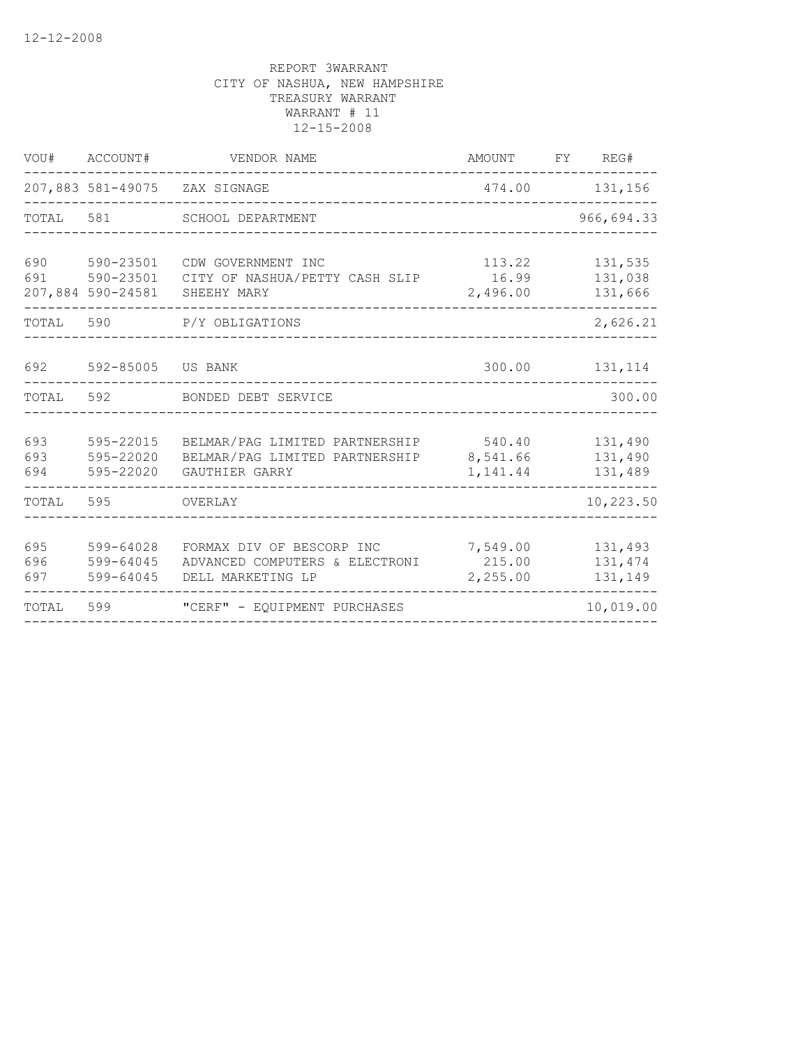| VOU#              | ACCOUNT#                            | VENDOR NAME                                                                        | AMOUNT                         | FY | REG#                          |
|-------------------|-------------------------------------|------------------------------------------------------------------------------------|--------------------------------|----|-------------------------------|
|                   |                                     | 207,883 581-49075 ZAX SIGNAGE                                                      | 474.00                         |    | 131,156                       |
| TOTAL             | 581                                 | SCHOOL DEPARTMENT                                                                  |                                |    | 966,694.33                    |
| 690<br>691        | 590-23501<br>207,884 590-24581      | CDW GOVERNMENT INC<br>590-23501 CITY OF NASHUA/PETTY CASH SLIP<br>SHEEHY MARY      | 113.22<br>16.99<br>2,496.00    |    | 131,535<br>131,038<br>131,666 |
| TOTAL             | 590                                 | P/Y OBLIGATIONS                                                                    |                                |    | 2,626.21                      |
| 692               | 592-85005                           | US BANK                                                                            | 300.00                         |    | 131,114                       |
| TOTAL             | 592                                 | BONDED DEBT SERVICE                                                                |                                |    | 300.00                        |
| 693<br>693<br>694 | 595-22015<br>595-22020<br>595-22020 | BELMAR/PAG LIMITED PARTNERSHIP<br>BELMAR/PAG LIMITED PARTNERSHIP<br>GAUTHIER GARRY | 540.40<br>8,541.66<br>1,141.44 |    | 131,490<br>131,490<br>131,489 |
| TOTAL             | 595                                 | OVERLAY                                                                            |                                |    | 10,223.50                     |
| 695<br>696<br>697 | 599-64028<br>599-64045<br>599-64045 | FORMAX DIV OF BESCORP INC<br>ADVANCED COMPUTERS & ELECTRONI<br>DELL MARKETING LP   | 7,549.00<br>215.00<br>2,255.00 |    | 131,493<br>131,474<br>131,149 |
| TOTAL             | 599                                 | "CERF" - EOUIPMENT PURCHASES                                                       |                                |    | 10,019.00                     |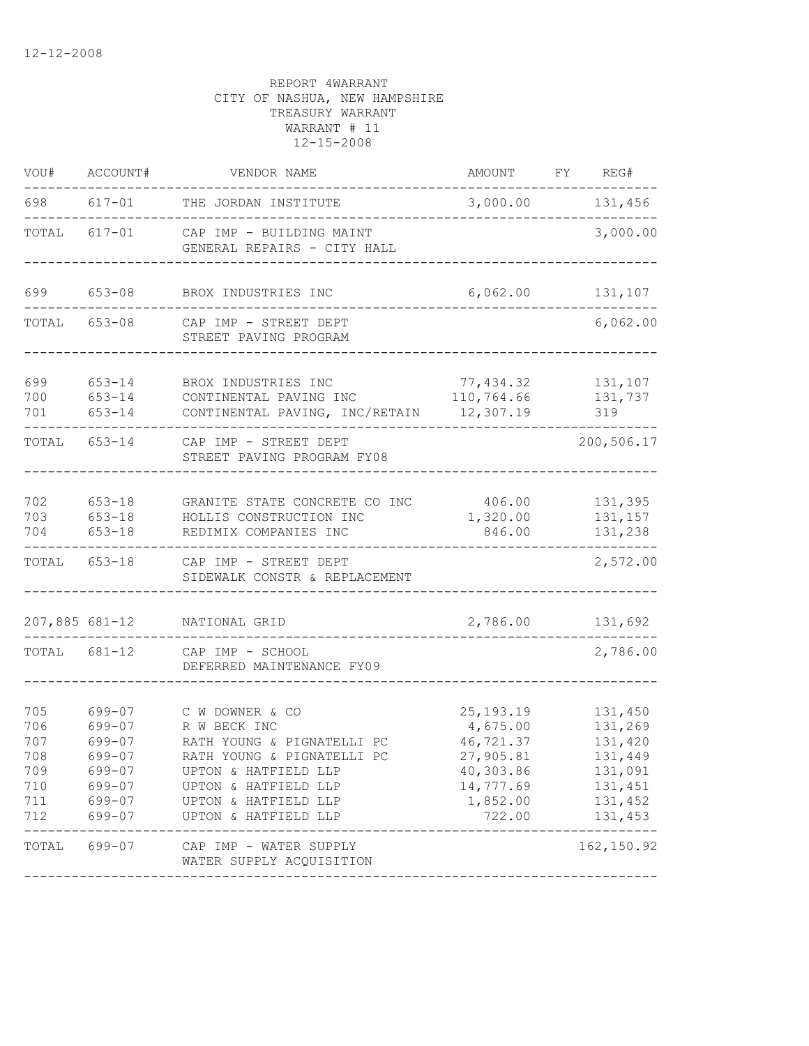| VOU#                                                 | ACCOUNT#                                                                     | VENDOR NAME                                                                                                                                                                                 | AMOUNT                                                                                            | REG#<br>FY                                                                           |
|------------------------------------------------------|------------------------------------------------------------------------------|---------------------------------------------------------------------------------------------------------------------------------------------------------------------------------------------|---------------------------------------------------------------------------------------------------|--------------------------------------------------------------------------------------|
| 698                                                  | $617 - 01$                                                                   | THE JORDAN INSTITUTE                                                                                                                                                                        | 3,000.00                                                                                          | 131,456                                                                              |
| TOTAL                                                | $617 - 01$                                                                   | CAP IMP - BUILDING MAINT<br>GENERAL REPAIRS - CITY HALL                                                                                                                                     |                                                                                                   | 3,000.00                                                                             |
| 699                                                  | $653 - 08$                                                                   | BROX INDUSTRIES INC                                                                                                                                                                         | 6,062.00                                                                                          | 131,107                                                                              |
| TOTAL                                                | $653 - 08$                                                                   | CAP IMP - STREET DEPT<br>STREET PAVING PROGRAM                                                                                                                                              |                                                                                                   | 6,062.00                                                                             |
| 699<br>700<br>701                                    | $653 - 14$<br>$653 - 14$<br>$653 - 14$                                       | BROX INDUSTRIES INC<br>CONTINENTAL PAVING INC<br>CONTINENTAL PAVING, INC/RETAIN                                                                                                             | 77,434.32<br>110,764.66<br>12,307.19                                                              | 131,107<br>131,737<br>319                                                            |
| TOTAL                                                | 653-14                                                                       | CAP IMP - STREET DEPT<br>STREET PAVING PROGRAM FY08                                                                                                                                         |                                                                                                   | 200,506.17                                                                           |
| 702<br>703<br>704                                    | $653 - 18$<br>$653 - 18$<br>$653 - 18$                                       | GRANITE STATE CONCRETE CO INC<br>HOLLIS CONSTRUCTION INC<br>REDIMIX COMPANIES INC                                                                                                           | 406.00<br>1,320.00<br>846.00                                                                      | 131,395<br>131,157<br>131,238                                                        |
| TOTAL                                                | 653-18                                                                       | CAP IMP - STREET DEPT<br>SIDEWALK CONSTR & REPLACEMENT                                                                                                                                      |                                                                                                   | 2,572.00                                                                             |
| 207,885 681-12                                       |                                                                              | NATIONAL GRID                                                                                                                                                                               | 2,786.00                                                                                          | 131,692                                                                              |
| TOTAL                                                | 681-12                                                                       | CAP IMP - SCHOOL<br>DEFERRED MAINTENANCE FY09                                                                                                                                               |                                                                                                   | 2,786.00                                                                             |
| 705<br>706<br>707<br>708<br>709<br>710<br>711<br>712 | 699-07<br>699-07<br>699-07<br>699-07<br>699-07<br>699-07<br>699-07<br>699-07 | C W DOWNER & CO<br>R W BECK INC<br>RATH YOUNG & PIGNATELLI PC<br>RATH YOUNG & PIGNATELLI PC<br>UPTON & HATFIELD LLP<br>UPTON & HATFIELD LLP<br>UPTON & HATFIELD LLP<br>UPTON & HATFIELD LLP | 25, 193. 19<br>4,675.00<br>46,721.37<br>27,905.81<br>40,303.86<br>14,777.69<br>1,852.00<br>722.00 | 131,450<br>131,269<br>131,420<br>131,449<br>131,091<br>131,451<br>131,452<br>131,453 |
| TOTAL                                                | 699-07                                                                       | CAP IMP - WATER SUPPLY<br>WATER SUPPLY ACQUISITION                                                                                                                                          |                                                                                                   | 162, 150.92                                                                          |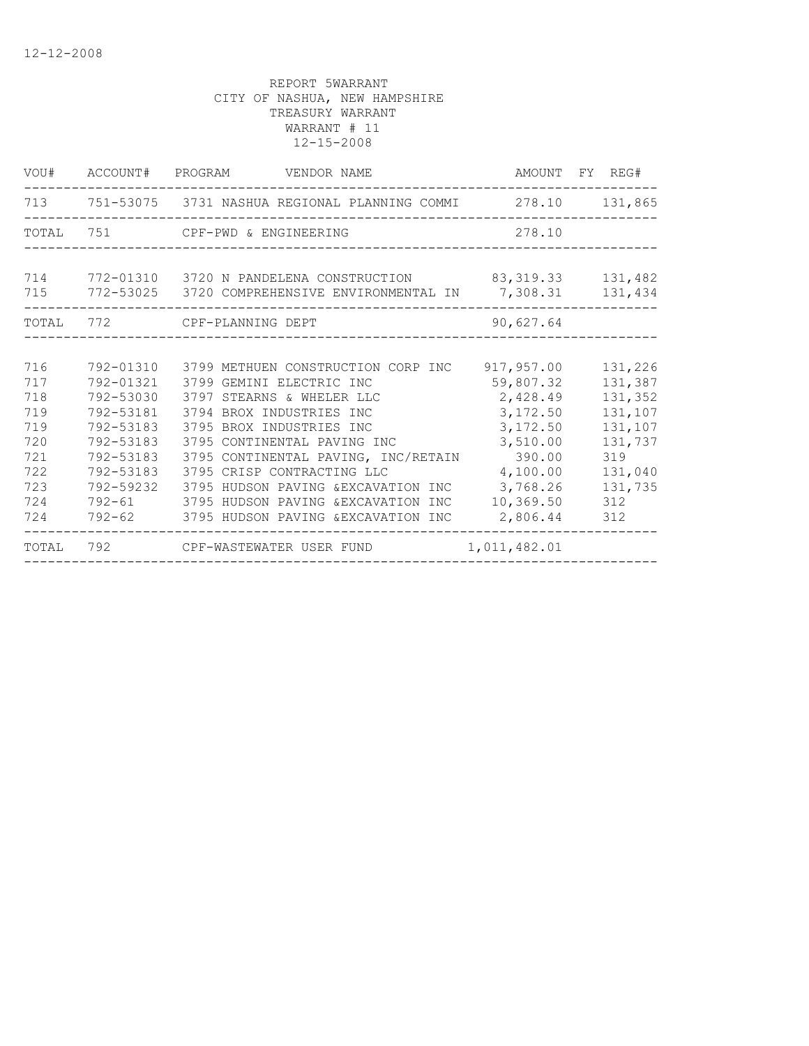|       |           | VOU# ACCOUNT# PROGRAM VENDOR NAME                                  |              | AMOUNT FY REG# |
|-------|-----------|--------------------------------------------------------------------|--------------|----------------|
|       |           | 713 751-53075 3731 NASHUA REGIONAL PLANNING COMMI 278.10 131,865   |              |                |
| TOTAL |           | 751 CPF-PWD & ENGINEERING                                          | 278.10       |                |
|       |           |                                                                    |              |                |
| 714   |           | 772-01310 3720 N PANDELENA CONSTRUCTION 83,319.33 131,482          |              |                |
|       |           | 715 772-53025 3720 COMPREHENSIVE ENVIRONMENTAL IN 7,308.31 131,434 |              |                |
|       |           | TOTAL 772 CPF-PLANNING DEPT                                        | 90,627.64    |                |
|       |           |                                                                    |              |                |
| 716   |           | 792-01310 3799 METHUEN CONSTRUCTION CORP INC 917,957.00            |              | 131,226        |
| 717   | 792-01321 | 3799 GEMINI ELECTRIC INC                                           | 59,807.32    | 131,387        |
| 718   | 792-53030 | 3797 STEARNS & WHELER LLC                                          | 2,428.49     | 131,352        |
| 719   | 792-53181 | 3794 BROX INDUSTRIES INC                                           | 3,172.50     | 131,107        |
| 719   | 792-53183 | 3795 BROX INDUSTRIES INC                                           | 3,172.50     | 131,107        |
| 720   | 792-53183 | 3795 CONTINENTAL PAVING INC                                        | 3,510.00     | 131,737        |
| 721   | 792-53183 | 3795 CONTINENTAL PAVING, INC/RETAIN                                | 390.00       | 319            |
| 722   | 792-53183 | 3795 CRISP CONTRACTING LLC                                         | 4,100.00     | 131,040        |
| 723   | 792-59232 | 3795 HUDSON PAVING &EXCAVATION INC                                 | 3,768.26     | 131,735        |
| 724   |           | 792-61 3795 HUDSON PAVING &EXCAVATION INC                          | 10,369.50    | 312            |
| 724   |           | 792-62 3795 HUDSON PAVING & EXCAVATION INC 2,806.44                |              | 312            |
| TOTAL |           | 792 CPF-WASTEWATER USER FUND                                       | 1,011,482.01 |                |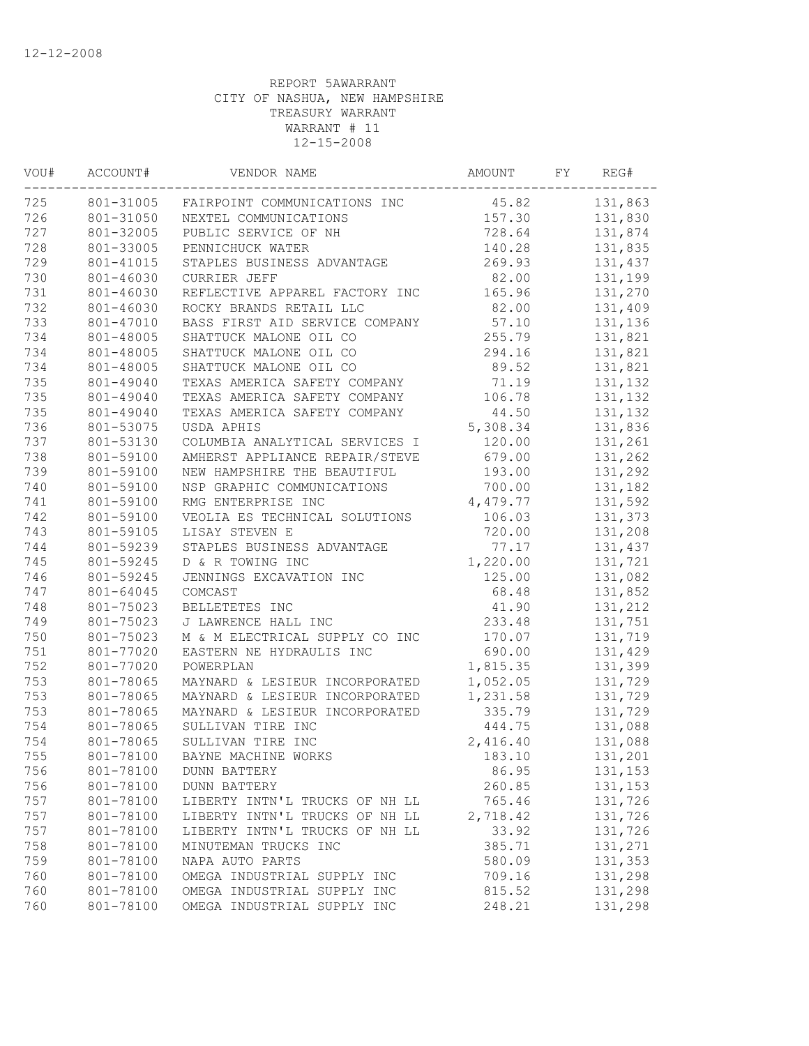| VOU#<br>ACCOUNT# |           | VENDOR NAME                    | AMOUNT   | FY | REG#    |
|------------------|-----------|--------------------------------|----------|----|---------|
| 725              | 801-31005 | FAIRPOINT COMMUNICATIONS INC   | 45.82    |    | 131,863 |
| 726              | 801-31050 | NEXTEL COMMUNICATIONS          | 157.30   |    | 131,830 |
| 727              | 801-32005 | PUBLIC SERVICE OF NH           | 728.64   |    | 131,874 |
| 728              | 801-33005 | PENNICHUCK WATER               | 140.28   |    | 131,835 |
| 729              | 801-41015 | STAPLES BUSINESS ADVANTAGE     | 269.93   |    | 131,437 |
| 730              | 801-46030 | <b>CURRIER JEFF</b>            | 82.00    |    | 131,199 |
| 731              | 801-46030 | REFLECTIVE APPAREL FACTORY INC | 165.96   |    | 131,270 |
| 732              | 801-46030 | ROCKY BRANDS RETAIL LLC        | 82.00    |    | 131,409 |
| 733              | 801-47010 | BASS FIRST AID SERVICE COMPANY | 57.10    |    | 131,136 |
| 734              | 801-48005 | SHATTUCK MALONE OIL CO         | 255.79   |    | 131,821 |
| 734              | 801-48005 | SHATTUCK MALONE OIL CO         | 294.16   |    | 131,821 |
| 734              | 801-48005 | SHATTUCK MALONE OIL CO         | 89.52    |    | 131,821 |
| 735              | 801-49040 | TEXAS AMERICA SAFETY COMPANY   | 71.19    |    | 131,132 |
| 735              | 801-49040 | TEXAS AMERICA SAFETY COMPANY   | 106.78   |    | 131,132 |
| 735              | 801-49040 | TEXAS AMERICA SAFETY COMPANY   | 44.50    |    | 131,132 |
| 736              | 801-53075 | USDA APHIS                     | 5,308.34 |    | 131,836 |
| 737              | 801-53130 | COLUMBIA ANALYTICAL SERVICES I | 120.00   |    | 131,261 |
| 738              | 801-59100 | AMHERST APPLIANCE REPAIR/STEVE | 679.00   |    | 131,262 |
| 739              | 801-59100 | NEW HAMPSHIRE THE BEAUTIFUL    | 193.00   |    | 131,292 |
| 740              | 801-59100 | NSP GRAPHIC COMMUNICATIONS     | 700.00   |    | 131,182 |
| 741              | 801-59100 | RMG ENTERPRISE INC             | 4,479.77 |    | 131,592 |
| 742              | 801-59100 | VEOLIA ES TECHNICAL SOLUTIONS  | 106.03   |    | 131,373 |
| 743              | 801-59105 | LISAY STEVEN E                 | 720.00   |    | 131,208 |
| 744              | 801-59239 | STAPLES BUSINESS ADVANTAGE     | 77.17    |    | 131,437 |
| 745              | 801-59245 | D & R TOWING INC               | 1,220.00 |    | 131,721 |
| 746              | 801-59245 | JENNINGS EXCAVATION INC        | 125.00   |    | 131,082 |
| 747              | 801-64045 | COMCAST                        | 68.48    |    | 131,852 |
| 748              | 801-75023 | BELLETETES INC                 | 41.90    |    | 131,212 |
| 749              | 801-75023 | J LAWRENCE HALL INC            | 233.48   |    | 131,751 |
| 750              | 801-75023 | M & M ELECTRICAL SUPPLY CO INC | 170.07   |    | 131,719 |
| 751              | 801-77020 | EASTERN NE HYDRAULIS INC       | 690.00   |    | 131,429 |
| 752              | 801-77020 | POWERPLAN                      | 1,815.35 |    | 131,399 |
| 753              | 801-78065 | MAYNARD & LESIEUR INCORPORATED | 1,052.05 |    | 131,729 |
| 753              | 801-78065 | MAYNARD & LESIEUR INCORPORATED | 1,231.58 |    | 131,729 |
| 753              | 801-78065 | MAYNARD & LESIEUR INCORPORATED | 335.79   |    | 131,729 |
| 754              | 801-78065 | SULLIVAN TIRE INC              | 444.75   |    | 131,088 |
| 754              | 801-78065 | SULLIVAN TIRE INC              | 2,416.40 |    | 131,088 |
| 755              | 801-78100 | BAYNE MACHINE WORKS            | 183.10   |    | 131,201 |
| 756              | 801-78100 | <b>DUNN BATTERY</b>            | 86.95    |    | 131,153 |
| 756              | 801-78100 | <b>DUNN BATTERY</b>            | 260.85   |    | 131,153 |
| 757              | 801-78100 | LIBERTY INTN'L TRUCKS OF NH LL | 765.46   |    | 131,726 |
| 757              | 801-78100 | LIBERTY INTN'L TRUCKS OF NH LL | 2,718.42 |    | 131,726 |
| 757              | 801-78100 | LIBERTY INTN'L TRUCKS OF NH LL | 33.92    |    | 131,726 |
| 758              | 801-78100 | MINUTEMAN TRUCKS INC           | 385.71   |    | 131,271 |
| 759              | 801-78100 | NAPA AUTO PARTS                | 580.09   |    | 131,353 |
| 760              | 801-78100 | OMEGA INDUSTRIAL SUPPLY INC    | 709.16   |    | 131,298 |
| 760              | 801-78100 | OMEGA INDUSTRIAL SUPPLY INC    | 815.52   |    | 131,298 |
| 760              | 801-78100 | OMEGA INDUSTRIAL SUPPLY INC    | 248.21   |    | 131,298 |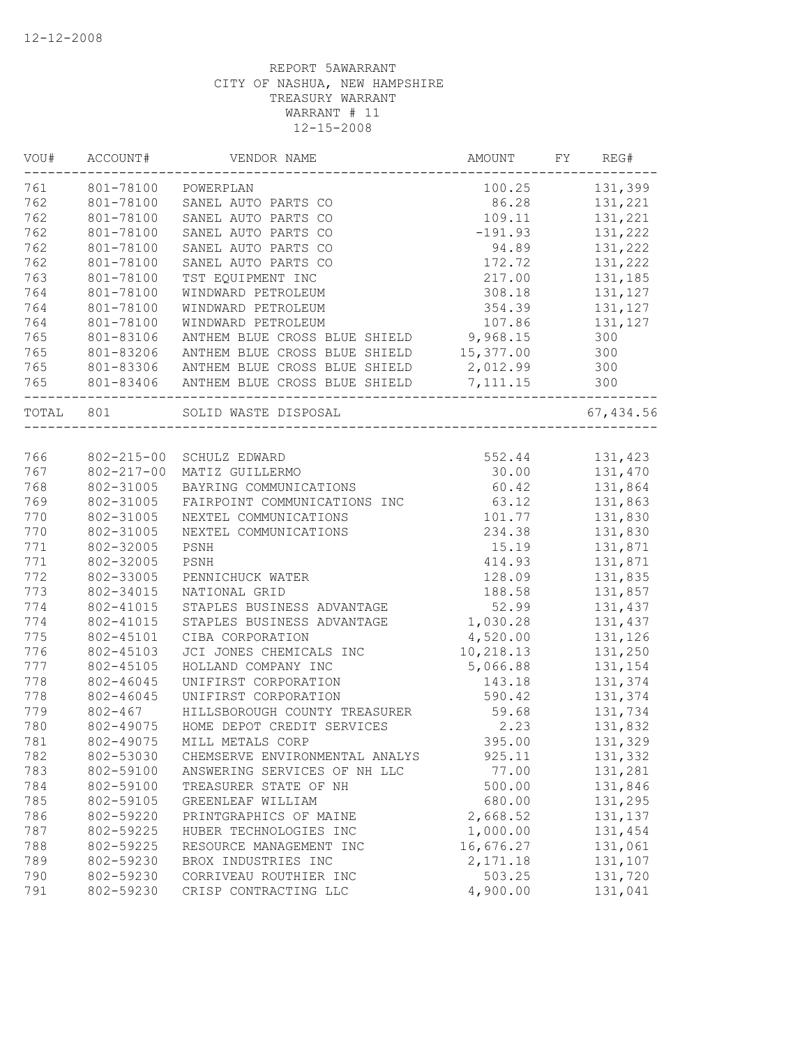| VOU#      | ACCOUNT#         | VENDOR NAME                                       | AMOUNT    | FY | REG#      |  |
|-----------|------------------|---------------------------------------------------|-----------|----|-----------|--|
| 761       | 801-78100        | POWERPLAN                                         | 100.25    |    | 131,399   |  |
| 762       | 801-78100        | SANEL AUTO PARTS CO                               | 86.28     |    | 131,221   |  |
| 762       | 801-78100        | SANEL AUTO PARTS CO                               | 109.11    |    | 131,221   |  |
| 762       | 801-78100        | SANEL AUTO PARTS CO                               | $-191.93$ |    | 131,222   |  |
| 762       | 801-78100        | SANEL AUTO PARTS CO                               | 94.89     |    | 131,222   |  |
| 762       | 801-78100        | SANEL AUTO PARTS CO                               | 172.72    |    | 131,222   |  |
| 763       | 801-78100        | TST EQUIPMENT INC                                 | 217.00    |    | 131,185   |  |
| 764       | 801-78100        | WINDWARD PETROLEUM                                | 308.18    |    | 131,127   |  |
| 764       | 801-78100        | WINDWARD PETROLEUM                                | 354.39    |    | 131,127   |  |
| 764       | 801-78100        | WINDWARD PETROLEUM                                | 107.86    |    | 131,127   |  |
| 765       | 801-83106        | ANTHEM BLUE CROSS BLUE SHIELD 9,968.15            |           |    | 300       |  |
| 765       | 801-83206        | ANTHEM BLUE CROSS BLUE SHIELD 15,377.00           |           |    | 300       |  |
| 765       | 801-83306        | ANTHEM BLUE CROSS BLUE SHIELD                     | 2,012.99  |    | 300       |  |
| 765       |                  | 801-83406 ANTHEM BLUE CROSS BLUE SHIELD           | 7,111.15  |    | 300       |  |
| TOTAL 801 |                  | -------------------------<br>SOLID WASTE DISPOSAL |           |    | 67,434.56 |  |
|           |                  |                                                   |           |    |           |  |
| 766       | 802-215-00       | SCHULZ EDWARD                                     | 552.44    |    | 131,423   |  |
| 767       | $802 - 217 - 00$ | MATIZ GUILLERMO                                   | 30.00     |    | 131,470   |  |
| 768       | 802-31005        | BAYRING COMMUNICATIONS                            | 60.42     |    | 131,864   |  |
| 769       | 802-31005        | FAIRPOINT COMMUNICATIONS INC                      | 63.12     |    | 131,863   |  |
| 770       | 802-31005        | NEXTEL COMMUNICATIONS                             | 101.77    |    | 131,830   |  |
| 770       | 802-31005        | NEXTEL COMMUNICATIONS                             | 234.38    |    | 131,830   |  |
| 771       | 802-32005        | PSNH                                              | 15.19     |    | 131,871   |  |
| 771       | 802-32005        | PSNH                                              | 414.93    |    | 131,871   |  |
| 772       | 802-33005        | PENNICHUCK WATER                                  | 128.09    |    | 131,835   |  |
| 773       | 802-34015        | NATIONAL GRID                                     | 188.58    |    | 131,857   |  |
| 774       | 802-41015        | STAPLES BUSINESS ADVANTAGE                        | 52.99     |    | 131,437   |  |
| 774       | 802-41015        | STAPLES BUSINESS ADVANTAGE                        | 1,030.28  |    | 131,437   |  |
| 775       | 802-45101        | CIBA CORPORATION                                  | 4,520.00  |    | 131,126   |  |
| 776       | 802-45103        | JCI JONES CHEMICALS INC                           | 10,218.13 |    | 131,250   |  |
| 777       | 802-45105        | HOLLAND COMPANY INC                               | 5,066.88  |    | 131,154   |  |
| 778       | 802-46045        | UNIFIRST CORPORATION                              | 143.18    |    | 131,374   |  |
| 778       | 802-46045        | UNIFIRST CORPORATION                              | 590.42    |    | 131,374   |  |
| 779       | $802 - 467$      | HILLSBOROUGH COUNTY TREASURER                     | 59.68     |    | 131,734   |  |
| 780       | 802-49075        | HOME DEPOT CREDIT SERVICES                        | 2.23      |    | 131,832   |  |
| 781       | 802-49075        | MILL METALS CORP                                  | 395.00    |    | 131,329   |  |
| 782       | 802-53030        | CHEMSERVE ENVIRONMENTAL ANALYS                    | 925.11    |    | 131,332   |  |
| 783       | 802-59100        | ANSWERING SERVICES OF NH LLC                      | 77.00     |    | 131,281   |  |
| 784       | 802-59100        | TREASURER STATE OF NH                             | 500.00    |    | 131,846   |  |
| 785       | 802-59105        | GREENLEAF WILLIAM                                 | 680.00    |    | 131,295   |  |
| 786       | 802-59220        | PRINTGRAPHICS OF MAINE                            | 2,668.52  |    | 131,137   |  |
|           |                  | HUBER TECHNOLOGIES INC                            | 1,000.00  |    |           |  |
| 787       | 802-59225        |                                                   | 16,676.27 |    | 131,454   |  |
| 788       | 802-59225        | RESOURCE MANAGEMENT INC                           |           |    | 131,061   |  |
| 789       | 802-59230        | BROX INDUSTRIES INC                               | 2,171.18  |    | 131,107   |  |
| 790       | 802-59230        | CORRIVEAU ROUTHIER INC                            | 503.25    |    | 131,720   |  |
| 791       | 802-59230        | CRISP CONTRACTING LLC                             | 4,900.00  |    | 131,041   |  |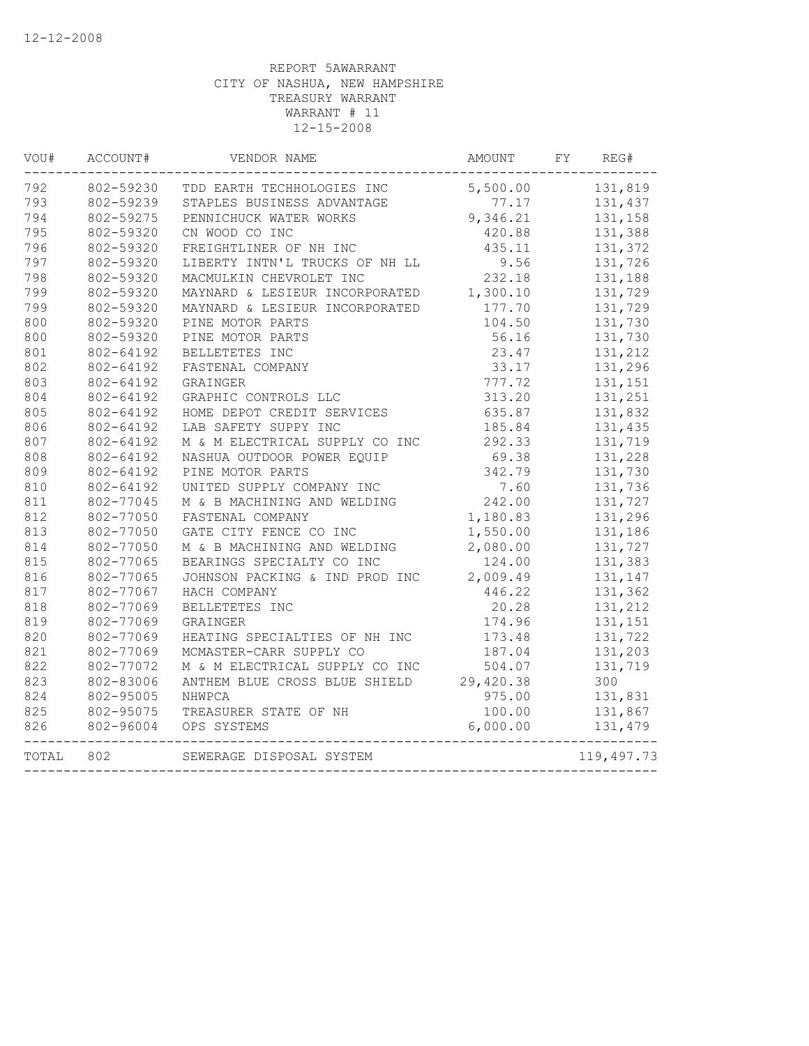| VOU#  | ACCOUNT#  | VENDOR NAME                             | AMOUNT   | FY<br>REG#       |
|-------|-----------|-----------------------------------------|----------|------------------|
| 792   | 802-59230 | TDD EARTH TECHHOLOGIES INC              |          | 5,500.00 131,819 |
| 793   | 802-59239 | STAPLES BUSINESS ADVANTAGE              | 77.17    | 131,437          |
| 794   | 802-59275 | PENNICHUCK WATER WORKS                  | 9,346.21 | 131,158          |
| 795   | 802-59320 | CN WOOD CO INC                          | 420.88   | 131,388          |
| 796   | 802-59320 | FREIGHTLINER OF NH INC                  | 435.11   | 131,372          |
| 797   | 802-59320 | LIBERTY INTN'L TRUCKS OF NH LL          | 9.56     | 131,726          |
| 798   | 802-59320 | MACMULKIN CHEVROLET INC                 | 232.18   | 131,188          |
| 799   | 802-59320 | MAYNARD & LESIEUR INCORPORATED          | 1,300.10 | 131,729          |
| 799   | 802-59320 | MAYNARD & LESIEUR INCORPORATED          | 177.70   | 131,729          |
| 800   | 802-59320 | PINE MOTOR PARTS                        | 104.50   | 131,730          |
| 800   | 802-59320 | PINE MOTOR PARTS                        | 56.16    | 131,730          |
| 801   | 802-64192 | BELLETETES INC                          | 23.47    | 131,212          |
| 802   | 802-64192 | FASTENAL COMPANY                        | 33.17    | 131,296          |
| 803   | 802-64192 | GRAINGER                                | 777.72   | 131,151          |
| 804   | 802-64192 | GRAPHIC CONTROLS LLC                    | 313.20   | 131,251          |
| 805   | 802-64192 | HOME DEPOT CREDIT SERVICES              | 635.87   | 131,832          |
| 806   | 802-64192 | LAB SAFETY SUPPY INC                    | 185.84   | 131,435          |
| 807   | 802-64192 | M & M ELECTRICAL SUPPLY CO INC          | 292.33   | 131,719          |
| 808   | 802-64192 | NASHUA OUTDOOR POWER EQUIP              | 69.38    | 131,228          |
| 809   | 802-64192 | PINE MOTOR PARTS                        | 342.79   | 131,730          |
| 810   | 802-64192 | UNITED SUPPLY COMPANY INC               | 7.60     | 131,736          |
| 811   | 802-77045 | M & B MACHINING AND WELDING             | 242.00   | 131,727          |
| 812   | 802-77050 | FASTENAL COMPANY                        | 1,180.83 | 131,296          |
| 813   | 802-77050 | GATE CITY FENCE CO INC                  | 1,550.00 | 131,186          |
| 814   | 802-77050 | M & B MACHINING AND WELDING             | 2,080.00 | 131,727          |
| 815   | 802-77065 | BEARINGS SPECIALTY CO INC               | 124.00   | 131,383          |
| 816   | 802-77065 | JOHNSON PACKING & IND PROD INC          | 2,009.49 | 131,147          |
| 817   | 802-77067 | HACH COMPANY                            | 446.22   | 131,362          |
| 818   | 802-77069 | BELLETETES INC                          | 20.28    | 131,212          |
| 819   | 802-77069 | GRAINGER                                | 174.96   | 131,151          |
| 820   | 802-77069 | HEATING SPECIALTIES OF NH INC           | 173.48   | 131,722          |
| 821   | 802-77069 | MCMASTER-CARR SUPPLY CO                 | 187.04   | 131,203          |
| 822   | 802-77072 | M & M ELECTRICAL SUPPLY CO INC          | 504.07   | 131,719          |
| 823   | 802-83006 | ANTHEM BLUE CROSS BLUE SHIELD 29,420.38 |          | 300              |
| 824   | 802-95005 | NHWPCA                                  | 975.00   | 131,831          |
| 825   | 802-95075 | TREASURER STATE OF NH                   | 100.00   | 131,867          |
| 826   | 802-96004 | OPS SYSTEMS                             | 6,000.00 | 131,479          |
| TOTAL | 802       | SEWERAGE DISPOSAL SYSTEM                |          | 119,497.73       |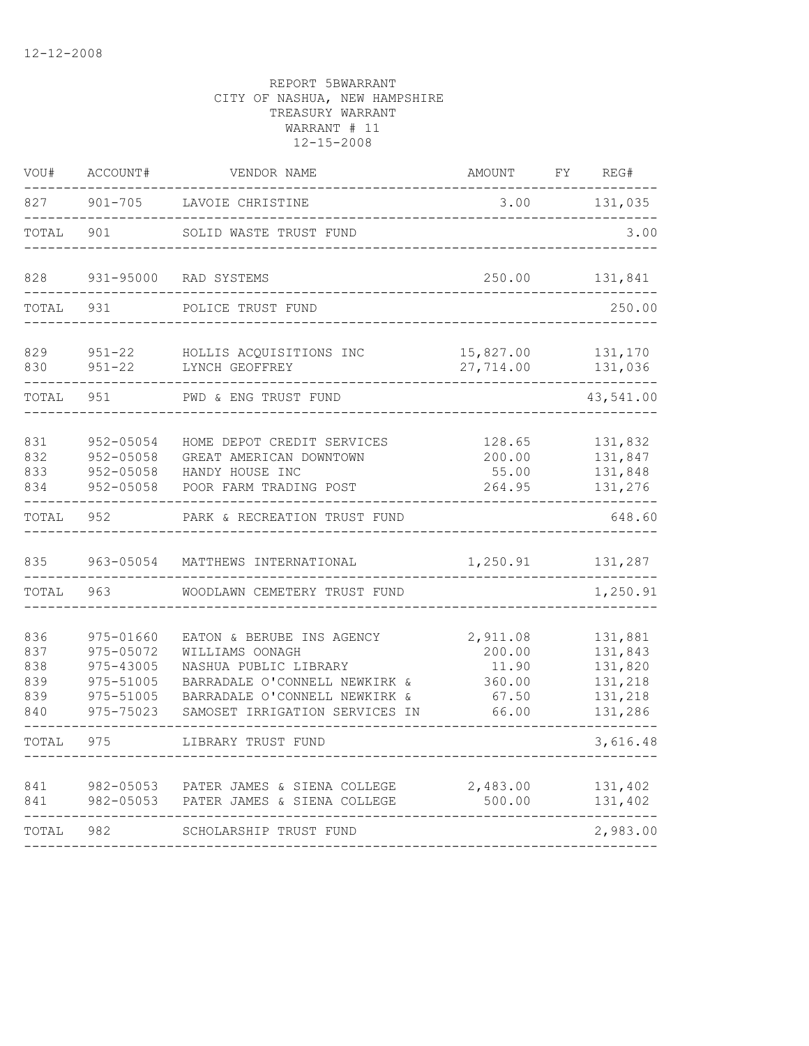| VOU#                                   | ACCOUNT#                                                                   | VENDOR NAME                                                                                                                                                               | <b>AMOUNT</b>                                           | FY | REG#                                                           |
|----------------------------------------|----------------------------------------------------------------------------|---------------------------------------------------------------------------------------------------------------------------------------------------------------------------|---------------------------------------------------------|----|----------------------------------------------------------------|
| 827                                    | $901 - 705$                                                                | LAVOIE CHRISTINE                                                                                                                                                          | 3.00                                                    |    | 131,035                                                        |
| TOTAL                                  | 901                                                                        | SOLID WASTE TRUST FUND                                                                                                                                                    |                                                         |    | 3.00                                                           |
| 828                                    | $931 - 95000$                                                              | RAD SYSTEMS                                                                                                                                                               | 250.00                                                  |    | 131,841                                                        |
| TOTAL                                  | 931                                                                        | POLICE TRUST FUND                                                                                                                                                         |                                                         |    | 250.00                                                         |
| 829<br>830                             | $951 - 22$<br>$951 - 22$                                                   | HOLLIS ACQUISITIONS INC<br>LYNCH GEOFFREY                                                                                                                                 | 15,827.00<br>27,714.00                                  |    | 131,170<br>131,036                                             |
| TOTAL                                  | 951                                                                        | PWD & ENG TRUST FUND                                                                                                                                                      |                                                         |    | 43,541.00                                                      |
| 831<br>832<br>833<br>834               | 952-05054<br>952-05058<br>952-05058<br>952-05058                           | HOME DEPOT CREDIT SERVICES<br>GREAT AMERICAN DOWNTOWN<br>HANDY HOUSE INC<br>POOR FARM TRADING POST                                                                        | 128.65<br>200.00<br>55.00<br>264.95                     |    | 131,832<br>131,847<br>131,848<br>131,276                       |
| TOTAL                                  | 952                                                                        | PARK & RECREATION TRUST FUND                                                                                                                                              |                                                         |    | 648.60                                                         |
| 835                                    | 963-05054                                                                  | MATTHEWS INTERNATIONAL                                                                                                                                                    | 1,250.91                                                |    | 131,287                                                        |
| TOTAL                                  | 963                                                                        | WOODLAWN CEMETERY TRUST FUND                                                                                                                                              |                                                         |    | 1,250.91                                                       |
| 836<br>837<br>838<br>839<br>839<br>840 | 975-01660<br>975-05072<br>975-43005<br>975-51005<br>975-51005<br>975-75023 | EATON & BERUBE INS AGENCY<br>WILLIAMS OONAGH<br>NASHUA PUBLIC LIBRARY<br>BARRADALE O'CONNELL NEWKIRK &<br>BARRADALE O'CONNELL NEWKIRK &<br>SAMOSET IRRIGATION SERVICES IN | 2,911.08<br>200.00<br>11.90<br>360.00<br>67.50<br>66.00 |    | 131,881<br>131,843<br>131,820<br>131,218<br>131,218<br>131,286 |
| TOTAL                                  | 975                                                                        | LIBRARY TRUST FUND                                                                                                                                                        |                                                         |    | 3,616.48                                                       |
| 841<br>841                             | 982-05053<br>982-05053                                                     | PATER JAMES & SIENA COLLEGE<br>PATER JAMES & SIENA COLLEGE                                                                                                                | 2,483.00<br>500.00                                      |    | 131,402<br>131,402                                             |
| TOTAL                                  | 982                                                                        | SCHOLARSHIP TRUST FUND                                                                                                                                                    |                                                         |    | 2,983.00                                                       |
|                                        |                                                                            |                                                                                                                                                                           |                                                         |    |                                                                |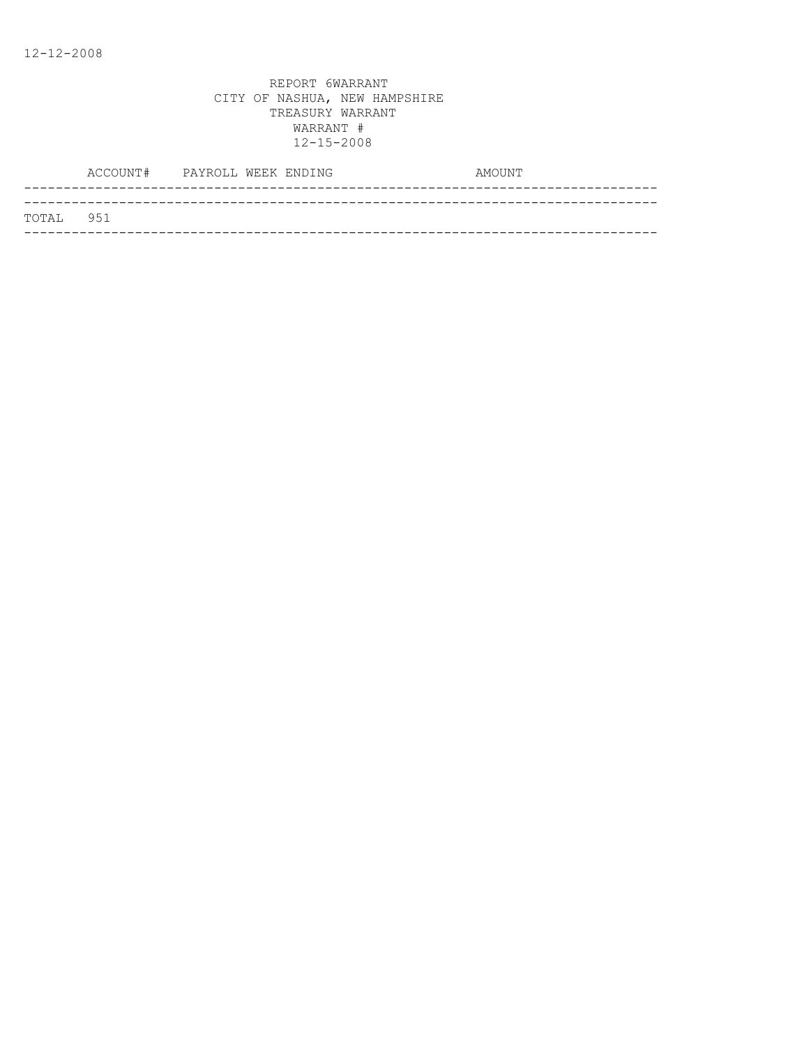|           | ACCOUNT# PAYROLL WEEK ENDING |  |  | AMOUNT |  |
|-----------|------------------------------|--|--|--------|--|
|           |                              |  |  |        |  |
| TOTAL 951 |                              |  |  |        |  |
|           |                              |  |  |        |  |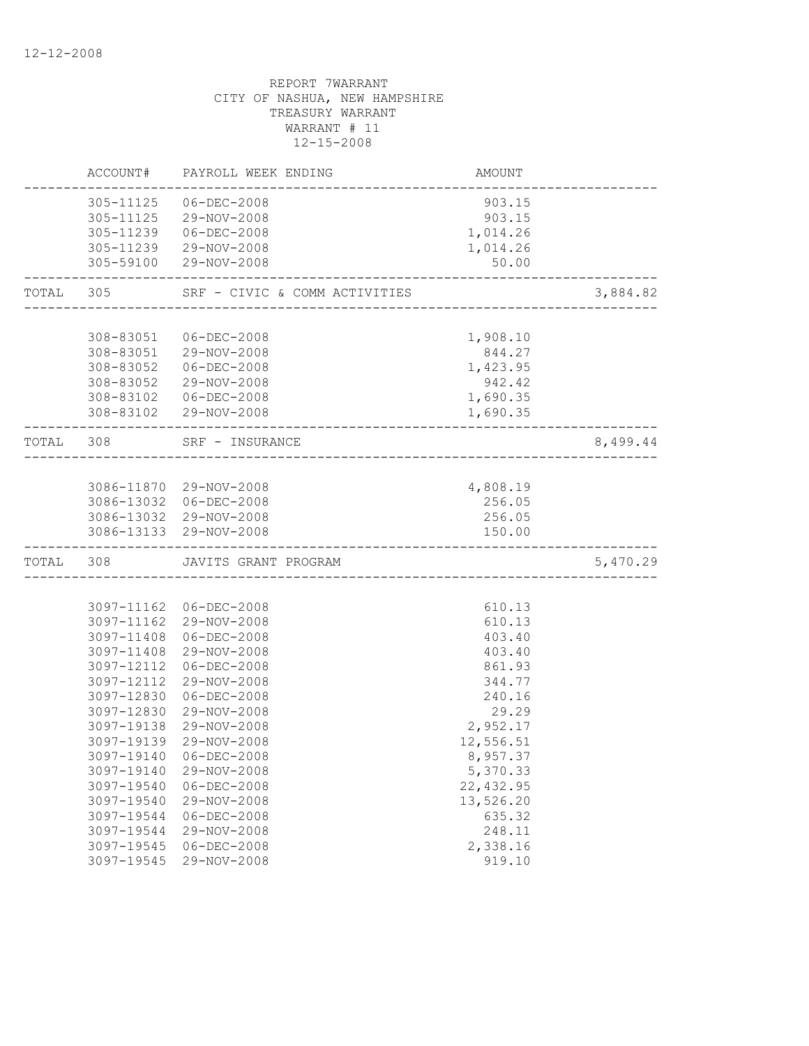| ACCOUNT#               |                                                                                                                                                                                                                                                                    | AMOUNT                                                                                                                                                                                                                                                                                                                                                                                                                                                                                                                                                                                                                                                                                                                      |                                                                                                                                                                                                                                                                                                                                    |
|------------------------|--------------------------------------------------------------------------------------------------------------------------------------------------------------------------------------------------------------------------------------------------------------------|-----------------------------------------------------------------------------------------------------------------------------------------------------------------------------------------------------------------------------------------------------------------------------------------------------------------------------------------------------------------------------------------------------------------------------------------------------------------------------------------------------------------------------------------------------------------------------------------------------------------------------------------------------------------------------------------------------------------------------|------------------------------------------------------------------------------------------------------------------------------------------------------------------------------------------------------------------------------------------------------------------------------------------------------------------------------------|
| 305-11125<br>305-11239 | $06 - DEC - 2008$<br>29-NOV-2008<br>$06 - DEC - 2008$                                                                                                                                                                                                              | 903.15<br>903.15<br>1,014.26                                                                                                                                                                                                                                                                                                                                                                                                                                                                                                                                                                                                                                                                                                |                                                                                                                                                                                                                                                                                                                                    |
|                        | 29-NOV-2008                                                                                                                                                                                                                                                        | 50.00                                                                                                                                                                                                                                                                                                                                                                                                                                                                                                                                                                                                                                                                                                                       |                                                                                                                                                                                                                                                                                                                                    |
| TOTAL<br>305           |                                                                                                                                                                                                                                                                    |                                                                                                                                                                                                                                                                                                                                                                                                                                                                                                                                                                                                                                                                                                                             | 3,884.82                                                                                                                                                                                                                                                                                                                           |
|                        |                                                                                                                                                                                                                                                                    |                                                                                                                                                                                                                                                                                                                                                                                                                                                                                                                                                                                                                                                                                                                             |                                                                                                                                                                                                                                                                                                                                    |
|                        |                                                                                                                                                                                                                                                                    |                                                                                                                                                                                                                                                                                                                                                                                                                                                                                                                                                                                                                                                                                                                             |                                                                                                                                                                                                                                                                                                                                    |
|                        |                                                                                                                                                                                                                                                                    |                                                                                                                                                                                                                                                                                                                                                                                                                                                                                                                                                                                                                                                                                                                             |                                                                                                                                                                                                                                                                                                                                    |
|                        |                                                                                                                                                                                                                                                                    |                                                                                                                                                                                                                                                                                                                                                                                                                                                                                                                                                                                                                                                                                                                             |                                                                                                                                                                                                                                                                                                                                    |
|                        |                                                                                                                                                                                                                                                                    |                                                                                                                                                                                                                                                                                                                                                                                                                                                                                                                                                                                                                                                                                                                             |                                                                                                                                                                                                                                                                                                                                    |
|                        |                                                                                                                                                                                                                                                                    |                                                                                                                                                                                                                                                                                                                                                                                                                                                                                                                                                                                                                                                                                                                             |                                                                                                                                                                                                                                                                                                                                    |
|                        |                                                                                                                                                                                                                                                                    |                                                                                                                                                                                                                                                                                                                                                                                                                                                                                                                                                                                                                                                                                                                             |                                                                                                                                                                                                                                                                                                                                    |
| TOTAL 308              |                                                                                                                                                                                                                                                                    |                                                                                                                                                                                                                                                                                                                                                                                                                                                                                                                                                                                                                                                                                                                             | 8,499.44                                                                                                                                                                                                                                                                                                                           |
|                        |                                                                                                                                                                                                                                                                    |                                                                                                                                                                                                                                                                                                                                                                                                                                                                                                                                                                                                                                                                                                                             |                                                                                                                                                                                                                                                                                                                                    |
|                        |                                                                                                                                                                                                                                                                    |                                                                                                                                                                                                                                                                                                                                                                                                                                                                                                                                                                                                                                                                                                                             |                                                                                                                                                                                                                                                                                                                                    |
|                        |                                                                                                                                                                                                                                                                    |                                                                                                                                                                                                                                                                                                                                                                                                                                                                                                                                                                                                                                                                                                                             |                                                                                                                                                                                                                                                                                                                                    |
|                        |                                                                                                                                                                                                                                                                    |                                                                                                                                                                                                                                                                                                                                                                                                                                                                                                                                                                                                                                                                                                                             |                                                                                                                                                                                                                                                                                                                                    |
|                        |                                                                                                                                                                                                                                                                    |                                                                                                                                                                                                                                                                                                                                                                                                                                                                                                                                                                                                                                                                                                                             |                                                                                                                                                                                                                                                                                                                                    |
| TOTAL 308              |                                                                                                                                                                                                                                                                    |                                                                                                                                                                                                                                                                                                                                                                                                                                                                                                                                                                                                                                                                                                                             | 5,470.29                                                                                                                                                                                                                                                                                                                           |
|                        |                                                                                                                                                                                                                                                                    |                                                                                                                                                                                                                                                                                                                                                                                                                                                                                                                                                                                                                                                                                                                             |                                                                                                                                                                                                                                                                                                                                    |
|                        |                                                                                                                                                                                                                                                                    |                                                                                                                                                                                                                                                                                                                                                                                                                                                                                                                                                                                                                                                                                                                             |                                                                                                                                                                                                                                                                                                                                    |
|                        | 29-NOV-2008                                                                                                                                                                                                                                                        | 610.13                                                                                                                                                                                                                                                                                                                                                                                                                                                                                                                                                                                                                                                                                                                      |                                                                                                                                                                                                                                                                                                                                    |
|                        |                                                                                                                                                                                                                                                                    |                                                                                                                                                                                                                                                                                                                                                                                                                                                                                                                                                                                                                                                                                                                             |                                                                                                                                                                                                                                                                                                                                    |
|                        |                                                                                                                                                                                                                                                                    |                                                                                                                                                                                                                                                                                                                                                                                                                                                                                                                                                                                                                                                                                                                             |                                                                                                                                                                                                                                                                                                                                    |
|                        |                                                                                                                                                                                                                                                                    |                                                                                                                                                                                                                                                                                                                                                                                                                                                                                                                                                                                                                                                                                                                             |                                                                                                                                                                                                                                                                                                                                    |
|                        |                                                                                                                                                                                                                                                                    |                                                                                                                                                                                                                                                                                                                                                                                                                                                                                                                                                                                                                                                                                                                             |                                                                                                                                                                                                                                                                                                                                    |
|                        |                                                                                                                                                                                                                                                                    |                                                                                                                                                                                                                                                                                                                                                                                                                                                                                                                                                                                                                                                                                                                             |                                                                                                                                                                                                                                                                                                                                    |
|                        |                                                                                                                                                                                                                                                                    |                                                                                                                                                                                                                                                                                                                                                                                                                                                                                                                                                                                                                                                                                                                             |                                                                                                                                                                                                                                                                                                                                    |
|                        |                                                                                                                                                                                                                                                                    |                                                                                                                                                                                                                                                                                                                                                                                                                                                                                                                                                                                                                                                                                                                             |                                                                                                                                                                                                                                                                                                                                    |
|                        |                                                                                                                                                                                                                                                                    |                                                                                                                                                                                                                                                                                                                                                                                                                                                                                                                                                                                                                                                                                                                             |                                                                                                                                                                                                                                                                                                                                    |
|                        |                                                                                                                                                                                                                                                                    |                                                                                                                                                                                                                                                                                                                                                                                                                                                                                                                                                                                                                                                                                                                             |                                                                                                                                                                                                                                                                                                                                    |
|                        |                                                                                                                                                                                                                                                                    |                                                                                                                                                                                                                                                                                                                                                                                                                                                                                                                                                                                                                                                                                                                             |                                                                                                                                                                                                                                                                                                                                    |
|                        |                                                                                                                                                                                                                                                                    |                                                                                                                                                                                                                                                                                                                                                                                                                                                                                                                                                                                                                                                                                                                             |                                                                                                                                                                                                                                                                                                                                    |
|                        |                                                                                                                                                                                                                                                                    |                                                                                                                                                                                                                                                                                                                                                                                                                                                                                                                                                                                                                                                                                                                             |                                                                                                                                                                                                                                                                                                                                    |
|                        |                                                                                                                                                                                                                                                                    |                                                                                                                                                                                                                                                                                                                                                                                                                                                                                                                                                                                                                                                                                                                             |                                                                                                                                                                                                                                                                                                                                    |
|                        |                                                                                                                                                                                                                                                                    |                                                                                                                                                                                                                                                                                                                                                                                                                                                                                                                                                                                                                                                                                                                             |                                                                                                                                                                                                                                                                                                                                    |
|                        |                                                                                                                                                                                                                                                                    | 919.10                                                                                                                                                                                                                                                                                                                                                                                                                                                                                                                                                                                                                                                                                                                      |                                                                                                                                                                                                                                                                                                                                    |
|                        | 308-83051<br>308-83052<br>308-83052<br>308-83102<br>3097-11408<br>3097-11408<br>3097-12112<br>3097-12112<br>3097-12830<br>3097-12830<br>3097-19138<br>3097-19139<br>3097-19140<br>3097-19140<br>3097-19540<br>3097-19540<br>3097-19544<br>3097-19544<br>3097-19545 | PAYROLL WEEK ENDING<br>305-11125<br>305-11239 29-NOV-2008<br>305-59100<br>SRF - CIVIC & COMM ACTIVITIES<br>06-DEC-2008<br>308-83051<br>29-NOV-2008<br>06-DEC-2008<br>29-NOV-2008<br>06-DEC-2008<br>308-83102 29-NOV-2008<br>SRF - INSURANCE<br>3086-11870 29-NOV-2008<br>3086-13032 06-DEC-2008<br>3086-13032 29-NOV-2008<br>3086-13133 29-NOV-2008<br>JAVITS GRANT PROGRAM<br>3097-11162 06-DEC-2008<br>3097-11162<br>$06 - DEC - 2008$<br>29-NOV-2008<br>$06 - DEC - 2008$<br>29-NOV-2008<br>$06 - DEC - 2008$<br>29-NOV-2008<br>29-NOV-2008<br>29-NOV-2008<br>$06 - DEC - 2008$<br>29-NOV-2008<br>$06 - DEC - 2008$<br>29-NOV-2008<br>$06 - DEC - 2008$<br>29-NOV-2008<br>$06 - DEC - 2008$<br>3097-19545<br>29-NOV-2008 | 1,014.26<br>1,908.10<br>844.27<br>1,423.95<br>942.42<br>1,690.35<br>1,690.35<br>-----------------------<br>4,808.19<br>256.05<br>256.05<br>150.00<br>610.13<br>403.40<br>403.40<br>861.93<br>344.77<br>240.16<br>29.29<br>2,952.17<br>12,556.51<br>8,957.37<br>5,370.33<br>22, 432.95<br>13,526.20<br>635.32<br>248.11<br>2,338.16 |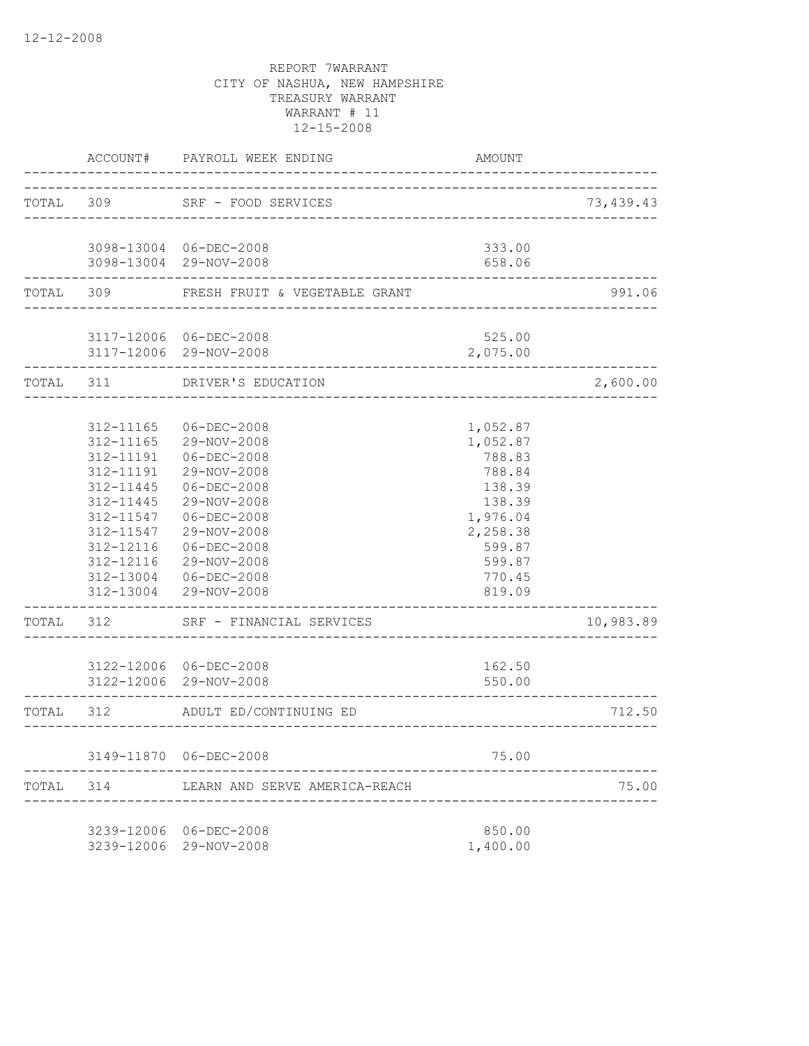|           | ACCOUNT#      | PAYROLL WEEK ENDING                              | AMOUNT             |           |
|-----------|---------------|--------------------------------------------------|--------------------|-----------|
|           | TOTAL 309     | SRF - FOOD SERVICES                              |                    | 73,439.43 |
|           |               | _______________________                          |                    |           |
|           |               | 3098-13004 06-DEC-2008                           | 333.00             |           |
|           |               | 3098-13004 29-NOV-2008                           | 658.06             |           |
| TOTAL     | 309           | FRESH FRUIT & VEGETABLE GRANT                    |                    | 991.06    |
|           |               |                                                  |                    |           |
|           |               | 3117-12006 06-DEC-2008<br>3117-12006 29-NOV-2008 | 525.00<br>2,075.00 |           |
| TOTAL 311 |               | DRIVER'S EDUCATION                               |                    | 2,600.00  |
|           |               |                                                  |                    |           |
|           | 312-11165     | $06 - DEC - 2008$                                | 1,052.87           |           |
|           | 312-11165     | 29-NOV-2008                                      | 1,052.87           |           |
|           | 312-11191     | $06 - DEC - 2008$                                | 788.83             |           |
|           | 312-11191     | 29-NOV-2008                                      | 788.84             |           |
|           | $312 - 11445$ | $06 - DEC - 2008$                                | 138.39             |           |
|           | 312-11445     | 29-NOV-2008                                      | 138.39             |           |
|           | 312-11547     | $06 - DEC - 2008$                                | 1,976.04           |           |
|           | 312-11547     | 29-NOV-2008                                      | 2,258.38           |           |
|           | 312-12116     | $06 - DEC - 2008$                                | 599.87             |           |
|           | 312-12116     | 29-NOV-2008                                      | 599.87             |           |
|           | 312-13004     | 06-DEC-2008                                      | 770.45             |           |
|           | 312-13004     | 29-NOV-2008                                      | 819.09             |           |
| TOTAL     | 312           | SRF - FINANCIAL SERVICES                         |                    | 10,983.89 |
|           |               | 3122-12006 06-DEC-2008                           | 162.50             |           |
|           |               | 3122-12006 29-NOV-2008                           | 550.00             |           |
| TOTAL     | 312           | ADULT ED/CONTINUING ED                           |                    | 712.50    |
|           |               |                                                  |                    |           |
|           |               | 3149-11870 06-DEC-2008                           | 75.00              |           |
| TOTAL     | 314           | LEARN AND SERVE AMERICA-REACH                    |                    | 75.00     |
|           |               | 3239-12006 06-DEC-2008                           | 850.00             |           |
|           |               | 3239-12006 29-NOV-2008                           | 1,400.00           |           |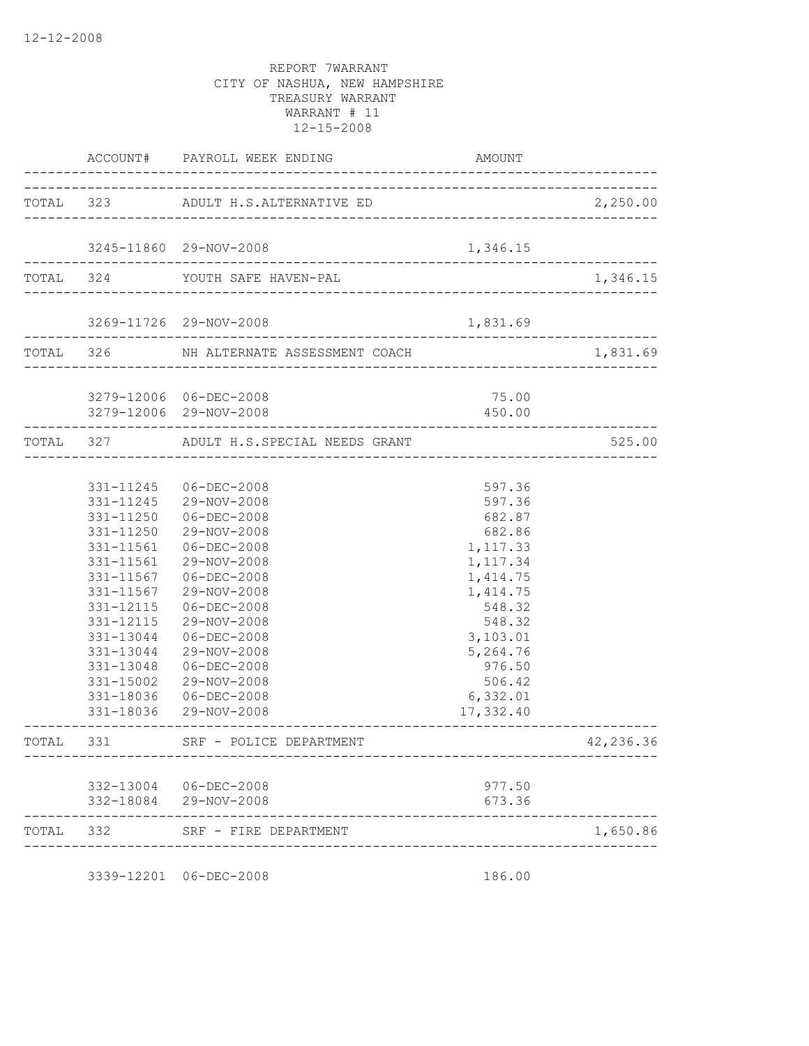|           |                        | ACCOUNT# PAYROLL WEEK ENDING                                   | AMOUNT               |           |
|-----------|------------------------|----------------------------------------------------------------|----------------------|-----------|
|           |                        | TOTAL 323 ADULT H.S.ALTERNATIVE ED                             |                      | 2,250.00  |
|           |                        |                                                                |                      |           |
|           |                        | 3245-11860 29-NOV-2008                                         | 1,346.15             |           |
|           |                        | TOTAL 324 YOUTH SAFE HAVEN-PAL                                 |                      | 1,346.15  |
|           |                        | 3269-11726 29-NOV-2008<br>____________________________________ | 1,831.69             |           |
|           |                        | TOTAL 326 NH ALTERNATE ASSESSMENT COACH                        |                      | 1,831.69  |
|           |                        | 3279-12006 06-DEC-2008                                         | 75.00                |           |
|           |                        | 3279-12006 29-NOV-2008                                         | 450.00               |           |
|           |                        | TOTAL 327 ADULT H.S.SPECIAL NEEDS GRANT                        |                      | 525.00    |
|           |                        |                                                                |                      |           |
|           |                        | 331-11245 06-DEC-2008                                          | 597.36               |           |
|           |                        | 331-11245 29-NOV-2008                                          | 597.36               |           |
|           |                        | 331-11250 06-DEC-2008                                          | 682.87               |           |
|           |                        | 331-11250 29-NOV-2008                                          | 682.86               |           |
|           |                        | 331-11561 06-DEC-2008                                          | 1,117.33             |           |
|           |                        | 331-11561 29-NOV-2008                                          | 1,117.34             |           |
|           |                        | 331-11567 06-DEC-2008                                          | 1, 414.75            |           |
|           |                        | 331-11567 29-NOV-2008                                          | 1, 414.75            |           |
|           | 331-12115              | 06-DEC-2008                                                    | 548.32               |           |
|           | 331-12115<br>331-13044 | 29-NOV-2008<br>$06 - DEC - 2008$                               | 548.32               |           |
|           | 331-13044              | 29-NOV-2008                                                    | 3,103.01<br>5,264.76 |           |
|           | 331-13048              | 06-DEC-2008                                                    | 976.50               |           |
|           | 331-15002              | 29-NOV-2008                                                    | 506.42               |           |
|           | 331-18036              | 06-DEC-2008                                                    | 6,332.01             |           |
|           |                        | 331-18036 29-NOV-2008                                          | 17,332.40            |           |
|           |                        | TOTAL 331 SRF - POLICE DEPARTMENT                              |                      | 42,236.36 |
|           |                        | 332-13004 06-DEC-2008                                          | 977.50               |           |
|           |                        | 332-18084 29-NOV-2008                                          | 673.36               |           |
| TOTAL 332 |                        | SRF - FIRE DEPARTMENT                                          |                      | 1,650.86  |
|           |                        |                                                                |                      |           |

3339-12201 06-DEC-2008 186.00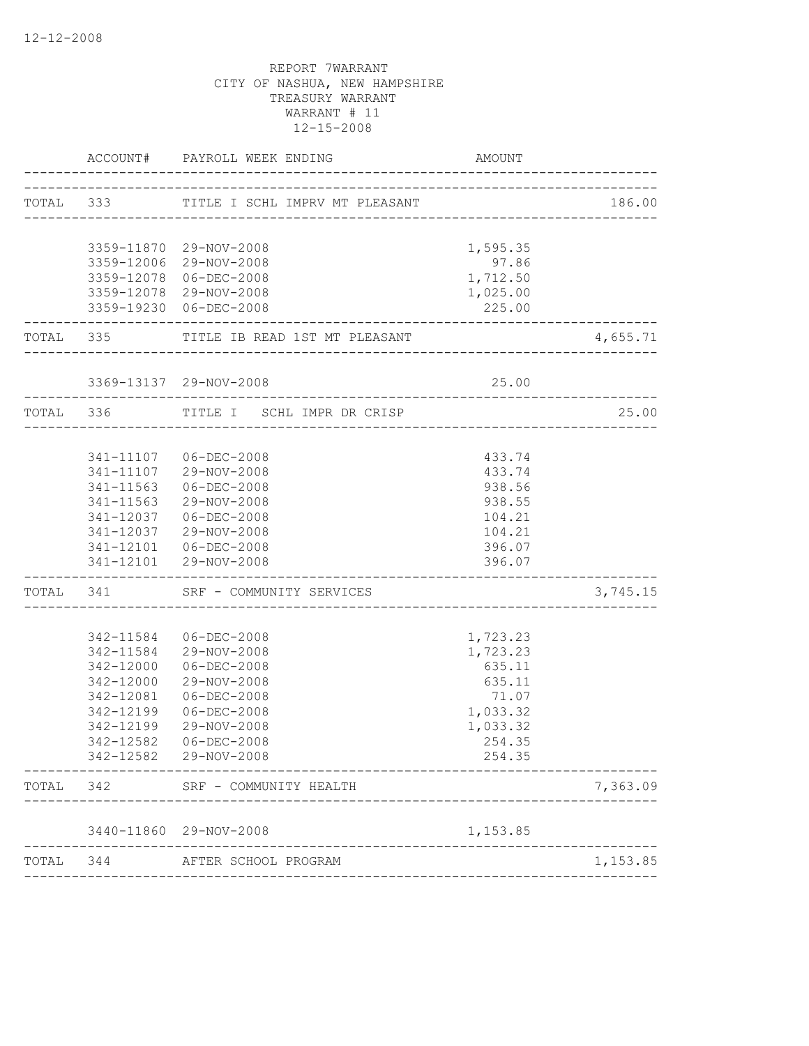|       |                    | ACCOUNT# PAYROLL WEEK ENDING               | AMOUNT                               |          |
|-------|--------------------|--------------------------------------------|--------------------------------------|----------|
|       |                    | TOTAL 333 TITLE I SCHL IMPRV MT PLEASANT   | ---------------                      | 186.00   |
|       |                    |                                            |                                      |          |
|       |                    | 3359-11870 29-NOV-2008                     | 1,595.35                             |          |
|       |                    | 3359-12006 29-NOV-2008                     | 97.86                                |          |
|       |                    | 3359-12078 06-DEC-2008                     | 1,712.50                             |          |
|       |                    | 3359-12078 29-NOV-2008                     | 1,025.00                             |          |
|       | ------------------ | 3359-19230 06-DEC-2008                     | 225.00<br>------------------------   |          |
|       |                    | TOTAL 335 TITLE IB READ 1ST MT PLEASANT    |                                      | 4,655.71 |
|       |                    | 3369-13137 29-NOV-2008                     | 25.00                                |          |
|       |                    | TOTAL 336 TITLE I SCHL IMPR DR CRISP       |                                      | 25.00    |
|       |                    |                                            |                                      |          |
|       |                    | 341-11107 06-DEC-2008                      | 433.74                               |          |
|       |                    | 341-11107 29-NOV-2008                      | 433.74                               |          |
|       |                    | 341-11563 06-DEC-2008                      | 938.56                               |          |
|       |                    | 341-11563 29-NOV-2008                      | 938.55                               |          |
|       |                    | 341-12037 06-DEC-2008                      | 104.21                               |          |
|       |                    | 341-12037 29-NOV-2008                      | 104.21                               |          |
|       |                    | 341-12101  06-DEC-2008                     | 396.07                               |          |
|       | ------------------ | 341-12101 29-NOV-2008                      | 396.07                               |          |
|       |                    | TOTAL 341 SRF - COMMUNITY SERVICES         | ------------------------------------ | 3,745.15 |
|       |                    |                                            |                                      |          |
|       | 342-11584          | $06 - DEC - 2008$                          | 1,723.23                             |          |
|       |                    | 342-11584 29-NOV-2008<br>$06 - DEC - 2008$ | 1,723.23                             |          |
|       | 342-12000          | 29-NOV-2008                                | 635.11                               |          |
|       | 342-12000          | $06 - DEC - 2008$                          | 635.11<br>71.07                      |          |
|       | 342-12081          |                                            |                                      |          |
|       |                    | 342-12199 06-DEC-2008                      | 1,033.32                             |          |
|       |                    | 342-12199 29-NOV-2008                      | 1,033.32                             |          |
|       | 342-12582          | $06 - DEC - 2008$<br>342-12582 29-NOV-2008 | 254.35<br>254.35                     |          |
| TOTAL | 342                | SRF - COMMUNITY HEALTH                     |                                      | 7,363.09 |
|       |                    |                                            |                                      |          |
|       | 3440-11860         | 29-NOV-2008                                | 1,153.85                             |          |
| TOTAL | 344                | AFTER SCHOOL PROGRAM                       |                                      | 1,153.85 |
|       |                    |                                            |                                      |          |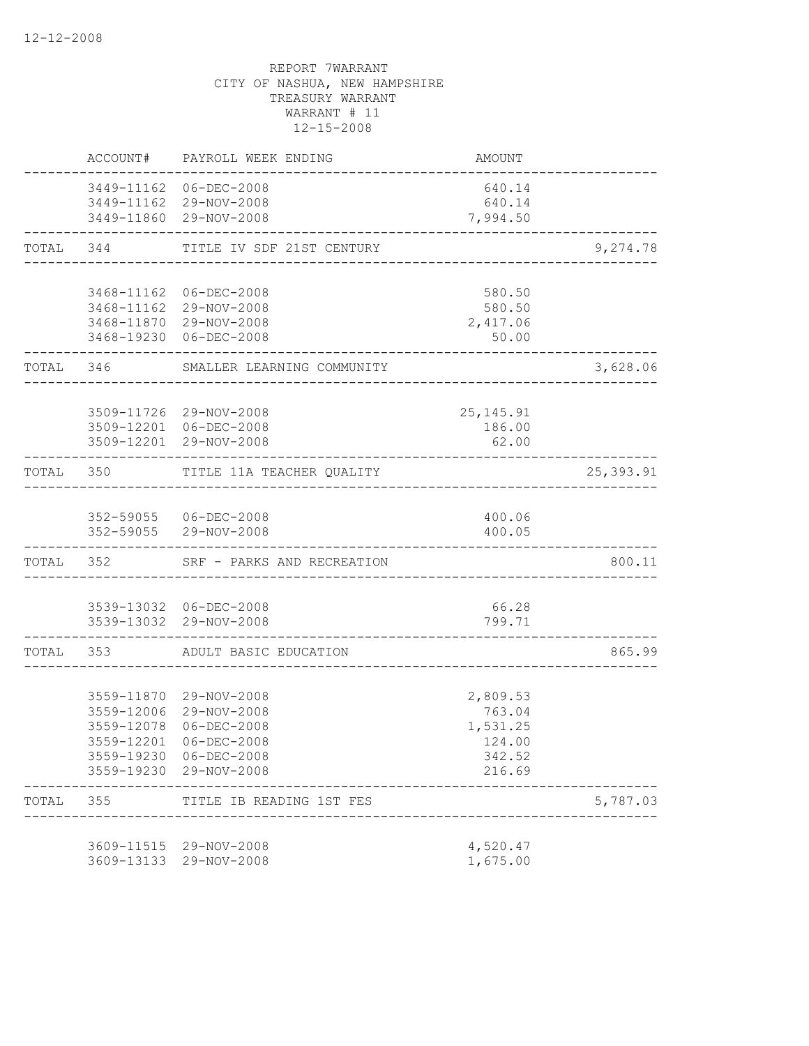|           | ACCOUNT#   | PAYROLL WEEK ENDING                              | AMOUNT                |            |
|-----------|------------|--------------------------------------------------|-----------------------|------------|
|           |            | 3449-11162 06-DEC-2008                           | 640.14                |            |
|           |            | 3449-11162 29-NOV-2008<br>3449-11860 29-NOV-2008 | 640.14<br>7,994.50    |            |
| TOTAL     |            | 344 TITLE IV SDF 21ST CENTURY                    |                       | 9,274.78   |
|           |            | 3468-11162 06-DEC-2008                           | 580.50                |            |
|           |            | 3468-11162 29-NOV-2008                           | 580.50                |            |
|           |            | 3468-11870 29-NOV-2008                           | 2,417.06              |            |
|           |            | 3468-19230 06-DEC-2008                           | 50.00                 |            |
| TOTAL 346 |            | SMALLER LEARNING COMMUNITY                       |                       | 3,628.06   |
|           |            |                                                  |                       |            |
|           |            | 3509-11726 29-NOV-2008<br>3509-12201 06-DEC-2008 | 25, 145. 91<br>186.00 |            |
|           |            | 3509-12201 29-NOV-2008                           | 62.00                 |            |
|           |            | TOTAL 350 TITLE 11A TEACHER QUALITY              |                       | 25, 393.91 |
|           |            |                                                  |                       |            |
|           |            | 352-59055 06-DEC-2008<br>352-59055 29-NOV-2008   | 400.06<br>400.05      |            |
|           |            |                                                  |                       |            |
|           | TOTAL 352  | SRF - PARKS AND RECREATION                       |                       | 800.11     |
|           |            | 3539-13032 06-DEC-2008                           | 66.28                 |            |
|           |            | 3539-13032 29-NOV-2008                           | 799.71                |            |
| TOTAL 353 |            | ADULT BASIC EDUCATION                            |                       | 865.99     |
|           |            |                                                  |                       |            |
|           |            | 3559-11870 29-NOV-2008                           | 2,809.53              |            |
|           | 3559-12078 | 3559-12006 29-NOV-2008<br>$06 - DEC - 2008$      | 763.04<br>1,531.25    |            |
|           | 3559-12201 | $06 - DEC - 2008$                                | 124.00                |            |
|           |            | 3559-19230 06-DEC-2008                           | 342.52                |            |
|           |            | 3559-19230 29-NOV-2008                           | 216.69                |            |
| TOTAL     | 355        | TITLE IB READING 1ST FES                         |                       | 5,787.03   |
|           |            | 3609-11515 29-NOV-2008                           | 4,520.47              |            |
|           |            | 3609-13133 29-NOV-2008                           | 1,675.00              |            |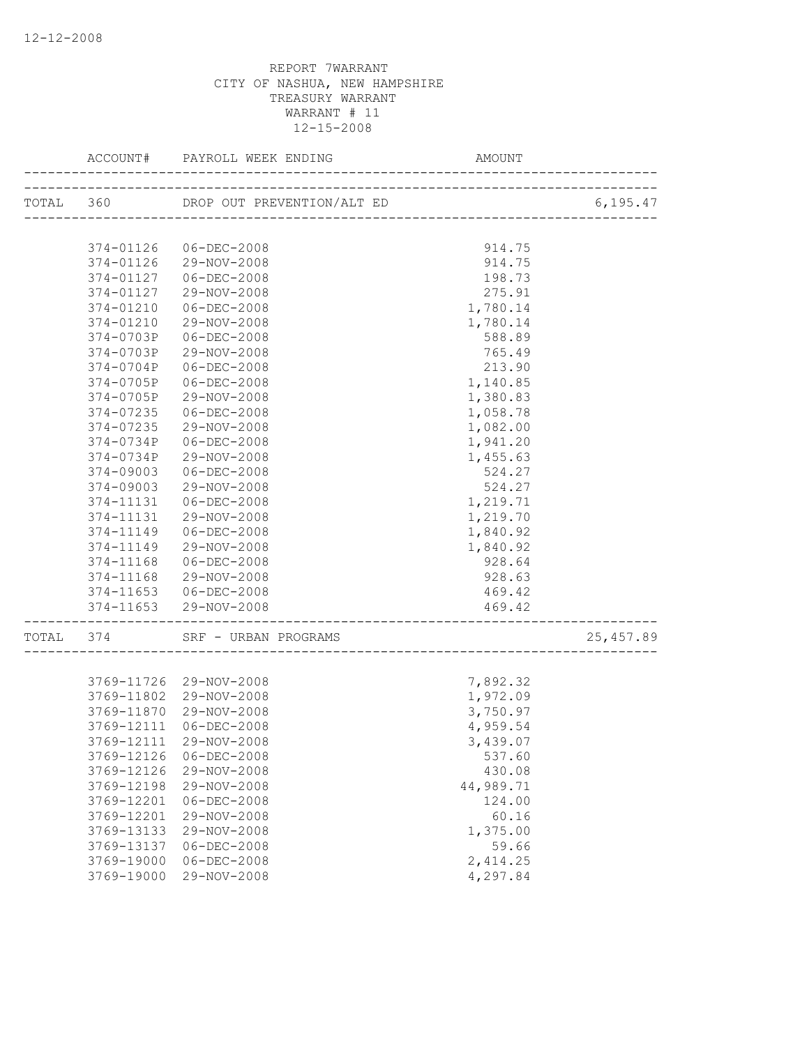| 374-01126                        | 06-DEC-2008                    | 914.75                           |            |
|----------------------------------|--------------------------------|----------------------------------|------------|
|                                  | 374-01126 29-NOV-2008          | 914.75                           |            |
| 374-01127                        | 06-DEC-2008                    | 198.73                           |            |
| 374-01127                        | 29-NOV-2008                    | 275.91                           |            |
| 374-01210                        | $06 - DEC - 2008$              | 1,780.14                         |            |
| 374-01210                        | 29-NOV-2008                    | 1,780.14                         |            |
| 374-0703P                        | $06 - DEC - 2008$              | 588.89                           |            |
| 374-0703P                        | 29-NOV-2008                    | 765.49                           |            |
| 374-0704P                        | $06 - DEC - 2008$              | 213.90                           |            |
| 374-0705P                        | $06 - DEC - 2008$              | 1,140.85                         |            |
| 374-0705P                        | 29-NOV-2008                    | 1,380.83                         |            |
| 374-07235                        | $06 - DEC - 2008$              | 1,058.78                         |            |
| 374-07235                        | 29-NOV-2008                    | 1,082.00                         |            |
| 374-0734P                        | $06 - DEC - 2008$              | 1,941.20                         |            |
| 374-0734P                        | 29-NOV-2008                    | 1,455.63                         |            |
| 374-09003                        | $06 - DEC - 2008$              | 524.27                           |            |
| 374-09003                        | 29-NOV-2008                    | 524.27                           |            |
| 374-11131                        | $06 - DEC - 2008$              | 1,219.71                         |            |
| 374-11131                        | 29-NOV-2008                    | 1,219.70                         |            |
| 374-11149                        | 06-DEC-2008                    | 1,840.92                         |            |
| 374-11149                        | 29-NOV-2008                    | 1,840.92                         |            |
| 374-11168                        | 06-DEC-2008                    | 928.64                           |            |
| 374-11168                        | 29-NOV-2008                    | 928.63                           |            |
|                                  | 374-11653 06-DEC-2008          | 469.42                           |            |
| 374-11653<br>------------------- | 29-NOV-2008                    | 469.42<br>______________________ |            |
|                                  | TOTAL 374 SRF - URBAN PROGRAMS |                                  | 25, 457.89 |
|                                  |                                |                                  |            |
|                                  | 3769-11726 29-NOV-2008         | 7,892.32                         |            |
| 3769-11802                       | 29-NOV-2008                    | 1,972.09                         |            |
| 3769-11870                       | 29-NOV-2008                    | 3,750.97                         |            |
| 3769-12111                       | 06-DEC-2008                    | 4,959.54                         |            |
| 3769-12111                       | 29-NOV-2008                    | 3,439.07                         |            |
| 3769-12126                       | $06 - DEC - 2008$              | 537.60                           |            |
| 3769-12126                       | 29-NOV-2008                    | 430.08                           |            |
| 3769-12198                       | 29-NOV-2008                    | 44,989.71                        |            |
| 3769-12201                       | $06 - DEC - 2008$              | 124.00                           |            |
| 3769-12201                       | 29-NOV-2008                    | 60.16                            |            |
| 3769-13133                       | 29-NOV-2008                    | 1,375.00                         |            |
| 3769-13137                       | $06 - DEC - 2008$              | 59.66                            |            |
| 3769-19000                       | $06 - DEC - 2008$              | 2,414.25                         |            |
| 3769-19000                       | 29-NOV-2008                    | 4,297.84                         |            |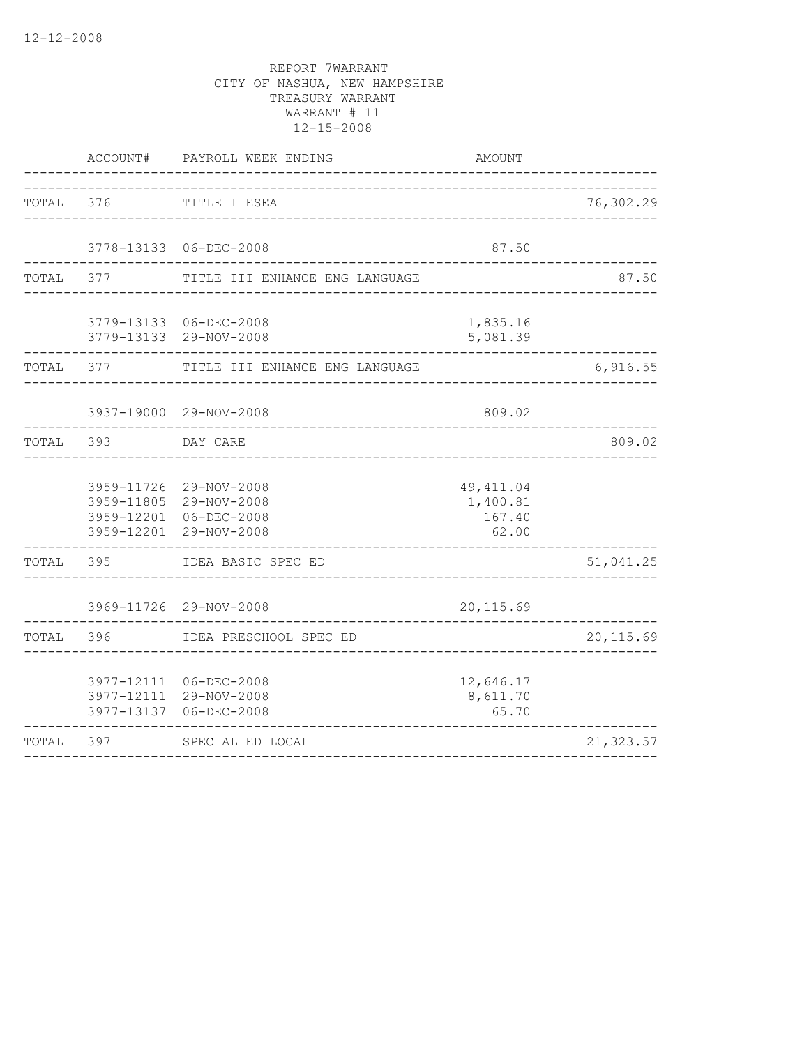|           | ACCOUNT#   | PAYROLL WEEK ENDING                                                                                  | <b>AMOUNT</b>                             |            |
|-----------|------------|------------------------------------------------------------------------------------------------------|-------------------------------------------|------------|
|           |            | TOTAL 376 TITLE I ESEA                                                                               |                                           | 76,302.29  |
|           |            | 3778-13133 06-DEC-2008                                                                               | 87.50                                     |            |
| TOTAL 377 |            | TITLE III ENHANCE ENG LANGUAGE                                                                       |                                           | 87.50      |
|           |            | 3779-13133 06-DEC-2008<br>3779-13133 29-NOV-2008                                                     | 1,835.16<br>5,081.39                      |            |
| TOTAL 377 |            | TITLE III ENHANCE ENG LANGUAGE                                                                       |                                           | 6,916.55   |
|           |            | 3937-19000 29-NOV-2008                                                                               | 809.02                                    |            |
|           | TOTAL 393  | DAY CARE                                                                                             |                                           | 809.02     |
|           |            | 3959-11726 29-NOV-2008<br>3959-11805 29-NOV-2008<br>3959-12201 06-DEC-2008<br>3959-12201 29-NOV-2008 | 49, 411.04<br>1,400.81<br>167.40<br>62.00 |            |
|           | TOTAL 395  | IDEA BASIC SPEC ED                                                                                   | _______________                           | 51,041.25  |
|           |            | 3969-11726 29-NOV-2008                                                                               | 20, 115.69                                |            |
| TOTAL     | 396        | IDEA PRESCHOOL SPEC ED                                                                               |                                           | 20, 115.69 |
|           | 3977-12111 | 3977-12111 06-DEC-2008<br>29-NOV-2008<br>3977-13137 06-DEC-2008                                      | 12,646.17<br>8,611.70<br>65.70            |            |
| TOTAL     | 397        | SPECIAL ED LOCAL                                                                                     |                                           | 21,323.57  |
|           |            |                                                                                                      |                                           |            |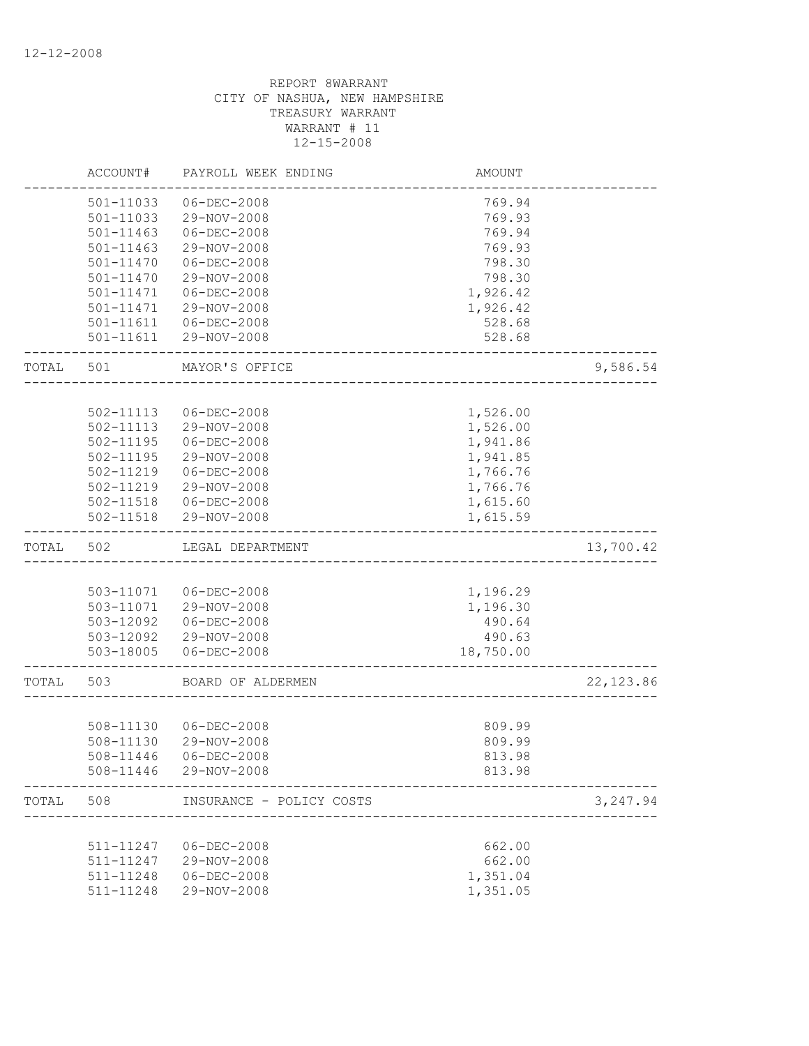|       | ACCOUNT#               | PAYROLL WEEK ENDING              | <b>AMOUNT</b>        |            |
|-------|------------------------|----------------------------------|----------------------|------------|
|       | 501-11033              | $06 - DEC - 2008$                | 769.94               |            |
|       | 501-11033              | 29-NOV-2008                      | 769.93               |            |
|       | 501-11463              | $06 - DEC - 2008$                | 769.94               |            |
|       | 501-11463              | 29-NOV-2008                      | 769.93               |            |
|       | 501-11470              | $06 - DEC - 2008$                | 798.30               |            |
|       | 501-11470              | 29-NOV-2008                      | 798.30               |            |
|       | 501-11471              | $06 - DEC - 2008$                | 1,926.42             |            |
|       | 501-11471              | 29-NOV-2008                      | 1,926.42             |            |
|       | 501-11611              | 06-DEC-2008                      | 528.68               |            |
|       | 501-11611              | 29-NOV-2008                      | 528.68               |            |
| TOTAL | 501                    | MAYOR'S OFFICE                   |                      | 9,586.54   |
|       |                        |                                  |                      |            |
|       | 502-11113              | $06 - DEC - 2008$                | 1,526.00             |            |
|       | 502-11113              | 29-NOV-2008                      | 1,526.00             |            |
|       | 502-11195              | $06 - DEC - 2008$                | 1,941.86             |            |
|       | 502-11195              | 29-NOV-2008                      | 1,941.85             |            |
|       | 502-11219              | $06 - DEC - 2008$                | 1,766.76             |            |
|       | 502-11219              | 29-NOV-2008                      | 1,766.76             |            |
|       | 502-11518              | 06-DEC-2008                      | 1,615.60             |            |
|       | 502-11518              | 29-NOV-2008                      | 1,615.59             |            |
| TOTAL | 502                    | LEGAL DEPARTMENT                 |                      | 13,700.42  |
|       |                        |                                  |                      |            |
|       |                        |                                  |                      |            |
|       |                        |                                  |                      |            |
|       | 503-11071              | 06-DEC-2008                      | 1,196.29             |            |
|       |                        | 503-11071 29-NOV-2008            | 1,196.30             |            |
|       | 503-12092              | 06-DEC-2008                      | 490.64               |            |
|       | 503-12092<br>503-18005 | 29-NOV-2008<br>$06 - DEC - 2008$ | 490.63<br>18,750.00  |            |
| TOTAL | 503                    | BOARD OF ALDERMEN                |                      | 22, 123.86 |
|       |                        |                                  |                      |            |
|       | 508-11130              | 06-DEC-2008                      | 809.99               |            |
|       | 508-11130              | 29-NOV-2008                      | 809.99               |            |
|       | 508-11446              | $06 - DEC - 2008$                | 813.98               |            |
|       | 508-11446              | 29-NOV-2008                      | 813.98               |            |
| TOTAL | 508                    | INSURANCE - POLICY COSTS         |                      | 3,247.94   |
|       |                        |                                  |                      |            |
|       | 511-11247              | $06 - DEC - 2008$                | 662.00               |            |
|       | 511-11247              | 29-NOV-2008                      | 662.00               |            |
|       | 511-11248              | $06 - DEC - 2008$                | 1,351.04<br>1,351.05 |            |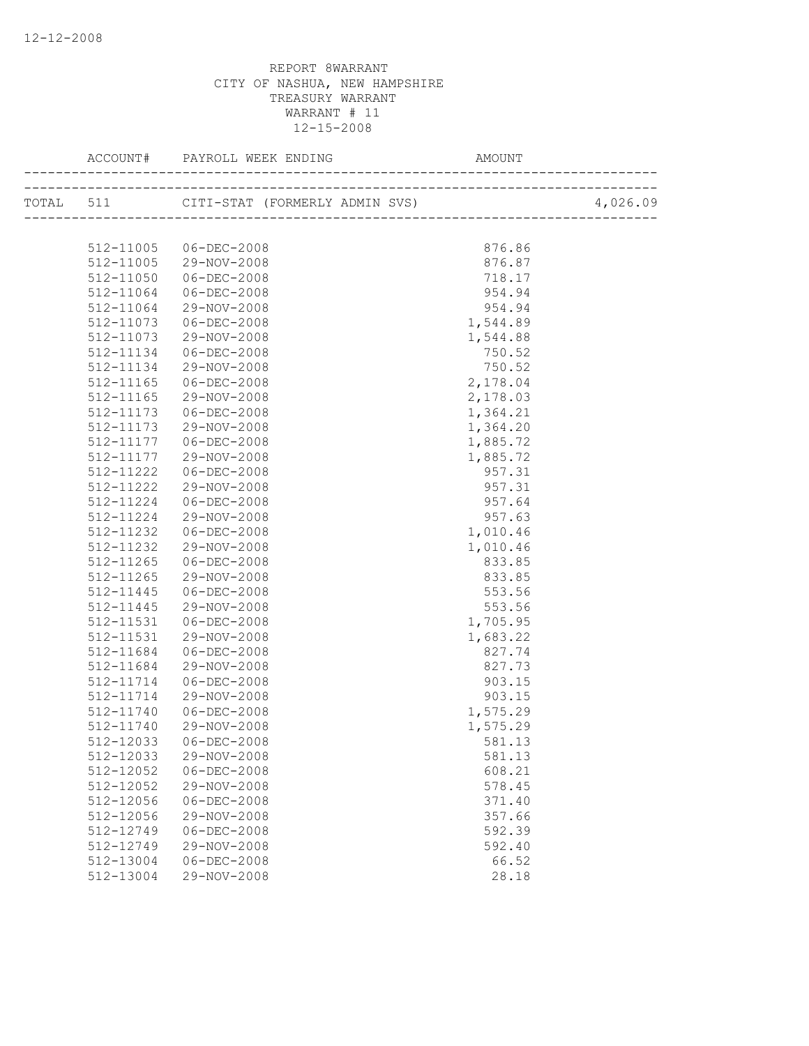|               |                       |          | 4,026.09 |
|---------------|-----------------------|----------|----------|
|               |                       |          |          |
|               | 512-11005 06-DEC-2008 | 876.86   |          |
|               | 512-11005 29-NOV-2008 | 876.87   |          |
| 512-11050     | 06-DEC-2008           | 718.17   |          |
| 512-11064     | 06-DEC-2008           | 954.94   |          |
| 512-11064     | 29-NOV-2008           | 954.94   |          |
| 512-11073     | $06 - DEC - 2008$     | 1,544.89 |          |
| 512-11073     | 29-NOV-2008           | 1,544.88 |          |
| 512-11134     | 06-DEC-2008           | 750.52   |          |
| 512-11134     | 29-NOV-2008           | 750.52   |          |
| 512-11165     | 06-DEC-2008           | 2,178.04 |          |
| 512-11165     | 29-NOV-2008           | 2,178.03 |          |
| 512-11173     | 06-DEC-2008           | 1,364.21 |          |
| 512-11173     | 29-NOV-2008           | 1,364.20 |          |
| 512-11177     | $06 - DEC - 2008$     | 1,885.72 |          |
| 512-11177     | 29-NOV-2008           | 1,885.72 |          |
| $512 - 11222$ | 06-DEC-2008           | 957.31   |          |
| 512-11222     | 29-NOV-2008           | 957.31   |          |
| 512-11224     | 06-DEC-2008           | 957.64   |          |
| 512-11224     | 29-NOV-2008           | 957.63   |          |
| 512-11232     | 06-DEC-2008           | 1,010.46 |          |
| 512-11232     | 29-NOV-2008           | 1,010.46 |          |
| 512-11265     | 06-DEC-2008           | 833.85   |          |
| 512-11265     | 29-NOV-2008           | 833.85   |          |
| 512-11445     | $06 - DEC - 2008$     | 553.56   |          |
| 512-11445     | 29-NOV-2008           | 553.56   |          |
| 512-11531     | 06-DEC-2008           | 1,705.95 |          |
| 512-11531     | 29-NOV-2008           | 1,683.22 |          |
| 512-11684     | 06-DEC-2008           | 827.74   |          |
| 512-11684     | 29-NOV-2008           | 827.73   |          |
| 512-11714     | 06-DEC-2008           | 903.15   |          |
| 512-11714     | 29-NOV-2008           | 903.15   |          |
| 512-11740     | 06-DEC-2008           | 1,575.29 |          |
| 512-11740     | 29-NOV-2008           | 1,575.29 |          |
|               | 512-12033 06-DEC-2008 | 581.13   |          |
| 512-12033     | 29-NOV-2008           | 581.13   |          |
| 512-12052     | $06 - DEC - 2008$     | 608.21   |          |
| 512-12052     | 29-NOV-2008           | 578.45   |          |
| 512-12056     | $06 - DEC - 2008$     | 371.40   |          |
| 512-12056     | 29-NOV-2008           | 357.66   |          |
| 512-12749     | $06 - DEC - 2008$     | 592.39   |          |
| 512-12749     | 29-NOV-2008           | 592.40   |          |
| 512-13004     | $06 - DEC - 2008$     | 66.52    |          |
| 512-13004     | 29-NOV-2008           | 28.18    |          |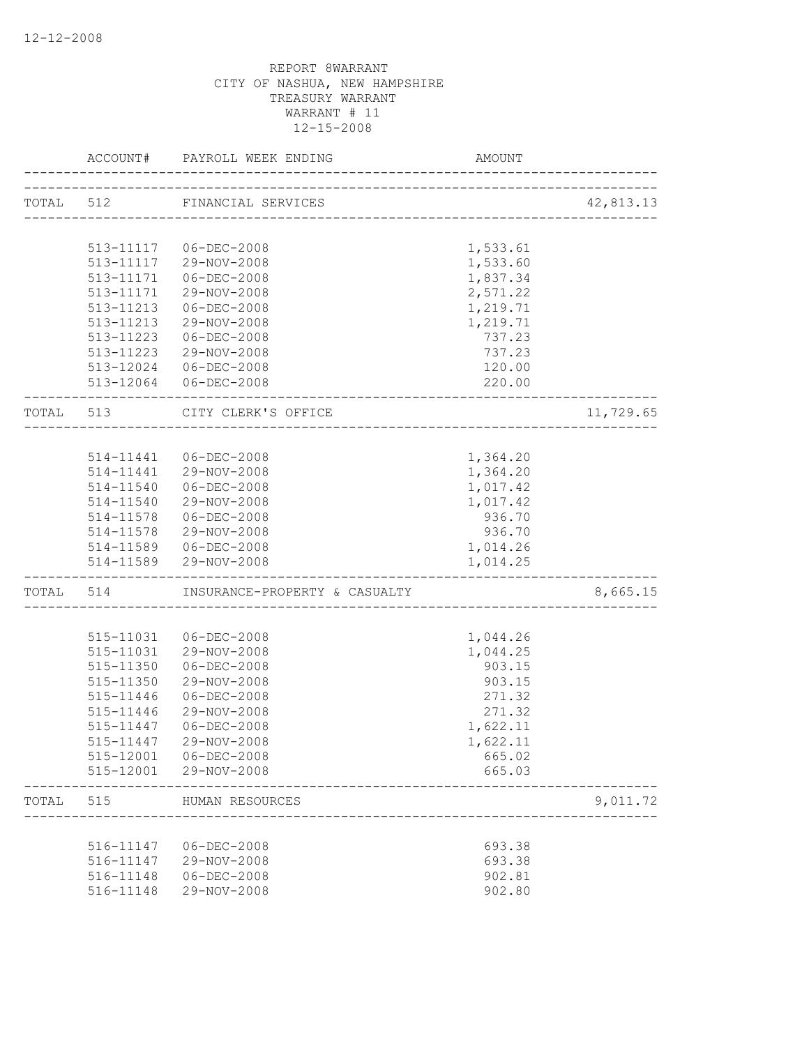|       | ACCOUNT#                 | PAYROLL WEEK ENDING                           | AMOUNT   |           |
|-------|--------------------------|-----------------------------------------------|----------|-----------|
|       |                          | TOTAL 512 FINANCIAL SERVICES                  |          | 42,813.13 |
|       |                          |                                               |          |           |
|       |                          | 513-11117 06-DEC-2008                         | 1,533.61 |           |
|       |                          | 513-11117 29-NOV-2008                         | 1,533.60 |           |
|       | 513-11171                | 06-DEC-2008                                   | 1,837.34 |           |
|       | 513-11171                | 29-NOV-2008                                   | 2,571.22 |           |
|       | 513-11213                | 06-DEC-2008                                   | 1,219.71 |           |
|       |                          | 513-11213 29-NOV-2008                         | 1,219.71 |           |
|       |                          | 513-11223 06-DEC-2008                         | 737.23   |           |
|       |                          | 513-11223 29-NOV-2008                         | 737.23   |           |
|       |                          | 513-12024 06-DEC-2008                         | 120.00   |           |
|       |                          | 513-12064 06-DEC-2008                         | 220.00   |           |
|       | TOTAL 513                | CITY CLERK'S OFFICE<br>---------------------- |          | 11,729.65 |
|       |                          |                                               |          |           |
|       |                          | 514-11441 06-DEC-2008                         | 1,364.20 |           |
|       |                          | 514-11441 29-NOV-2008                         | 1,364.20 |           |
|       |                          | 514-11540 06-DEC-2008                         | 1,017.42 |           |
|       | 514-11540                | 29-NOV-2008                                   | 1,017.42 |           |
|       | 514-11578                | 06-DEC-2008                                   | 936.70   |           |
|       | 514-11578                | 29-NOV-2008                                   | 936.70   |           |
|       |                          | 514-11589   06-DEC-2008                       | 1,014.26 |           |
|       | ------------------------ | 514-11589 29-NOV-2008                         | 1,014.25 |           |
|       |                          | TOTAL 514 INSURANCE-PROPERTY & CASUALTY       |          | 8,665.15  |
|       |                          |                                               |          |           |
|       | 515-11031                | 06-DEC-2008                                   | 1,044.26 |           |
|       | 515-11031                | 29-NOV-2008                                   | 1,044.25 |           |
|       | 515-11350                | $06 - DEC - 2008$                             | 903.15   |           |
|       | 515-11350                | 29-NOV-2008                                   | 903.15   |           |
|       | 515-11446                | 06-DEC-2008                                   | 271.32   |           |
|       | 515-11446                | 29-NOV-2008                                   | 271.32   |           |
|       |                          | 515-11447 06-DEC-2008                         | 1,622.11 |           |
|       |                          | 515-11447 29-NOV-2008                         | 1,622.11 |           |
|       | 515-12001                | $06 - DEC - 2008$                             | 665.02   |           |
|       | 515-12001                | 29-NOV-2008                                   | 665.03   |           |
| TOTAL | 515                      | HUMAN RESOURCES                               |          | 9,011.72  |
|       |                          |                                               |          |           |
|       | 516-11147                | $06 - DEC - 2008$                             | 693.38   |           |
|       | 516-11147                | 29-NOV-2008                                   | 693.38   |           |
|       | 516-11148                | $06 - DEC - 2008$                             | 902.81   |           |
|       | 516-11148                | 29-NOV-2008                                   | 902.80   |           |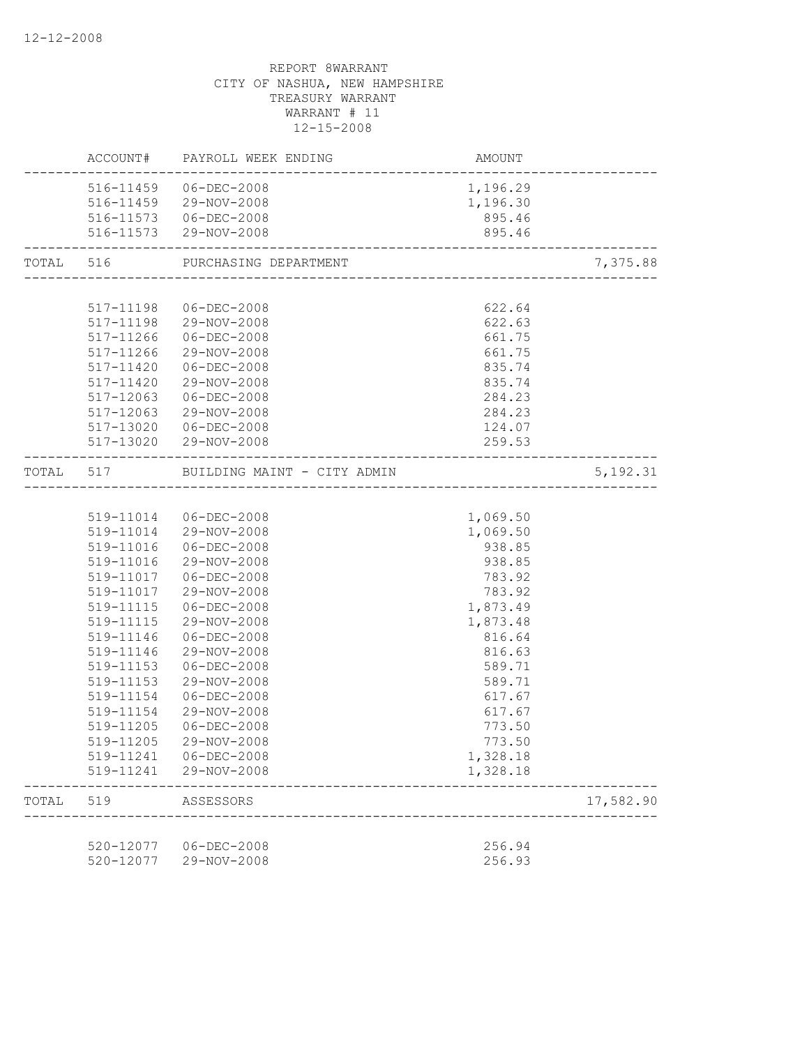|       |                        | ACCOUNT# PAYROLL WEEK ENDING<br>. _ _ _ _ _ _ _ _ _ _ _ _ _ _ _ | AMOUNT<br>---------------------- |           |
|-------|------------------------|-----------------------------------------------------------------|----------------------------------|-----------|
|       |                        | 516-11459 06-DEC-2008                                           | 1,196.29                         |           |
|       |                        | 516-11459 29-NOV-2008                                           | 1,196.30                         |           |
|       |                        | 516-11573  06-DEC-2008                                          | 895.46                           |           |
|       |                        | 516-11573 29-NOV-2008<br>--------------------------             | 895.46                           |           |
|       |                        | TOTAL 516 PURCHASING DEPARTMENT                                 |                                  | 7,375.88  |
|       |                        |                                                                 |                                  |           |
|       |                        | 517-11198 06-DEC-2008                                           | 622.64                           |           |
|       |                        | 517-11198 29-NOV-2008                                           | 622.63                           |           |
|       |                        | 517-11266 06-DEC-2008                                           | 661.75                           |           |
|       |                        | 517-11266 29-NOV-2008                                           | 661.75                           |           |
|       | 517-11420              | 06-DEC-2008                                                     | 835.74                           |           |
|       | 517-11420              | 29-NOV-2008                                                     | 835.74                           |           |
|       | 517-12063              | 06-DEC-2008                                                     | 284.23                           |           |
|       | 517-12063              | 29-NOV-2008                                                     | 284.23                           |           |
|       |                        | 517-13020 06-DEC-2008                                           | 124.07                           |           |
|       |                        | 517-13020 29-NOV-2008                                           | 259.53                           |           |
|       |                        | TOTAL 517 BUILDING MAINT - CITY ADMIN                           |                                  | 5,192.31  |
|       |                        |                                                                 |                                  |           |
|       |                        | 519-11014 06-DEC-2008                                           | 1,069.50                         |           |
|       |                        | 519-11014 29-NOV-2008                                           | 1,069.50                         |           |
|       |                        | 519-11016  06-DEC-2008                                          | 938.85                           |           |
|       |                        | 519-11016 29-NOV-2008                                           | 938.85                           |           |
|       |                        | 519-11017  06-DEC-2008                                          | 783.92                           |           |
|       |                        | 519-11017 29-NOV-2008                                           | 783.92                           |           |
|       |                        | 519-11115   06-DEC-2008                                         | 1,873.49                         |           |
|       | 519-11115              | 29-NOV-2008                                                     | 1,873.48                         |           |
|       | 519-11146              | 06-DEC-2008                                                     | 816.64                           |           |
|       | 519-11146              | 29-NOV-2008                                                     | 816.63                           |           |
|       | 519-11153              | $06 - DEC - 2008$                                               | 589.71                           |           |
|       | 519-11153              | 29-NOV-2008                                                     | 589.71                           |           |
|       | 519-11154              | $06 - DEC - 2008$                                               | 617.67                           |           |
|       | 519-11154              | 29-NOV-2008<br>$06 - DEC - 2008$                                | 617.67                           |           |
|       | 519-11205              |                                                                 | 773.50<br>773.50                 |           |
|       | 519-11205              | 29-NOV-2008                                                     |                                  |           |
|       | 519-11241<br>519-11241 | 06-DEC-2008<br>29-NOV-2008                                      | 1,328.18<br>1,328.18             |           |
| TOTAL | 519                    | ASSESSORS                                                       |                                  | 17,582.90 |
|       |                        |                                                                 |                                  |           |
|       | 520-12077              | $06 - DEC - 2008$                                               | 256.94                           |           |
|       | 520-12077              | 29-NOV-2008                                                     | 256.93                           |           |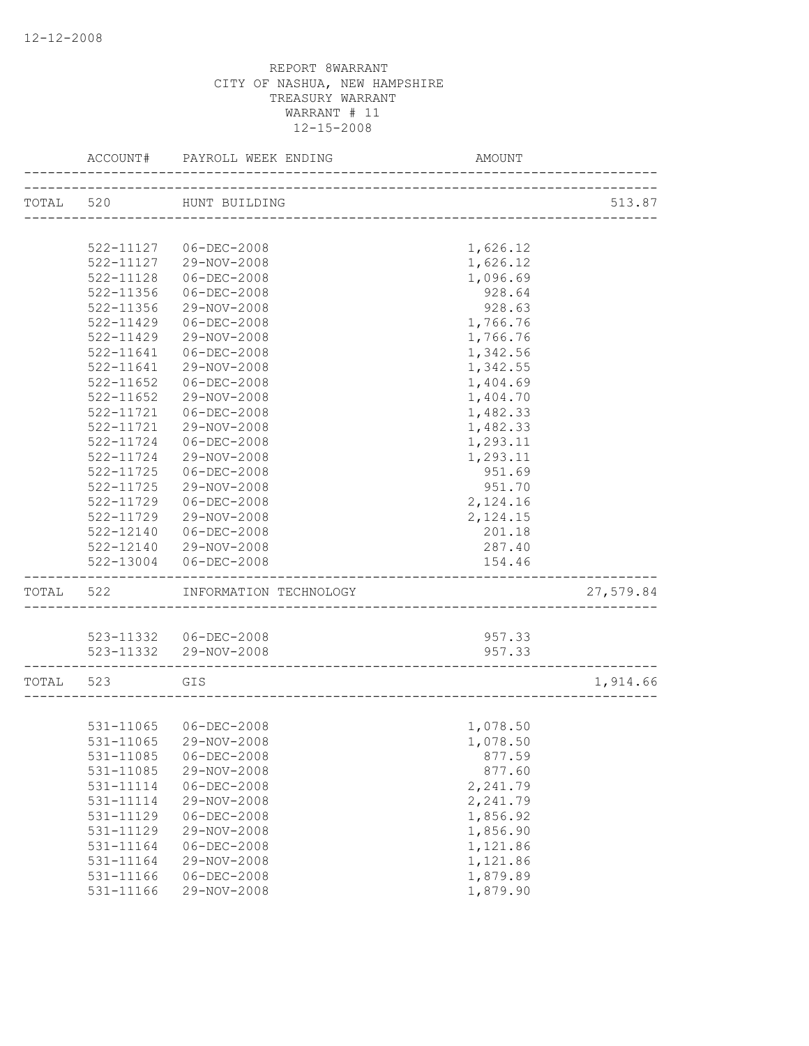|           | ACCOUNT#      | PAYROLL WEEK ENDING    | AMOUNT                            |           |
|-----------|---------------|------------------------|-----------------------------------|-----------|
|           | TOTAL 520     | HUNT BUILDING          |                                   | 513.87    |
|           |               |                        | _________________________________ |           |
|           |               | 522-11127 06-DEC-2008  | 1,626.12                          |           |
|           |               | 522-11127 29-NOV-2008  | 1,626.12                          |           |
|           | $522 - 11128$ | $06 - DEC - 2008$      | 1,096.69                          |           |
|           | 522-11356     | $06 - DEC - 2008$      | 928.64                            |           |
|           | 522-11356     | 29-NOV-2008            | 928.63                            |           |
|           | $522 - 11429$ | $06 - DEC - 2008$      | 1,766.76                          |           |
|           | 522-11429     | 29-NOV-2008            | 1,766.76                          |           |
|           | 522-11641     | $06 - DEC - 2008$      | 1,342.56                          |           |
|           | 522-11641     | 29-NOV-2008            | 1,342.55                          |           |
|           | $522 - 11652$ | $06 - DEC - 2008$      | 1,404.69                          |           |
|           | 522-11652     | 29-NOV-2008            | 1,404.70                          |           |
|           | 522-11721     | $06 - DEC - 2008$      | 1,482.33                          |           |
|           | 522-11721     | 29-NOV-2008            | 1,482.33                          |           |
|           | 522-11724     | $06 - DEC - 2008$      | 1,293.11                          |           |
|           | 522-11724     | 29-NOV-2008            | 1,293.11                          |           |
|           | 522-11725     | $06 - DEC - 2008$      | 951.69                            |           |
|           | 522-11725     | 29-NOV-2008            | 951.70                            |           |
|           | $522 - 11729$ | $06 - DEC - 2008$      | 2,124.16                          |           |
|           | 522-11729     | 29-NOV-2008            | 2,124.15                          |           |
|           | 522-12140     | $06 - DEC - 2008$      | 201.18                            |           |
|           | 522-12140     | 29-NOV-2008            | 287.40                            |           |
|           | 522-13004     | 06-DEC-2008            | 154.46                            |           |
| TOTAL 522 |               | INFORMATION TECHNOLOGY |                                   | 27,579.84 |
|           |               | 523-11332 06-DEC-2008  | 957.33                            |           |
|           |               | 523-11332 29-NOV-2008  | 957.33                            |           |
|           |               |                        |                                   |           |
| TOTAL 523 | <b>GIS</b>    |                        |                                   | 1,914.66  |
|           |               |                        |                                   |           |
|           |               | 531-11065 06-DEC-2008  | 1,078.50                          |           |
|           |               | 531-11065 29-NOV-2008  | 1,078.50                          |           |
|           | 531-11085     | $06 - DEC - 2008$      | 877.59                            |           |
|           | 531-11085     | 29-NOV-2008            | 877.60                            |           |
|           | 531-11114     | $06 - DEC - 2008$      | 2,241.79                          |           |
|           | 531-11114     | 29-NOV-2008            | 2,241.79                          |           |
|           | 531-11129     | $06 - DEC - 2008$      | 1,856.92                          |           |
|           | 531-11129     | 29-NOV-2008            | 1,856.90                          |           |
|           | 531-11164     | $06 - DEC - 2008$      | 1,121.86                          |           |
|           | 531-11164     | 29-NOV-2008            | 1,121.86                          |           |
|           | 531-11166     | $06 - DEC - 2008$      | 1,879.89                          |           |
|           | 531-11166     | 29-NOV-2008            | 1,879.90                          |           |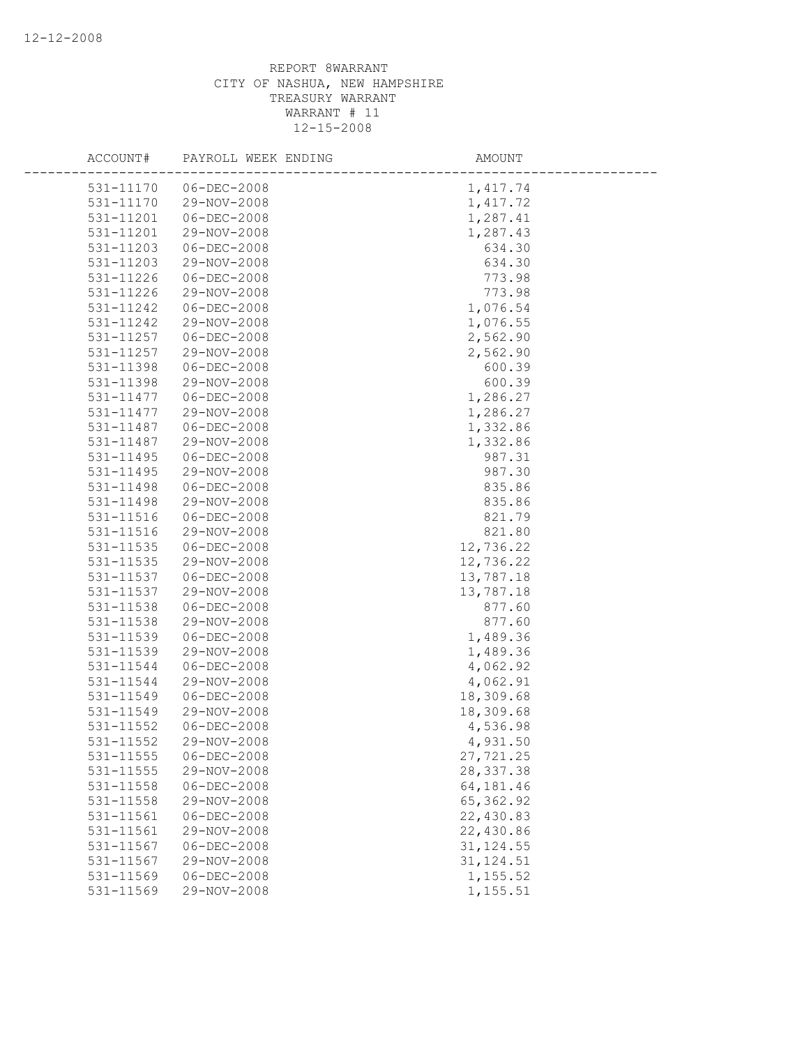| ACCOUNT#  | PAYROLL WEEK ENDING | AMOUNT     |
|-----------|---------------------|------------|
| 531-11170 | $06 - DEC - 2008$   | 1,417.74   |
| 531-11170 | 29-NOV-2008         | 1,417.72   |
| 531-11201 | $06 - DEC - 2008$   | 1,287.41   |
| 531-11201 | 29-NOV-2008         | 1,287.43   |
| 531-11203 | $06 - DEC - 2008$   | 634.30     |
| 531-11203 | 29-NOV-2008         | 634.30     |
| 531-11226 | $06 - DEC - 2008$   | 773.98     |
| 531-11226 | 29-NOV-2008         | 773.98     |
| 531-11242 | $06 - DEC - 2008$   | 1,076.54   |
| 531-11242 | 29-NOV-2008         | 1,076.55   |
| 531-11257 | $06 - DEC - 2008$   | 2,562.90   |
| 531-11257 | 29-NOV-2008         | 2,562.90   |
| 531-11398 | $06 - DEC - 2008$   | 600.39     |
| 531-11398 | 29-NOV-2008         | 600.39     |
| 531-11477 | $06 - DEC - 2008$   | 1,286.27   |
| 531-11477 | 29-NOV-2008         | 1,286.27   |
| 531-11487 | $06 - DEC - 2008$   | 1,332.86   |
| 531-11487 | 29-NOV-2008         | 1,332.86   |
| 531-11495 | $06 - DEC - 2008$   | 987.31     |
| 531-11495 | 29-NOV-2008         | 987.30     |
| 531-11498 | $06 - DEC - 2008$   | 835.86     |
| 531-11498 | 29-NOV-2008         | 835.86     |
| 531-11516 | $06 - DEC - 2008$   | 821.79     |
| 531-11516 | 29-NOV-2008         | 821.80     |
| 531-11535 | $06 - DEC - 2008$   | 12,736.22  |
| 531-11535 | 29-NOV-2008         | 12,736.22  |
| 531-11537 | $06 - DEC - 2008$   | 13,787.18  |
| 531-11537 | 29-NOV-2008         | 13,787.18  |
| 531-11538 | $06 - DEC - 2008$   | 877.60     |
| 531-11538 | 29-NOV-2008         | 877.60     |
| 531-11539 | $06 - DEC - 2008$   | 1,489.36   |
| 531-11539 | 29-NOV-2008         | 1,489.36   |
| 531-11544 | $06 - DEC - 2008$   | 4,062.92   |
| 531-11544 | 29-NOV-2008         | 4,062.91   |
| 531-11549 | $06 - DEC - 2008$   | 18,309.68  |
| 531-11549 | 29-NOV-2008         | 18,309.68  |
| 531-11552 | $06 - DEC - 2008$   | 4,536.98   |
| 531-11552 | 29-NOV-2008         | 4,931.50   |
| 531-11555 | $06 - DEC - 2008$   | 27,721.25  |
| 531-11555 | 29-NOV-2008         | 28, 337.38 |
| 531-11558 | $06 - DEC - 2008$   | 64,181.46  |
| 531-11558 | 29-NOV-2008         | 65, 362.92 |
| 531-11561 | $06 - DEC - 2008$   | 22,430.83  |
| 531-11561 | 29-NOV-2008         | 22,430.86  |
| 531-11567 | $06 - DEC - 2008$   | 31, 124.55 |
| 531-11567 | 29-NOV-2008         | 31, 124.51 |
| 531-11569 | $06 - DEC - 2008$   | 1,155.52   |
| 531-11569 | 29-NOV-2008         | 1,155.51   |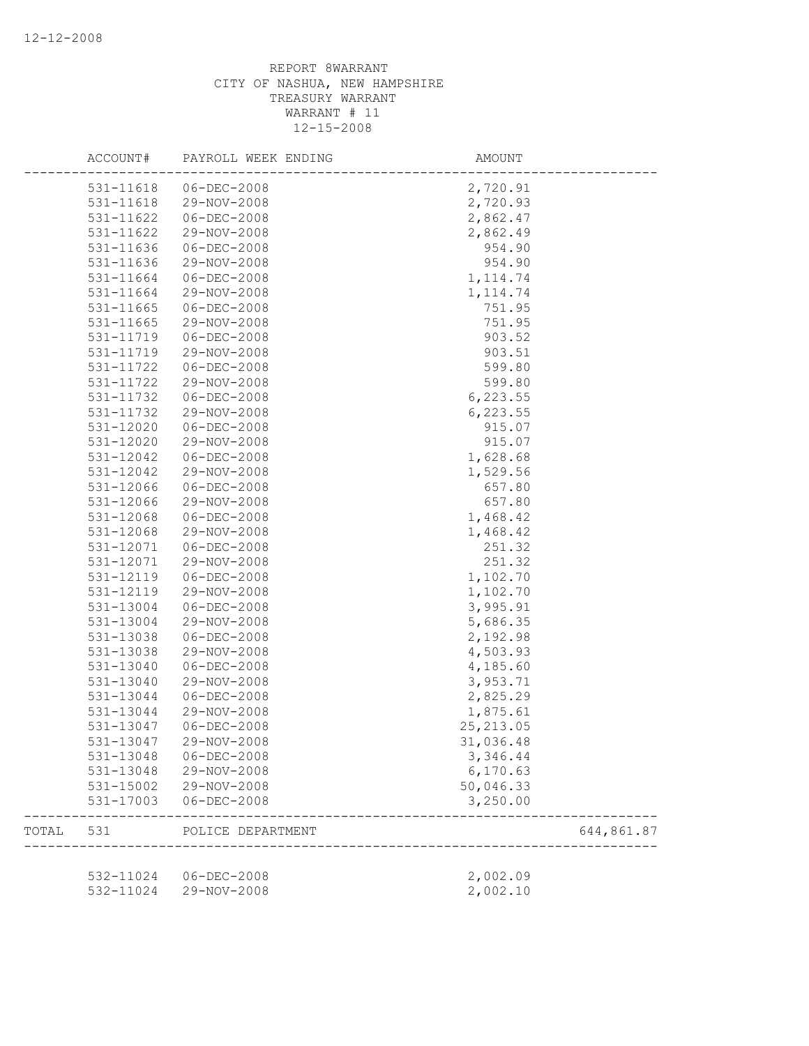|       | ACCOUNT#      | PAYROLL WEEK ENDING   | AMOUNT     |            |
|-------|---------------|-----------------------|------------|------------|
|       | 531-11618     | $06 - DEC - 2008$     | 2,720.91   |            |
|       | 531-11618     | 29-NOV-2008           | 2,720.93   |            |
|       | 531-11622     | $06 - DEC - 2008$     | 2,862.47   |            |
|       | 531-11622     | 29-NOV-2008           | 2,862.49   |            |
|       | 531-11636     | $06 - DEC - 2008$     | 954.90     |            |
|       | 531-11636     | 29-NOV-2008           | 954.90     |            |
|       | 531-11664     | $06 - DEC - 2008$     | 1, 114.74  |            |
|       | 531-11664     | 29-NOV-2008           | 1, 114.74  |            |
|       | 531-11665     | $06 - DEC - 2008$     | 751.95     |            |
|       | 531-11665     | 29-NOV-2008           | 751.95     |            |
|       | 531-11719     | $06 - DEC - 2008$     | 903.52     |            |
|       | 531-11719     | 29-NOV-2008           | 903.51     |            |
|       | 531-11722     | $06 - DEC - 2008$     | 599.80     |            |
|       | 531-11722     | 29-NOV-2008           | 599.80     |            |
|       | 531-11732     | $06 - DEC - 2008$     | 6,223.55   |            |
|       | 531-11732     | 29-NOV-2008           | 6,223.55   |            |
|       | 531-12020     | $06 - DEC - 2008$     | 915.07     |            |
|       | 531-12020     | 29-NOV-2008           | 915.07     |            |
|       | 531-12042     | $06 - DEC - 2008$     | 1,628.68   |            |
|       | 531-12042     | 29-NOV-2008           | 1,529.56   |            |
|       | 531-12066     | $06 - DEC - 2008$     | 657.80     |            |
|       |               | 29-NOV-2008           |            |            |
|       | 531-12066     |                       | 657.80     |            |
|       | 531-12068     | $06 - DEC - 2008$     | 1,468.42   |            |
|       | 531-12068     | 29-NOV-2008           | 1,468.42   |            |
|       | 531-12071     | $06 - DEC - 2008$     | 251.32     |            |
|       | 531-12071     | 29-NOV-2008           | 251.32     |            |
|       | 531-12119     | $06 - DEC - 2008$     | 1,102.70   |            |
|       | 531-12119     | 29-NOV-2008           | 1,102.70   |            |
|       | 531-13004     | $06 - DEC - 2008$     | 3,995.91   |            |
|       | 531-13004     | 29-NOV-2008           | 5,686.35   |            |
|       | 531-13038     | $06 - DEC - 2008$     | 2,192.98   |            |
|       | 531-13038     | 29-NOV-2008           | 4,503.93   |            |
|       | 531-13040     | $06 - DEC - 2008$     | 4,185.60   |            |
|       | 531-13040     | 29-NOV-2008           | 3,953.71   |            |
|       | 531-13044     | $06 - DEC - 2008$     | 2,825.29   |            |
|       | 531-13044     | 29-NOV-2008           | 1,875.61   |            |
|       | 531-13047     | $06 - DEC - 2008$     | 25, 213.05 |            |
|       | 531-13047     | 29-NOV-2008           | 31,036.48  |            |
|       | 531-13048     | $06 - DEC - 2008$     | 3,346.44   |            |
|       | 531-13048     | 29-NOV-2008           | 6, 170.63  |            |
|       | 531-15002     | 29-NOV-2008           | 50,046.33  |            |
|       | $531 - 17003$ | $06 - DEC - 2008$     | 3,250.00   |            |
| TOTAL | 531           | POLICE DEPARTMENT     |            | 644,861.87 |
|       |               |                       |            |            |
|       |               | 532-11024 06-DEC-2008 | 2,002.09   |            |
|       | 532-11024     | 29-NOV-2008           | 2,002.10   |            |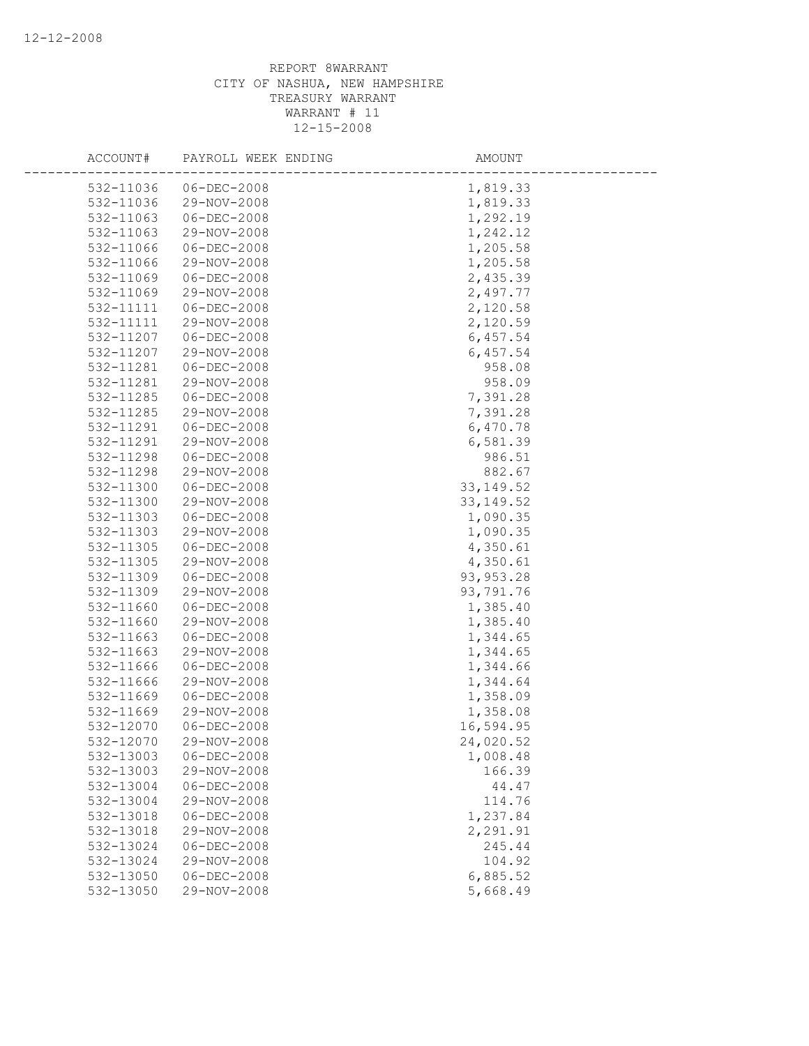| ACCOUNT#  | PAYROLL WEEK ENDING | AMOUNT     |
|-----------|---------------------|------------|
| 532-11036 | $06 - DEC - 2008$   | 1,819.33   |
| 532-11036 | 29-NOV-2008         | 1,819.33   |
| 532-11063 | $06 - DEC - 2008$   | 1,292.19   |
| 532-11063 | 29-NOV-2008         | 1,242.12   |
| 532-11066 | $06 - DEC - 2008$   | 1,205.58   |
| 532-11066 | 29-NOV-2008         | 1,205.58   |
| 532-11069 | $06 - DEC - 2008$   | 2,435.39   |
| 532-11069 | 29-NOV-2008         | 2,497.77   |
| 532-11111 | $06 - DEC - 2008$   | 2,120.58   |
| 532-11111 | 29-NOV-2008         | 2,120.59   |
| 532-11207 | $06 - DEC - 2008$   | 6,457.54   |
| 532-11207 | 29-NOV-2008         | 6,457.54   |
| 532-11281 | $06 - DEC - 2008$   | 958.08     |
| 532-11281 | 29-NOV-2008         | 958.09     |
| 532-11285 | $06 - DEC - 2008$   | 7,391.28   |
| 532-11285 | 29-NOV-2008         | 7,391.28   |
| 532-11291 | $06 - DEC - 2008$   | 6,470.78   |
| 532-11291 | 29-NOV-2008         | 6,581.39   |
| 532-11298 | $06 - DEC - 2008$   | 986.51     |
| 532-11298 | 29-NOV-2008         | 882.67     |
| 532-11300 | $06 - DEC - 2008$   | 33, 149.52 |
| 532-11300 | 29-NOV-2008         | 33, 149.52 |
| 532-11303 | $06 - DEC - 2008$   | 1,090.35   |
| 532-11303 | 29-NOV-2008         | 1,090.35   |
| 532-11305 | $06 - DEC - 2008$   | 4,350.61   |
| 532-11305 | 29-NOV-2008         | 4,350.61   |
| 532-11309 | $06 - DEC - 2008$   | 93, 953.28 |
| 532-11309 | 29-NOV-2008         | 93,791.76  |
| 532-11660 | $06 - DEC - 2008$   | 1,385.40   |
| 532-11660 | 29-NOV-2008         | 1,385.40   |
| 532-11663 | $06 - DEC - 2008$   | 1,344.65   |
| 532-11663 | 29-NOV-2008         | 1,344.65   |
| 532-11666 | $06 - DEC - 2008$   | 1,344.66   |
| 532-11666 | 29-NOV-2008         | 1,344.64   |
| 532-11669 | $06 - DEC - 2008$   | 1,358.09   |
| 532-11669 | 29-NOV-2008         | 1,358.08   |
| 532-12070 | $06 - DEC - 2008$   | 16,594.95  |
| 532-12070 | 29-NOV-2008         | 24,020.52  |
| 532-13003 | $06 - DEC - 2008$   | 1,008.48   |
| 532-13003 | 29-NOV-2008         | 166.39     |
| 532-13004 | $06 - DEC - 2008$   | 44.47      |
| 532-13004 | 29-NOV-2008         | 114.76     |
| 532-13018 | $06 - DEC - 2008$   | 1,237.84   |
| 532-13018 | 29-NOV-2008         | 2,291.91   |
| 532-13024 | $06 - DEC - 2008$   | 245.44     |
| 532-13024 | 29-NOV-2008         | 104.92     |
| 532-13050 | $06 - DEC - 2008$   | 6,885.52   |
| 532-13050 | 29-NOV-2008         | 5,668.49   |
|           |                     |            |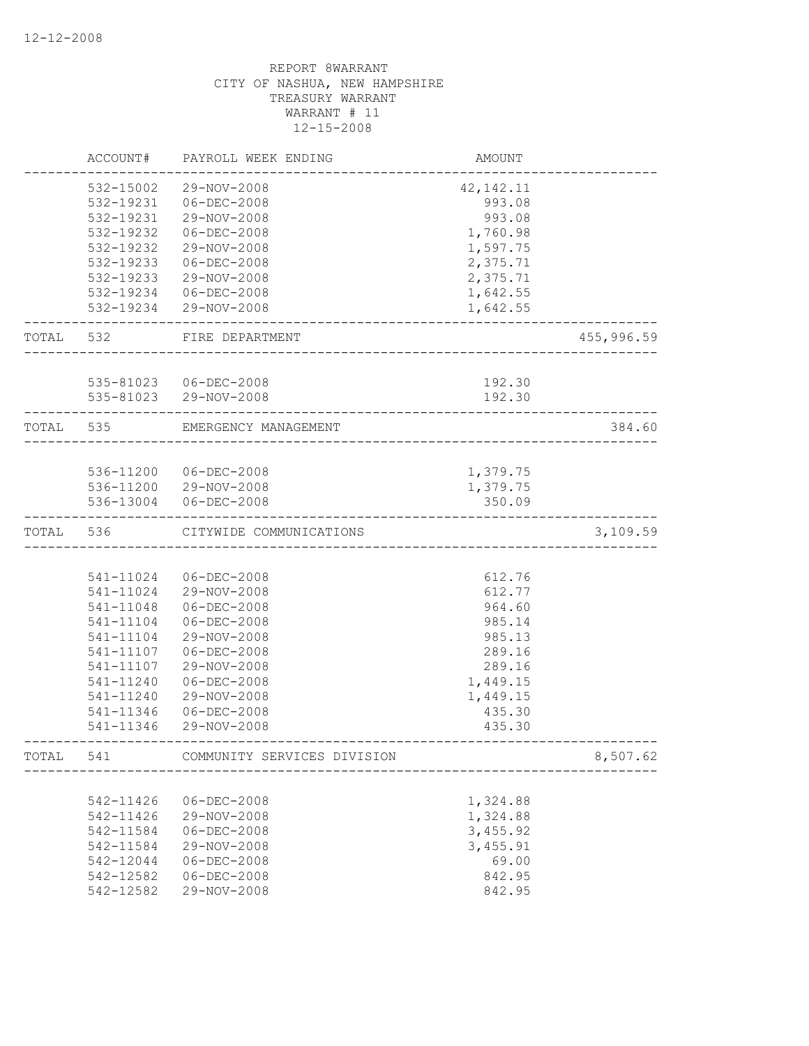|           | ACCOUNT#  | PAYROLL WEEK ENDING                  | AMOUNT           |            |
|-----------|-----------|--------------------------------------|------------------|------------|
|           | 532-15002 | 29-NOV-2008                          | 42, 142. 11      |            |
|           | 532-19231 | $06 - DEC - 2008$                    | 993.08           |            |
|           | 532-19231 | 29-NOV-2008                          | 993.08           |            |
|           | 532-19232 | $06 - DEC - 2008$                    | 1,760.98         |            |
|           | 532-19232 | 29-NOV-2008                          | 1,597.75         |            |
|           | 532-19233 | $06 - DEC - 2008$                    | 2,375.71         |            |
|           | 532-19233 | 29-NOV-2008                          | 2,375.71         |            |
|           | 532-19234 | 06-DEC-2008                          | 1,642.55         |            |
|           |           | 532-19234 29-NOV-2008                | 1,642.55         |            |
| TOTAL 532 |           | FIRE DEPARTMENT                      |                  | 455,996.59 |
|           |           |                                      |                  |            |
|           | 535-81023 | 535-81023 06-DEC-2008<br>29-NOV-2008 | 192.30<br>192.30 |            |
| TOTAL 535 |           | EMERGENCY MANAGEMENT                 |                  | 384.60     |
|           |           |                                      |                  |            |
|           |           | 536-11200 06-DEC-2008                | 1,379.75         |            |
|           |           | 536-11200 29-NOV-2008                | 1,379.75         |            |
|           | 536-13004 | $06 - DEC - 2008$                    | 350.09           |            |
| TOTAL     | 536       | CITYWIDE COMMUNICATIONS              |                  | 3,109.59   |
|           |           |                                      |                  |            |
|           | 541-11024 | 06-DEC-2008                          | 612.76           |            |
|           | 541-11024 | 29-NOV-2008                          | 612.77           |            |
|           | 541-11048 | $06 - DEC - 2008$                    | 964.60           |            |
|           | 541-11104 | $06 - DEC - 2008$                    | 985.14           |            |
|           | 541-11104 | 29-NOV-2008                          | 985.13           |            |
|           | 541-11107 | $06 - DEC - 2008$                    | 289.16           |            |
|           | 541-11107 | 29-NOV-2008                          | 289.16           |            |
|           | 541-11240 | $06 - DEC - 2008$                    | 1,449.15         |            |
|           | 541-11240 | 29-NOV-2008                          | 1,449.15         |            |
|           | 541-11346 | $06 - DEC - 2008$                    | 435.30           |            |
|           | 541-11346 | 29-NOV-2008                          | 435.30           |            |
| TOTAL     | 541       | COMMUNITY SERVICES DIVISION          |                  | 8,507.62   |
|           |           |                                      |                  |            |
|           | 542-11426 | $06 - DEC - 2008$                    | 1,324.88         |            |
|           | 542-11426 | 29-NOV-2008                          | 1,324.88         |            |
|           | 542-11584 | $06 - DEC - 2008$                    | 3,455.92         |            |
|           | 542-11584 | 29-NOV-2008                          | 3,455.91         |            |
|           | 542-12044 | $06 - DEC - 2008$                    | 69.00            |            |
|           | 542-12582 | $06 - DEC - 2008$                    | 842.95           |            |
|           | 542-12582 | 29-NOV-2008                          | 842.95           |            |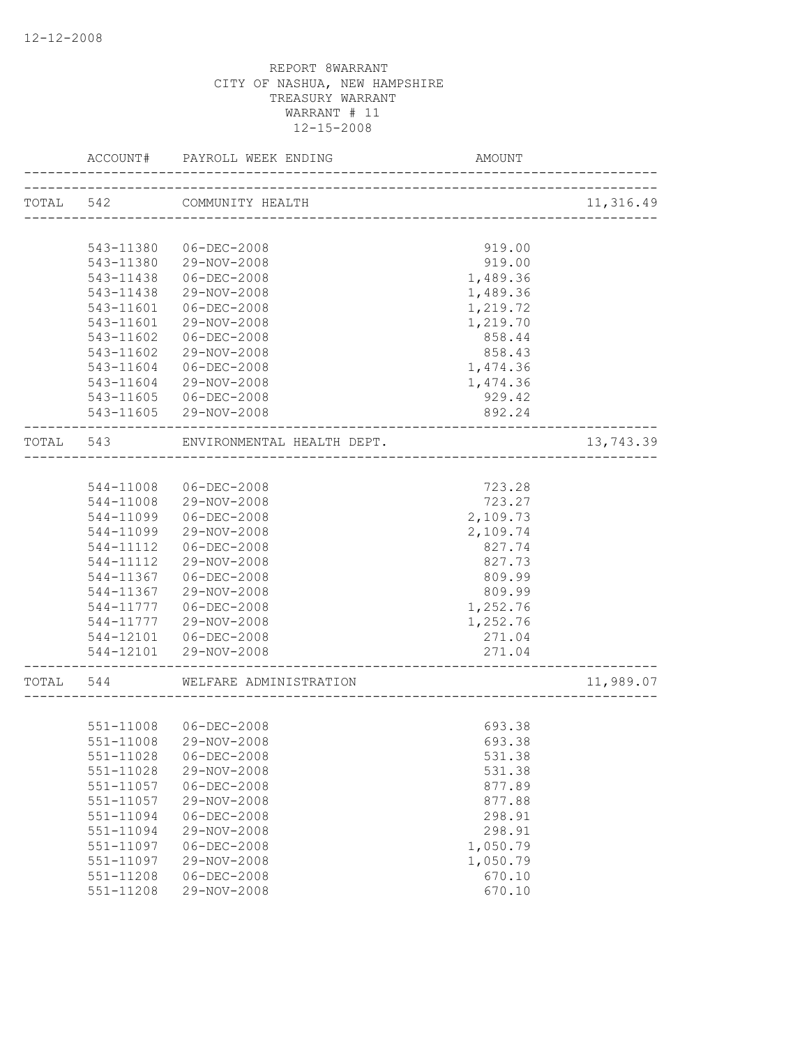|           | ACCOUNT#      | PAYROLL WEEK ENDING           | AMOUNT                  |           |
|-----------|---------------|-------------------------------|-------------------------|-----------|
| TOTAL 542 |               | COMMUNITY HEALTH              |                         | 11,316.49 |
|           |               | ----------------------------- |                         |           |
|           | 543-11380     | 06-DEC-2008                   | 919.00                  |           |
|           | 543-11380     | 29-NOV-2008                   | 919.00                  |           |
|           | 543-11438     | $06 - DEC - 2008$             | 1,489.36                |           |
|           | 543-11438     | 29-NOV-2008                   | 1,489.36                |           |
|           | 543-11601     | $06 - DEC - 2008$             | 1,219.72                |           |
|           | 543-11601     | 29-NOV-2008                   | 1,219.70                |           |
|           | 543-11602     | $06 - DEC - 2008$             | 858.44                  |           |
|           | 543-11602     | 29-NOV-2008                   | 858.43                  |           |
|           | 543-11604     | $06 - DEC - 2008$             | 1,474.36                |           |
|           | 543-11604     | 29-NOV-2008                   | 1,474.36                |           |
|           | 543-11605     | $06 - DEC - 2008$             | 929.42                  |           |
|           |               | 543-11605 29-NOV-2008         | 892.24                  |           |
| TOTAL     | 543           | ENVIRONMENTAL HEALTH DEPT.    |                         | 13,743.39 |
|           |               |                               |                         |           |
|           | 544-11008     | 06-DEC-2008                   | 723.28                  |           |
|           | 544-11008     | 29-NOV-2008                   | 723.27                  |           |
|           | 544-11099     | 06-DEC-2008                   | 2,109.73                |           |
|           | 544-11099     | 29-NOV-2008                   | 2,109.74                |           |
|           | 544-11112     | $06 - DEC - 2008$             | 827.74                  |           |
|           | 544-11112     | 29-NOV-2008                   | 827.73                  |           |
|           | 544-11367     | $06 - DEC - 2008$             | 809.99                  |           |
|           | 544-11367     | 29-NOV-2008                   | 809.99                  |           |
|           | 544-11777     | $06 - DEC - 2008$             | 1,252.76                |           |
|           | 544-11777     | 29-NOV-2008                   | 1,252.76                |           |
|           | 544-12101     | 06-DEC-2008                   | 271.04                  |           |
|           | 544-12101     | 29-NOV-2008                   | 271.04<br>_____________ |           |
| TOTAL     | 544           | WELFARE ADMINISTRATION        |                         | 11,989.07 |
|           |               |                               |                         |           |
|           | 551-11008     | $06 - DEC - 2008$             | 693.38                  |           |
|           | 551-11008     | 29-NOV-2008                   | 693.38                  |           |
|           | 551-11028     | $06 - DEC - 2008$             | 531.38                  |           |
|           | 551-11028     | 29-NOV-2008                   | 531.38                  |           |
|           | 551-11057     | $06 - DEC - 2008$             | 877.89                  |           |
|           | 551-11057     | 29-NOV-2008                   | 877.88                  |           |
|           | 551-11094     | $06 - DEC - 2008$             | 298.91                  |           |
|           | 551-11094     | 29-NOV-2008                   | 298.91                  |           |
|           | 551-11097     | $06 - DEC - 2008$             | 1,050.79                |           |
|           | 551-11097     | 29-NOV-2008                   | 1,050.79                |           |
|           | $551 - 11208$ | $06 - DEC - 2008$             | 670.10                  |           |
|           | 551-11208     | 29-NOV-2008                   | 670.10                  |           |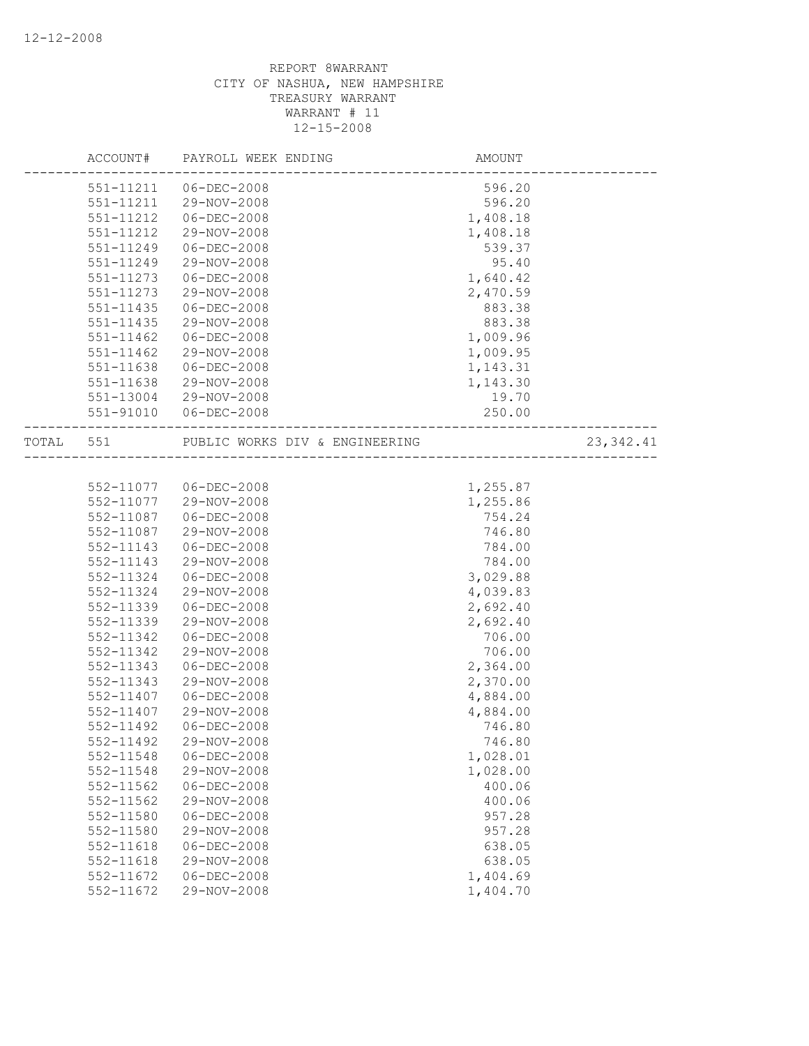|       | ACCOUNT#      | PAYROLL WEEK ENDING            | AMOUNT   |            |
|-------|---------------|--------------------------------|----------|------------|
|       | 551-11211     | $06 - DEC - 2008$              | 596.20   |            |
|       | 551-11211     | 29-NOV-2008                    | 596.20   |            |
|       | 551-11212     | $06 - DEC - 2008$              | 1,408.18 |            |
|       | 551-11212     | 29-NOV-2008                    | 1,408.18 |            |
|       | 551-11249     | $06 - DEC - 2008$              | 539.37   |            |
|       | 551-11249     | 29-NOV-2008                    | 95.40    |            |
|       | 551-11273     | $06 - DEC - 2008$              | 1,640.42 |            |
|       | 551-11273     | 29-NOV-2008                    | 2,470.59 |            |
|       | 551-11435     | $06 - DEC - 2008$              | 883.38   |            |
|       | 551-11435     | 29-NOV-2008                    | 883.38   |            |
|       | $551 - 11462$ | $06 - DEC - 2008$              | 1,009.96 |            |
|       | $551 - 11462$ | 29-NOV-2008                    | 1,009.95 |            |
|       | 551-11638     | $06 - DEC - 2008$              | 1,143.31 |            |
|       | 551-11638     | 29-NOV-2008                    | 1,143.30 |            |
|       | 551-13004     | 29-NOV-2008                    | 19.70    |            |
|       | 551-91010     | $06 - DEC - 2008$              | 250.00   |            |
| TOTAL | 551           | PUBLIC WORKS DIV & ENGINEERING |          | 23, 342.41 |
|       |               |                                |          |            |
|       | 552-11077     | 06-DEC-2008                    | 1,255.87 |            |
|       | 552-11077     | 29-NOV-2008                    | 1,255.86 |            |
|       | 552-11087     | $06 - DEC - 2008$              | 754.24   |            |
|       | 552-11087     | 29-NOV-2008                    | 746.80   |            |
|       | 552-11143     | $06 - DEC - 2008$              | 784.00   |            |
|       | 552-11143     | 29-NOV-2008                    | 784.00   |            |
|       | 552-11324     | $06 - DEC - 2008$              | 3,029.88 |            |
|       | 552-11324     | 29-NOV-2008                    | 4,039.83 |            |
|       | 552-11339     | $06 - DEC - 2008$              | 2,692.40 |            |
|       | 552-11339     | 29-NOV-2008                    | 2,692.40 |            |
|       | 552-11342     | $06 - DEC - 2008$              | 706.00   |            |
|       | 552-11342     | 29-NOV-2008                    | 706.00   |            |
|       | 552-11343     | $06 - DEC - 2008$              | 2,364.00 |            |
|       | 552-11343     | 29-NOV-2008                    | 2,370.00 |            |
|       | 552-11407     | $06 - DEC - 2008$              | 4,884.00 |            |
|       | 552-11407     | 29-NOV-2008                    | 4,884.00 |            |
|       | 552-11492     | $06 - DEC - 2008$              | 746.80   |            |
|       | 552-11492     | 29-NOV-2008                    | 746.80   |            |
|       | 552-11548     | $06 - DEC - 2008$              | 1,028.01 |            |
|       | 552-11548     | 29-NOV-2008                    | 1,028.00 |            |
|       | 552-11562     | $06 - DEC - 2008$              | 400.06   |            |
|       | 552-11562     | 29-NOV-2008                    | 400.06   |            |
|       | 552-11580     | $06 - DEC - 2008$              | 957.28   |            |
|       | 552-11580     | 29-NOV-2008                    | 957.28   |            |
|       | 552-11618     | $06 - DEC - 2008$              | 638.05   |            |
|       | 552-11618     | 29-NOV-2008                    | 638.05   |            |
|       | 552-11672     | $06 - DEC - 2008$              | 1,404.69 |            |
|       | 552-11672     | 29-NOV-2008                    | 1,404.70 |            |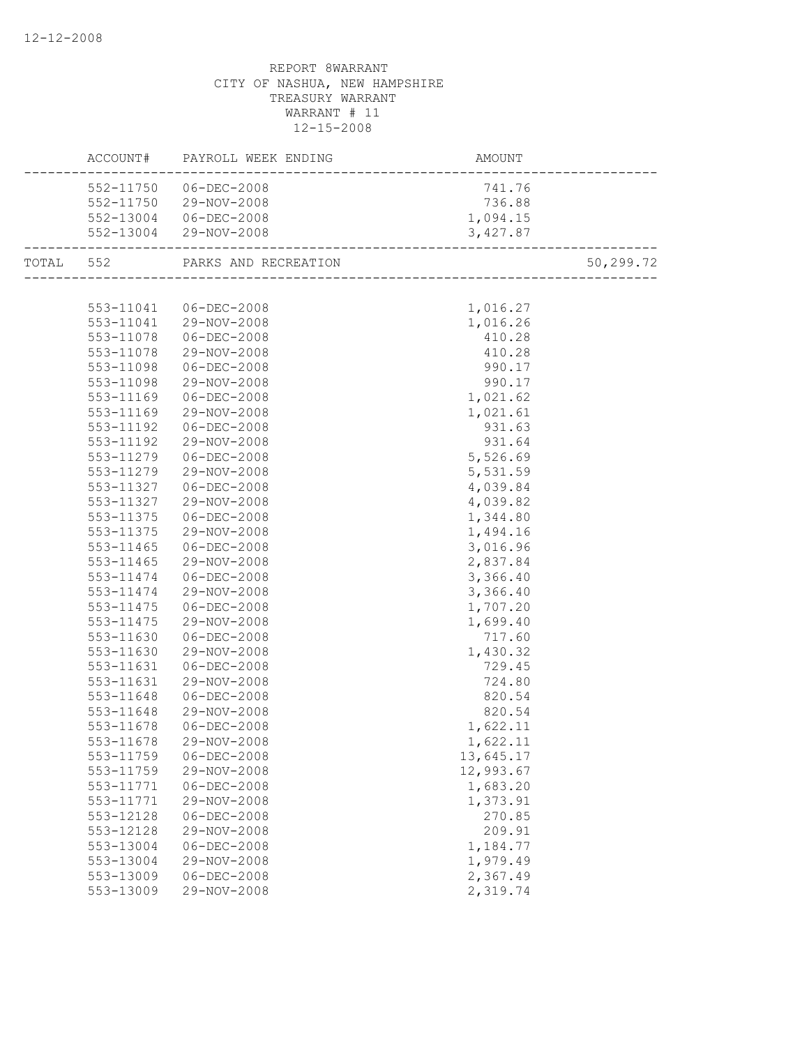|           | ACCOUNT# PAYROLL WEEK ENDING   |           |           |
|-----------|--------------------------------|-----------|-----------|
|           | 552-11750 06-DEC-2008          | 741.76    |           |
|           | 552-11750 29-NOV-2008          | 736.88    |           |
|           | 552-13004 06-DEC-2008          | 1,094.15  |           |
|           | 552-13004 29-NOV-2008          | 3,427.87  |           |
|           | TOTAL 552 PARKS AND RECREATION |           | 50,299.72 |
|           |                                |           |           |
|           | 553-11041 06-DEC-2008          | 1,016.27  |           |
|           | 553-11041 29-NOV-2008          | 1,016.26  |           |
| 553-11078 | $06 - DEC - 2008$              | 410.28    |           |
| 553-11078 | 29-NOV-2008                    | 410.28    |           |
| 553-11098 | 06-DEC-2008                    | 990.17    |           |
| 553-11098 | 29-NOV-2008                    | 990.17    |           |
| 553-11169 | 06-DEC-2008                    | 1,021.62  |           |
| 553-11169 | 29-NOV-2008                    | 1,021.61  |           |
| 553-11192 | 06-DEC-2008                    | 931.63    |           |
| 553-11192 | 29-NOV-2008                    | 931.64    |           |
| 553-11279 | 06-DEC-2008                    | 5,526.69  |           |
| 553-11279 | 29-NOV-2008                    | 5,531.59  |           |
| 553-11327 | 06-DEC-2008                    | 4,039.84  |           |
| 553-11327 | 29-NOV-2008                    | 4,039.82  |           |
| 553-11375 | $06 - DEC - 2008$              | 1,344.80  |           |
| 553-11375 | 29-NOV-2008                    | 1,494.16  |           |
| 553-11465 | 06-DEC-2008                    | 3,016.96  |           |
| 553-11465 | 29-NOV-2008                    | 2,837.84  |           |
| 553-11474 | 06-DEC-2008                    | 3,366.40  |           |
| 553-11474 | 29-NOV-2008                    | 3,366.40  |           |
| 553-11475 | 06-DEC-2008                    | 1,707.20  |           |
| 553-11475 | 29-NOV-2008                    | 1,699.40  |           |
| 553-11630 | 06-DEC-2008                    | 717.60    |           |
| 553-11630 | 29-NOV-2008                    | 1,430.32  |           |
| 553-11631 | 06-DEC-2008                    | 729.45    |           |
| 553-11631 | 29-NOV-2008                    | 724.80    |           |
| 553-11648 | 06-DEC-2008                    | 820.54    |           |
| 553-11648 | 29-NOV-2008                    | 820.54    |           |
| 553-11678 | 06-DEC-2008                    | 1,622.11  |           |
| 553-11678 | 29-NOV-2008                    | 1,622.11  |           |
| 553-11759 | $06 - DEC - 2008$              | 13,645.17 |           |
| 553-11759 | 29-NOV-2008                    | 12,993.67 |           |
| 553-11771 | $06 - DEC - 2008$              | 1,683.20  |           |
| 553-11771 | 29-NOV-2008                    | 1,373.91  |           |
| 553-12128 | $06 - DEC - 2008$              | 270.85    |           |
| 553-12128 | 29-NOV-2008                    | 209.91    |           |
| 553-13004 | $06 - DEC - 2008$              | 1,184.77  |           |
| 553-13004 | 29-NOV-2008                    | 1,979.49  |           |
| 553-13009 | $06 - DEC - 2008$              | 2,367.49  |           |
| 553-13009 | 29-NOV-2008                    | 2,319.74  |           |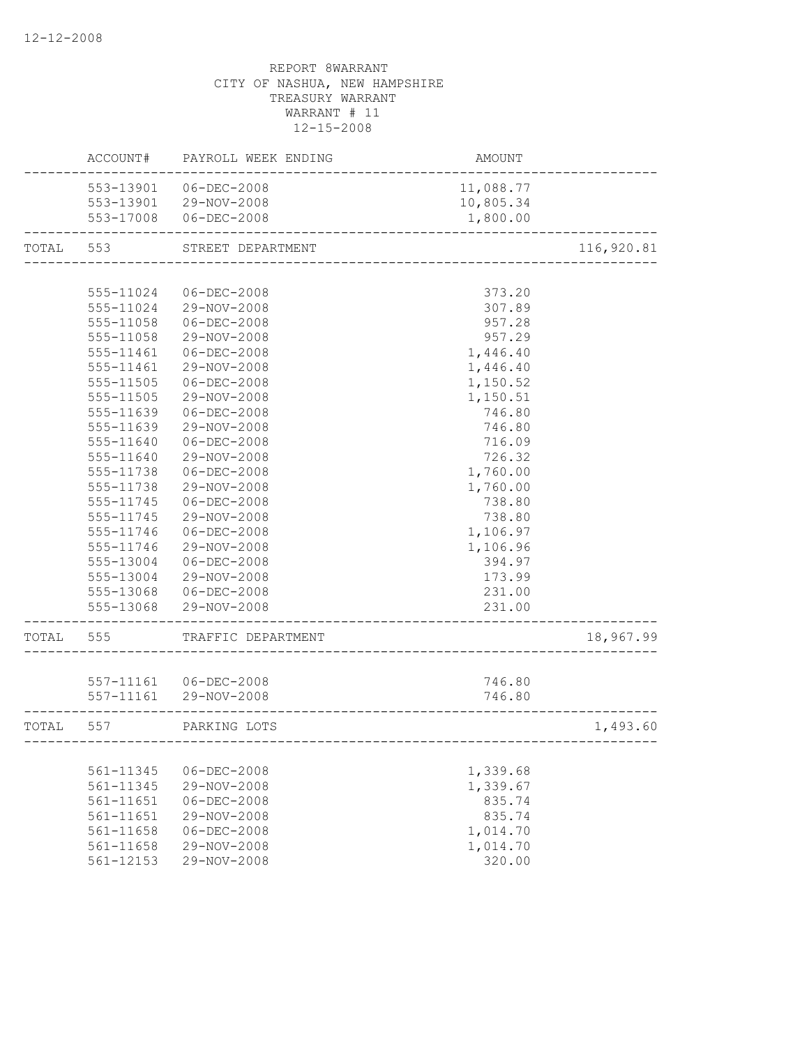|       | ACCOUNT#      | PAYROLL WEEK ENDING   | <b>AMOUNT</b>          |            |
|-------|---------------|-----------------------|------------------------|------------|
|       | 553-13901     | 06-DEC-2008           | 11,088.77              |            |
|       |               | 553-13901 29-NOV-2008 | 10,805.34              |            |
|       |               | 553-17008 06-DEC-2008 | 1,800.00               |            |
| TOTAL | 553           | STREET DEPARTMENT     | ______________________ | 116,920.81 |
|       |               |                       |                        |            |
|       | 555-11024     | 06-DEC-2008           | 373.20                 |            |
|       | 555-11024     | 29-NOV-2008           | 307.89                 |            |
|       | 555-11058     | $06 - DEC - 2008$     | 957.28                 |            |
|       | 555-11058     | 29-NOV-2008           | 957.29                 |            |
|       | 555-11461     | $06 - DEC - 2008$     | 1,446.40               |            |
|       | 555-11461     | 29-NOV-2008           | 1,446.40               |            |
|       | 555-11505     | $06 - DEC - 2008$     | 1,150.52               |            |
|       | 555-11505     | 29-NOV-2008           | 1,150.51               |            |
|       | 555-11639     | $06 - DEC - 2008$     | 746.80                 |            |
|       | 555-11639     | 29-NOV-2008           | 746.80                 |            |
|       | 555-11640     | $06 - DEC - 2008$     | 716.09                 |            |
|       | 555-11640     | 29-NOV-2008           | 726.32                 |            |
|       | 555-11738     | $06 - DEC - 2008$     | 1,760.00               |            |
|       | 555-11738     | 29-NOV-2008           | 1,760.00               |            |
|       | 555-11745     | $06 - DEC - 2008$     | 738.80                 |            |
|       | 555-11745     | 29-NOV-2008           | 738.80                 |            |
|       | 555-11746     | $06 - DEC - 2008$     | 1,106.97               |            |
|       | 555-11746     | 29-NOV-2008           | 1,106.96               |            |
|       | 555-13004     | $06 - DEC - 2008$     | 394.97                 |            |
|       | 555-13004     | 29-NOV-2008           | 173.99                 |            |
|       | 555-13068     | 06-DEC-2008           | 231.00                 |            |
|       | 555-13068     | 29-NOV-2008           | 231.00                 |            |
| TOTAL | 555           | TRAFFIC DEPARTMENT    |                        | 18,967.99  |
|       |               |                       |                        |            |
|       |               | 557-11161 06-DEC-2008 | 746.80                 |            |
|       | 557-11161     | 29-NOV-2008           | 746.80                 |            |
| TOTAL | 557           | PARKING LOTS          |                        | 1,493.60   |
|       |               |                       |                        |            |
|       | 561-11345     | $06 - DEC - 2008$     | 1,339.68               |            |
|       | 561-11345     | 29-NOV-2008           | 1,339.67               |            |
|       | 561-11651     | $06 - DEC - 2008$     | 835.74                 |            |
|       | $561 - 11651$ | 29-NOV-2008           | 835.74                 |            |
|       | 561-11658     | $06 - DEC - 2008$     | 1,014.70               |            |
|       | 561-11658     | 29-NOV-2008           | 1,014.70               |            |
|       | 561-12153     | 29-NOV-2008           | 320.00                 |            |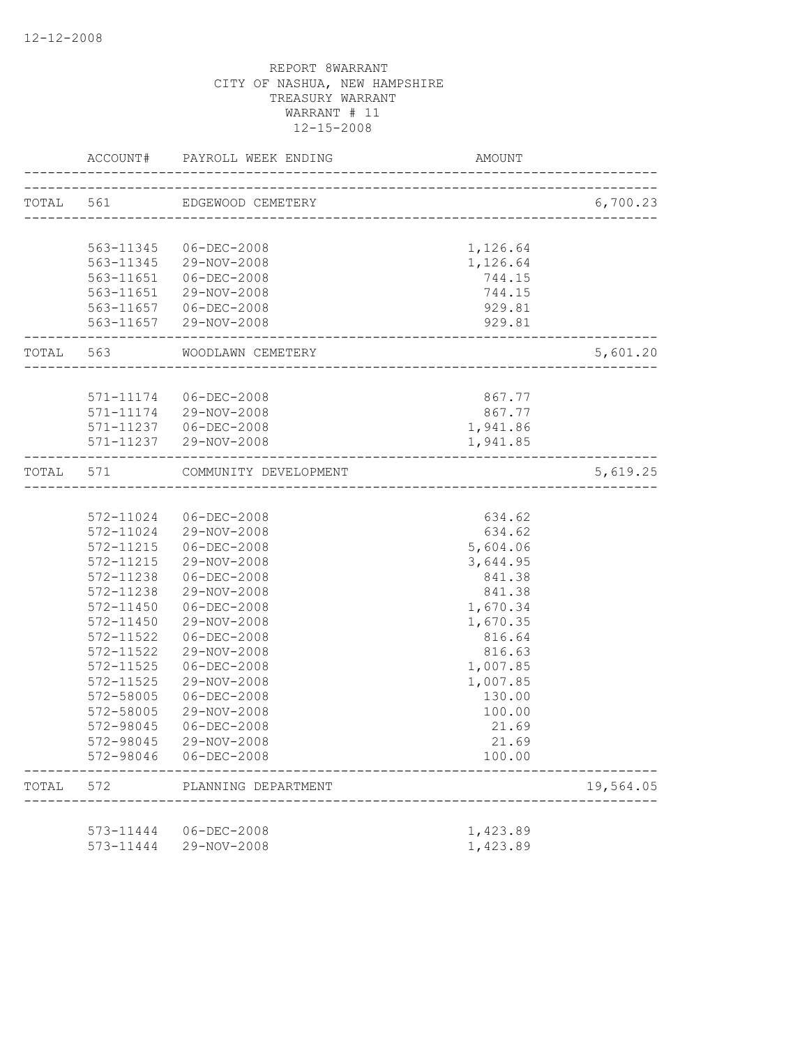|       |               | ACCOUNT# PAYROLL WEEK ENDING                   | AMOUNT           |           |
|-------|---------------|------------------------------------------------|------------------|-----------|
|       |               | TOTAL 561 EDGEWOOD CEMETERY                    |                  | 6,700.23  |
|       |               |                                                |                  |           |
|       | 563-11345     | 06-DEC-2008                                    | 1,126.64         |           |
|       |               | 563-11345 29-NOV-2008                          | 1,126.64         |           |
|       |               | 563-11651  06-DEC-2008                         | 744.15           |           |
|       |               | 563-11651 29-NOV-2008                          | 744.15           |           |
|       |               | 563-11657 06-DEC-2008                          | 929.81           |           |
|       |               | 563-11657 29-NOV-2008                          | 929.81           |           |
|       |               | TOTAL 563 WOODLAWN CEMETERY                    |                  | 5,601.20  |
|       |               |                                                |                  |           |
|       |               | 571-11174 06-DEC-2008<br>571-11174 29-NOV-2008 | 867.77<br>867.77 |           |
|       |               | 571-11237 06-DEC-2008                          | 1,941.86         |           |
|       |               | 571-11237 29-NOV-2008                          | 1,941.85         |           |
|       |               |                                                |                  |           |
| TOTAL | 571           | COMMUNITY DEVELOPMENT                          |                  | 5,619.25  |
|       |               |                                                |                  |           |
|       |               | 572-11024 06-DEC-2008                          | 634.62           |           |
|       |               | 572-11024 29-NOV-2008                          | 634.62           |           |
|       | 572-11215     | 06-DEC-2008                                    | 5,604.06         |           |
|       | 572-11215     | 29-NOV-2008                                    | 3,644.95         |           |
|       | 572-11238     | 06-DEC-2008                                    | 841.38           |           |
|       | 572-11238     | 29-NOV-2008                                    | 841.38           |           |
|       | 572-11450     | 06-DEC-2008                                    | 1,670.34         |           |
|       | 572-11450     | 29-NOV-2008                                    | 1,670.35         |           |
|       | 572-11522     | $06 - DEC - 2008$                              | 816.64           |           |
|       | 572-11522     | 29-NOV-2008                                    | 816.63           |           |
|       | 572-11525     | $06 - DEC - 2008$                              | 1,007.85         |           |
|       | $572 - 11525$ | 29-NOV-2008                                    | 1,007.85         |           |
|       | 572-58005     | $06 - DEC - 2008$                              | 130.00           |           |
|       | 572-58005     | 29-NOV-2008                                    | 100.00           |           |
|       | 572-98045     | $06 - DEC - 2008$                              | 21.69            |           |
|       | 572-98045     | 29-NOV-2008                                    | 21.69            |           |
|       | 572-98046     | 06-DEC-2008                                    | 100.00           |           |
| TOTAL | 572           | PLANNING DEPARTMENT                            |                  | 19,564.05 |
|       |               |                                                |                  |           |
|       | 573-11444     | $06 - DEC - 2008$                              | 1,423.89         |           |
|       | 573-11444     | 29-NOV-2008                                    | 1,423.89         |           |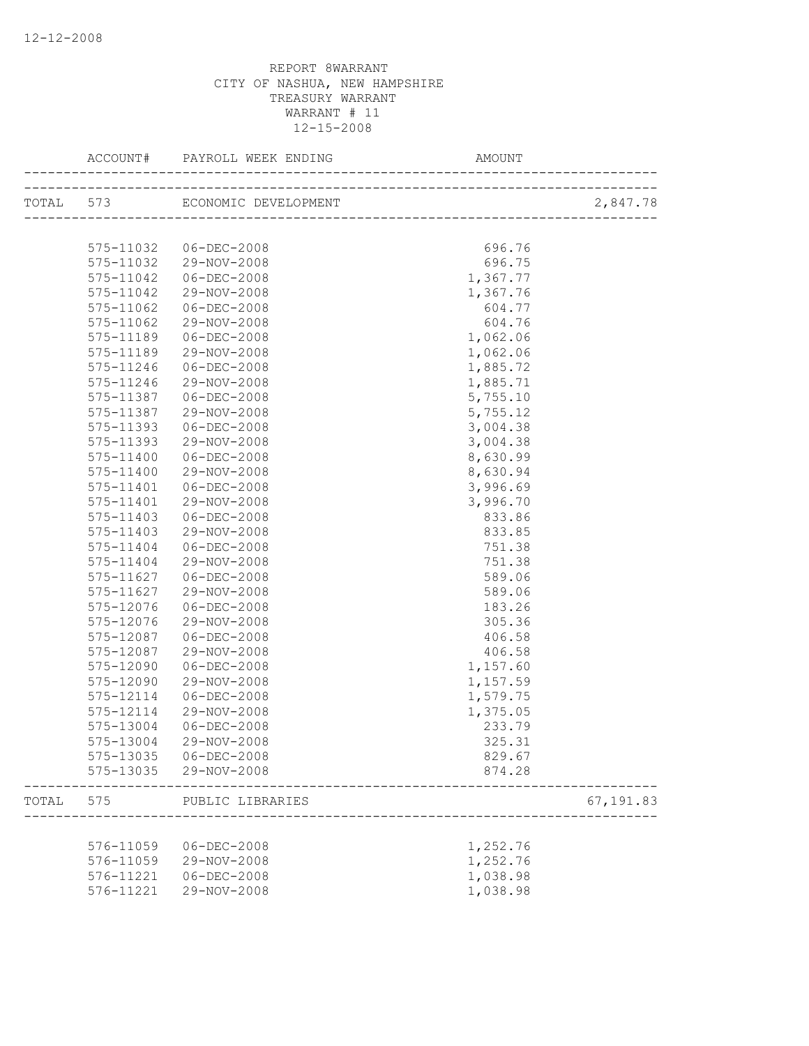|       | ACCOUNT#      |                                | AMOUNT                                                             |           |
|-------|---------------|--------------------------------|--------------------------------------------------------------------|-----------|
|       |               | TOTAL 573 ECONOMIC DEVELOPMENT | ___________________________________<br>___________________________ | 2,847.78  |
|       |               |                                |                                                                    |           |
|       | 575-11032     | 06-DEC-2008                    | 696.76                                                             |           |
|       | 575-11032     | 29-NOV-2008                    | 696.75                                                             |           |
|       | 575-11042     | 06-DEC-2008                    | 1,367.77                                                           |           |
|       | 575-11042     | 29-NOV-2008                    | 1,367.76                                                           |           |
|       | 575-11062     | $06 - DEC - 2008$              | 604.77                                                             |           |
|       | 575-11062     | 29-NOV-2008                    | 604.76                                                             |           |
|       | 575-11189     | 06-DEC-2008                    | 1,062.06                                                           |           |
|       | 575-11189     | 29-NOV-2008                    | 1,062.06                                                           |           |
|       | 575-11246     | 06-DEC-2008                    | 1,885.72                                                           |           |
|       | 575-11246     | 29-NOV-2008                    | 1,885.71                                                           |           |
|       | 575-11387     | 06-DEC-2008                    | 5,755.10                                                           |           |
|       | 575-11387     | 29-NOV-2008                    | 5,755.12                                                           |           |
|       | 575-11393     | $06 - DEC - 2008$              | 3,004.38                                                           |           |
|       | 575-11393     | 29-NOV-2008                    | 3,004.38                                                           |           |
|       | 575-11400     | $06 - DEC - 2008$              | 8,630.99                                                           |           |
|       | 575-11400     | 29-NOV-2008                    | 8,630.94                                                           |           |
|       | $575 - 11401$ | $06 - DEC - 2008$              | 3,996.69                                                           |           |
|       | 575-11401     | 29-NOV-2008                    | 3,996.70                                                           |           |
|       | $575 - 11403$ | 06-DEC-2008                    | 833.86                                                             |           |
|       | 575-11403     | 29-NOV-2008                    | 833.85                                                             |           |
|       | 575-11404     | 06-DEC-2008                    | 751.38                                                             |           |
|       | 575-11404     | 29-NOV-2008                    | 751.38                                                             |           |
|       | 575-11627     | 06-DEC-2008                    | 589.06                                                             |           |
|       | 575-11627     | 29-NOV-2008                    | 589.06                                                             |           |
|       | 575-12076     | $06 - DEC - 2008$              | 183.26                                                             |           |
|       | 575-12076     | 29-NOV-2008                    | 305.36                                                             |           |
|       | 575-12087     | $06 - DEC - 2008$              | 406.58                                                             |           |
|       | 575-12087     | 29-NOV-2008                    | 406.58                                                             |           |
|       | 575-12090     | $06 - DEC - 2008$              | 1,157.60                                                           |           |
|       | 575-12090     | 29-NOV-2008                    | 1,157.59                                                           |           |
|       | 575-12114     | $06 - DEC - 2008$              | 1,579.75                                                           |           |
|       | 575-12114     | 29-NOV-2008                    | 1,375.05                                                           |           |
|       | 575-13004     | $06 - DEC - 2008$              | 233.79                                                             |           |
|       | 575-13004     | 29-NOV-2008                    | 325.31                                                             |           |
|       |               | 575-13035 06-DEC-2008          | 829.67                                                             |           |
|       |               | 575-13035 29-NOV-2008          | 874.28                                                             |           |
| TOTAL | 575           | PUBLIC LIBRARIES               |                                                                    | 67,191.83 |
|       |               |                                |                                                                    |           |
|       | 576-11059     | 06-DEC-2008                    | 1,252.76                                                           |           |
|       | 576-11059     | 29-NOV-2008                    | 1,252.76                                                           |           |
|       | 576-11221     | $06 - DEC - 2008$              | 1,038.98                                                           |           |
|       | 576-11221     | 29-NOV-2008                    | 1,038.98                                                           |           |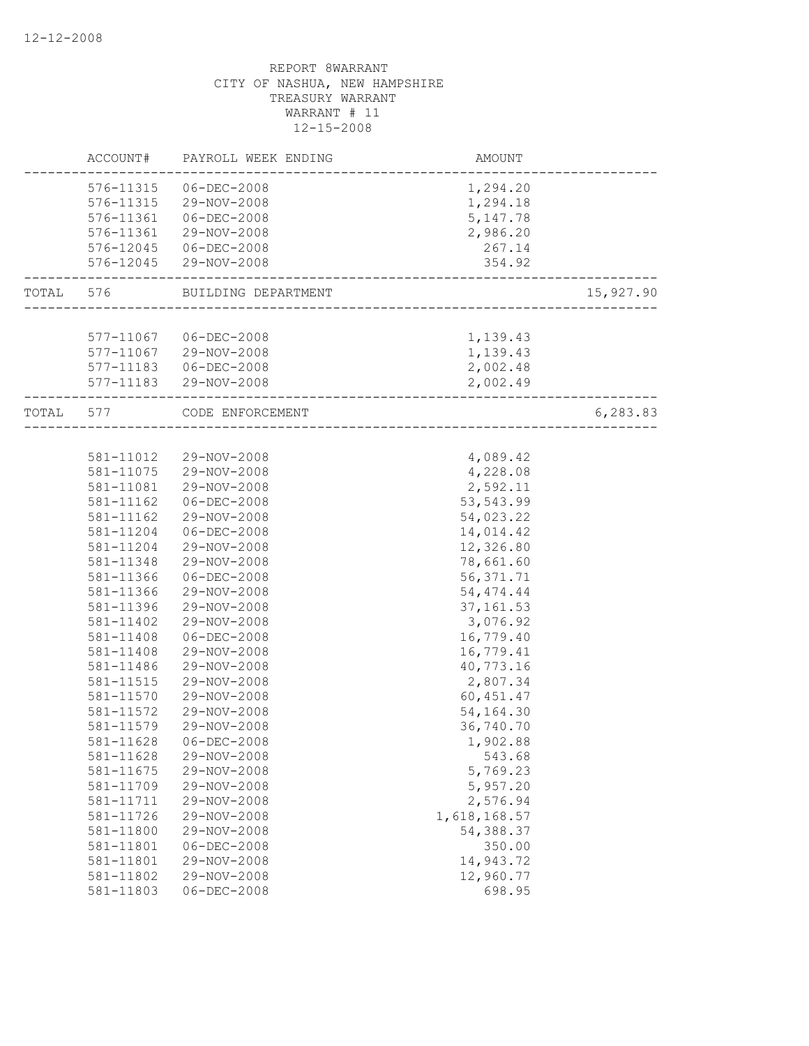|           | ACCOUNT#               | PAYROLL WEEK ENDING              | <b>AMOUNT</b>               |           |
|-----------|------------------------|----------------------------------|-----------------------------|-----------|
|           | 576-11315              | 06-DEC-2008                      | 1,294.20                    |           |
|           |                        | 576-11315 29-NOV-2008            | 1,294.18                    |           |
|           | 576-11361              | $06 - DEC - 2008$                | 5,147.78                    |           |
|           | 576-11361              | 29-NOV-2008                      | 2,986.20                    |           |
|           |                        | 576-12045 06-DEC-2008            | 267.14                      |           |
|           |                        | 576-12045 29-NOV-2008            | 354.92                      |           |
| TOTAL     |                        | 576 BUILDING DEPARTMENT          | --------------------------- | 15,927.90 |
|           |                        |                                  |                             |           |
|           |                        | 577-11067 06-DEC-2008            | 1,139.43                    |           |
|           |                        | 577-11067 29-NOV-2008            | 1,139.43                    |           |
|           |                        | 577-11183  06-DEC-2008           | 2,002.48                    |           |
|           |                        | 577-11183 29-NOV-2008            | 2,002.49                    |           |
| TOTAL 577 |                        | CODE ENFORCEMENT                 | __________________          | 6,283.83  |
|           |                        |                                  |                             |           |
|           | 581-11012              | 29-NOV-2008                      | 4,089.42                    |           |
|           |                        | 581-11075 29-NOV-2008            | 4,228.08                    |           |
|           | 581-11081              | 29-NOV-2008                      | 2,592.11                    |           |
|           | 581-11162              | $06 - DEC - 2008$                | 53, 543.99                  |           |
|           | 581-11162              | 29-NOV-2008                      | 54,023.22                   |           |
|           | 581-11204              | $06 - DEC - 2008$                | 14,014.42                   |           |
|           | 581-11204              | 29-NOV-2008                      | 12,326.80                   |           |
|           | 581-11348<br>581-11366 | 29-NOV-2008<br>$06 - DEC - 2008$ | 78,661.60<br>56, 371.71     |           |
|           | 581-11366              | 29-NOV-2008                      | 54, 474.44                  |           |
|           | 581-11396              | 29-NOV-2008                      | 37, 161.53                  |           |
|           | 581-11402              | 29-NOV-2008                      | 3,076.92                    |           |
|           | 581-11408              | $06 - DEC - 2008$                | 16,779.40                   |           |
|           | 581-11408              | 29-NOV-2008                      | 16,779.41                   |           |
|           | 581-11486              | 29-NOV-2008                      | 40,773.16                   |           |
|           | 581-11515              | 29-NOV-2008                      | 2,807.34                    |           |
|           | 581-11570              | 29-NOV-2008                      | 60, 451.47                  |           |
|           | 581-11572              | 29-NOV-2008                      | 54,164.30                   |           |
|           | 581-11579              | 29-NOV-2008                      | 36,740.70                   |           |
|           | 581-11628              | $06 - DEC - 2008$                | 1,902.88                    |           |
|           | 581-11628              | 29-NOV-2008                      | 543.68                      |           |
|           | 581-11675              | 29-NOV-2008                      | 5,769.23                    |           |
|           | 581-11709              | 29-NOV-2008                      | 5,957.20                    |           |
|           | 581-11711              | 29-NOV-2008                      | 2,576.94                    |           |
|           | 581-11726              | 29-NOV-2008                      | 1,618,168.57                |           |
|           | 581-11800              | 29-NOV-2008                      | 54,388.37                   |           |
|           | 581-11801              | $06 - DEC - 2008$                | 350.00                      |           |
|           | 581-11801              | 29-NOV-2008                      | 14,943.72                   |           |
|           | 581-11802              | 29-NOV-2008                      | 12,960.77                   |           |
|           | 581-11803              | $06 - DEC - 2008$                | 698.95                      |           |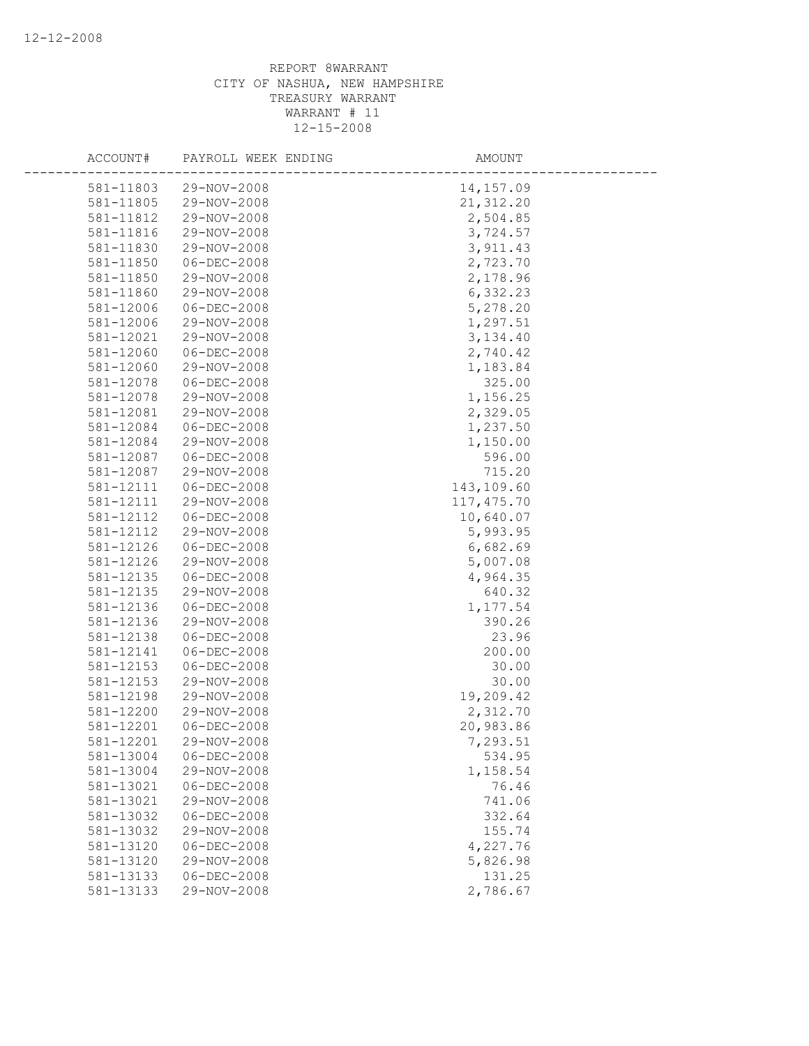| ACCOUNT#  | PAYROLL WEEK ENDING | AMOUNT      |
|-----------|---------------------|-------------|
| 581-11803 | 29-NOV-2008         | 14,157.09   |
| 581-11805 | 29-NOV-2008         | 21, 312.20  |
| 581-11812 | 29-NOV-2008         | 2,504.85    |
| 581-11816 | 29-NOV-2008         | 3,724.57    |
| 581-11830 | 29-NOV-2008         | 3,911.43    |
| 581-11850 | $06 - DEC - 2008$   | 2,723.70    |
| 581-11850 | 29-NOV-2008         | 2,178.96    |
| 581-11860 | 29-NOV-2008         | 6,332.23    |
| 581-12006 | 06-DEC-2008         | 5,278.20    |
| 581-12006 | 29-NOV-2008         | 1,297.51    |
| 581-12021 | 29-NOV-2008         | 3,134.40    |
| 581-12060 | $06 - DEC - 2008$   | 2,740.42    |
| 581-12060 | 29-NOV-2008         | 1,183.84    |
| 581-12078 | $06 - DEC - 2008$   | 325.00      |
| 581-12078 | 29-NOV-2008         | 1,156.25    |
| 581-12081 | 29-NOV-2008         | 2,329.05    |
| 581-12084 | $06 - DEC - 2008$   | 1,237.50    |
| 581-12084 | 29-NOV-2008         | 1,150.00    |
| 581-12087 | $06 - DEC - 2008$   | 596.00      |
| 581-12087 | 29-NOV-2008         | 715.20      |
| 581-12111 | $06 - DEC - 2008$   | 143,109.60  |
| 581-12111 | 29-NOV-2008         | 117, 475.70 |
| 581-12112 | $06 - DEC - 2008$   | 10,640.07   |
| 581-12112 | 29-NOV-2008         | 5,993.95    |
| 581-12126 | $06 - DEC - 2008$   | 6,682.69    |
| 581-12126 | 29-NOV-2008         | 5,007.08    |
| 581-12135 | 06-DEC-2008         | 4,964.35    |
| 581-12135 | 29-NOV-2008         | 640.32      |
| 581-12136 | $06 - DEC - 2008$   | 1,177.54    |
| 581-12136 | 29-NOV-2008         | 390.26      |
| 581-12138 | $06 - DEC - 2008$   | 23.96       |
| 581-12141 | $06 - DEC - 2008$   | 200.00      |
| 581-12153 | $06 - DEC - 2008$   | 30.00       |
| 581-12153 | 29-NOV-2008         | 30.00       |
| 581-12198 | 29-NOV-2008         | 19,209.42   |
| 581-12200 | 29-NOV-2008         | 2,312.70    |
| 581-12201 | $06 - DEC - 2008$   | 20,983.86   |
| 581-12201 | 29-NOV-2008         | 7,293.51    |
| 581-13004 | $06 - DEC - 2008$   | 534.95      |
| 581-13004 | 29-NOV-2008         | 1,158.54    |
| 581-13021 | $06 - DEC - 2008$   | 76.46       |
| 581-13021 | 29-NOV-2008         | 741.06      |
| 581-13032 | $06 - DEC - 2008$   | 332.64      |
| 581-13032 | 29-NOV-2008         | 155.74      |
| 581-13120 | $06 - DEC - 2008$   | 4,227.76    |
| 581-13120 | 29-NOV-2008         | 5,826.98    |
| 581-13133 | $06 - DEC - 2008$   | 131.25      |
| 581-13133 | 29-NOV-2008         | 2,786.67    |
|           |                     |             |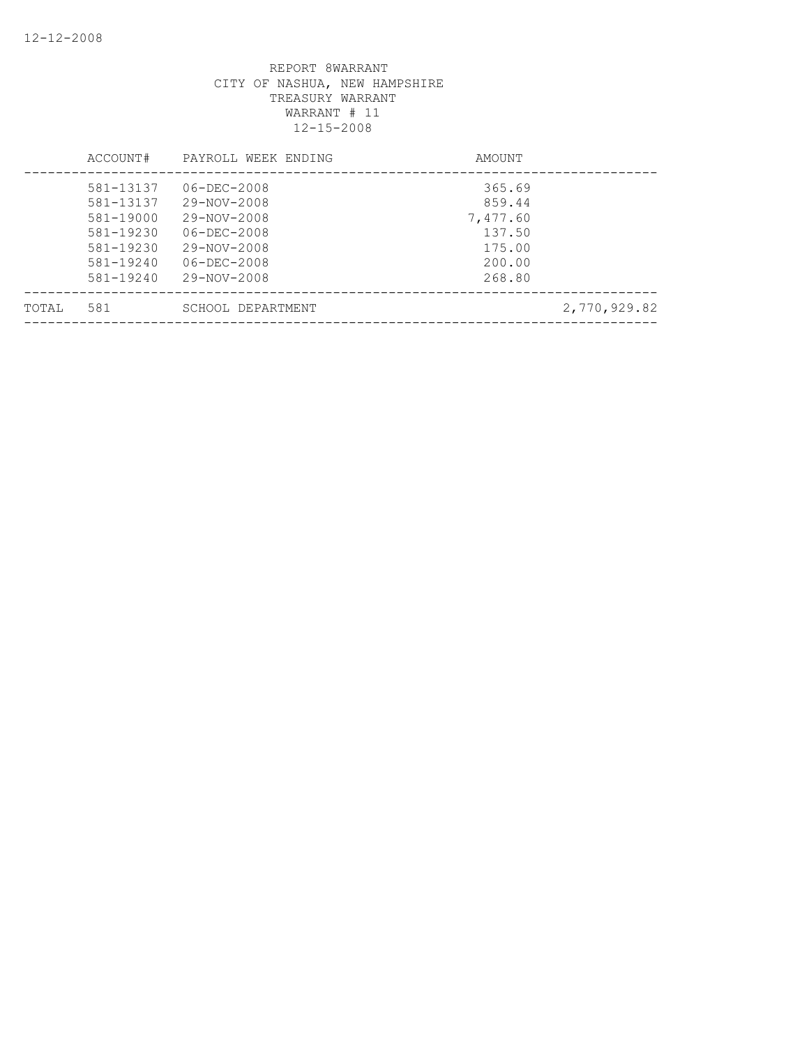|        | ACCOUNT#  | PAYROLL WEEK ENDING | AMOUNT       |
|--------|-----------|---------------------|--------------|
|        | 581-13137 | $06 - DEC - 2008$   | 365.69       |
|        | 581-13137 | 29-NOV-2008         | 859.44       |
|        | 581-19000 | 29-NOV-2008         | 7,477.60     |
|        | 581-19230 | $06 - DEC - 2008$   | 137.50       |
|        | 581-19230 | 29-NOV-2008         | 175.00       |
|        | 581-19240 | $06 - DEC - 2008$   | 200.00       |
|        | 581-19240 | 29-NOV-2008         | 268.80       |
| TOTAI, | 581       | SCHOOL DEPARTMENT   | 2,770,929.82 |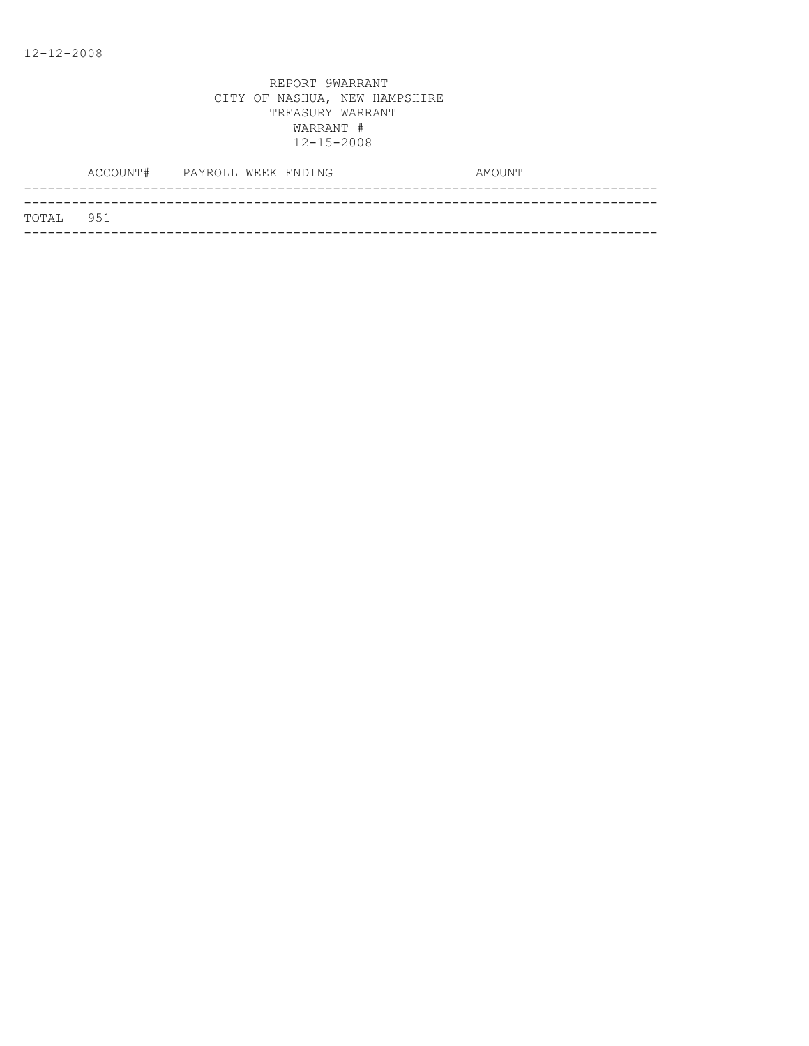| TOTAL 951 |  |
|-----------|--|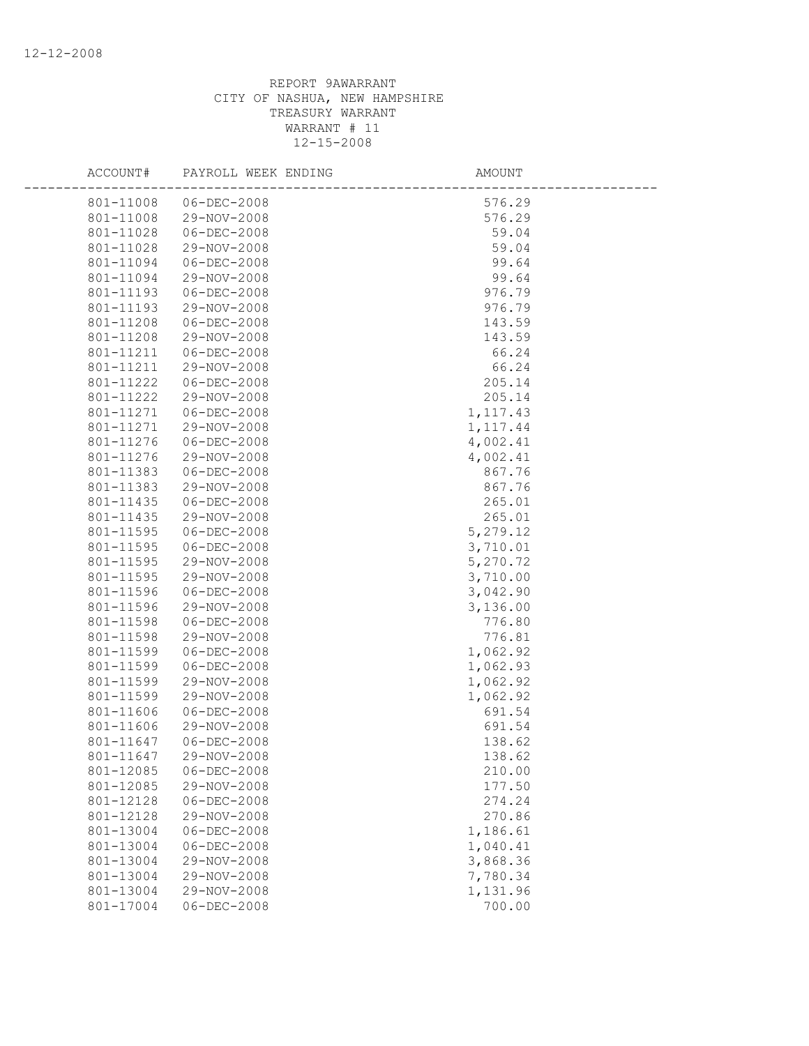| ACCOUNT#               | PAYROLL WEEK ENDING              | <b>AMOUNT</b>    |  |
|------------------------|----------------------------------|------------------|--|
| 801-11008              | 06-DEC-2008                      | 576.29           |  |
| 801-11008              | 29-NOV-2008                      | 576.29           |  |
| 801-11028              | 06-DEC-2008                      | 59.04            |  |
| 801-11028              | 29-NOV-2008                      | 59.04            |  |
| 801-11094              | $06 - DEC - 2008$                | 99.64            |  |
| 801-11094              | 29-NOV-2008                      | 99.64            |  |
| 801-11193              | 06-DEC-2008                      | 976.79           |  |
| 801-11193              | 29-NOV-2008                      | 976.79           |  |
| 801-11208              | 06-DEC-2008                      | 143.59           |  |
| 801-11208              | 29-NOV-2008                      | 143.59           |  |
| 801-11211              | 06-DEC-2008                      | 66.24            |  |
| 801-11211              | 29-NOV-2008                      | 66.24            |  |
| 801-11222              | 06-DEC-2008                      | 205.14           |  |
| 801-11222              | 29-NOV-2008                      | 205.14           |  |
| 801-11271              | 06-DEC-2008                      | 1, 117.43        |  |
| 801-11271              | 29-NOV-2008                      | 1, 117.44        |  |
| 801-11276              | $06 - DEC - 2008$                | 4,002.41         |  |
| 801-11276              | 29-NOV-2008                      | 4,002.41         |  |
| 801-11383              | $06 - DEC - 2008$                | 867.76           |  |
| 801-11383              | 29-NOV-2008                      | 867.76           |  |
| 801-11435              | $06 - DEC - 2008$                | 265.01           |  |
| 801-11435              | 29-NOV-2008                      | 265.01           |  |
| 801-11595              | 06-DEC-2008                      | 5,279.12         |  |
| 801-11595              | $06 - DEC - 2008$                | 3,710.01         |  |
| 801-11595              | 29-NOV-2008                      | 5,270.72         |  |
| 801-11595              | 29-NOV-2008                      | 3,710.00         |  |
| 801-11596              | 06-DEC-2008                      | 3,042.90         |  |
| 801-11596              | 29-NOV-2008                      | 3,136.00         |  |
| 801-11598              | $06 - DEC - 2008$                | 776.80           |  |
| 801-11598              | 29-NOV-2008                      | 776.81           |  |
| 801-11599              | $06 - DEC - 2008$                | 1,062.92         |  |
| 801-11599              | $06 - DEC - 2008$                | 1,062.93         |  |
| 801-11599              | 29-NOV-2008                      | 1,062.92         |  |
| 801-11599              | 29-NOV-2008                      | 1,062.92         |  |
| 801-11606              | 06-DEC-2008                      | 691.54           |  |
| 801-11606              | 29-NOV-2008                      | 691.54           |  |
| 801-11647              | $06 - DEC - 2008$                | 138.62           |  |
| 801-11647              | 29-NOV-2008                      | 138.62           |  |
| 801-12085              | $06 - DEC - 2008$<br>29-NOV-2008 | 210.00           |  |
| 801-12085              |                                  | 177.50           |  |
| 801-12128<br>801-12128 | $06 - DEC - 2008$<br>29-NOV-2008 | 274.24<br>270.86 |  |
| 801-13004              | $06 - DEC - 2008$                | 1,186.61         |  |
| 801-13004              | $06 - DEC - 2008$                | 1,040.41         |  |
| 801-13004              | 29-NOV-2008                      | 3,868.36         |  |
| 801-13004              | 29-NOV-2008                      | 7,780.34         |  |
| 801-13004              | 29-NOV-2008                      | 1,131.96         |  |
| 801-17004              | $06 - DEC - 2008$                | 700.00           |  |
|                        |                                  |                  |  |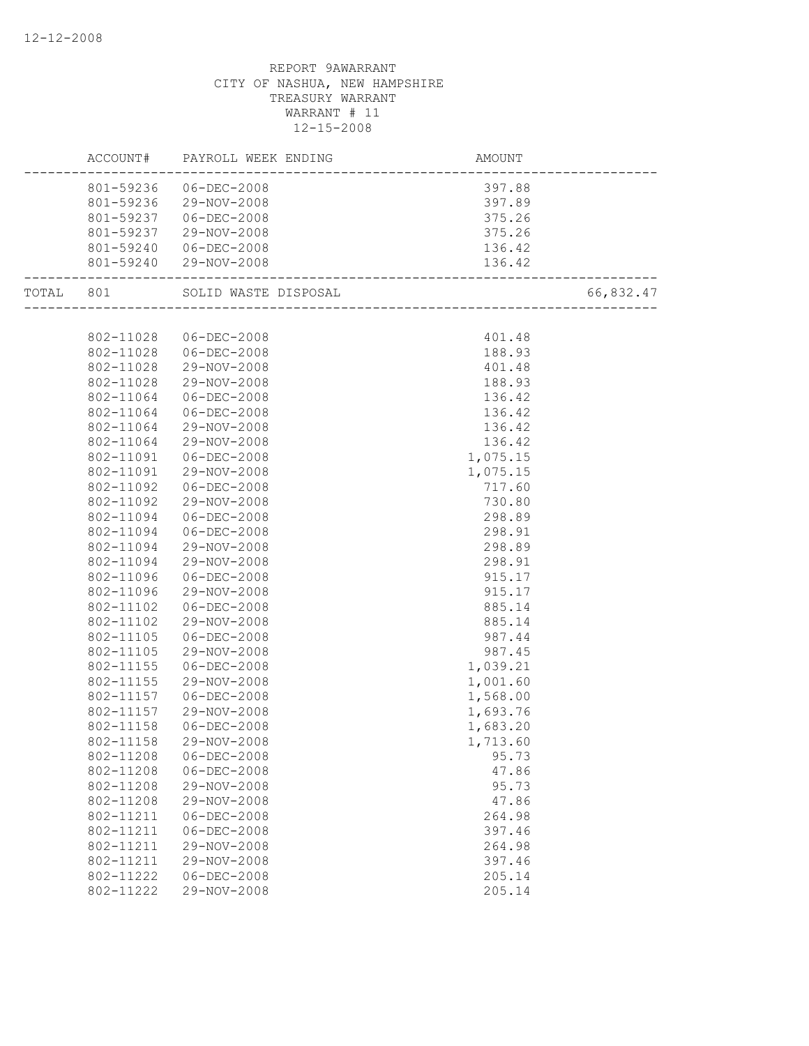| 801-59236 06-DEC-2008<br>397.88<br>801-59236 29-NOV-2008<br>397.89<br>801-59237 06-DEC-2008<br>375.26<br>801-59237<br>29-NOV-2008<br>375.26<br>801-59240 06-DEC-2008<br>136.42<br>801-59240 29-NOV-2008<br>136.42<br>66,832.47<br>TOTAL 801<br>SOLID WASTE DISPOSAL<br>Alı<br>_____________________________<br>802-11028<br>06-DEC-2008<br>401.48<br>802-11028 06-DEC-2008<br>188.93<br>802-11028<br>29-NOV-2008<br>401.48<br>188.93<br>802-11028<br>29-NOV-2008<br>802-11064<br>$06 - DEC - 2008$<br>136.42<br>802-11064<br>$06 - DEC - 2008$<br>136.42<br>802-11064<br>29-NOV-2008<br>136.42<br>802-11064<br>29-NOV-2008<br>136.42<br>802-11091<br>$06 - DEC - 2008$<br>1,075.15<br>802-11091<br>29-NOV-2008<br>1,075.15<br>802-11092<br>$06 - DEC - 2008$<br>717.60<br>802-11092<br>730.80<br>29-NOV-2008<br>802-11094<br>$06 - DEC - 2008$<br>298.89<br>298.91<br>802-11094<br>06-DEC-2008<br>802-11094<br>29-NOV-2008<br>298.89<br>802-11094<br>29-NOV-2008<br>298.91<br>802-11096<br>$06 - DEC - 2008$<br>915.17<br>802-11096<br>29-NOV-2008<br>915.17<br>802-11102<br>$06 - DEC - 2008$<br>885.14<br>802-11102<br>29-NOV-2008<br>885.14<br>802-11105<br>$06 - DEC - 2008$<br>987.44<br>802-11105<br>29-NOV-2008<br>987.45<br>802-11155<br>1,039.21<br>$06 - DEC - 2008$<br>1,001.60<br>802-11155<br>29-NOV-2008<br>802-11157<br>$06 - DEC - 2008$<br>1,568.00<br>1,693.76<br>802-11157<br>29-NOV-2008<br>802-11158<br>1,683.20<br>$06 - DEC - 2008$<br>802-11158<br>29-NOV-2008<br>1,713.60<br>802-11208<br>$06 - DEC - 2008$<br>95.73<br>802-11208<br>$06 - DEC - 2008$<br>47.86<br>802-11208<br>29-NOV-2008<br>95.73<br>802-11208<br>29-NOV-2008<br>47.86<br>802-11211<br>$06 - DEC - 2008$<br>264.98<br>802-11211<br>$06 - DEC - 2008$<br>397.46<br>802-11211<br>29-NOV-2008<br>264.98<br>802-11211<br>29-NOV-2008<br>397.46<br>802-11222<br>$06 - DEC - 2008$<br>205.14<br>802-11222<br>29-NOV-2008<br>205.14 | ACCOUNT# | PAYROLL WEEK ENDING | <b>AMOUNT</b> |  |
|--------------------------------------------------------------------------------------------------------------------------------------------------------------------------------------------------------------------------------------------------------------------------------------------------------------------------------------------------------------------------------------------------------------------------------------------------------------------------------------------------------------------------------------------------------------------------------------------------------------------------------------------------------------------------------------------------------------------------------------------------------------------------------------------------------------------------------------------------------------------------------------------------------------------------------------------------------------------------------------------------------------------------------------------------------------------------------------------------------------------------------------------------------------------------------------------------------------------------------------------------------------------------------------------------------------------------------------------------------------------------------------------------------------------------------------------------------------------------------------------------------------------------------------------------------------------------------------------------------------------------------------------------------------------------------------------------------------------------------------------------------------------------------------------------------------------------------------------------------------------------------------------------------------------------|----------|---------------------|---------------|--|
|                                                                                                                                                                                                                                                                                                                                                                                                                                                                                                                                                                                                                                                                                                                                                                                                                                                                                                                                                                                                                                                                                                                                                                                                                                                                                                                                                                                                                                                                                                                                                                                                                                                                                                                                                                                                                                                                                                                          |          |                     |               |  |
|                                                                                                                                                                                                                                                                                                                                                                                                                                                                                                                                                                                                                                                                                                                                                                                                                                                                                                                                                                                                                                                                                                                                                                                                                                                                                                                                                                                                                                                                                                                                                                                                                                                                                                                                                                                                                                                                                                                          |          |                     |               |  |
|                                                                                                                                                                                                                                                                                                                                                                                                                                                                                                                                                                                                                                                                                                                                                                                                                                                                                                                                                                                                                                                                                                                                                                                                                                                                                                                                                                                                                                                                                                                                                                                                                                                                                                                                                                                                                                                                                                                          |          |                     |               |  |
|                                                                                                                                                                                                                                                                                                                                                                                                                                                                                                                                                                                                                                                                                                                                                                                                                                                                                                                                                                                                                                                                                                                                                                                                                                                                                                                                                                                                                                                                                                                                                                                                                                                                                                                                                                                                                                                                                                                          |          |                     |               |  |
|                                                                                                                                                                                                                                                                                                                                                                                                                                                                                                                                                                                                                                                                                                                                                                                                                                                                                                                                                                                                                                                                                                                                                                                                                                                                                                                                                                                                                                                                                                                                                                                                                                                                                                                                                                                                                                                                                                                          |          |                     |               |  |
|                                                                                                                                                                                                                                                                                                                                                                                                                                                                                                                                                                                                                                                                                                                                                                                                                                                                                                                                                                                                                                                                                                                                                                                                                                                                                                                                                                                                                                                                                                                                                                                                                                                                                                                                                                                                                                                                                                                          |          |                     |               |  |
|                                                                                                                                                                                                                                                                                                                                                                                                                                                                                                                                                                                                                                                                                                                                                                                                                                                                                                                                                                                                                                                                                                                                                                                                                                                                                                                                                                                                                                                                                                                                                                                                                                                                                                                                                                                                                                                                                                                          |          |                     |               |  |
|                                                                                                                                                                                                                                                                                                                                                                                                                                                                                                                                                                                                                                                                                                                                                                                                                                                                                                                                                                                                                                                                                                                                                                                                                                                                                                                                                                                                                                                                                                                                                                                                                                                                                                                                                                                                                                                                                                                          |          |                     |               |  |
|                                                                                                                                                                                                                                                                                                                                                                                                                                                                                                                                                                                                                                                                                                                                                                                                                                                                                                                                                                                                                                                                                                                                                                                                                                                                                                                                                                                                                                                                                                                                                                                                                                                                                                                                                                                                                                                                                                                          |          |                     |               |  |
|                                                                                                                                                                                                                                                                                                                                                                                                                                                                                                                                                                                                                                                                                                                                                                                                                                                                                                                                                                                                                                                                                                                                                                                                                                                                                                                                                                                                                                                                                                                                                                                                                                                                                                                                                                                                                                                                                                                          |          |                     |               |  |
|                                                                                                                                                                                                                                                                                                                                                                                                                                                                                                                                                                                                                                                                                                                                                                                                                                                                                                                                                                                                                                                                                                                                                                                                                                                                                                                                                                                                                                                                                                                                                                                                                                                                                                                                                                                                                                                                                                                          |          |                     |               |  |
|                                                                                                                                                                                                                                                                                                                                                                                                                                                                                                                                                                                                                                                                                                                                                                                                                                                                                                                                                                                                                                                                                                                                                                                                                                                                                                                                                                                                                                                                                                                                                                                                                                                                                                                                                                                                                                                                                                                          |          |                     |               |  |
|                                                                                                                                                                                                                                                                                                                                                                                                                                                                                                                                                                                                                                                                                                                                                                                                                                                                                                                                                                                                                                                                                                                                                                                                                                                                                                                                                                                                                                                                                                                                                                                                                                                                                                                                                                                                                                                                                                                          |          |                     |               |  |
|                                                                                                                                                                                                                                                                                                                                                                                                                                                                                                                                                                                                                                                                                                                                                                                                                                                                                                                                                                                                                                                                                                                                                                                                                                                                                                                                                                                                                                                                                                                                                                                                                                                                                                                                                                                                                                                                                                                          |          |                     |               |  |
|                                                                                                                                                                                                                                                                                                                                                                                                                                                                                                                                                                                                                                                                                                                                                                                                                                                                                                                                                                                                                                                                                                                                                                                                                                                                                                                                                                                                                                                                                                                                                                                                                                                                                                                                                                                                                                                                                                                          |          |                     |               |  |
|                                                                                                                                                                                                                                                                                                                                                                                                                                                                                                                                                                                                                                                                                                                                                                                                                                                                                                                                                                                                                                                                                                                                                                                                                                                                                                                                                                                                                                                                                                                                                                                                                                                                                                                                                                                                                                                                                                                          |          |                     |               |  |
|                                                                                                                                                                                                                                                                                                                                                                                                                                                                                                                                                                                                                                                                                                                                                                                                                                                                                                                                                                                                                                                                                                                                                                                                                                                                                                                                                                                                                                                                                                                                                                                                                                                                                                                                                                                                                                                                                                                          |          |                     |               |  |
|                                                                                                                                                                                                                                                                                                                                                                                                                                                                                                                                                                                                                                                                                                                                                                                                                                                                                                                                                                                                                                                                                                                                                                                                                                                                                                                                                                                                                                                                                                                                                                                                                                                                                                                                                                                                                                                                                                                          |          |                     |               |  |
|                                                                                                                                                                                                                                                                                                                                                                                                                                                                                                                                                                                                                                                                                                                                                                                                                                                                                                                                                                                                                                                                                                                                                                                                                                                                                                                                                                                                                                                                                                                                                                                                                                                                                                                                                                                                                                                                                                                          |          |                     |               |  |
|                                                                                                                                                                                                                                                                                                                                                                                                                                                                                                                                                                                                                                                                                                                                                                                                                                                                                                                                                                                                                                                                                                                                                                                                                                                                                                                                                                                                                                                                                                                                                                                                                                                                                                                                                                                                                                                                                                                          |          |                     |               |  |
|                                                                                                                                                                                                                                                                                                                                                                                                                                                                                                                                                                                                                                                                                                                                                                                                                                                                                                                                                                                                                                                                                                                                                                                                                                                                                                                                                                                                                                                                                                                                                                                                                                                                                                                                                                                                                                                                                                                          |          |                     |               |  |
|                                                                                                                                                                                                                                                                                                                                                                                                                                                                                                                                                                                                                                                                                                                                                                                                                                                                                                                                                                                                                                                                                                                                                                                                                                                                                                                                                                                                                                                                                                                                                                                                                                                                                                                                                                                                                                                                                                                          |          |                     |               |  |
|                                                                                                                                                                                                                                                                                                                                                                                                                                                                                                                                                                                                                                                                                                                                                                                                                                                                                                                                                                                                                                                                                                                                                                                                                                                                                                                                                                                                                                                                                                                                                                                                                                                                                                                                                                                                                                                                                                                          |          |                     |               |  |
|                                                                                                                                                                                                                                                                                                                                                                                                                                                                                                                                                                                                                                                                                                                                                                                                                                                                                                                                                                                                                                                                                                                                                                                                                                                                                                                                                                                                                                                                                                                                                                                                                                                                                                                                                                                                                                                                                                                          |          |                     |               |  |
|                                                                                                                                                                                                                                                                                                                                                                                                                                                                                                                                                                                                                                                                                                                                                                                                                                                                                                                                                                                                                                                                                                                                                                                                                                                                                                                                                                                                                                                                                                                                                                                                                                                                                                                                                                                                                                                                                                                          |          |                     |               |  |
|                                                                                                                                                                                                                                                                                                                                                                                                                                                                                                                                                                                                                                                                                                                                                                                                                                                                                                                                                                                                                                                                                                                                                                                                                                                                                                                                                                                                                                                                                                                                                                                                                                                                                                                                                                                                                                                                                                                          |          |                     |               |  |
|                                                                                                                                                                                                                                                                                                                                                                                                                                                                                                                                                                                                                                                                                                                                                                                                                                                                                                                                                                                                                                                                                                                                                                                                                                                                                                                                                                                                                                                                                                                                                                                                                                                                                                                                                                                                                                                                                                                          |          |                     |               |  |
|                                                                                                                                                                                                                                                                                                                                                                                                                                                                                                                                                                                                                                                                                                                                                                                                                                                                                                                                                                                                                                                                                                                                                                                                                                                                                                                                                                                                                                                                                                                                                                                                                                                                                                                                                                                                                                                                                                                          |          |                     |               |  |
|                                                                                                                                                                                                                                                                                                                                                                                                                                                                                                                                                                                                                                                                                                                                                                                                                                                                                                                                                                                                                                                                                                                                                                                                                                                                                                                                                                                                                                                                                                                                                                                                                                                                                                                                                                                                                                                                                                                          |          |                     |               |  |
|                                                                                                                                                                                                                                                                                                                                                                                                                                                                                                                                                                                                                                                                                                                                                                                                                                                                                                                                                                                                                                                                                                                                                                                                                                                                                                                                                                                                                                                                                                                                                                                                                                                                                                                                                                                                                                                                                                                          |          |                     |               |  |
|                                                                                                                                                                                                                                                                                                                                                                                                                                                                                                                                                                                                                                                                                                                                                                                                                                                                                                                                                                                                                                                                                                                                                                                                                                                                                                                                                                                                                                                                                                                                                                                                                                                                                                                                                                                                                                                                                                                          |          |                     |               |  |
|                                                                                                                                                                                                                                                                                                                                                                                                                                                                                                                                                                                                                                                                                                                                                                                                                                                                                                                                                                                                                                                                                                                                                                                                                                                                                                                                                                                                                                                                                                                                                                                                                                                                                                                                                                                                                                                                                                                          |          |                     |               |  |
|                                                                                                                                                                                                                                                                                                                                                                                                                                                                                                                                                                                                                                                                                                                                                                                                                                                                                                                                                                                                                                                                                                                                                                                                                                                                                                                                                                                                                                                                                                                                                                                                                                                                                                                                                                                                                                                                                                                          |          |                     |               |  |
|                                                                                                                                                                                                                                                                                                                                                                                                                                                                                                                                                                                                                                                                                                                                                                                                                                                                                                                                                                                                                                                                                                                                                                                                                                                                                                                                                                                                                                                                                                                                                                                                                                                                                                                                                                                                                                                                                                                          |          |                     |               |  |
|                                                                                                                                                                                                                                                                                                                                                                                                                                                                                                                                                                                                                                                                                                                                                                                                                                                                                                                                                                                                                                                                                                                                                                                                                                                                                                                                                                                                                                                                                                                                                                                                                                                                                                                                                                                                                                                                                                                          |          |                     |               |  |
|                                                                                                                                                                                                                                                                                                                                                                                                                                                                                                                                                                                                                                                                                                                                                                                                                                                                                                                                                                                                                                                                                                                                                                                                                                                                                                                                                                                                                                                                                                                                                                                                                                                                                                                                                                                                                                                                                                                          |          |                     |               |  |
|                                                                                                                                                                                                                                                                                                                                                                                                                                                                                                                                                                                                                                                                                                                                                                                                                                                                                                                                                                                                                                                                                                                                                                                                                                                                                                                                                                                                                                                                                                                                                                                                                                                                                                                                                                                                                                                                                                                          |          |                     |               |  |
|                                                                                                                                                                                                                                                                                                                                                                                                                                                                                                                                                                                                                                                                                                                                                                                                                                                                                                                                                                                                                                                                                                                                                                                                                                                                                                                                                                                                                                                                                                                                                                                                                                                                                                                                                                                                                                                                                                                          |          |                     |               |  |
|                                                                                                                                                                                                                                                                                                                                                                                                                                                                                                                                                                                                                                                                                                                                                                                                                                                                                                                                                                                                                                                                                                                                                                                                                                                                                                                                                                                                                                                                                                                                                                                                                                                                                                                                                                                                                                                                                                                          |          |                     |               |  |
|                                                                                                                                                                                                                                                                                                                                                                                                                                                                                                                                                                                                                                                                                                                                                                                                                                                                                                                                                                                                                                                                                                                                                                                                                                                                                                                                                                                                                                                                                                                                                                                                                                                                                                                                                                                                                                                                                                                          |          |                     |               |  |
|                                                                                                                                                                                                                                                                                                                                                                                                                                                                                                                                                                                                                                                                                                                                                                                                                                                                                                                                                                                                                                                                                                                                                                                                                                                                                                                                                                                                                                                                                                                                                                                                                                                                                                                                                                                                                                                                                                                          |          |                     |               |  |
|                                                                                                                                                                                                                                                                                                                                                                                                                                                                                                                                                                                                                                                                                                                                                                                                                                                                                                                                                                                                                                                                                                                                                                                                                                                                                                                                                                                                                                                                                                                                                                                                                                                                                                                                                                                                                                                                                                                          |          |                     |               |  |
|                                                                                                                                                                                                                                                                                                                                                                                                                                                                                                                                                                                                                                                                                                                                                                                                                                                                                                                                                                                                                                                                                                                                                                                                                                                                                                                                                                                                                                                                                                                                                                                                                                                                                                                                                                                                                                                                                                                          |          |                     |               |  |
|                                                                                                                                                                                                                                                                                                                                                                                                                                                                                                                                                                                                                                                                                                                                                                                                                                                                                                                                                                                                                                                                                                                                                                                                                                                                                                                                                                                                                                                                                                                                                                                                                                                                                                                                                                                                                                                                                                                          |          |                     |               |  |
|                                                                                                                                                                                                                                                                                                                                                                                                                                                                                                                                                                                                                                                                                                                                                                                                                                                                                                                                                                                                                                                                                                                                                                                                                                                                                                                                                                                                                                                                                                                                                                                                                                                                                                                                                                                                                                                                                                                          |          |                     |               |  |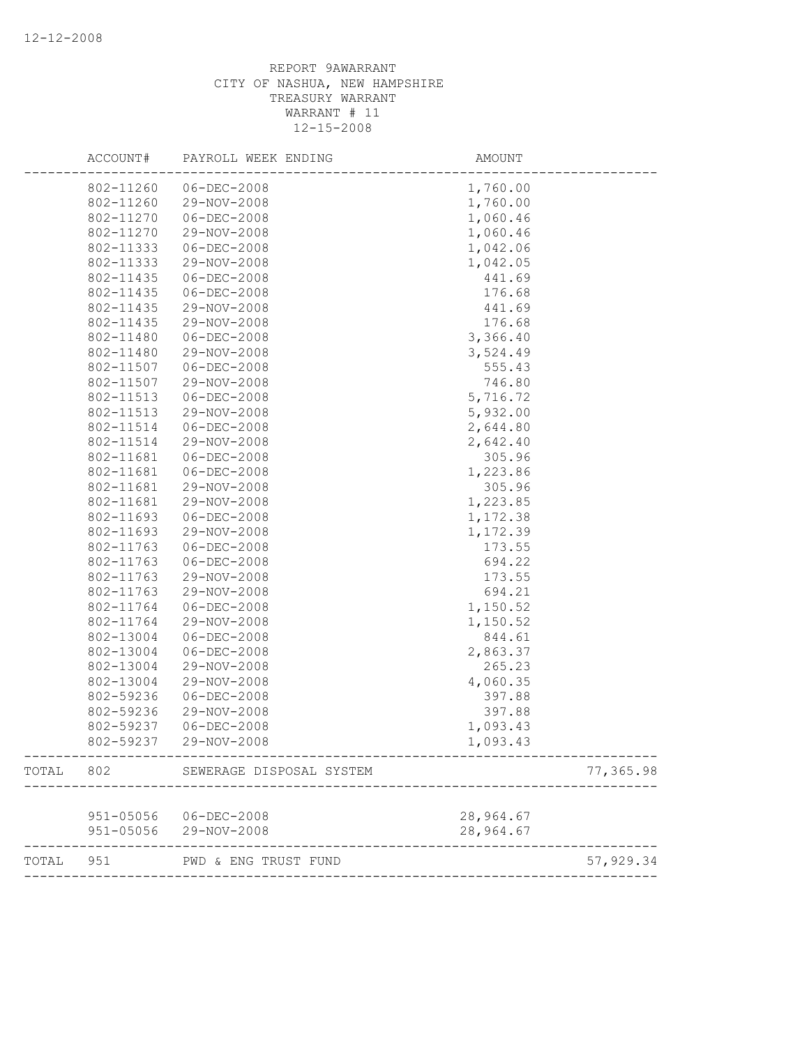|           | ACCOUNT#  | PAYROLL WEEK ENDING      | AMOUNT    |           |
|-----------|-----------|--------------------------|-----------|-----------|
|           | 802-11260 | 06-DEC-2008              | 1,760.00  |           |
|           | 802-11260 | 29-NOV-2008              | 1,760.00  |           |
|           | 802-11270 | $06 - DEC - 2008$        | 1,060.46  |           |
|           | 802-11270 | 29-NOV-2008              | 1,060.46  |           |
|           | 802-11333 | $06 - DEC - 2008$        | 1,042.06  |           |
|           | 802-11333 | 29-NOV-2008              | 1,042.05  |           |
|           | 802-11435 | $06 - DEC - 2008$        | 441.69    |           |
|           | 802-11435 | 06-DEC-2008              | 176.68    |           |
|           | 802-11435 | 29-NOV-2008              | 441.69    |           |
|           | 802-11435 | 29-NOV-2008              | 176.68    |           |
|           | 802-11480 | $06 - DEC - 2008$        | 3,366.40  |           |
|           | 802-11480 | 29-NOV-2008              | 3,524.49  |           |
|           | 802-11507 | $06 - DEC - 2008$        | 555.43    |           |
|           | 802-11507 | 29-NOV-2008              | 746.80    |           |
|           | 802-11513 | 06-DEC-2008              | 5,716.72  |           |
|           | 802-11513 | 29-NOV-2008              | 5,932.00  |           |
|           | 802-11514 | $06 - DEC - 2008$        | 2,644.80  |           |
|           | 802-11514 | 29-NOV-2008              | 2,642.40  |           |
|           | 802-11681 | 06-DEC-2008              | 305.96    |           |
|           | 802-11681 | $06 - DEC - 2008$        | 1,223.86  |           |
|           | 802-11681 | 29-NOV-2008              | 305.96    |           |
|           | 802-11681 | 29-NOV-2008              | 1,223.85  |           |
|           | 802-11693 | 06-DEC-2008              | 1,172.38  |           |
|           | 802-11693 | 29-NOV-2008              | 1,172.39  |           |
|           | 802-11763 | $06 - DEC - 2008$        | 173.55    |           |
|           | 802-11763 | $06 - DEC - 2008$        | 694.22    |           |
|           | 802-11763 | 29-NOV-2008              | 173.55    |           |
|           | 802-11763 | 29-NOV-2008              | 694.21    |           |
|           | 802-11764 | $06 - DEC - 2008$        | 1,150.52  |           |
|           | 802-11764 | 29-NOV-2008              | 1,150.52  |           |
|           | 802-13004 | $06 - DEC - 2008$        | 844.61    |           |
|           | 802-13004 | $06 - DEC - 2008$        | 2,863.37  |           |
|           | 802-13004 | 29-NOV-2008              | 265.23    |           |
|           | 802-13004 | 29-NOV-2008              | 4,060.35  |           |
|           | 802-59236 | $06 - DEC - 2008$        | 397.88    |           |
|           | 802-59236 | 29-NOV-2008              | 397.88    |           |
|           | 802-59237 | $06 - DEC - 2008$        | 1,093.43  |           |
|           | 802-59237 | 29-NOV-2008              | 1,093.43  |           |
| TOTAL     | 802       | SEWERAGE DISPOSAL SYSTEM |           | 77,365.98 |
|           |           |                          |           |           |
|           |           | 951-05056 06-DEC-2008    | 28,964.67 |           |
|           |           | 951-05056 29-NOV-2008    | 28,964.67 |           |
| TOTAL 951 |           | PWD & ENG TRUST FUND     |           | 57,929.34 |
|           |           |                          |           |           |